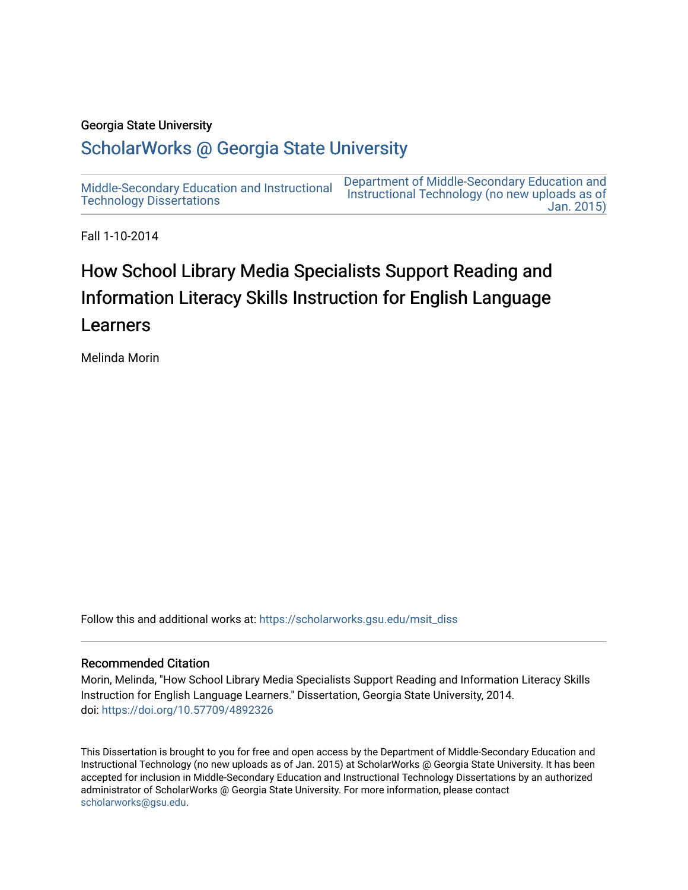### Georgia State University

# [ScholarWorks @ Georgia State University](https://scholarworks.gsu.edu/)

[Middle-Secondary Education and Instructional](https://scholarworks.gsu.edu/msit_diss) [Technology Dissertations](https://scholarworks.gsu.edu/msit_diss)  [Department of Middle-Secondary Education and](https://scholarworks.gsu.edu/msit)  [Instructional Technology \(no new uploads as of](https://scholarworks.gsu.edu/msit)  [Jan. 2015\)](https://scholarworks.gsu.edu/msit) 

Fall 1-10-2014

# How School Library Media Specialists Support Reading and Information Literacy Skills Instruction for English Language Learners

Melinda Morin

Follow this and additional works at: [https://scholarworks.gsu.edu/msit\\_diss](https://scholarworks.gsu.edu/msit_diss?utm_source=scholarworks.gsu.edu%2Fmsit_diss%2F120&utm_medium=PDF&utm_campaign=PDFCoverPages) 

### Recommended Citation

Morin, Melinda, "How School Library Media Specialists Support Reading and Information Literacy Skills Instruction for English Language Learners." Dissertation, Georgia State University, 2014. doi: <https://doi.org/10.57709/4892326>

This Dissertation is brought to you for free and open access by the Department of Middle-Secondary Education and Instructional Technology (no new uploads as of Jan. 2015) at ScholarWorks @ Georgia State University. It has been accepted for inclusion in Middle-Secondary Education and Instructional Technology Dissertations by an authorized administrator of ScholarWorks @ Georgia State University. For more information, please contact [scholarworks@gsu.edu.](mailto:scholarworks@gsu.edu)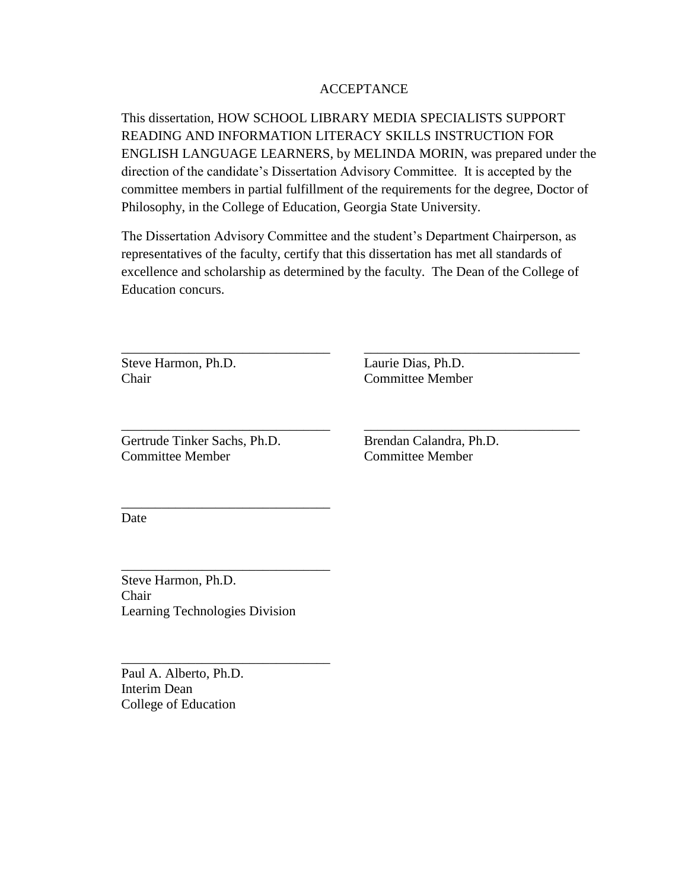# ACCEPTANCE

This dissertation, HOW SCHOOL LIBRARY MEDIA SPECIALISTS SUPPORT READING AND INFORMATION LITERACY SKILLS INSTRUCTION FOR ENGLISH LANGUAGE LEARNERS, by MELINDA MORIN, was prepared under the direction of the candidate's Dissertation Advisory Committee. It is accepted by the committee members in partial fulfillment of the requirements for the degree, Doctor of Philosophy, in the College of Education, Georgia State University.

The Dissertation Advisory Committee and the student's Department Chairperson, as representatives of the faculty, certify that this dissertation has met all standards of excellence and scholarship as determined by the faculty. The Dean of the College of Education concurs.

\_\_\_\_\_\_\_\_\_\_\_\_\_\_\_\_\_\_\_\_\_\_\_\_\_\_\_\_\_\_\_ \_\_\_\_\_\_\_\_\_\_\_\_\_\_\_\_\_\_\_\_\_\_\_\_\_\_\_\_\_\_\_\_

\_\_\_\_\_\_\_\_\_\_\_\_\_\_\_\_\_\_\_\_\_\_\_\_\_\_\_\_\_\_\_ \_\_\_\_\_\_\_\_\_\_\_\_\_\_\_\_\_\_\_\_\_\_\_\_\_\_\_\_\_\_\_\_

Steve Harmon, Ph.D. Laurie Dias, Ph.D. Chair Committee Member

Gertrude Tinker Sachs, Ph.D. Brendan Calandra, Ph.D. Committee Member Committee Member

\_\_\_\_\_\_\_\_\_\_\_\_\_\_\_\_\_\_\_\_\_\_\_\_\_\_\_\_\_\_\_

\_\_\_\_\_\_\_\_\_\_\_\_\_\_\_\_\_\_\_\_\_\_\_\_\_\_\_\_\_\_\_

\_\_\_\_\_\_\_\_\_\_\_\_\_\_\_\_\_\_\_\_\_\_\_\_\_\_\_\_\_\_\_

Date

Steve Harmon, Ph.D. Chair Learning Technologies Division

Paul A. Alberto, Ph.D. Interim Dean College of Education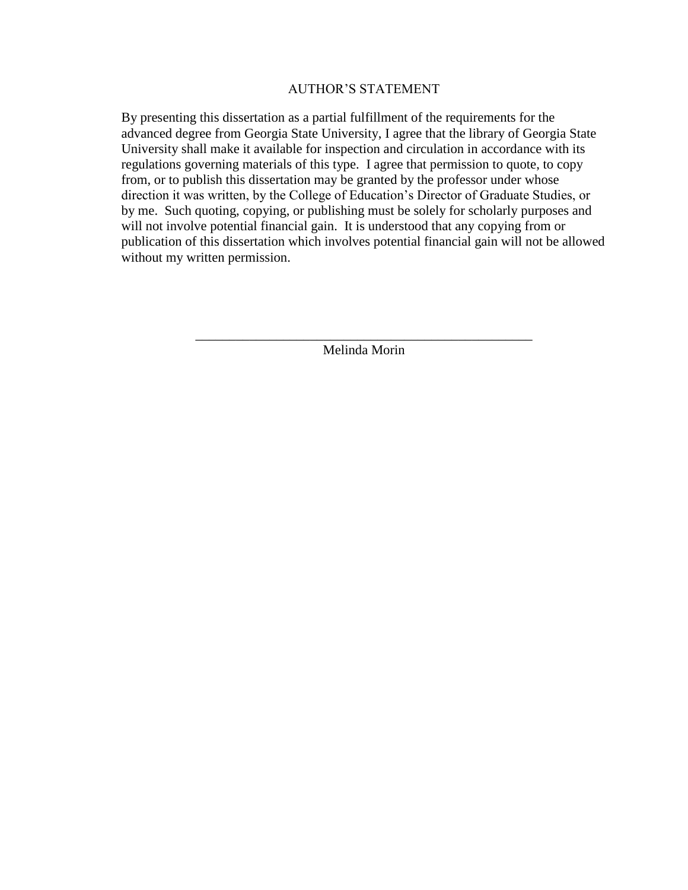### AUTHOR'S STATEMENT

By presenting this dissertation as a partial fulfillment of the requirements for the advanced degree from Georgia State University, I agree that the library of Georgia State University shall make it available for inspection and circulation in accordance with its regulations governing materials of this type. I agree that permission to quote, to copy from, or to publish this dissertation may be granted by the professor under whose direction it was written, by the College of Education's Director of Graduate Studies, or by me. Such quoting, copying, or publishing must be solely for scholarly purposes and will not involve potential financial gain. It is understood that any copying from or publication of this dissertation which involves potential financial gain will not be allowed without my written permission.

> \_\_\_\_\_\_\_\_\_\_\_\_\_\_\_\_\_\_\_\_\_\_\_\_\_\_\_\_\_\_\_\_\_\_\_\_\_\_\_\_\_\_\_\_\_\_\_\_\_\_ Melinda Morin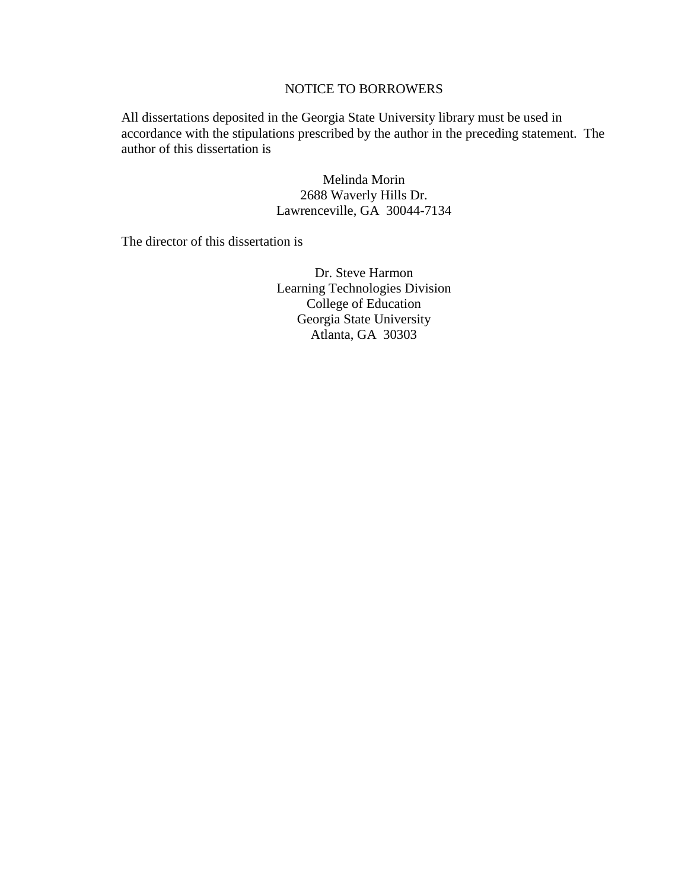# NOTICE TO BORROWERS

All dissertations deposited in the Georgia State University library must be used in accordance with the stipulations prescribed by the author in the preceding statement. The author of this dissertation is

> Melinda Morin 2688 Waverly Hills Dr. Lawrenceville, GA 30044-7134

The director of this dissertation is

Dr. Steve Harmon Learning Technologies Division College of Education Georgia State University Atlanta, GA 30303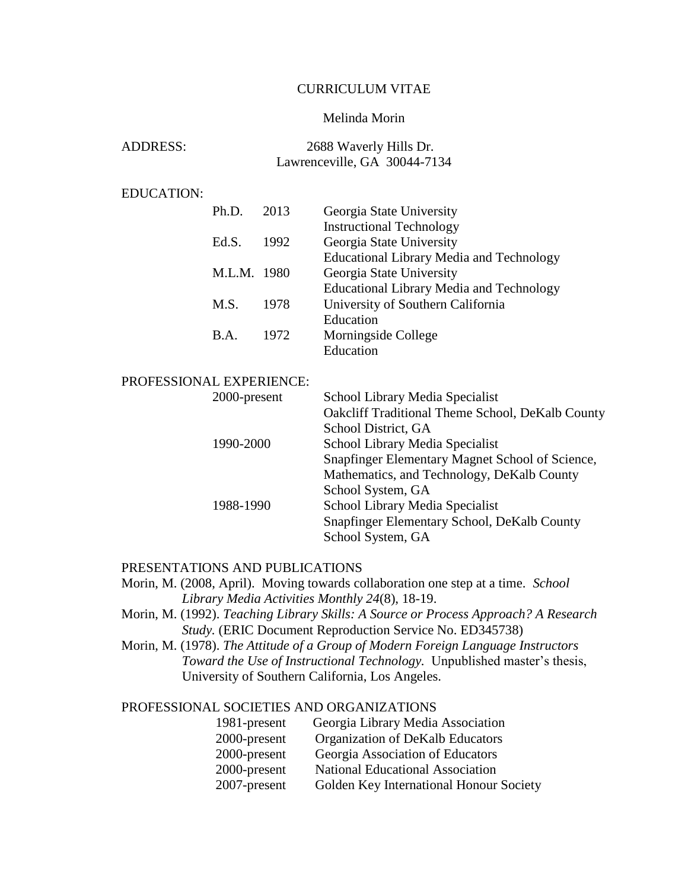### CURRICULUM VITAE

# Melinda Morin

| <b>ADDRESS:</b> | 2688 Waverly Hills Dr.       |  |
|-----------------|------------------------------|--|
|                 | Lawrenceville, GA 30044-7134 |  |

# EDUCATION:

| Ph.D.       | 2013 | Georgia State University                        |
|-------------|------|-------------------------------------------------|
|             |      | <b>Instructional Technology</b>                 |
| Ed.S.       | 1992 | Georgia State University                        |
|             |      | <b>Educational Library Media and Technology</b> |
| M.L.M. 1980 |      | Georgia State University                        |
|             |      | <b>Educational Library Media and Technology</b> |
| M.S.        | 1978 | University of Southern California               |
|             |      | Education                                       |
| B.A.        | 1972 | Morningside College                             |
|             |      | Education                                       |

# PROFESSIONAL EXPERIENCE:

| 2000-present | School Library Media Specialist                  |
|--------------|--------------------------------------------------|
|              | Oakcliff Traditional Theme School, DeKalb County |
|              | School District, GA                              |
| 1990-2000    | School Library Media Specialist                  |
|              | Snapfinger Elementary Magnet School of Science,  |
|              | Mathematics, and Technology, DeKalb County       |
|              | School System, GA                                |
| 1988-1990    | School Library Media Specialist                  |
|              | Snapfinger Elementary School, DeKalb County      |
|              | School System, GA                                |

### PRESENTATIONS AND PUBLICATIONS

Morin, M. (2008, April). Moving towards collaboration one step at a time. *School Library Media Activities Monthly 24*(8), 18-19.

- Morin, M. (1992). *Teaching Library Skills: A Source or Process Approach? A Research Study.* (ERIC Document Reproduction Service No. ED345738)
- Morin, M. (1978). *The Attitude of a Group of Modern Foreign Language Instructors Toward the Use of Instructional Technology.* Unpublished master's thesis, University of Southern California, Los Angeles.

# PROFESSIONAL SOCIETIES AND ORGANIZATIONS

| 1981-present    | Georgia Library Media Association       |
|-----------------|-----------------------------------------|
| 2000-present    | Organization of DeKalb Educators        |
| 2000-present    | Georgia Association of Educators        |
| 2000-present    | <b>National Educational Association</b> |
| $2007$ -present | Golden Key International Honour Society |
|                 |                                         |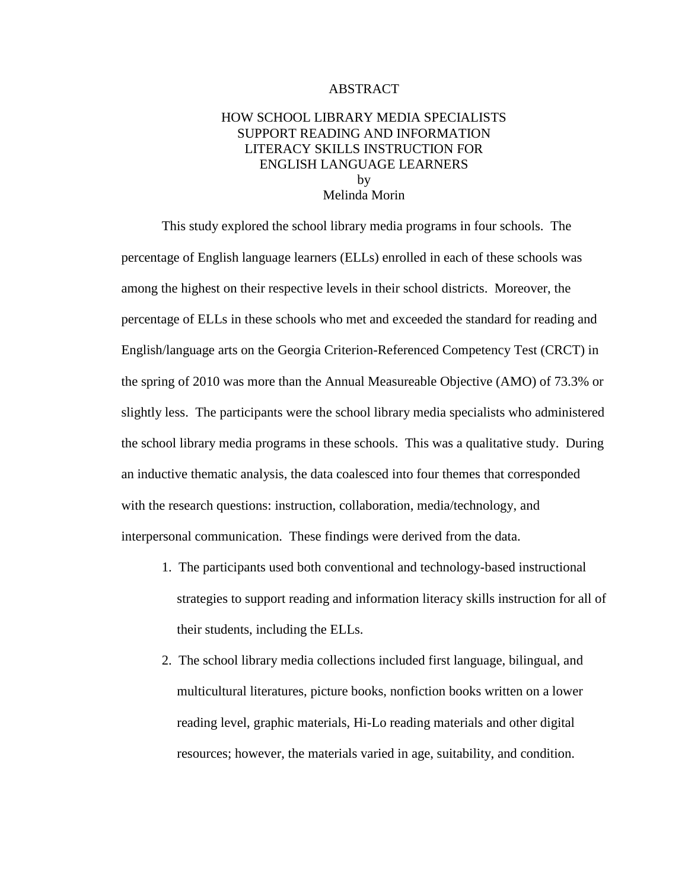### ABSTRACT

# HOW SCHOOL LIBRARY MEDIA SPECIALISTS SUPPORT READING AND INFORMATION LITERACY SKILLS INSTRUCTION FOR ENGLISH LANGUAGE LEARNERS by Melinda Morin

This study explored the school library media programs in four schools. The percentage of English language learners (ELLs) enrolled in each of these schools was among the highest on their respective levels in their school districts. Moreover, the percentage of ELLs in these schools who met and exceeded the standard for reading and English/language arts on the Georgia Criterion-Referenced Competency Test (CRCT) in the spring of 2010 was more than the Annual Measureable Objective (AMO) of 73.3% or slightly less. The participants were the school library media specialists who administered the school library media programs in these schools. This was a qualitative study. During an inductive thematic analysis, the data coalesced into four themes that corresponded with the research questions: instruction, collaboration, media/technology, and interpersonal communication. These findings were derived from the data.

- 1. The participants used both conventional and technology-based instructional strategies to support reading and information literacy skills instruction for all of their students, including the ELLs.
- 2. The school library media collections included first language, bilingual, and multicultural literatures, picture books, nonfiction books written on a lower reading level, graphic materials, Hi-Lo reading materials and other digital resources; however, the materials varied in age, suitability, and condition.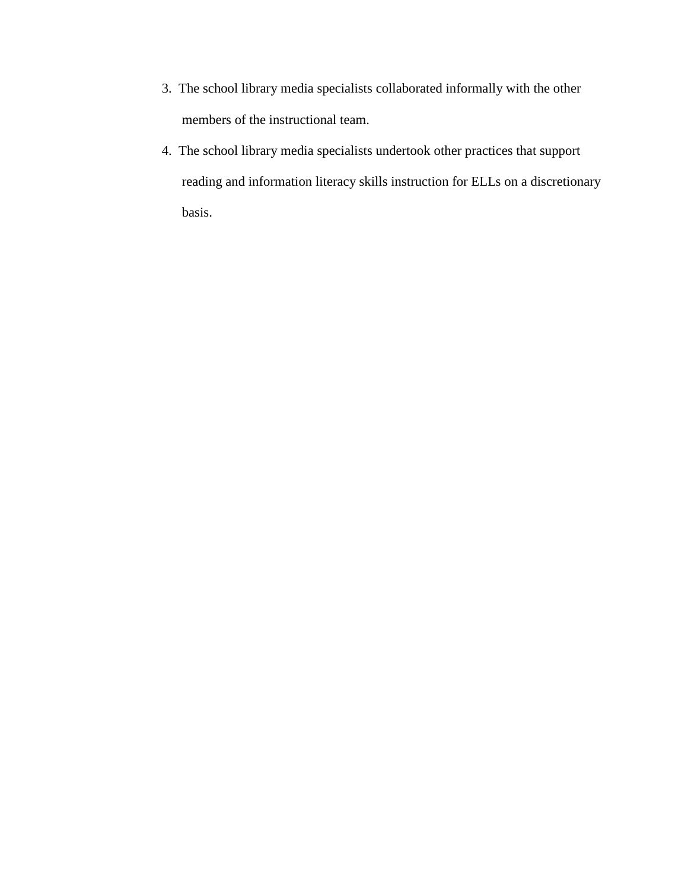- 3. The school library media specialists collaborated informally with the other members of the instructional team.
- 4. The school library media specialists undertook other practices that support reading and information literacy skills instruction for ELLs on a discretionary basis.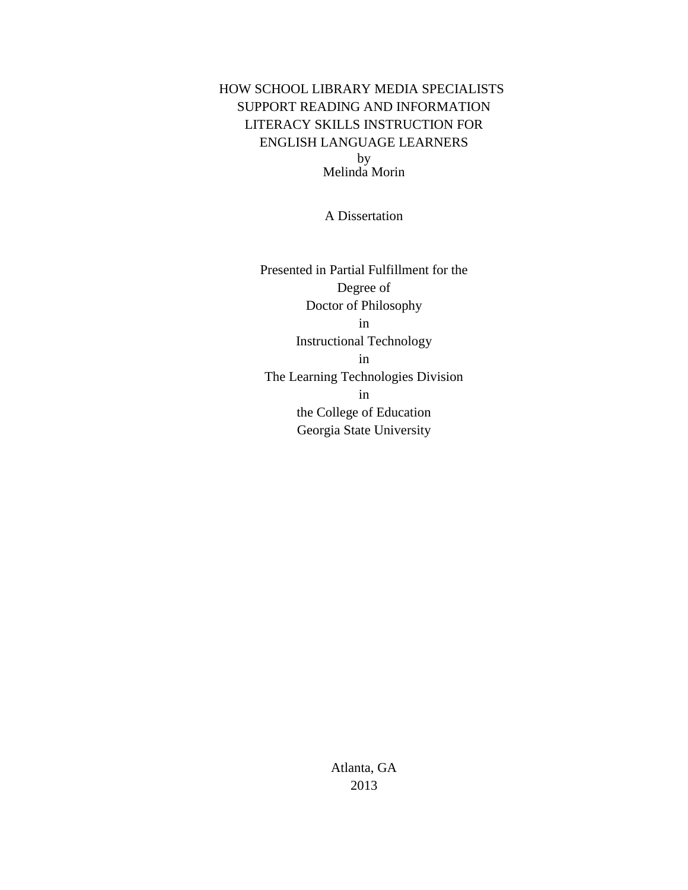# HOW SCHOOL LIBRARY MEDIA SPECIALISTS SUPPORT READING AND INFORMATION LITERACY SKILLS INSTRUCTION FOR ENGLISH LANGUAGE LEARNERS by Melinda Morin

A Dissertation

Presented in Partial Fulfillment for the Degree of Doctor of Philosophy in Instructional Technology in The Learning Technologies Division in the College of Education Georgia State University

> Atlanta, GA 2013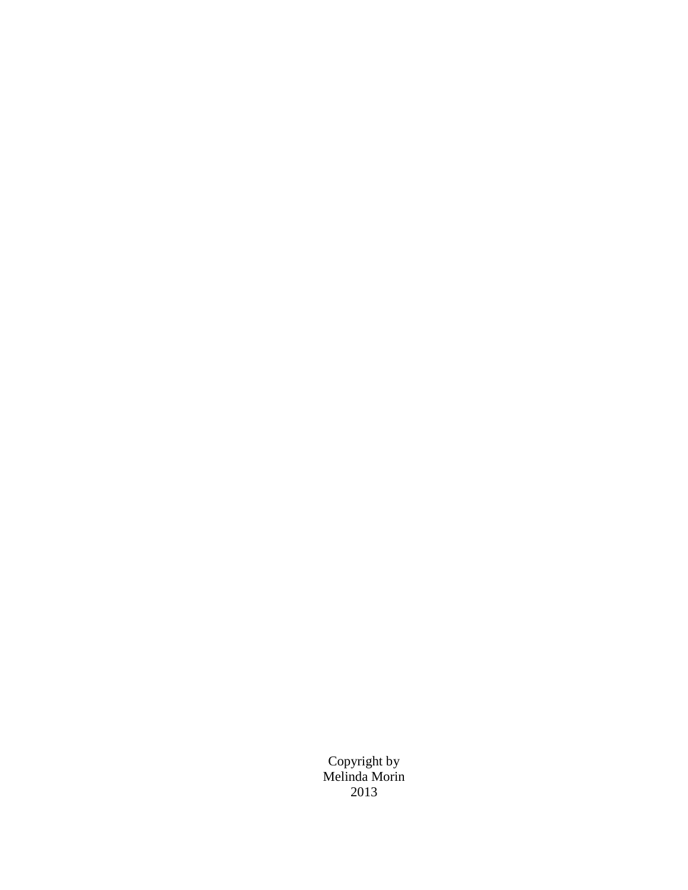Copyright by Melinda Morin 2013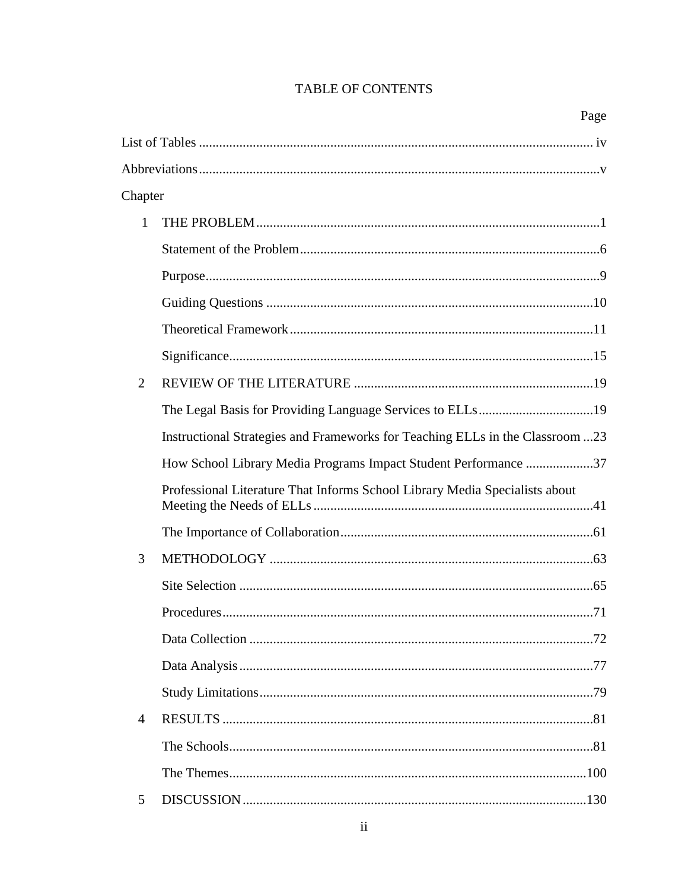|                |                                                                               | Page |
|----------------|-------------------------------------------------------------------------------|------|
|                |                                                                               |      |
|                |                                                                               |      |
| Chapter        |                                                                               |      |
| 1              |                                                                               |      |
|                |                                                                               |      |
|                |                                                                               |      |
|                |                                                                               |      |
|                |                                                                               |      |
|                |                                                                               |      |
| $\overline{2}$ |                                                                               |      |
|                | The Legal Basis for Providing Language Services to ELLs19                     |      |
|                | Instructional Strategies and Frameworks for Teaching ELLs in the Classroom 23 |      |
|                | How School Library Media Programs Impact Student Performance 37               |      |
|                | Professional Literature That Informs School Library Media Specialists about   |      |
|                |                                                                               |      |
| 3              |                                                                               |      |
|                |                                                                               |      |
|                |                                                                               |      |
|                |                                                                               |      |
|                |                                                                               |      |
|                |                                                                               |      |
| $\overline{4}$ |                                                                               |      |
|                |                                                                               |      |
|                |                                                                               |      |
| 5              |                                                                               |      |

# TABLE OF CONTENTS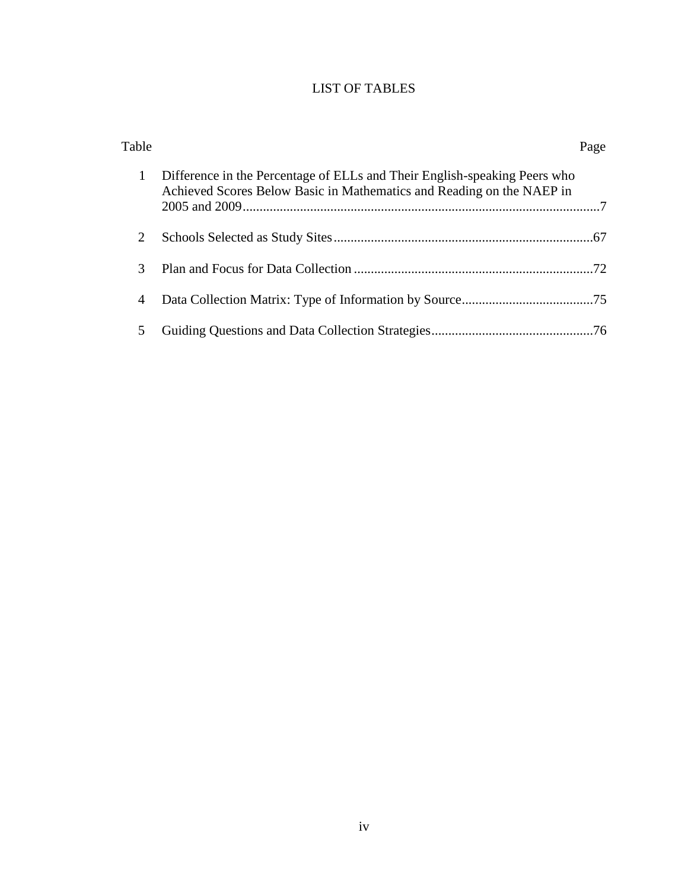# LIST OF TABLES

| Table          |                                                                                                                                                    | Page |
|----------------|----------------------------------------------------------------------------------------------------------------------------------------------------|------|
| 1              | Difference in the Percentage of ELLs and Their English-speaking Peers who<br>Achieved Scores Below Basic in Mathematics and Reading on the NAEP in |      |
| 2              |                                                                                                                                                    |      |
| 3              |                                                                                                                                                    |      |
| $\overline{4}$ |                                                                                                                                                    |      |
|                |                                                                                                                                                    |      |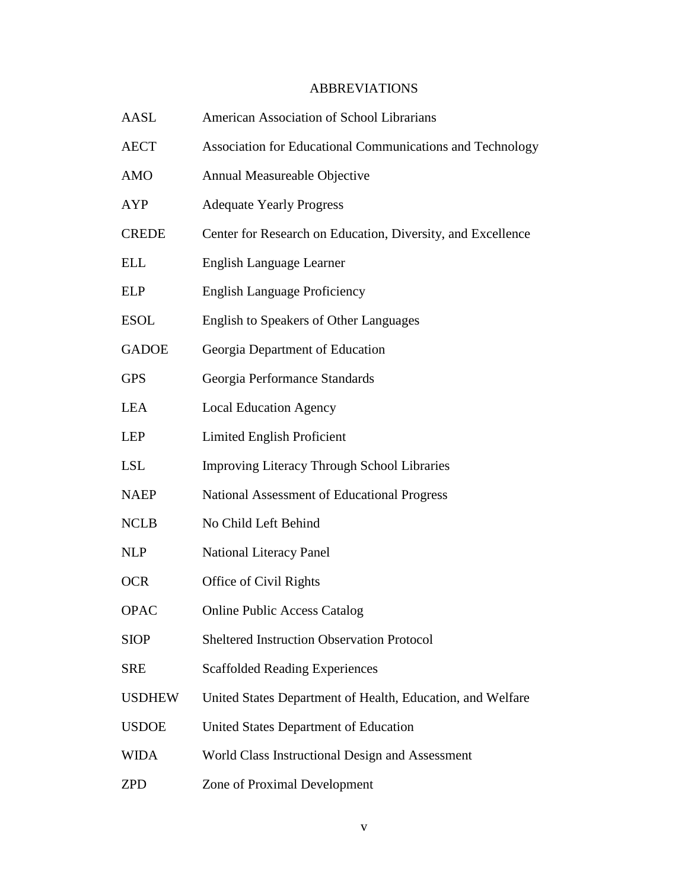# ABBREVIATIONS

| AASL          | American Association of School Librarians                   |
|---------------|-------------------------------------------------------------|
| <b>AECT</b>   | Association for Educational Communications and Technology   |
| <b>AMO</b>    | Annual Measureable Objective                                |
| <b>AYP</b>    | <b>Adequate Yearly Progress</b>                             |
| <b>CREDE</b>  | Center for Research on Education, Diversity, and Excellence |
| <b>ELL</b>    | English Language Learner                                    |
| <b>ELP</b>    | <b>English Language Proficiency</b>                         |
| <b>ESOL</b>   | <b>English to Speakers of Other Languages</b>               |
| <b>GADOE</b>  | Georgia Department of Education                             |
| <b>GPS</b>    | Georgia Performance Standards                               |
| <b>LEA</b>    | <b>Local Education Agency</b>                               |
| LEP           | <b>Limited English Proficient</b>                           |
| <b>LSL</b>    | <b>Improving Literacy Through School Libraries</b>          |
| <b>NAEP</b>   | National Assessment of Educational Progress                 |
| <b>NCLB</b>   | No Child Left Behind                                        |
| <b>NLP</b>    | National Literacy Panel                                     |
| <b>OCR</b>    | Office of Civil Rights                                      |
| <b>OPAC</b>   | <b>Online Public Access Catalog</b>                         |
| <b>SIOP</b>   | <b>Sheltered Instruction Observation Protocol</b>           |
| <b>SRE</b>    | <b>Scaffolded Reading Experiences</b>                       |
| <b>USDHEW</b> | United States Department of Health, Education, and Welfare  |
| <b>USDOE</b>  | United States Department of Education                       |
| <b>WIDA</b>   | World Class Instructional Design and Assessment             |
| <b>ZPD</b>    | Zone of Proximal Development                                |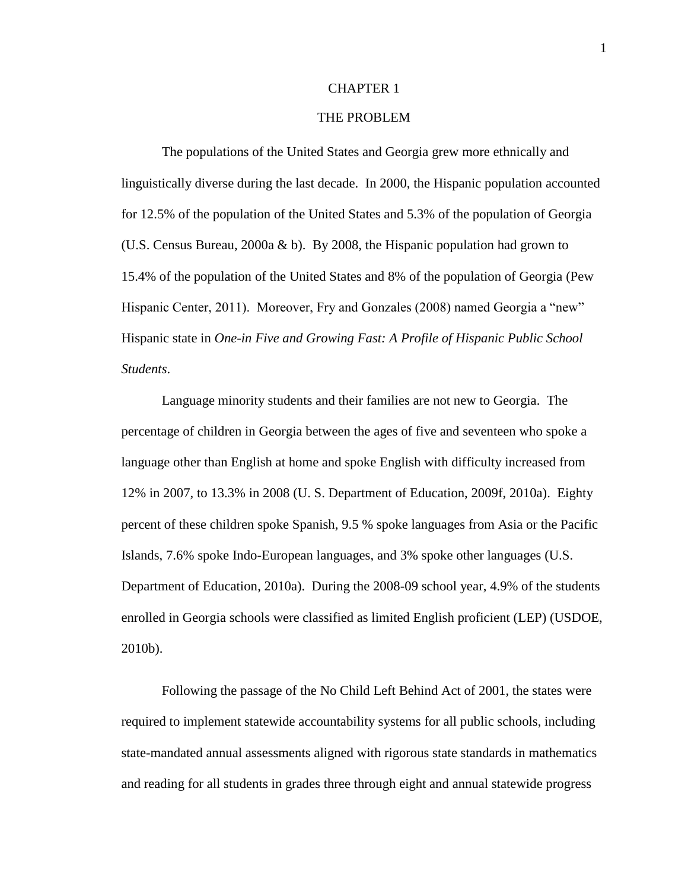### CHAPTER 1

### THE PROBLEM

The populations of the United States and Georgia grew more ethnically and linguistically diverse during the last decade. In 2000, the Hispanic population accounted for 12.5% of the population of the United States and 5.3% of the population of Georgia (U.S. Census Bureau, 2000a & b). By 2008, the Hispanic population had grown to 15.4% of the population of the United States and 8% of the population of Georgia (Pew Hispanic Center, 2011). Moreover, Fry and Gonzales (2008) named Georgia a "new" Hispanic state in *One-in Five and Growing Fast: A Profile of Hispanic Public School Students*.

Language minority students and their families are not new to Georgia. The percentage of children in Georgia between the ages of five and seventeen who spoke a language other than English at home and spoke English with difficulty increased from 12% in 2007, to 13.3% in 2008 (U. S. Department of Education, 2009f, 2010a). Eighty percent of these children spoke Spanish, 9.5 % spoke languages from Asia or the Pacific Islands, 7.6% spoke Indo-European languages, and 3% spoke other languages (U.S. Department of Education, 2010a). During the 2008-09 school year, 4.9% of the students enrolled in Georgia schools were classified as limited English proficient (LEP) (USDOE, 2010b).

Following the passage of the No Child Left Behind Act of 2001, the states were required to implement statewide accountability systems for all public schools, including state-mandated annual assessments aligned with rigorous state standards in mathematics and reading for all students in grades three through eight and annual statewide progress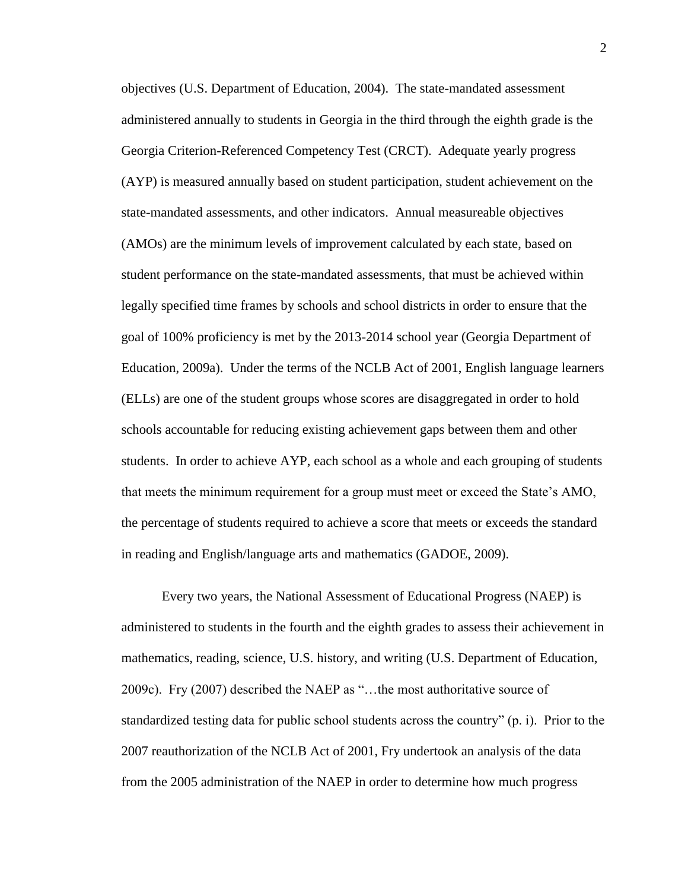objectives (U.S. Department of Education, 2004). The state-mandated assessment administered annually to students in Georgia in the third through the eighth grade is the Georgia Criterion-Referenced Competency Test (CRCT). Adequate yearly progress (AYP) is measured annually based on student participation, student achievement on the state-mandated assessments, and other indicators. Annual measureable objectives (AMOs) are the minimum levels of improvement calculated by each state, based on student performance on the state-mandated assessments, that must be achieved within legally specified time frames by schools and school districts in order to ensure that the goal of 100% proficiency is met by the 2013-2014 school year (Georgia Department of Education, 2009a). Under the terms of the NCLB Act of 2001, English language learners (ELLs) are one of the student groups whose scores are disaggregated in order to hold schools accountable for reducing existing achievement gaps between them and other students. In order to achieve AYP, each school as a whole and each grouping of students that meets the minimum requirement for a group must meet or exceed the State's AMO, the percentage of students required to achieve a score that meets or exceeds the standard in reading and English/language arts and mathematics (GADOE, 2009).

Every two years, the National Assessment of Educational Progress (NAEP) is administered to students in the fourth and the eighth grades to assess their achievement in mathematics, reading, science, U.S. history, and writing (U.S. Department of Education, 2009c). Fry (2007) described the NAEP as "…the most authoritative source of standardized testing data for public school students across the country" (p. i). Prior to the 2007 reauthorization of the NCLB Act of 2001, Fry undertook an analysis of the data from the 2005 administration of the NAEP in order to determine how much progress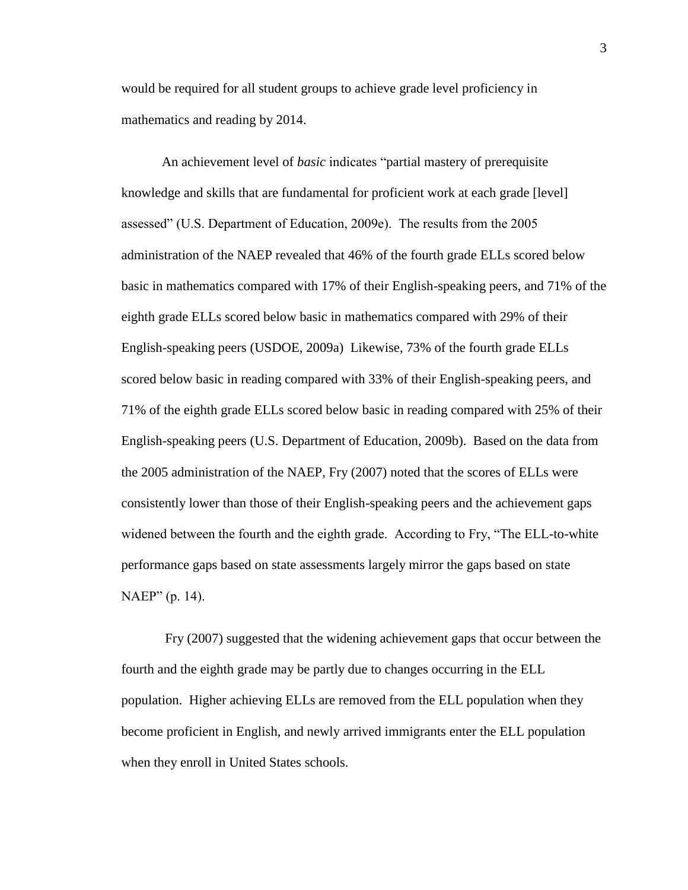would be required for all student groups to achieve grade level proficiency in mathematics and reading by 2014.

An achievement level of *basic* indicates "partial mastery of prerequisite knowledge and skills that are fundamental for proficient work at each grade [level] assessed" (U.S. Department of Education, 2009e). The results from the 2005 administration of the NAEP revealed that 46% of the fourth grade ELLs scored below basic in mathematics compared with 17% of their English-speaking peers, and 71% of the eighth grade ELLs scored below basic in mathematics compared with 29% of their English-speaking peers (USDOE, 2009a) Likewise, 73% of the fourth grade ELLs scored below basic in reading compared with 33% of their English-speaking peers, and 71% of the eighth grade ELLs scored below basic in reading compared with 25% of their English-speaking peers (U.S. Department of Education, 2009b). Based on the data from the 2005 administration of the NAEP, Fry (2007) noted that the scores of ELLs were consistently lower than those of their English-speaking peers and the achievement gaps widened between the fourth and the eighth grade. According to Fry, "The ELL-to-white performance gaps based on state assessments largely mirror the gaps based on state NAEP" (p. 14).

Fry (2007) suggested that the widening achievement gaps that occur between the fourth and the eighth grade may be partly due to changes occurring in the ELL population. Higher achieving ELLs are removed from the ELL population when they become proficient in English, and newly arrived immigrants enter the ELL population when they enroll in United States schools.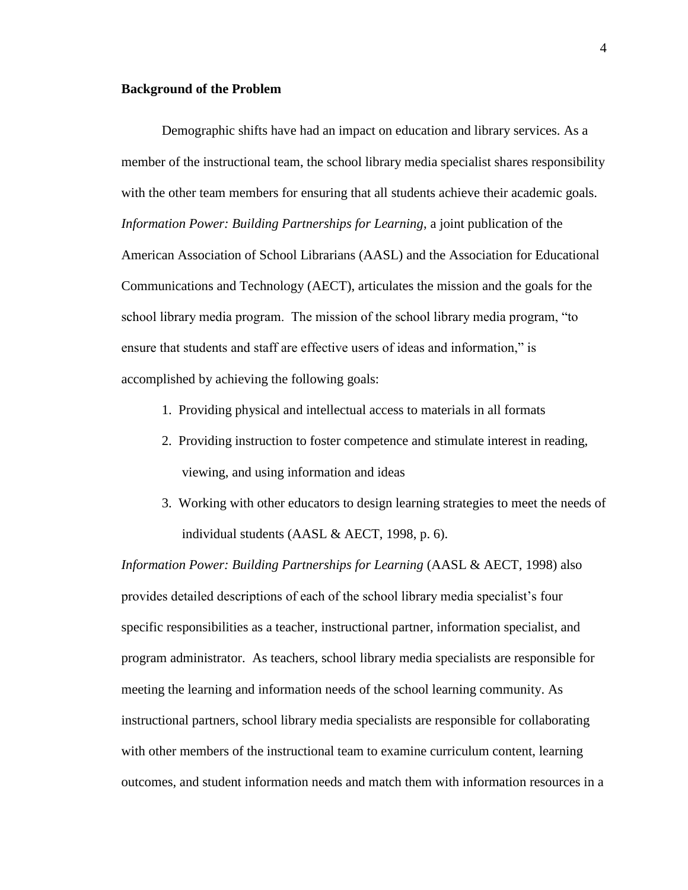#### **Background of the Problem**

Demographic shifts have had an impact on education and library services. As a member of the instructional team, the school library media specialist shares responsibility with the other team members for ensuring that all students achieve their academic goals. *Information Power: Building Partnerships for Learning*, a joint publication of the American Association of School Librarians (AASL) and the Association for Educational Communications and Technology (AECT), articulates the mission and the goals for the school library media program. The mission of the school library media program, "to ensure that students and staff are effective users of ideas and information," is accomplished by achieving the following goals:

- 1. Providing physical and intellectual access to materials in all formats
- 2. Providing instruction to foster competence and stimulate interest in reading, viewing, and using information and ideas
- 3. Working with other educators to design learning strategies to meet the needs of individual students (AASL & AECT, 1998, p. 6).

*Information Power: Building Partnerships for Learning* (AASL & AECT, 1998) also provides detailed descriptions of each of the school library media specialist's four specific responsibilities as a teacher, instructional partner, information specialist, and program administrator. As teachers, school library media specialists are responsible for meeting the learning and information needs of the school learning community. As instructional partners, school library media specialists are responsible for collaborating with other members of the instructional team to examine curriculum content, learning outcomes, and student information needs and match them with information resources in a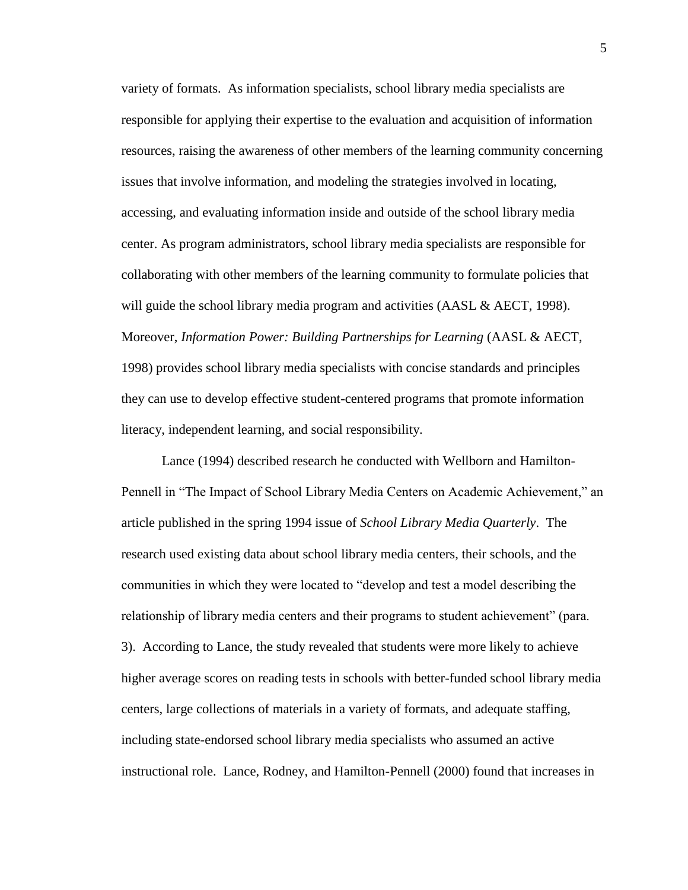variety of formats. As information specialists, school library media specialists are responsible for applying their expertise to the evaluation and acquisition of information resources, raising the awareness of other members of the learning community concerning issues that involve information, and modeling the strategies involved in locating, accessing, and evaluating information inside and outside of the school library media center. As program administrators, school library media specialists are responsible for collaborating with other members of the learning community to formulate policies that will guide the school library media program and activities (AASL & AECT, 1998). Moreover, *Information Power: Building Partnerships for Learning* (AASL & AECT, 1998) provides school library media specialists with concise standards and principles they can use to develop effective student-centered programs that promote information literacy, independent learning, and social responsibility.

Lance (1994) described research he conducted with Wellborn and Hamilton-Pennell in "The Impact of School Library Media Centers on Academic Achievement," an article published in the spring 1994 issue of *School Library Media Quarterly*. The research used existing data about school library media centers, their schools, and the communities in which they were located to "develop and test a model describing the relationship of library media centers and their programs to student achievement" (para. 3). According to Lance, the study revealed that students were more likely to achieve higher average scores on reading tests in schools with better-funded school library media centers, large collections of materials in a variety of formats, and adequate staffing, including state-endorsed school library media specialists who assumed an active instructional role. Lance, Rodney, and Hamilton-Pennell (2000) found that increases in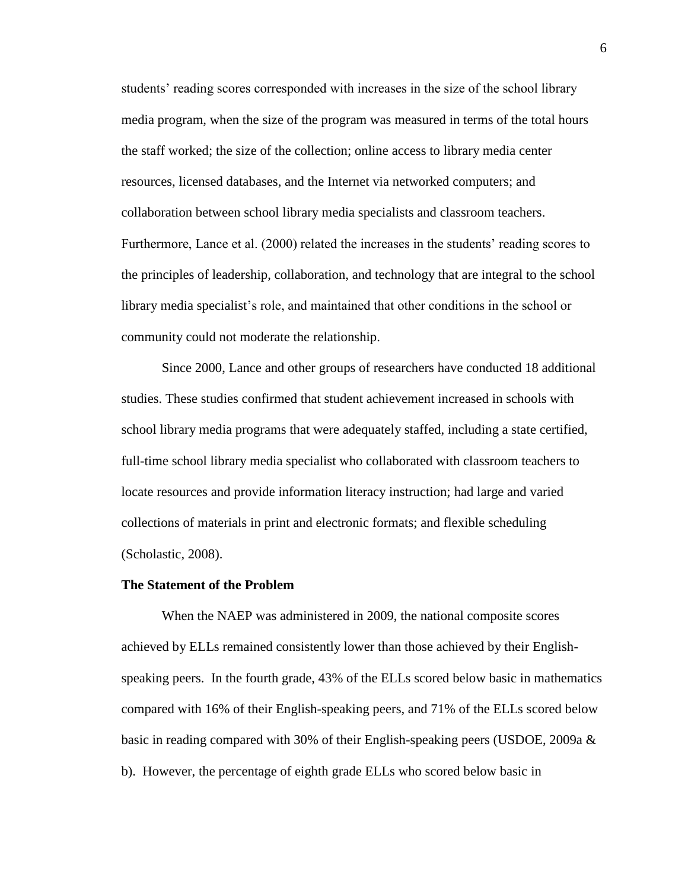students' reading scores corresponded with increases in the size of the school library media program, when the size of the program was measured in terms of the total hours the staff worked; the size of the collection; online access to library media center resources, licensed databases, and the Internet via networked computers; and collaboration between school library media specialists and classroom teachers. Furthermore, Lance et al. (2000) related the increases in the students' reading scores to the principles of leadership, collaboration, and technology that are integral to the school library media specialist's role, and maintained that other conditions in the school or community could not moderate the relationship.

Since 2000, Lance and other groups of researchers have conducted 18 additional studies. These studies confirmed that student achievement increased in schools with school library media programs that were adequately staffed, including a state certified, full-time school library media specialist who collaborated with classroom teachers to locate resources and provide information literacy instruction; had large and varied collections of materials in print and electronic formats; and flexible scheduling (Scholastic, 2008).

#### **The Statement of the Problem**

When the NAEP was administered in 2009, the national composite scores achieved by ELLs remained consistently lower than those achieved by their Englishspeaking peers. In the fourth grade, 43% of the ELLs scored below basic in mathematics compared with 16% of their English-speaking peers, and 71% of the ELLs scored below basic in reading compared with 30% of their English-speaking peers (USDOE, 2009a & b). However, the percentage of eighth grade ELLs who scored below basic in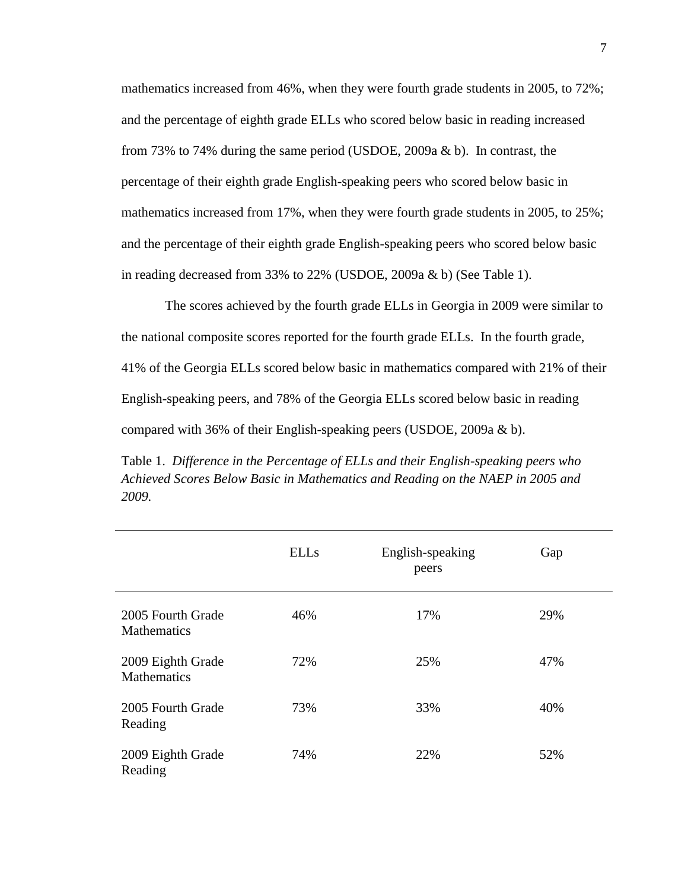mathematics increased from 46%, when they were fourth grade students in 2005, to 72%; and the percentage of eighth grade ELLs who scored below basic in reading increased from 73% to 74% during the same period (USDOE, 2009a & b). In contrast, the percentage of their eighth grade English-speaking peers who scored below basic in mathematics increased from 17%, when they were fourth grade students in 2005, to 25%; and the percentage of their eighth grade English-speaking peers who scored below basic in reading decreased from 33% to 22% (USDOE, 2009a & b) (See Table 1).

The scores achieved by the fourth grade ELLs in Georgia in 2009 were similar to the national composite scores reported for the fourth grade ELLs. In the fourth grade, 41% of the Georgia ELLs scored below basic in mathematics compared with 21% of their English-speaking peers, and 78% of the Georgia ELLs scored below basic in reading compared with 36% of their English-speaking peers (USDOE, 2009a & b).

Table 1. *Difference in the Percentage of ELLs and their English-speaking peers who Achieved Scores Below Basic in Mathematics and Reading on the NAEP in 2005 and 2009.*

|                                         | <b>ELLs</b> | English-speaking<br>peers | Gap |  |
|-----------------------------------------|-------------|---------------------------|-----|--|
| 2005 Fourth Grade<br><b>Mathematics</b> | 46%         | 17%                       | 29% |  |
| 2009 Eighth Grade<br><b>Mathematics</b> | 72%         | 25%                       | 47% |  |
| 2005 Fourth Grade<br>Reading            | 73%         | 33%                       | 40% |  |
| 2009 Eighth Grade<br>Reading            | 74%         | 22%                       | 52% |  |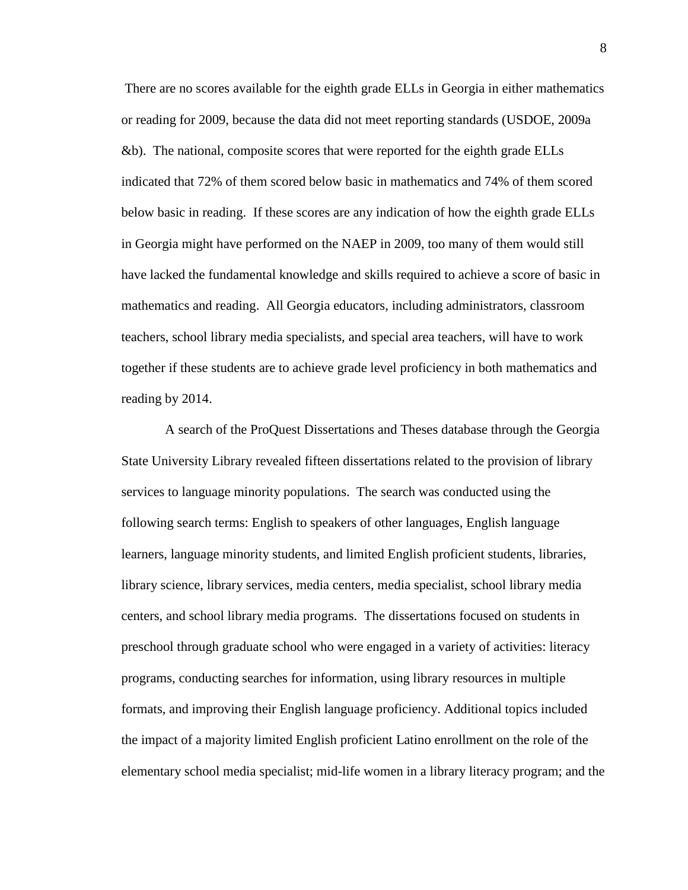There are no scores available for the eighth grade ELLs in Georgia in either mathematics or reading for 2009, because the data did not meet reporting standards (USDOE, 2009a &b). The national, composite scores that were reported for the eighth grade ELLs indicated that 72% of them scored below basic in mathematics and 74% of them scored below basic in reading. If these scores are any indication of how the eighth grade ELLs in Georgia might have performed on the NAEP in 2009, too many of them would still have lacked the fundamental knowledge and skills required to achieve a score of basic in mathematics and reading. All Georgia educators, including administrators, classroom teachers, school library media specialists, and special area teachers, will have to work together if these students are to achieve grade level proficiency in both mathematics and reading by 2014.

A search of the ProQuest Dissertations and Theses database through the Georgia State University Library revealed fifteen dissertations related to the provision of library services to language minority populations. The search was conducted using the following search terms: English to speakers of other languages, English language learners, language minority students, and limited English proficient students, libraries, library science, library services, media centers, media specialist, school library media centers, and school library media programs. The dissertations focused on students in preschool through graduate school who were engaged in a variety of activities: literacy programs, conducting searches for information, using library resources in multiple formats, and improving their English language proficiency. Additional topics included the impact of a majority limited English proficient Latino enrollment on the role of the elementary school media specialist; mid-life women in a library literacy program; and the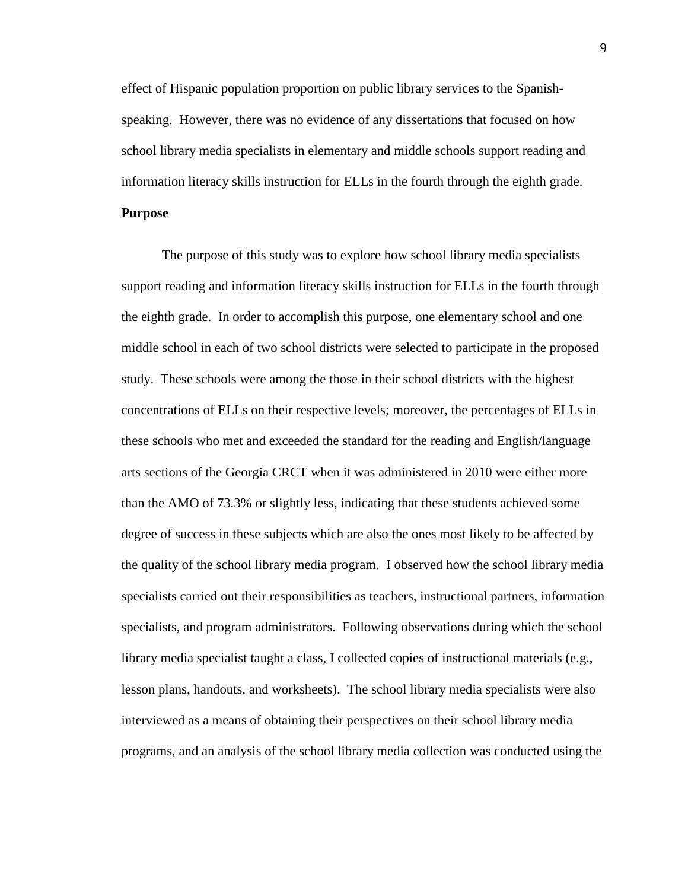effect of Hispanic population proportion on public library services to the Spanishspeaking. However, there was no evidence of any dissertations that focused on how school library media specialists in elementary and middle schools support reading and information literacy skills instruction for ELLs in the fourth through the eighth grade.

# **Purpose**

The purpose of this study was to explore how school library media specialists support reading and information literacy skills instruction for ELLs in the fourth through the eighth grade. In order to accomplish this purpose, one elementary school and one middle school in each of two school districts were selected to participate in the proposed study. These schools were among the those in their school districts with the highest concentrations of ELLs on their respective levels; moreover, the percentages of ELLs in these schools who met and exceeded the standard for the reading and English/language arts sections of the Georgia CRCT when it was administered in 2010 were either more than the AMO of 73.3% or slightly less, indicating that these students achieved some degree of success in these subjects which are also the ones most likely to be affected by the quality of the school library media program. I observed how the school library media specialists carried out their responsibilities as teachers, instructional partners, information specialists, and program administrators. Following observations during which the school library media specialist taught a class, I collected copies of instructional materials (e.g., lesson plans, handouts, and worksheets). The school library media specialists were also interviewed as a means of obtaining their perspectives on their school library media programs, and an analysis of the school library media collection was conducted using the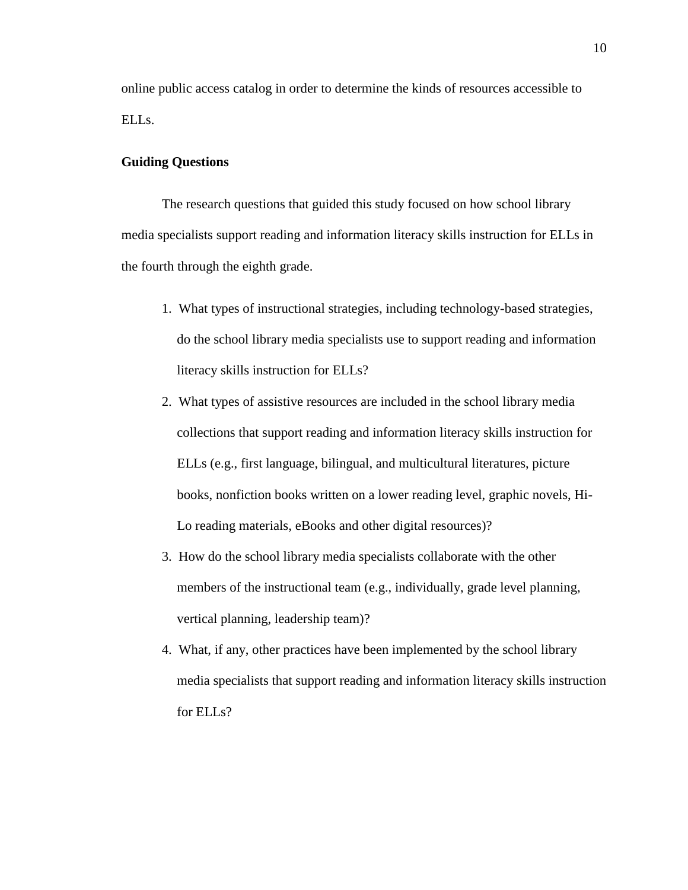online public access catalog in order to determine the kinds of resources accessible to ELLs.

### **Guiding Questions**

The research questions that guided this study focused on how school library media specialists support reading and information literacy skills instruction for ELLs in the fourth through the eighth grade.

- 1. What types of instructional strategies, including technology-based strategies, do the school library media specialists use to support reading and information literacy skills instruction for ELLs?
- 2. What types of assistive resources are included in the school library media collections that support reading and information literacy skills instruction for ELLs (e.g., first language, bilingual, and multicultural literatures, picture books, nonfiction books written on a lower reading level, graphic novels, Hi-Lo reading materials, eBooks and other digital resources)?
- 3. How do the school library media specialists collaborate with the other members of the instructional team (e.g., individually, grade level planning, vertical planning, leadership team)?
- 4. What, if any, other practices have been implemented by the school library media specialists that support reading and information literacy skills instruction for ELLs?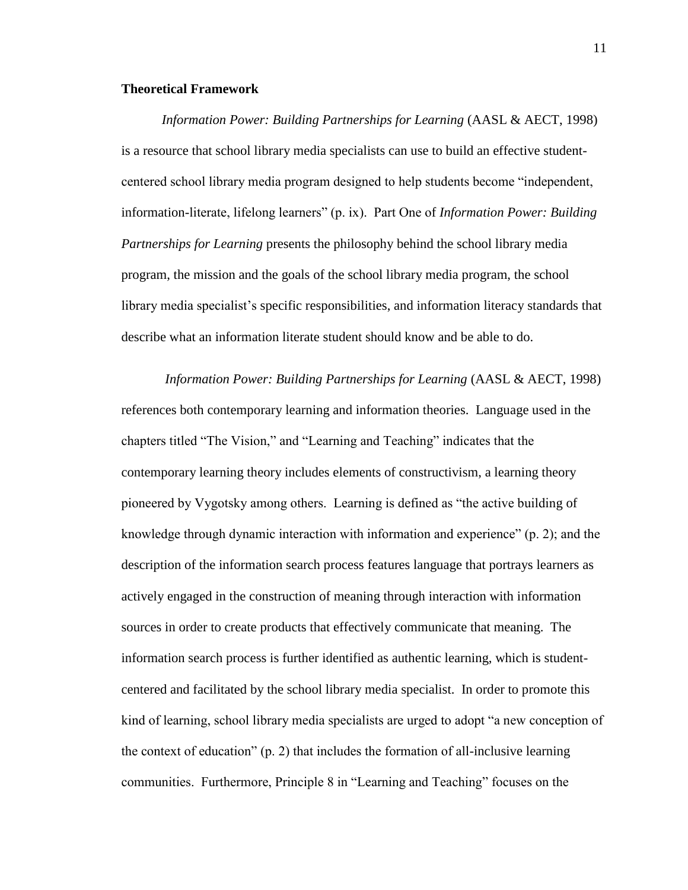### **Theoretical Framework**

*Information Power: Building Partnerships for Learning* (AASL & AECT, 1998) is a resource that school library media specialists can use to build an effective studentcentered school library media program designed to help students become "independent, information-literate, lifelong learners" (p. ix). Part One of *Information Power: Building Partnerships for Learning* presents the philosophy behind the school library media program, the mission and the goals of the school library media program, the school library media specialist's specific responsibilities, and information literacy standards that describe what an information literate student should know and be able to do.

*Information Power: Building Partnerships for Learning* (AASL & AECT, 1998) references both contemporary learning and information theories. Language used in the chapters titled "The Vision," and "Learning and Teaching" indicates that the contemporary learning theory includes elements of constructivism, a learning theory pioneered by Vygotsky among others. Learning is defined as "the active building of knowledge through dynamic interaction with information and experience" (p. 2); and the description of the information search process features language that portrays learners as actively engaged in the construction of meaning through interaction with information sources in order to create products that effectively communicate that meaning. The information search process is further identified as authentic learning, which is studentcentered and facilitated by the school library media specialist. In order to promote this kind of learning, school library media specialists are urged to adopt "a new conception of the context of education"  $(p, 2)$  that includes the formation of all-inclusive learning communities. Furthermore, Principle 8 in "Learning and Teaching" focuses on the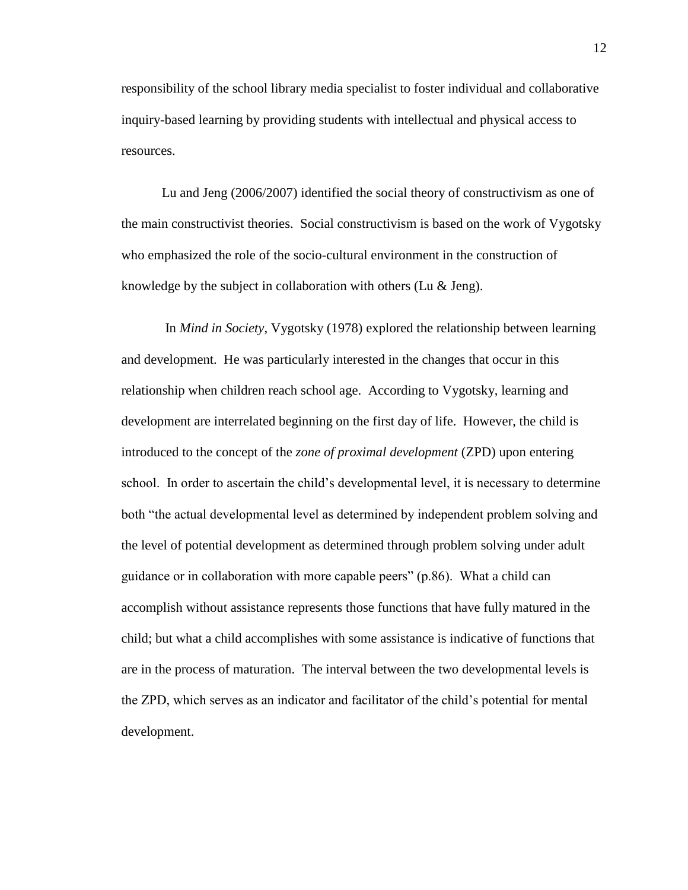responsibility of the school library media specialist to foster individual and collaborative inquiry-based learning by providing students with intellectual and physical access to resources.

Lu and Jeng (2006/2007) identified the social theory of constructivism as one of the main constructivist theories. Social constructivism is based on the work of Vygotsky who emphasized the role of the socio-cultural environment in the construction of knowledge by the subject in collaboration with others (Lu & Jeng).

In *Mind in Society*, Vygotsky (1978) explored the relationship between learning and development. He was particularly interested in the changes that occur in this relationship when children reach school age. According to Vygotsky, learning and development are interrelated beginning on the first day of life. However, the child is introduced to the concept of the *zone of proximal development* (ZPD) upon entering school. In order to ascertain the child's developmental level, it is necessary to determine both "the actual developmental level as determined by independent problem solving and the level of potential development as determined through problem solving under adult guidance or in collaboration with more capable peers" (p.86). What a child can accomplish without assistance represents those functions that have fully matured in the child; but what a child accomplishes with some assistance is indicative of functions that are in the process of maturation. The interval between the two developmental levels is the ZPD, which serves as an indicator and facilitator of the child's potential for mental development.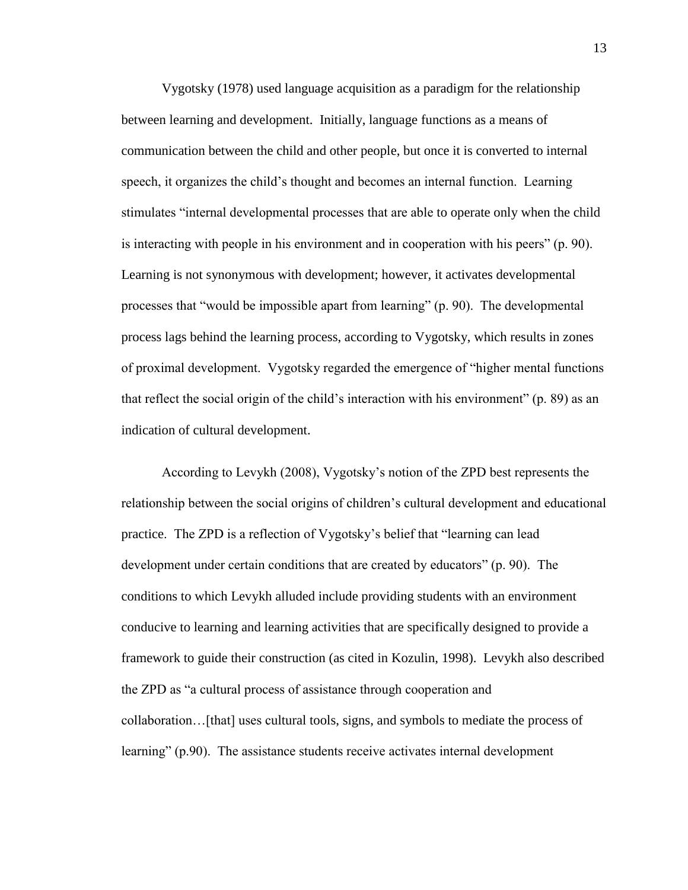Vygotsky (1978) used language acquisition as a paradigm for the relationship between learning and development. Initially, language functions as a means of communication between the child and other people, but once it is converted to internal speech, it organizes the child's thought and becomes an internal function. Learning stimulates "internal developmental processes that are able to operate only when the child is interacting with people in his environment and in cooperation with his peers" (p. 90). Learning is not synonymous with development; however, it activates developmental processes that "would be impossible apart from learning" (p. 90). The developmental process lags behind the learning process, according to Vygotsky, which results in zones of proximal development. Vygotsky regarded the emergence of "higher mental functions that reflect the social origin of the child's interaction with his environment" (p. 89) as an indication of cultural development.

According to Levykh (2008), Vygotsky's notion of the ZPD best represents the relationship between the social origins of children's cultural development and educational practice. The ZPD is a reflection of Vygotsky's belief that "learning can lead development under certain conditions that are created by educators" (p. 90). The conditions to which Levykh alluded include providing students with an environment conducive to learning and learning activities that are specifically designed to provide a framework to guide their construction (as cited in Kozulin, 1998). Levykh also described the ZPD as "a cultural process of assistance through cooperation and collaboration…[that] uses cultural tools, signs, and symbols to mediate the process of learning" (p.90). The assistance students receive activates internal development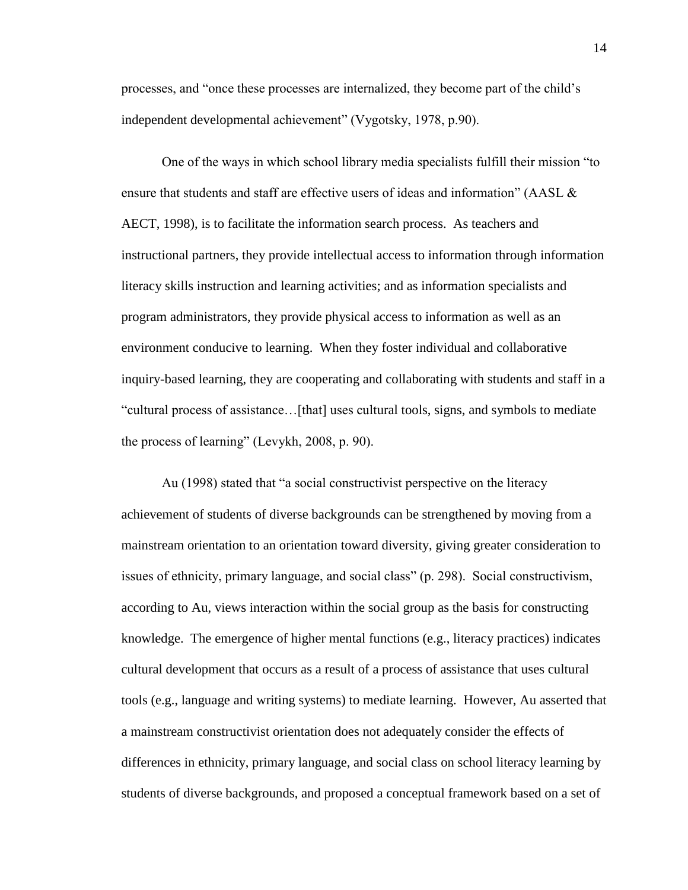processes, and "once these processes are internalized, they become part of the child's independent developmental achievement" (Vygotsky, 1978, p.90).

One of the ways in which school library media specialists fulfill their mission "to ensure that students and staff are effective users of ideas and information" (AASL & AECT, 1998), is to facilitate the information search process. As teachers and instructional partners, they provide intellectual access to information through information literacy skills instruction and learning activities; and as information specialists and program administrators, they provide physical access to information as well as an environment conducive to learning. When they foster individual and collaborative inquiry-based learning, they are cooperating and collaborating with students and staff in a "cultural process of assistance…[that] uses cultural tools, signs, and symbols to mediate the process of learning" (Levykh, 2008, p. 90).

Au (1998) stated that "a social constructivist perspective on the literacy achievement of students of diverse backgrounds can be strengthened by moving from a mainstream orientation to an orientation toward diversity, giving greater consideration to issues of ethnicity, primary language, and social class" (p. 298). Social constructivism, according to Au, views interaction within the social group as the basis for constructing knowledge. The emergence of higher mental functions (e.g., literacy practices) indicates cultural development that occurs as a result of a process of assistance that uses cultural tools (e.g., language and writing systems) to mediate learning. However, Au asserted that a mainstream constructivist orientation does not adequately consider the effects of differences in ethnicity, primary language, and social class on school literacy learning by students of diverse backgrounds, and proposed a conceptual framework based on a set of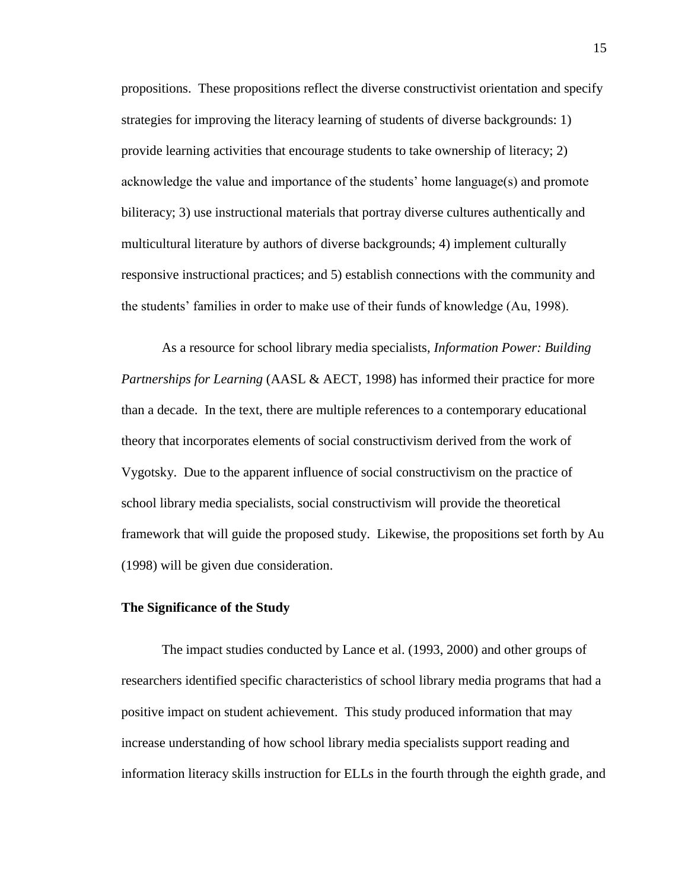propositions. These propositions reflect the diverse constructivist orientation and specify strategies for improving the literacy learning of students of diverse backgrounds: 1) provide learning activities that encourage students to take ownership of literacy; 2) acknowledge the value and importance of the students' home language(s) and promote biliteracy; 3) use instructional materials that portray diverse cultures authentically and multicultural literature by authors of diverse backgrounds; 4) implement culturally responsive instructional practices; and 5) establish connections with the community and the students' families in order to make use of their funds of knowledge (Au, 1998).

As a resource for school library media specialists, *Information Power: Building Partnerships for Learning* (AASL & AECT, 1998) has informed their practice for more than a decade. In the text, there are multiple references to a contemporary educational theory that incorporates elements of social constructivism derived from the work of Vygotsky. Due to the apparent influence of social constructivism on the practice of school library media specialists, social constructivism will provide the theoretical framework that will guide the proposed study. Likewise, the propositions set forth by Au (1998) will be given due consideration.

### **The Significance of the Study**

The impact studies conducted by Lance et al. (1993, 2000) and other groups of researchers identified specific characteristics of school library media programs that had a positive impact on student achievement. This study produced information that may increase understanding of how school library media specialists support reading and information literacy skills instruction for ELLs in the fourth through the eighth grade, and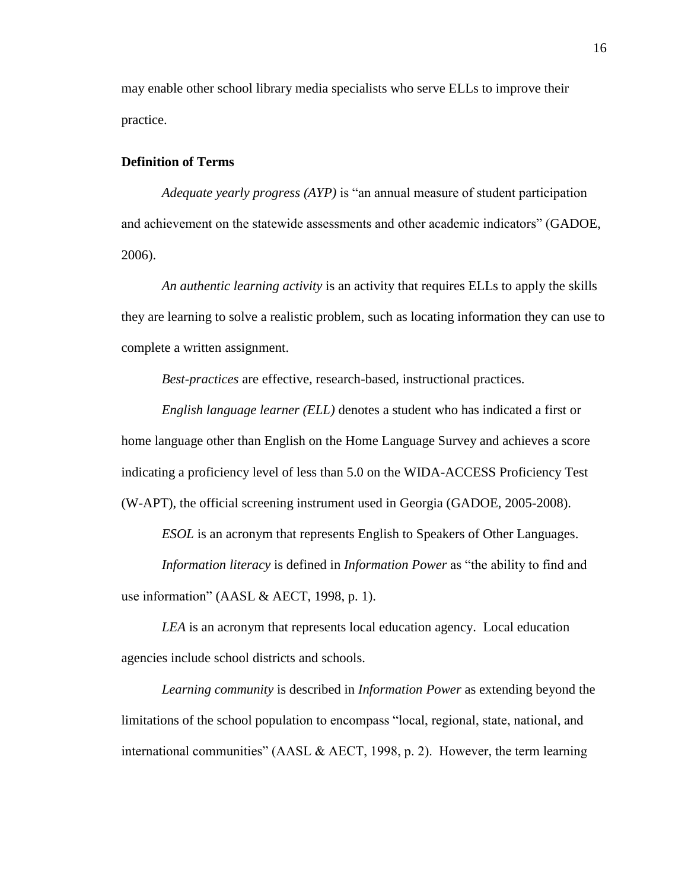may enable other school library media specialists who serve ELLs to improve their practice.

### **Definition of Terms**

*Adequate yearly progress (AYP)* is "an annual measure of student participation and achievement on the statewide assessments and other academic indicators" (GADOE, 2006).

*An authentic learning activity* is an activity that requires ELLs to apply the skills they are learning to solve a realistic problem, such as locating information they can use to complete a written assignment.

*Best-practices* are effective, research-based, instructional practices.

*English language learner (ELL)* denotes a student who has indicated a first or home language other than English on the Home Language Survey and achieves a score indicating a proficiency level of less than 5.0 on the WIDA-ACCESS Proficiency Test (W-APT), the official screening instrument used in Georgia (GADOE, 2005-2008).

*ESOL* is an acronym that represents English to Speakers of Other Languages.

*Information literacy* is defined in *Information Power* as "the ability to find and use information" (AASL & AECT, 1998, p. 1).

*LEA* is an acronym that represents local education agency. Local education agencies include school districts and schools.

*Learning community* is described in *Information Power* as extending beyond the limitations of the school population to encompass "local, regional, state, national, and international communities" (AASL & AECT, 1998, p. 2). However, the term learning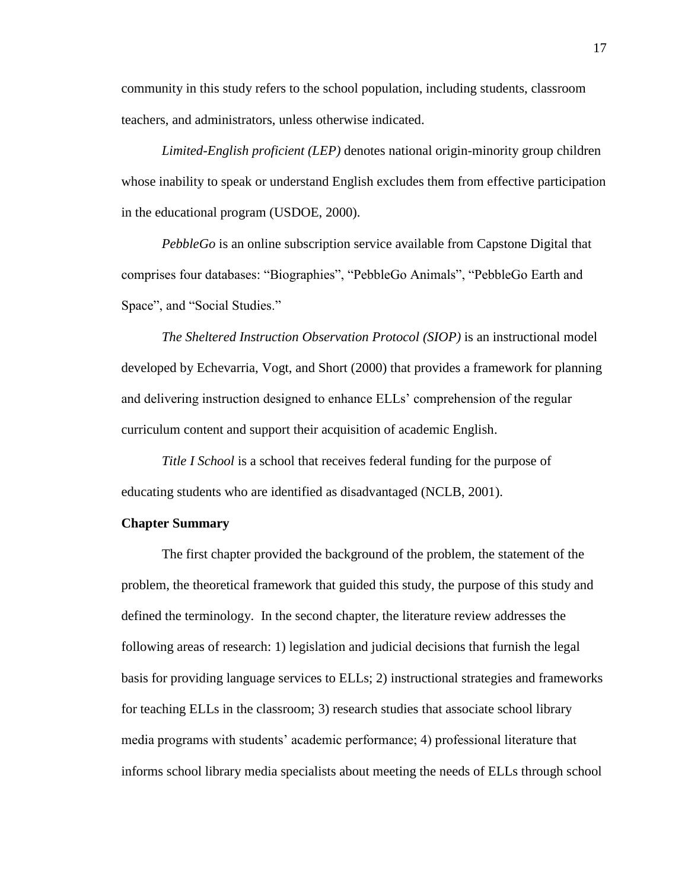community in this study refers to the school population, including students, classroom teachers, and administrators, unless otherwise indicated.

*Limited-English proficient (LEP)* denotes national origin-minority group children whose inability to speak or understand English excludes them from effective participation in the educational program (USDOE, 2000).

*PebbleGo* is an online subscription service available from Capstone Digital that comprises four databases: "Biographies", "PebbleGo Animals", "PebbleGo Earth and Space", and "Social Studies."

*The Sheltered Instruction Observation Protocol (SIOP)* is an instructional model developed by Echevarria, Vogt, and Short (2000) that provides a framework for planning and delivering instruction designed to enhance ELLs' comprehension of the regular curriculum content and support their acquisition of academic English.

*Title I School* is a school that receives federal funding for the purpose of educating students who are identified as disadvantaged (NCLB, 2001).

### **Chapter Summary**

The first chapter provided the background of the problem, the statement of the problem, the theoretical framework that guided this study, the purpose of this study and defined the terminology. In the second chapter, the literature review addresses the following areas of research: 1) legislation and judicial decisions that furnish the legal basis for providing language services to ELLs; 2) instructional strategies and frameworks for teaching ELLs in the classroom; 3) research studies that associate school library media programs with students' academic performance; 4) professional literature that informs school library media specialists about meeting the needs of ELLs through school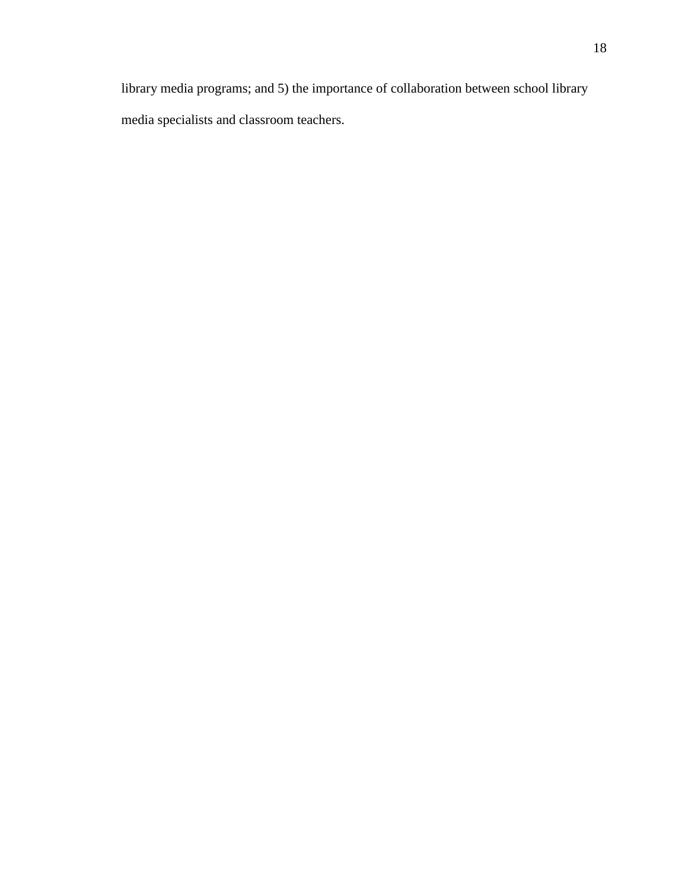library media programs; and 5) the importance of collaboration between school library media specialists and classroom teachers.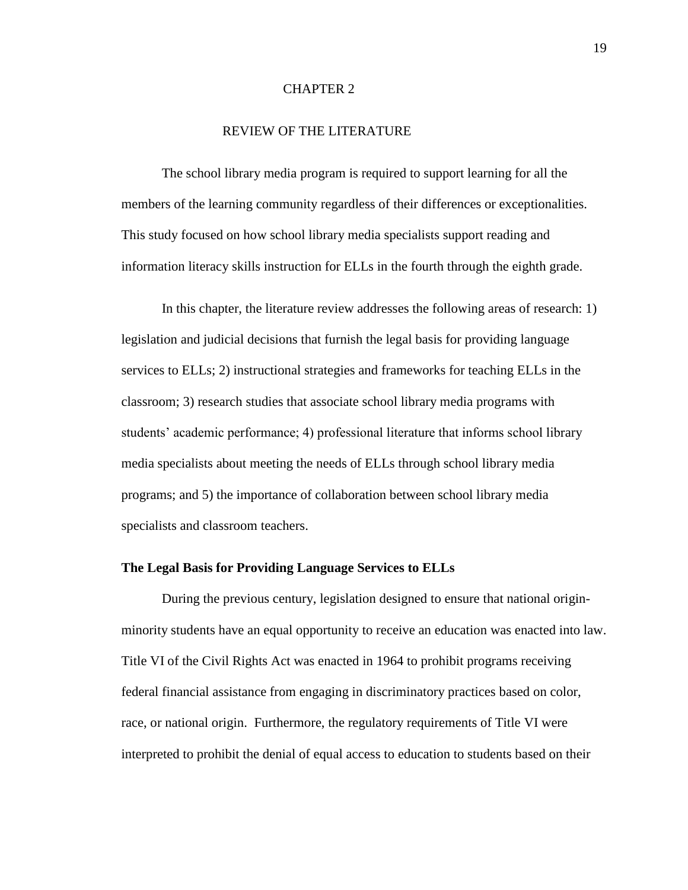### CHAPTER 2

### REVIEW OF THE LITERATURE

The school library media program is required to support learning for all the members of the learning community regardless of their differences or exceptionalities. This study focused on how school library media specialists support reading and information literacy skills instruction for ELLs in the fourth through the eighth grade.

In this chapter, the literature review addresses the following areas of research: 1) legislation and judicial decisions that furnish the legal basis for providing language services to ELLs; 2) instructional strategies and frameworks for teaching ELLs in the classroom; 3) research studies that associate school library media programs with students' academic performance; 4) professional literature that informs school library media specialists about meeting the needs of ELLs through school library media programs; and 5) the importance of collaboration between school library media specialists and classroom teachers.

### **The Legal Basis for Providing Language Services to ELLs**

During the previous century, legislation designed to ensure that national originminority students have an equal opportunity to receive an education was enacted into law. Title VI of the Civil Rights Act was enacted in 1964 to prohibit programs receiving federal financial assistance from engaging in discriminatory practices based on color, race, or national origin. Furthermore, the regulatory requirements of Title VI were interpreted to prohibit the denial of equal access to education to students based on their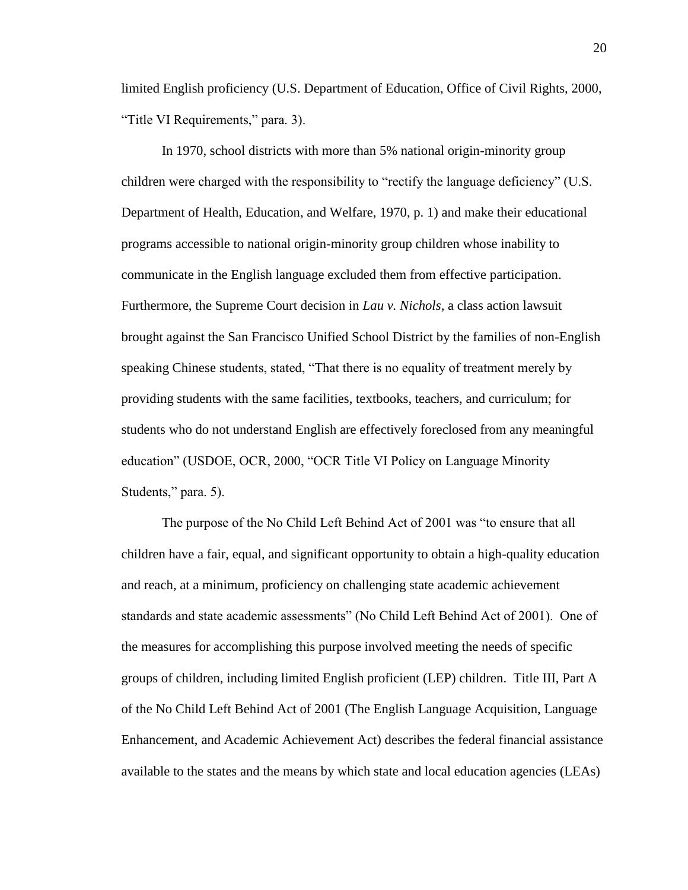limited English proficiency (U.S. Department of Education, Office of Civil Rights, 2000, "Title VI Requirements," para. 3).

In 1970, school districts with more than 5% national origin-minority group children were charged with the responsibility to "rectify the language deficiency" (U.S. Department of Health, Education, and Welfare, 1970, p. 1) and make their educational programs accessible to national origin-minority group children whose inability to communicate in the English language excluded them from effective participation. Furthermore, the Supreme Court decision in *Lau v. Nichols*, a class action lawsuit brought against the San Francisco Unified School District by the families of non-English speaking Chinese students, stated, "That there is no equality of treatment merely by providing students with the same facilities, textbooks, teachers, and curriculum; for students who do not understand English are effectively foreclosed from any meaningful education" (USDOE, OCR, 2000, "OCR Title VI Policy on Language Minority Students," para. 5).

The purpose of the No Child Left Behind Act of 2001 was "to ensure that all children have a fair, equal, and significant opportunity to obtain a high-quality education and reach, at a minimum, proficiency on challenging state academic achievement standards and state academic assessments" (No Child Left Behind Act of 2001). One of the measures for accomplishing this purpose involved meeting the needs of specific groups of children, including limited English proficient (LEP) children. Title III, Part A of the No Child Left Behind Act of 2001 (The English Language Acquisition, Language Enhancement, and Academic Achievement Act) describes the federal financial assistance available to the states and the means by which state and local education agencies (LEAs)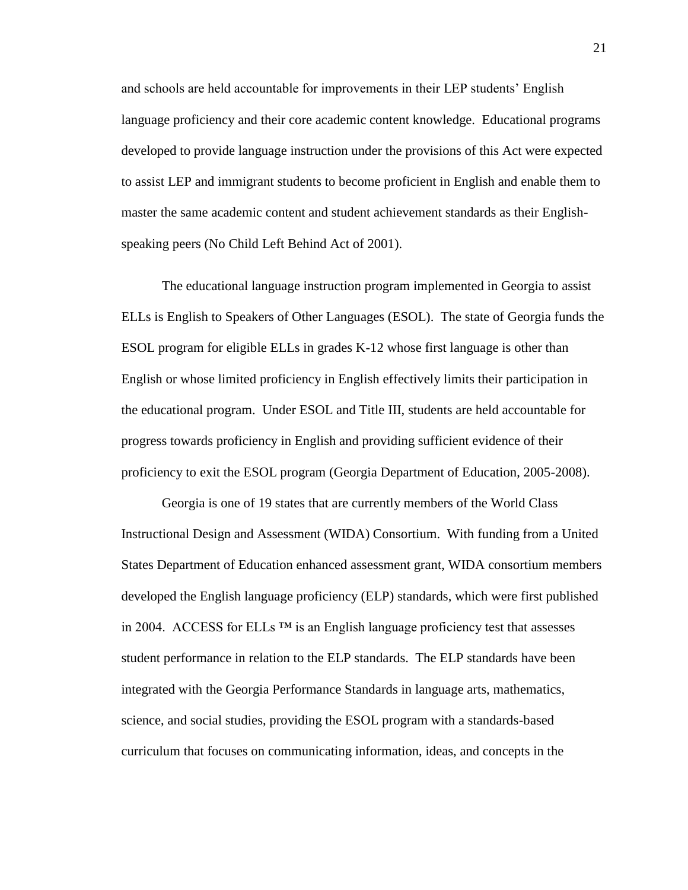and schools are held accountable for improvements in their LEP students' English language proficiency and their core academic content knowledge. Educational programs developed to provide language instruction under the provisions of this Act were expected to assist LEP and immigrant students to become proficient in English and enable them to master the same academic content and student achievement standards as their Englishspeaking peers (No Child Left Behind Act of 2001).

The educational language instruction program implemented in Georgia to assist ELLs is English to Speakers of Other Languages (ESOL). The state of Georgia funds the ESOL program for eligible ELLs in grades K-12 whose first language is other than English or whose limited proficiency in English effectively limits their participation in the educational program. Under ESOL and Title III, students are held accountable for progress towards proficiency in English and providing sufficient evidence of their proficiency to exit the ESOL program (Georgia Department of Education, 2005-2008).

Georgia is one of 19 states that are currently members of the World Class Instructional Design and Assessment (WIDA) Consortium. With funding from a United States Department of Education enhanced assessment grant, WIDA consortium members developed the English language proficiency (ELP) standards, which were first published in 2004. ACCESS for ELLs  $TM$  is an English language proficiency test that assesses student performance in relation to the ELP standards. The ELP standards have been integrated with the Georgia Performance Standards in language arts, mathematics, science, and social studies, providing the ESOL program with a standards-based curriculum that focuses on communicating information, ideas, and concepts in the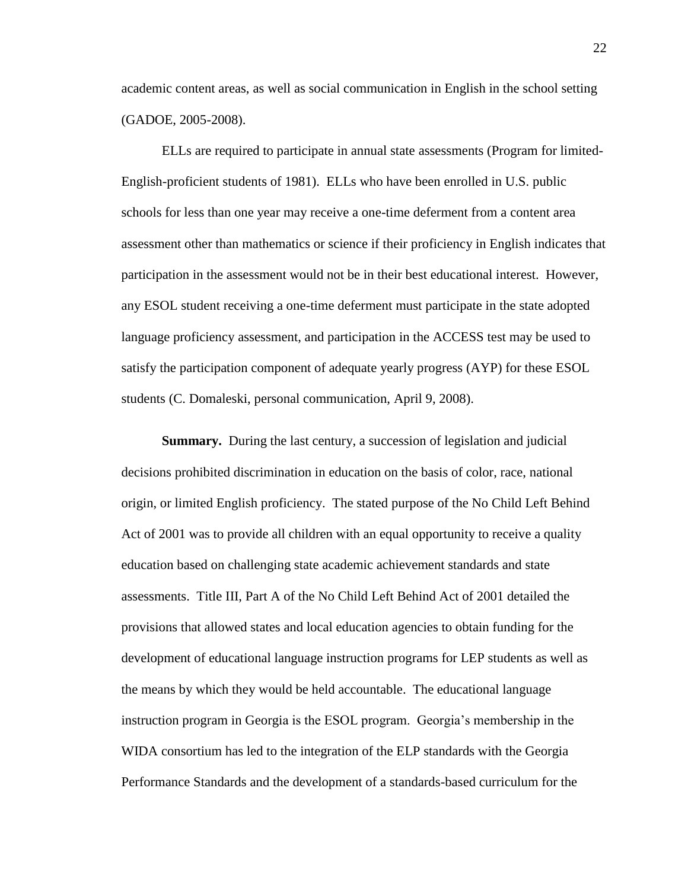academic content areas, as well as social communication in English in the school setting (GADOE, 2005-2008).

ELLs are required to participate in annual state assessments (Program for limited-English-proficient students of 1981). ELLs who have been enrolled in U.S. public schools for less than one year may receive a one-time deferment from a content area assessment other than mathematics or science if their proficiency in English indicates that participation in the assessment would not be in their best educational interest. However, any ESOL student receiving a one-time deferment must participate in the state adopted language proficiency assessment, and participation in the ACCESS test may be used to satisfy the participation component of adequate yearly progress (AYP) for these ESOL students (C. Domaleski, personal communication, April 9, 2008).

**Summary.** During the last century, a succession of legislation and judicial decisions prohibited discrimination in education on the basis of color, race, national origin, or limited English proficiency. The stated purpose of the No Child Left Behind Act of 2001 was to provide all children with an equal opportunity to receive a quality education based on challenging state academic achievement standards and state assessments. Title III, Part A of the No Child Left Behind Act of 2001 detailed the provisions that allowed states and local education agencies to obtain funding for the development of educational language instruction programs for LEP students as well as the means by which they would be held accountable. The educational language instruction program in Georgia is the ESOL program. Georgia's membership in the WIDA consortium has led to the integration of the ELP standards with the Georgia Performance Standards and the development of a standards-based curriculum for the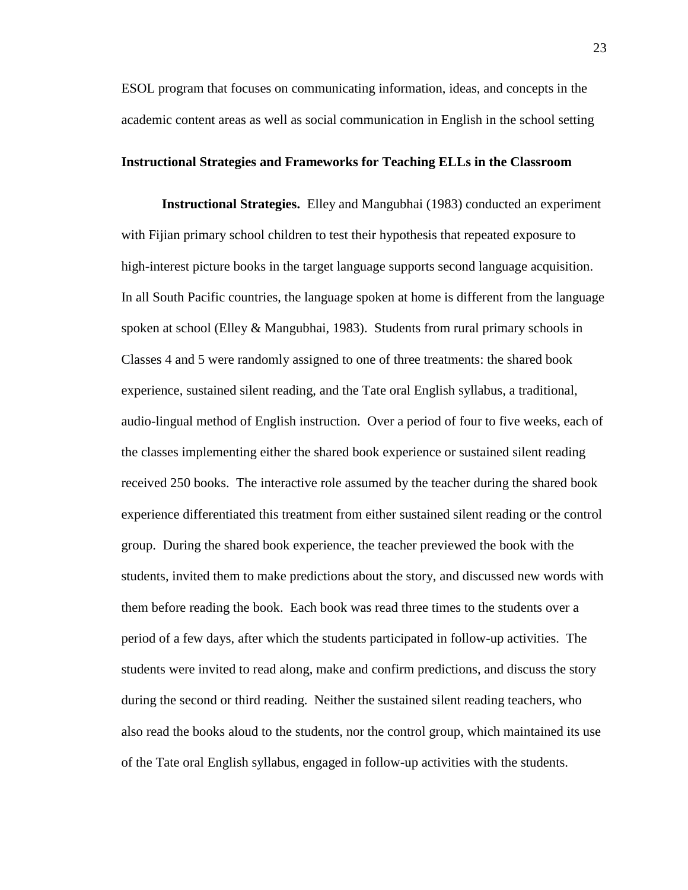ESOL program that focuses on communicating information, ideas, and concepts in the academic content areas as well as social communication in English in the school setting

### **Instructional Strategies and Frameworks for Teaching ELLs in the Classroom**

**Instructional Strategies.** Elley and Mangubhai (1983) conducted an experiment with Fijian primary school children to test their hypothesis that repeated exposure to high-interest picture books in the target language supports second language acquisition. In all South Pacific countries, the language spoken at home is different from the language spoken at school (Elley & Mangubhai, 1983). Students from rural primary schools in Classes 4 and 5 were randomly assigned to one of three treatments: the shared book experience, sustained silent reading, and the Tate oral English syllabus, a traditional, audio-lingual method of English instruction. Over a period of four to five weeks, each of the classes implementing either the shared book experience or sustained silent reading received 250 books. The interactive role assumed by the teacher during the shared book experience differentiated this treatment from either sustained silent reading or the control group. During the shared book experience, the teacher previewed the book with the students, invited them to make predictions about the story, and discussed new words with them before reading the book. Each book was read three times to the students over a period of a few days, after which the students participated in follow-up activities. The students were invited to read along, make and confirm predictions, and discuss the story during the second or third reading. Neither the sustained silent reading teachers, who also read the books aloud to the students, nor the control group, which maintained its use of the Tate oral English syllabus, engaged in follow-up activities with the students.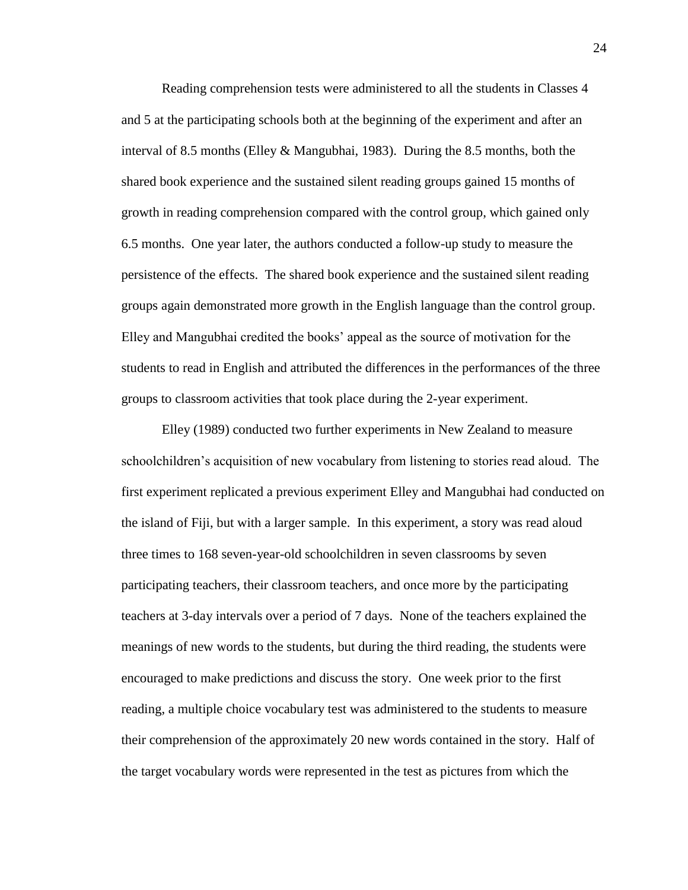Reading comprehension tests were administered to all the students in Classes 4 and 5 at the participating schools both at the beginning of the experiment and after an interval of 8.5 months (Elley & Mangubhai, 1983). During the 8.5 months, both the shared book experience and the sustained silent reading groups gained 15 months of growth in reading comprehension compared with the control group, which gained only 6.5 months. One year later, the authors conducted a follow-up study to measure the persistence of the effects. The shared book experience and the sustained silent reading groups again demonstrated more growth in the English language than the control group. Elley and Mangubhai credited the books' appeal as the source of motivation for the students to read in English and attributed the differences in the performances of the three groups to classroom activities that took place during the 2-year experiment.

Elley (1989) conducted two further experiments in New Zealand to measure schoolchildren's acquisition of new vocabulary from listening to stories read aloud. The first experiment replicated a previous experiment Elley and Mangubhai had conducted on the island of Fiji, but with a larger sample. In this experiment, a story was read aloud three times to 168 seven-year-old schoolchildren in seven classrooms by seven participating teachers, their classroom teachers, and once more by the participating teachers at 3-day intervals over a period of 7 days. None of the teachers explained the meanings of new words to the students, but during the third reading, the students were encouraged to make predictions and discuss the story. One week prior to the first reading, a multiple choice vocabulary test was administered to the students to measure their comprehension of the approximately 20 new words contained in the story. Half of the target vocabulary words were represented in the test as pictures from which the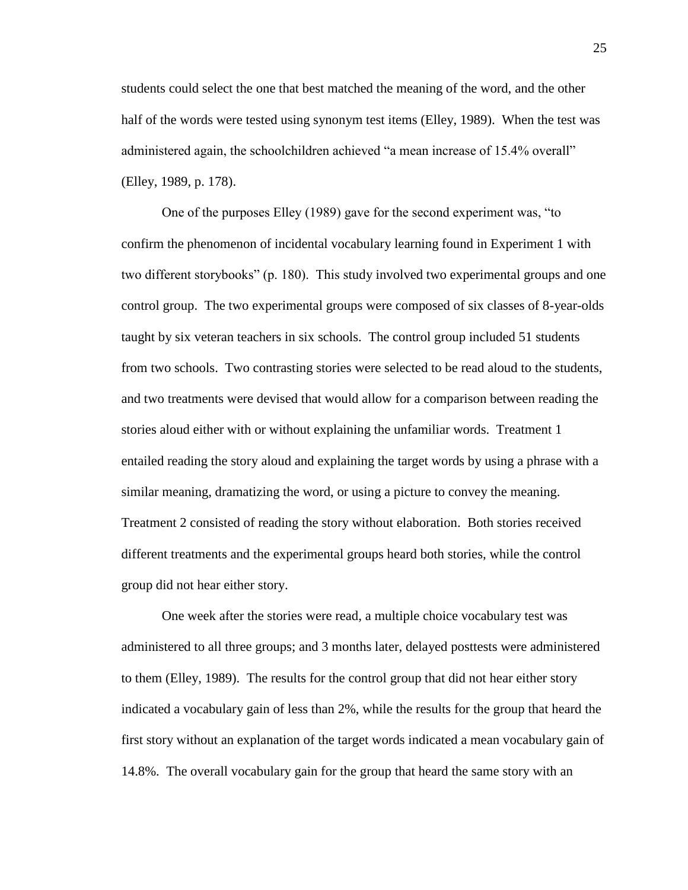students could select the one that best matched the meaning of the word, and the other half of the words were tested using synonym test items (Elley, 1989). When the test was administered again, the schoolchildren achieved "a mean increase of 15.4% overall" (Elley, 1989, p. 178).

One of the purposes Elley (1989) gave for the second experiment was, "to confirm the phenomenon of incidental vocabulary learning found in Experiment 1 with two different storybooks" (p. 180). This study involved two experimental groups and one control group. The two experimental groups were composed of six classes of 8-year-olds taught by six veteran teachers in six schools. The control group included 51 students from two schools. Two contrasting stories were selected to be read aloud to the students, and two treatments were devised that would allow for a comparison between reading the stories aloud either with or without explaining the unfamiliar words. Treatment 1 entailed reading the story aloud and explaining the target words by using a phrase with a similar meaning, dramatizing the word, or using a picture to convey the meaning. Treatment 2 consisted of reading the story without elaboration. Both stories received different treatments and the experimental groups heard both stories, while the control group did not hear either story.

One week after the stories were read, a multiple choice vocabulary test was administered to all three groups; and 3 months later, delayed posttests were administered to them (Elley, 1989). The results for the control group that did not hear either story indicated a vocabulary gain of less than 2%, while the results for the group that heard the first story without an explanation of the target words indicated a mean vocabulary gain of 14.8%. The overall vocabulary gain for the group that heard the same story with an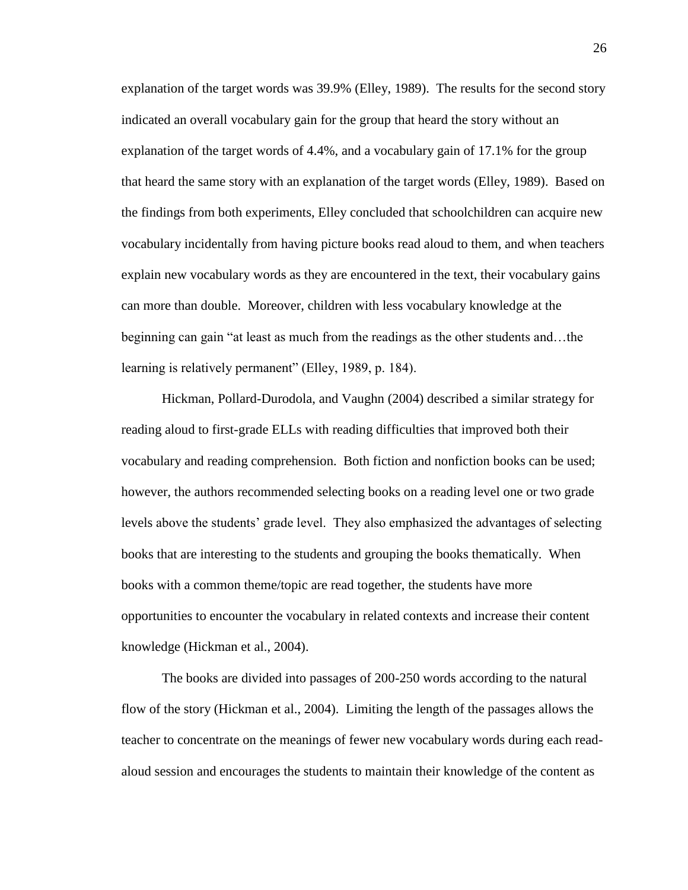explanation of the target words was 39.9% (Elley, 1989). The results for the second story indicated an overall vocabulary gain for the group that heard the story without an explanation of the target words of 4.4%, and a vocabulary gain of 17.1% for the group that heard the same story with an explanation of the target words (Elley, 1989). Based on the findings from both experiments, Elley concluded that schoolchildren can acquire new vocabulary incidentally from having picture books read aloud to them, and when teachers explain new vocabulary words as they are encountered in the text, their vocabulary gains can more than double. Moreover, children with less vocabulary knowledge at the beginning can gain "at least as much from the readings as the other students and…the learning is relatively permanent" (Elley, 1989, p. 184).

Hickman, Pollard-Durodola, and Vaughn (2004) described a similar strategy for reading aloud to first-grade ELLs with reading difficulties that improved both their vocabulary and reading comprehension. Both fiction and nonfiction books can be used; however, the authors recommended selecting books on a reading level one or two grade levels above the students' grade level. They also emphasized the advantages of selecting books that are interesting to the students and grouping the books thematically. When books with a common theme/topic are read together, the students have more opportunities to encounter the vocabulary in related contexts and increase their content knowledge (Hickman et al., 2004).

The books are divided into passages of 200-250 words according to the natural flow of the story (Hickman et al., 2004). Limiting the length of the passages allows the teacher to concentrate on the meanings of fewer new vocabulary words during each readaloud session and encourages the students to maintain their knowledge of the content as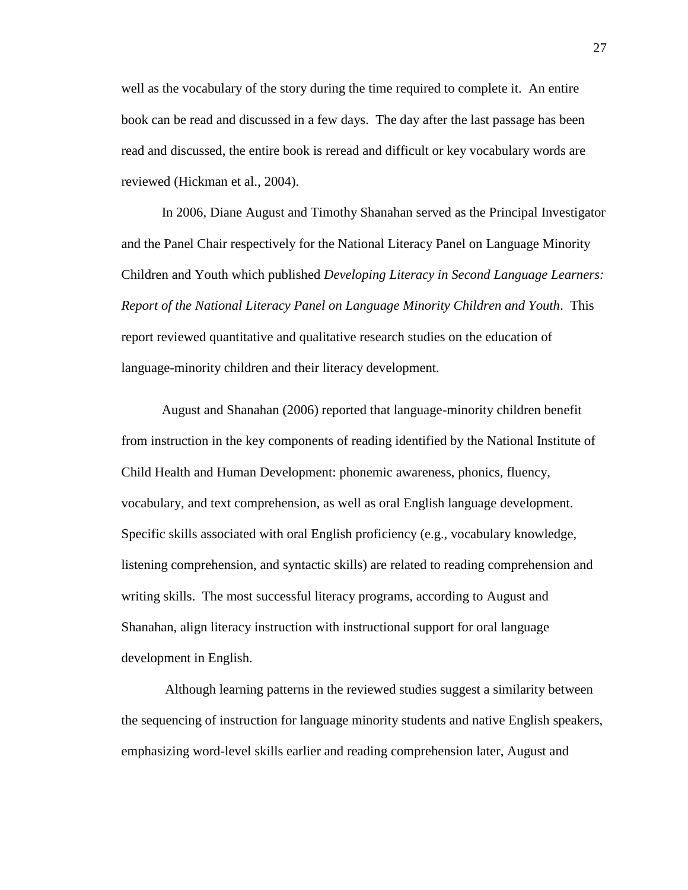well as the vocabulary of the story during the time required to complete it. An entire book can be read and discussed in a few days. The day after the last passage has been read and discussed, the entire book is reread and difficult or key vocabulary words are reviewed (Hickman et al., 2004).

In 2006, Diane August and Timothy Shanahan served as the Principal Investigator and the Panel Chair respectively for the National Literacy Panel on Language Minority Children and Youth which published *Developing Literacy in Second Language Learners: Report of the National Literacy Panel on Language Minority Children and Youth*. This report reviewed quantitative and qualitative research studies on the education of language-minority children and their literacy development.

August and Shanahan (2006) reported that language-minority children benefit from instruction in the key components of reading identified by the National Institute of Child Health and Human Development: phonemic awareness, phonics, fluency, vocabulary, and text comprehension, as well as oral English language development. Specific skills associated with oral English proficiency (e.g., vocabulary knowledge, listening comprehension, and syntactic skills) are related to reading comprehension and writing skills. The most successful literacy programs, according to August and Shanahan, align literacy instruction with instructional support for oral language development in English.

Although learning patterns in the reviewed studies suggest a similarity between the sequencing of instruction for language minority students and native English speakers, emphasizing word-level skills earlier and reading comprehension later, August and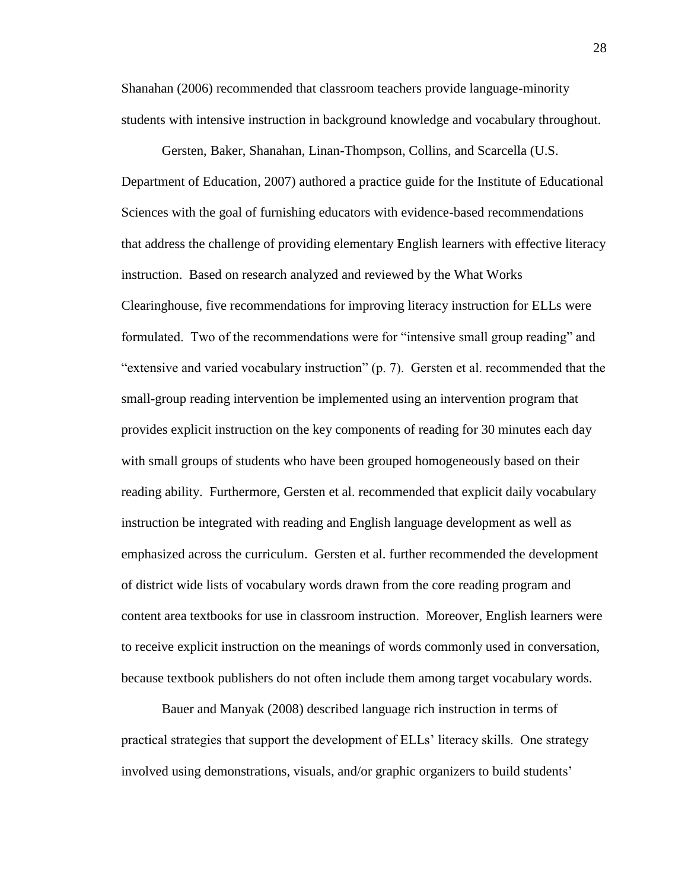Shanahan (2006) recommended that classroom teachers provide language-minority students with intensive instruction in background knowledge and vocabulary throughout.

Gersten, Baker, Shanahan, Linan-Thompson, Collins, and Scarcella (U.S. Department of Education, 2007) authored a practice guide for the Institute of Educational Sciences with the goal of furnishing educators with evidence-based recommendations that address the challenge of providing elementary English learners with effective literacy instruction. Based on research analyzed and reviewed by the What Works Clearinghouse, five recommendations for improving literacy instruction for ELLs were formulated. Two of the recommendations were for "intensive small group reading" and "extensive and varied vocabulary instruction" (p. 7). Gersten et al. recommended that the small-group reading intervention be implemented using an intervention program that provides explicit instruction on the key components of reading for 30 minutes each day with small groups of students who have been grouped homogeneously based on their reading ability. Furthermore, Gersten et al. recommended that explicit daily vocabulary instruction be integrated with reading and English language development as well as emphasized across the curriculum. Gersten et al. further recommended the development of district wide lists of vocabulary words drawn from the core reading program and content area textbooks for use in classroom instruction. Moreover, English learners were to receive explicit instruction on the meanings of words commonly used in conversation, because textbook publishers do not often include them among target vocabulary words.

Bauer and Manyak (2008) described language rich instruction in terms of practical strategies that support the development of ELLs' literacy skills. One strategy involved using demonstrations, visuals, and/or graphic organizers to build students'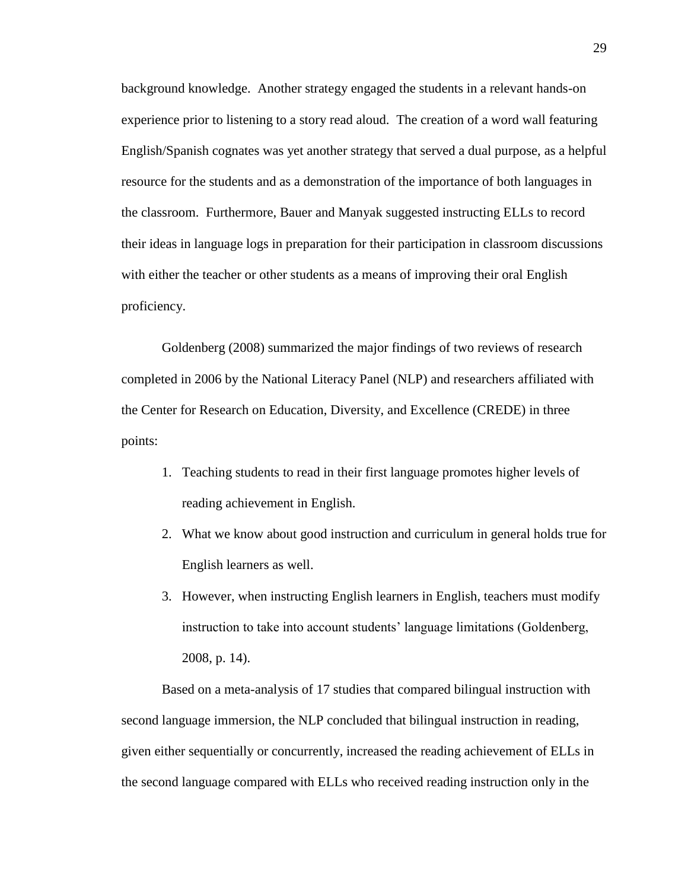background knowledge. Another strategy engaged the students in a relevant hands-on experience prior to listening to a story read aloud. The creation of a word wall featuring English/Spanish cognates was yet another strategy that served a dual purpose, as a helpful resource for the students and as a demonstration of the importance of both languages in the classroom. Furthermore, Bauer and Manyak suggested instructing ELLs to record their ideas in language logs in preparation for their participation in classroom discussions with either the teacher or other students as a means of improving their oral English proficiency.

Goldenberg (2008) summarized the major findings of two reviews of research completed in 2006 by the National Literacy Panel (NLP) and researchers affiliated with the Center for Research on Education, Diversity, and Excellence (CREDE) in three points:

- 1. Teaching students to read in their first language promotes higher levels of reading achievement in English.
- 2. What we know about good instruction and curriculum in general holds true for English learners as well.
- 3. However, when instructing English learners in English, teachers must modify instruction to take into account students' language limitations (Goldenberg, 2008, p. 14).

Based on a meta-analysis of 17 studies that compared bilingual instruction with second language immersion, the NLP concluded that bilingual instruction in reading, given either sequentially or concurrently, increased the reading achievement of ELLs in the second language compared with ELLs who received reading instruction only in the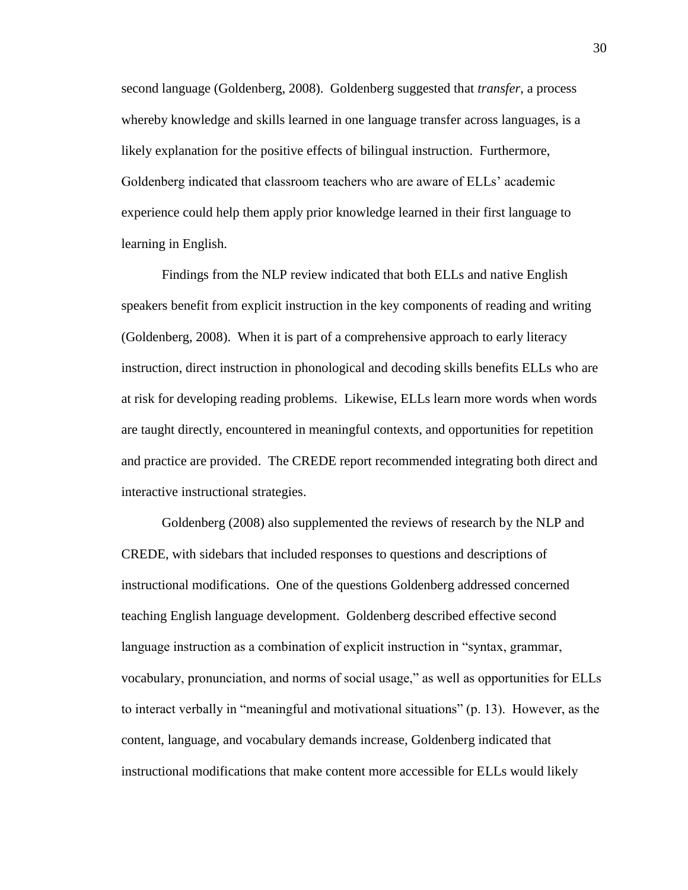second language (Goldenberg, 2008). Goldenberg suggested that *transfer*, a process whereby knowledge and skills learned in one language transfer across languages, is a likely explanation for the positive effects of bilingual instruction. Furthermore, Goldenberg indicated that classroom teachers who are aware of ELLs' academic experience could help them apply prior knowledge learned in their first language to learning in English.

Findings from the NLP review indicated that both ELLs and native English speakers benefit from explicit instruction in the key components of reading and writing (Goldenberg, 2008). When it is part of a comprehensive approach to early literacy instruction, direct instruction in phonological and decoding skills benefits ELLs who are at risk for developing reading problems. Likewise, ELLs learn more words when words are taught directly, encountered in meaningful contexts, and opportunities for repetition and practice are provided. The CREDE report recommended integrating both direct and interactive instructional strategies.

Goldenberg (2008) also supplemented the reviews of research by the NLP and CREDE, with sidebars that included responses to questions and descriptions of instructional modifications. One of the questions Goldenberg addressed concerned teaching English language development. Goldenberg described effective second language instruction as a combination of explicit instruction in "syntax, grammar, vocabulary, pronunciation, and norms of social usage," as well as opportunities for ELLs to interact verbally in "meaningful and motivational situations" (p. 13). However, as the content, language, and vocabulary demands increase, Goldenberg indicated that instructional modifications that make content more accessible for ELLs would likely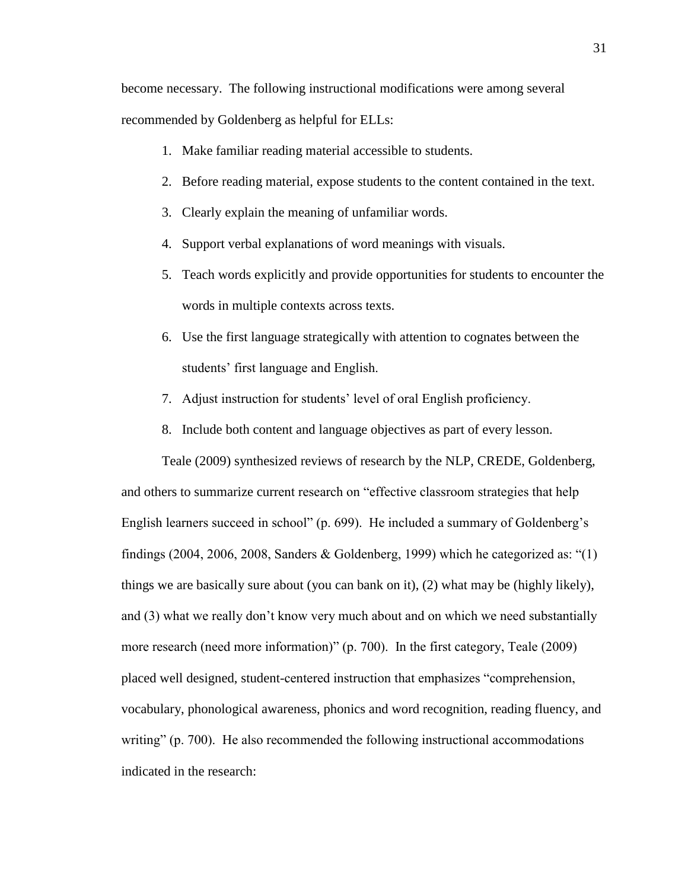become necessary. The following instructional modifications were among several recommended by Goldenberg as helpful for ELLs:

- 1. Make familiar reading material accessible to students.
- 2. Before reading material, expose students to the content contained in the text.
- 3. Clearly explain the meaning of unfamiliar words.
- 4. Support verbal explanations of word meanings with visuals.
- 5. Teach words explicitly and provide opportunities for students to encounter the words in multiple contexts across texts.
- 6. Use the first language strategically with attention to cognates between the students' first language and English.
- 7. Adjust instruction for students' level of oral English proficiency.
- 8. Include both content and language objectives as part of every lesson.

Teale (2009) synthesized reviews of research by the NLP, CREDE, Goldenberg, and others to summarize current research on "effective classroom strategies that help English learners succeed in school" (p. 699). He included a summary of Goldenberg's findings (2004, 2006, 2008, Sanders & Goldenberg, 1999) which he categorized as: " $(1)$ things we are basically sure about (you can bank on it), (2) what may be (highly likely), and (3) what we really don't know very much about and on which we need substantially more research (need more information)" (p. 700). In the first category, Teale (2009) placed well designed, student-centered instruction that emphasizes "comprehension, vocabulary, phonological awareness, phonics and word recognition, reading fluency, and writing" (p. 700). He also recommended the following instructional accommodations indicated in the research: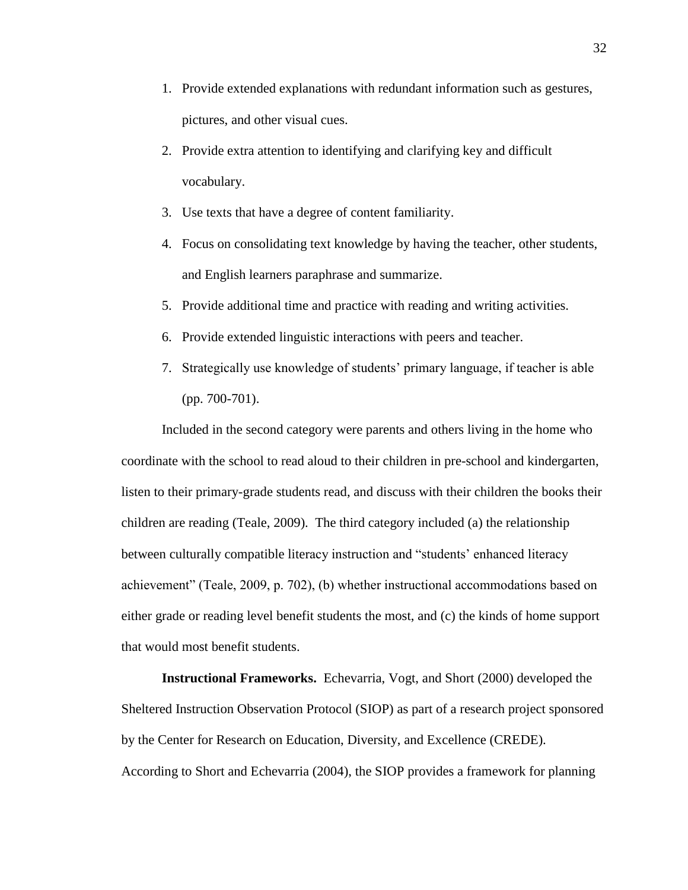- 1. Provide extended explanations with redundant information such as gestures, pictures, and other visual cues.
- 2. Provide extra attention to identifying and clarifying key and difficult vocabulary.
- 3. Use texts that have a degree of content familiarity.
- 4. Focus on consolidating text knowledge by having the teacher, other students, and English learners paraphrase and summarize.
- 5. Provide additional time and practice with reading and writing activities.
- 6. Provide extended linguistic interactions with peers and teacher.
- 7. Strategically use knowledge of students' primary language, if teacher is able (pp. 700-701).

Included in the second category were parents and others living in the home who coordinate with the school to read aloud to their children in pre-school and kindergarten, listen to their primary-grade students read, and discuss with their children the books their children are reading (Teale, 2009). The third category included (a) the relationship between culturally compatible literacy instruction and "students' enhanced literacy achievement" (Teale, 2009, p. 702), (b) whether instructional accommodations based on either grade or reading level benefit students the most, and (c) the kinds of home support that would most benefit students.

**Instructional Frameworks.** Echevarria, Vogt, and Short (2000) developed the Sheltered Instruction Observation Protocol (SIOP) as part of a research project sponsored by the Center for Research on Education, Diversity, and Excellence (CREDE). According to Short and Echevarria (2004), the SIOP provides a framework for planning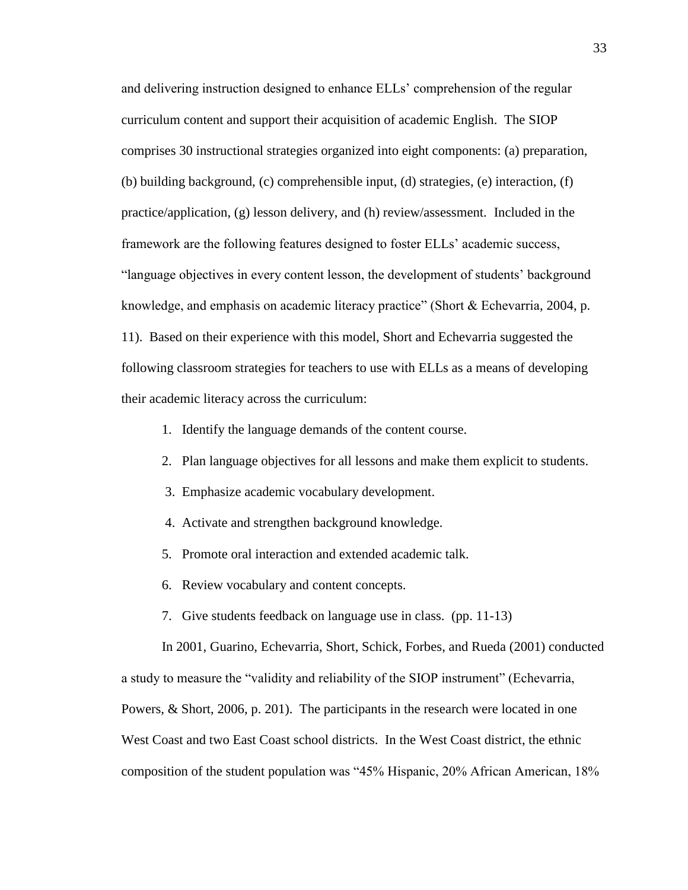and delivering instruction designed to enhance ELLs' comprehension of the regular curriculum content and support their acquisition of academic English. The SIOP comprises 30 instructional strategies organized into eight components: (a) preparation, (b) building background, (c) comprehensible input, (d) strategies, (e) interaction, (f) practice/application, (g) lesson delivery, and (h) review/assessment. Included in the framework are the following features designed to foster ELLs' academic success, "language objectives in every content lesson, the development of students' background knowledge, and emphasis on academic literacy practice" (Short & Echevarria, 2004, p. 11). Based on their experience with this model, Short and Echevarria suggested the following classroom strategies for teachers to use with ELLs as a means of developing their academic literacy across the curriculum:

- 1. Identify the language demands of the content course.
- 2. Plan language objectives for all lessons and make them explicit to students.
- 3. Emphasize academic vocabulary development.
- 4. Activate and strengthen background knowledge.
- 5. Promote oral interaction and extended academic talk.
- 6. Review vocabulary and content concepts.
- 7. Give students feedback on language use in class. (pp. 11-13)

In 2001, Guarino, Echevarria, Short, Schick, Forbes, and Rueda (2001) conducted a study to measure the "validity and reliability of the SIOP instrument" (Echevarria, Powers, & Short, 2006, p. 201). The participants in the research were located in one West Coast and two East Coast school districts. In the West Coast district, the ethnic composition of the student population was "45% Hispanic, 20% African American, 18%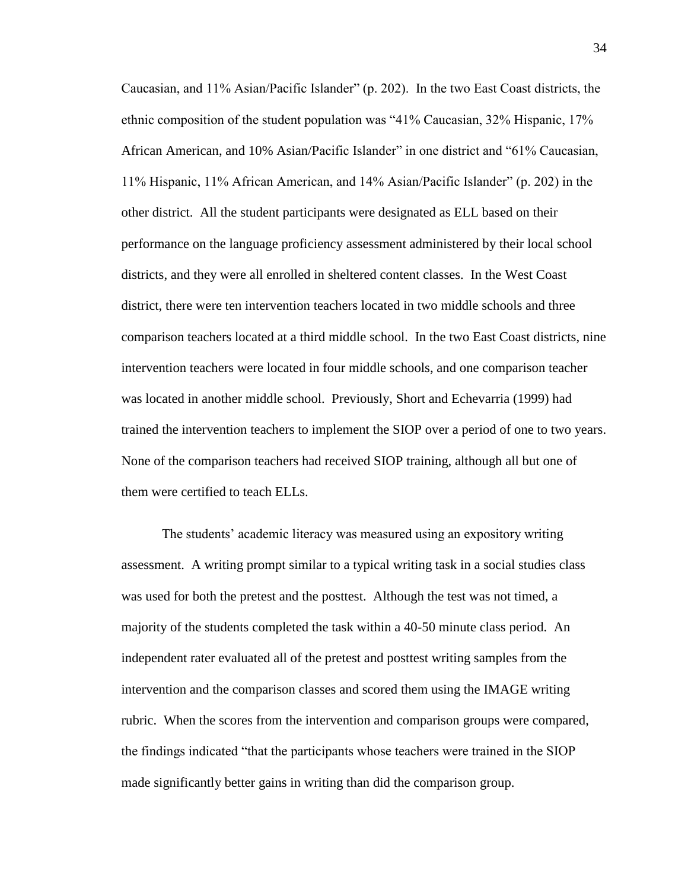Caucasian, and 11% Asian/Pacific Islander" (p. 202). In the two East Coast districts, the ethnic composition of the student population was "41% Caucasian, 32% Hispanic, 17% African American, and 10% Asian/Pacific Islander" in one district and "61% Caucasian, 11% Hispanic, 11% African American, and 14% Asian/Pacific Islander" (p. 202) in the other district. All the student participants were designated as ELL based on their performance on the language proficiency assessment administered by their local school districts, and they were all enrolled in sheltered content classes. In the West Coast district, there were ten intervention teachers located in two middle schools and three comparison teachers located at a third middle school. In the two East Coast districts, nine intervention teachers were located in four middle schools, and one comparison teacher was located in another middle school. Previously, Short and Echevarria (1999) had trained the intervention teachers to implement the SIOP over a period of one to two years. None of the comparison teachers had received SIOP training, although all but one of them were certified to teach ELLs.

The students' academic literacy was measured using an expository writing assessment. A writing prompt similar to a typical writing task in a social studies class was used for both the pretest and the posttest. Although the test was not timed, a majority of the students completed the task within a 40-50 minute class period. An independent rater evaluated all of the pretest and posttest writing samples from the intervention and the comparison classes and scored them using the IMAGE writing rubric. When the scores from the intervention and comparison groups were compared, the findings indicated "that the participants whose teachers were trained in the SIOP made significantly better gains in writing than did the comparison group.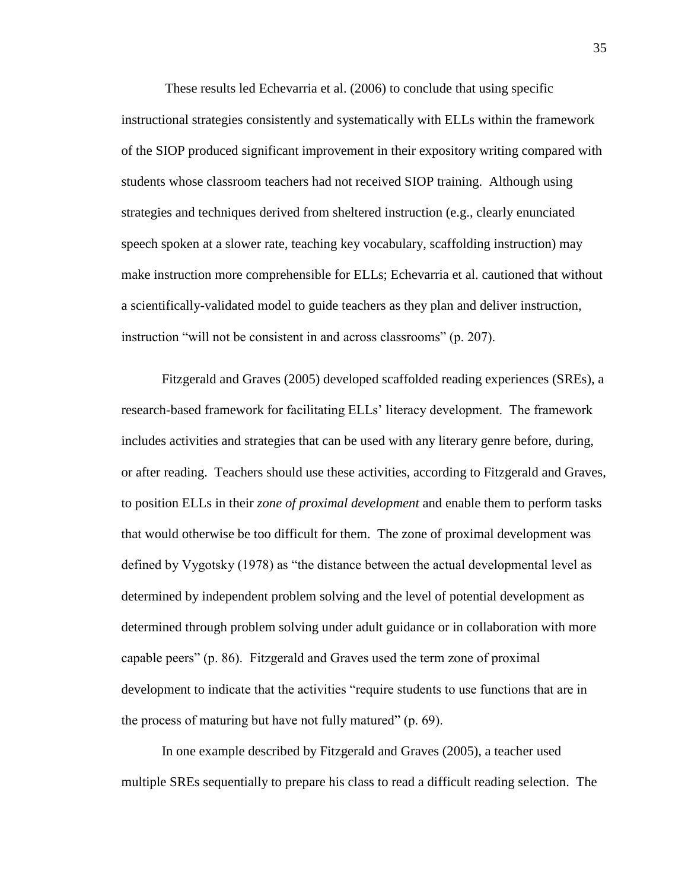These results led Echevarria et al. (2006) to conclude that using specific instructional strategies consistently and systematically with ELLs within the framework of the SIOP produced significant improvement in their expository writing compared with students whose classroom teachers had not received SIOP training. Although using strategies and techniques derived from sheltered instruction (e.g., clearly enunciated speech spoken at a slower rate, teaching key vocabulary, scaffolding instruction) may make instruction more comprehensible for ELLs; Echevarria et al. cautioned that without a scientifically-validated model to guide teachers as they plan and deliver instruction, instruction "will not be consistent in and across classrooms" (p. 207).

Fitzgerald and Graves (2005) developed scaffolded reading experiences (SREs), a research-based framework for facilitating ELLs' literacy development. The framework includes activities and strategies that can be used with any literary genre before, during, or after reading. Teachers should use these activities, according to Fitzgerald and Graves, to position ELLs in their *zone of proximal development* and enable them to perform tasks that would otherwise be too difficult for them. The zone of proximal development was defined by Vygotsky (1978) as "the distance between the actual developmental level as determined by independent problem solving and the level of potential development as determined through problem solving under adult guidance or in collaboration with more capable peers" (p. 86). Fitzgerald and Graves used the term zone of proximal development to indicate that the activities "require students to use functions that are in the process of maturing but have not fully matured" (p. 69).

In one example described by Fitzgerald and Graves (2005), a teacher used multiple SREs sequentially to prepare his class to read a difficult reading selection. The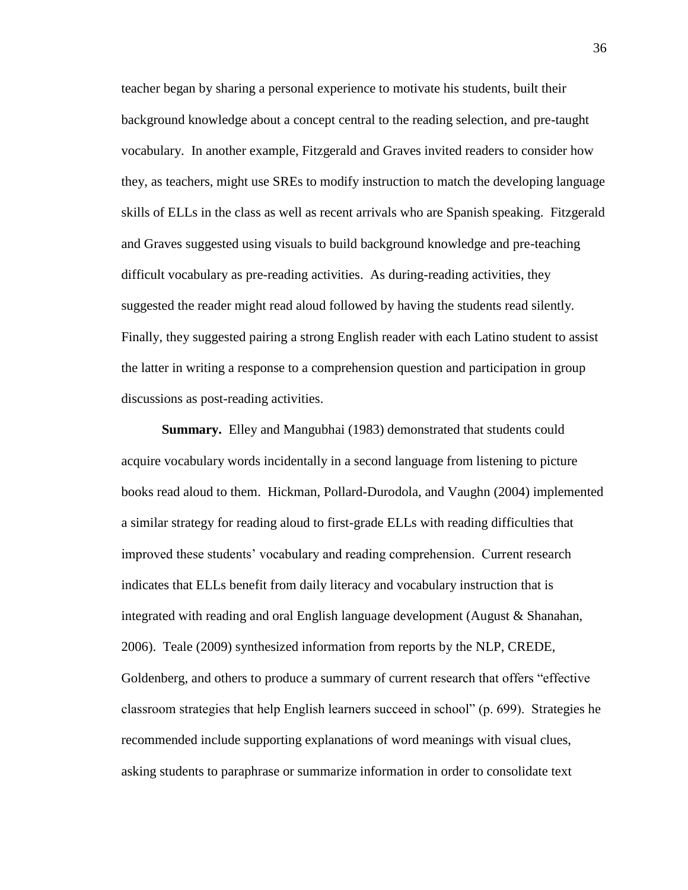teacher began by sharing a personal experience to motivate his students, built their background knowledge about a concept central to the reading selection, and pre-taught vocabulary. In another example, Fitzgerald and Graves invited readers to consider how they, as teachers, might use SREs to modify instruction to match the developing language skills of ELLs in the class as well as recent arrivals who are Spanish speaking. Fitzgerald and Graves suggested using visuals to build background knowledge and pre-teaching difficult vocabulary as pre-reading activities. As during-reading activities, they suggested the reader might read aloud followed by having the students read silently. Finally, they suggested pairing a strong English reader with each Latino student to assist the latter in writing a response to a comprehension question and participation in group discussions as post-reading activities.

**Summary.** Elley and Mangubhai (1983) demonstrated that students could acquire vocabulary words incidentally in a second language from listening to picture books read aloud to them. Hickman, Pollard-Durodola, and Vaughn (2004) implemented a similar strategy for reading aloud to first-grade ELLs with reading difficulties that improved these students' vocabulary and reading comprehension. Current research indicates that ELLs benefit from daily literacy and vocabulary instruction that is integrated with reading and oral English language development (August & Shanahan, 2006). Teale (2009) synthesized information from reports by the NLP, CREDE, Goldenberg, and others to produce a summary of current research that offers "effective classroom strategies that help English learners succeed in school" (p. 699). Strategies he recommended include supporting explanations of word meanings with visual clues, asking students to paraphrase or summarize information in order to consolidate text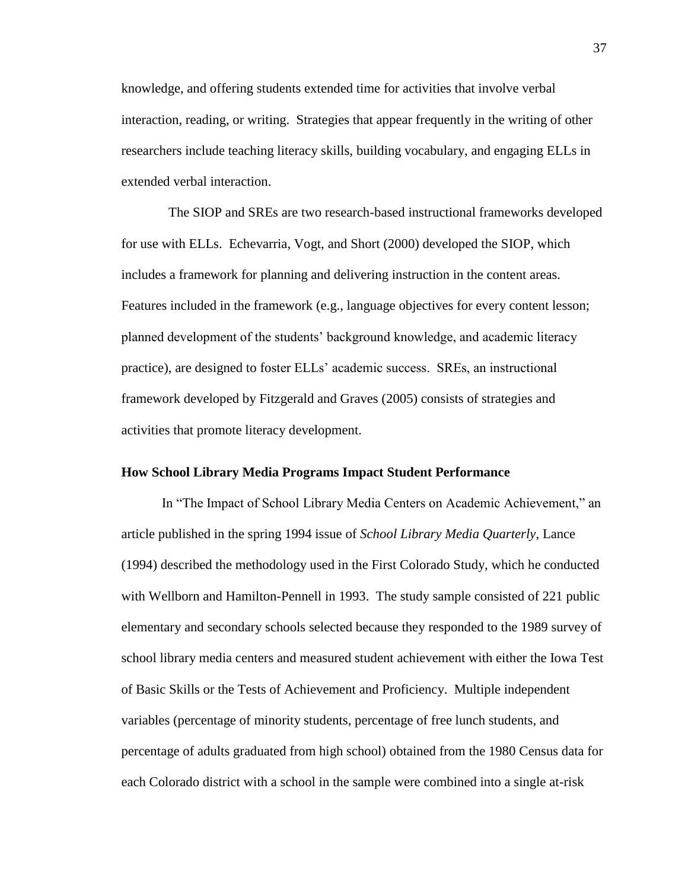knowledge, and offering students extended time for activities that involve verbal interaction, reading, or writing. Strategies that appear frequently in the writing of other researchers include teaching literacy skills, building vocabulary, and engaging ELLs in extended verbal interaction.

 The SIOP and SREs are two research-based instructional frameworks developed for use with ELLs. Echevarria, Vogt, and Short (2000) developed the SIOP, which includes a framework for planning and delivering instruction in the content areas. Features included in the framework (e.g., language objectives for every content lesson; planned development of the students' background knowledge, and academic literacy practice), are designed to foster ELLs' academic success. SREs, an instructional framework developed by Fitzgerald and Graves (2005) consists of strategies and activities that promote literacy development.

## **How School Library Media Programs Impact Student Performance**

In "The Impact of School Library Media Centers on Academic Achievement," an article published in the spring 1994 issue of *School Library Media Quarterly*, Lance (1994) described the methodology used in the First Colorado Study, which he conducted with Wellborn and Hamilton-Pennell in 1993. The study sample consisted of 221 public elementary and secondary schools selected because they responded to the 1989 survey of school library media centers and measured student achievement with either the Iowa Test of Basic Skills or the Tests of Achievement and Proficiency. Multiple independent variables (percentage of minority students, percentage of free lunch students, and percentage of adults graduated from high school) obtained from the 1980 Census data for each Colorado district with a school in the sample were combined into a single at-risk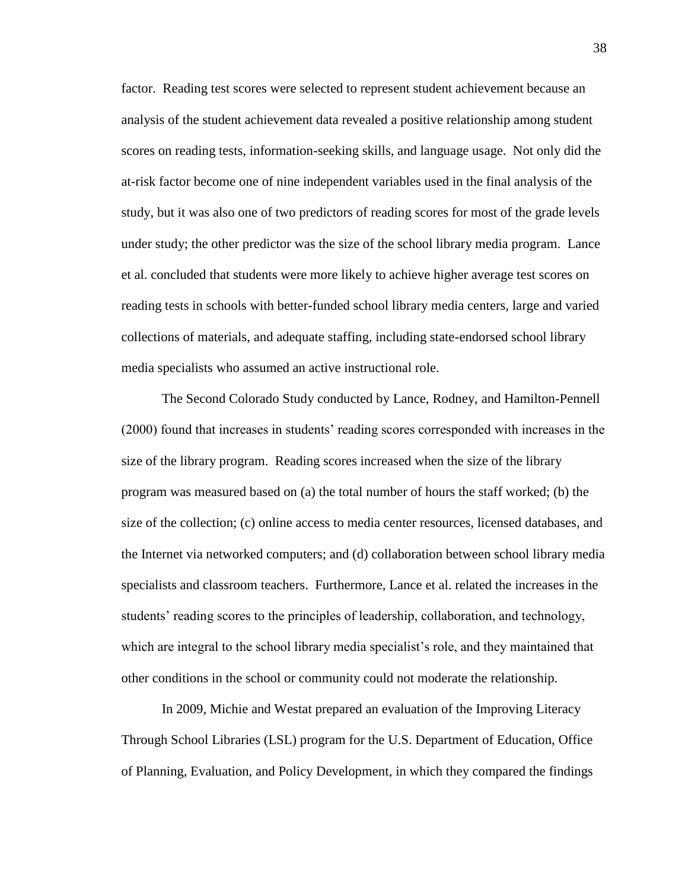factor. Reading test scores were selected to represent student achievement because an analysis of the student achievement data revealed a positive relationship among student scores on reading tests, information-seeking skills, and language usage. Not only did the at-risk factor become one of nine independent variables used in the final analysis of the study, but it was also one of two predictors of reading scores for most of the grade levels under study; the other predictor was the size of the school library media program. Lance et al. concluded that students were more likely to achieve higher average test scores on reading tests in schools with better-funded school library media centers, large and varied collections of materials, and adequate staffing, including state-endorsed school library media specialists who assumed an active instructional role.

The Second Colorado Study conducted by Lance, Rodney, and Hamilton-Pennell (2000) found that increases in students' reading scores corresponded with increases in the size of the library program. Reading scores increased when the size of the library program was measured based on (a) the total number of hours the staff worked; (b) the size of the collection; (c) online access to media center resources, licensed databases, and the Internet via networked computers; and (d) collaboration between school library media specialists and classroom teachers. Furthermore, Lance et al. related the increases in the students' reading scores to the principles of leadership, collaboration, and technology, which are integral to the school library media specialist's role, and they maintained that other conditions in the school or community could not moderate the relationship.

In 2009, Michie and Westat prepared an evaluation of the Improving Literacy Through School Libraries (LSL) program for the U.S. Department of Education, Office of Planning, Evaluation, and Policy Development, in which they compared the findings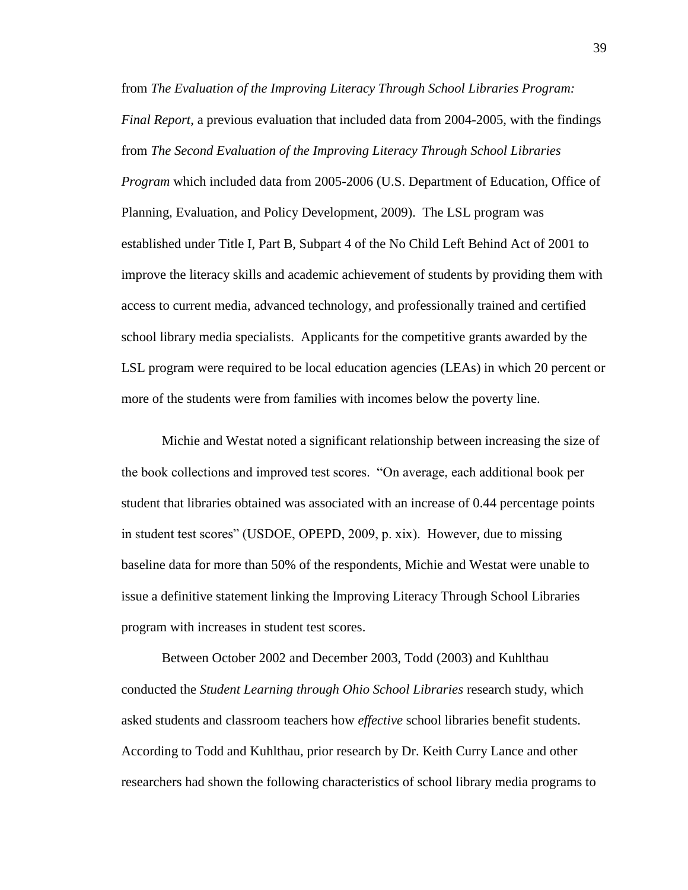from *The Evaluation of the Improving Literacy Through School Libraries Program: Final Report*, a previous evaluation that included data from 2004-2005, with the findings from *The Second Evaluation of the Improving Literacy Through School Libraries Program* which included data from 2005-2006 (U.S. Department of Education, Office of Planning, Evaluation, and Policy Development, 2009). The LSL program was established under Title I, Part B, Subpart 4 of the No Child Left Behind Act of 2001 to improve the literacy skills and academic achievement of students by providing them with access to current media, advanced technology, and professionally trained and certified school library media specialists. Applicants for the competitive grants awarded by the LSL program were required to be local education agencies (LEAs) in which 20 percent or more of the students were from families with incomes below the poverty line.

Michie and Westat noted a significant relationship between increasing the size of the book collections and improved test scores. "On average, each additional book per student that libraries obtained was associated with an increase of 0.44 percentage points in student test scores" (USDOE, OPEPD, 2009, p. xix). However, due to missing baseline data for more than 50% of the respondents, Michie and Westat were unable to issue a definitive statement linking the Improving Literacy Through School Libraries program with increases in student test scores.

Between October 2002 and December 2003, Todd (2003) and Kuhlthau conducted the *Student Learning through Ohio School Libraries* research study, which asked students and classroom teachers how *effective* school libraries benefit students. According to Todd and Kuhlthau, prior research by Dr. Keith Curry Lance and other researchers had shown the following characteristics of school library media programs to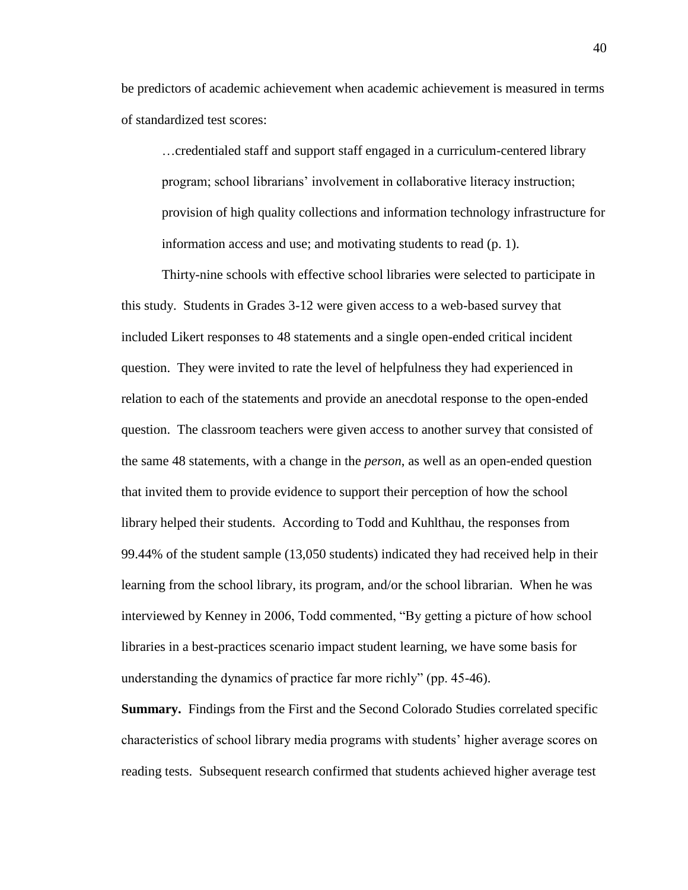be predictors of academic achievement when academic achievement is measured in terms of standardized test scores:

…credentialed staff and support staff engaged in a curriculum-centered library program; school librarians' involvement in collaborative literacy instruction; provision of high quality collections and information technology infrastructure for information access and use; and motivating students to read (p. 1).

Thirty-nine schools with effective school libraries were selected to participate in this study. Students in Grades 3-12 were given access to a web-based survey that included Likert responses to 48 statements and a single open-ended critical incident question. They were invited to rate the level of helpfulness they had experienced in relation to each of the statements and provide an anecdotal response to the open-ended question. The classroom teachers were given access to another survey that consisted of the same 48 statements, with a change in the *person*, as well as an open-ended question that invited them to provide evidence to support their perception of how the school library helped their students. According to Todd and Kuhlthau, the responses from 99.44% of the student sample (13,050 students) indicated they had received help in their learning from the school library, its program, and/or the school librarian. When he was interviewed by Kenney in 2006, Todd commented, "By getting a picture of how school libraries in a best-practices scenario impact student learning, we have some basis for understanding the dynamics of practice far more richly" (pp. 45-46).

**Summary.** Findings from the First and the Second Colorado Studies correlated specific characteristics of school library media programs with students' higher average scores on reading tests. Subsequent research confirmed that students achieved higher average test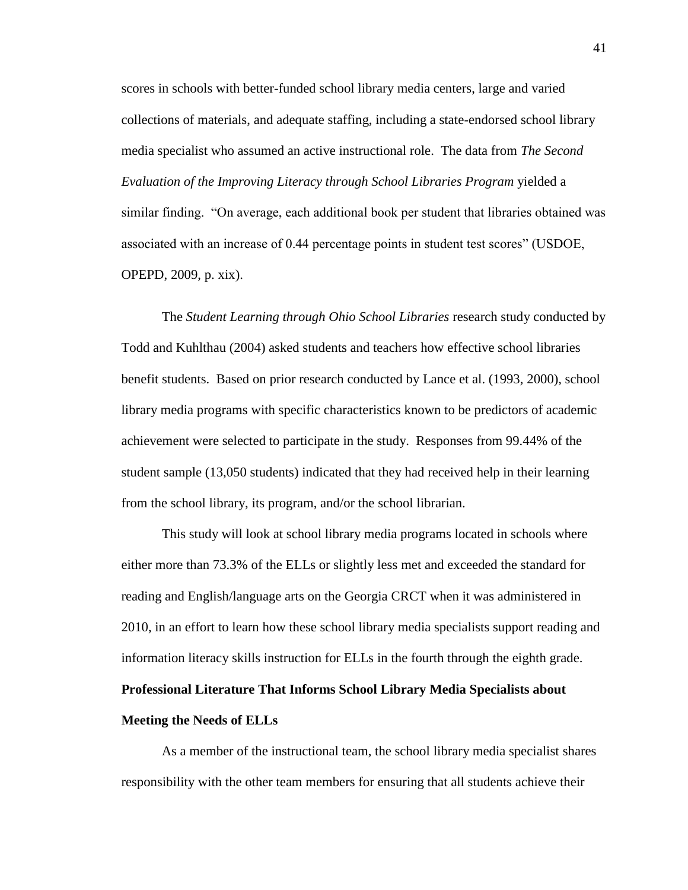scores in schools with better-funded school library media centers, large and varied collections of materials, and adequate staffing, including a state-endorsed school library media specialist who assumed an active instructional role. The data from *The Second Evaluation of the Improving Literacy through School Libraries Program* yielded a similar finding. "On average, each additional book per student that libraries obtained was associated with an increase of 0.44 percentage points in student test scores" (USDOE, OPEPD, 2009, p. xix).

The *Student Learning through Ohio School Libraries* research study conducted by Todd and Kuhlthau (2004) asked students and teachers how effective school libraries benefit students. Based on prior research conducted by Lance et al. (1993, 2000), school library media programs with specific characteristics known to be predictors of academic achievement were selected to participate in the study. Responses from 99.44% of the student sample (13,050 students) indicated that they had received help in their learning from the school library, its program, and/or the school librarian.

This study will look at school library media programs located in schools where either more than 73.3% of the ELLs or slightly less met and exceeded the standard for reading and English/language arts on the Georgia CRCT when it was administered in 2010, in an effort to learn how these school library media specialists support reading and information literacy skills instruction for ELLs in the fourth through the eighth grade. **Professional Literature That Informs School Library Media Specialists about Meeting the Needs of ELLs**

As a member of the instructional team, the school library media specialist shares responsibility with the other team members for ensuring that all students achieve their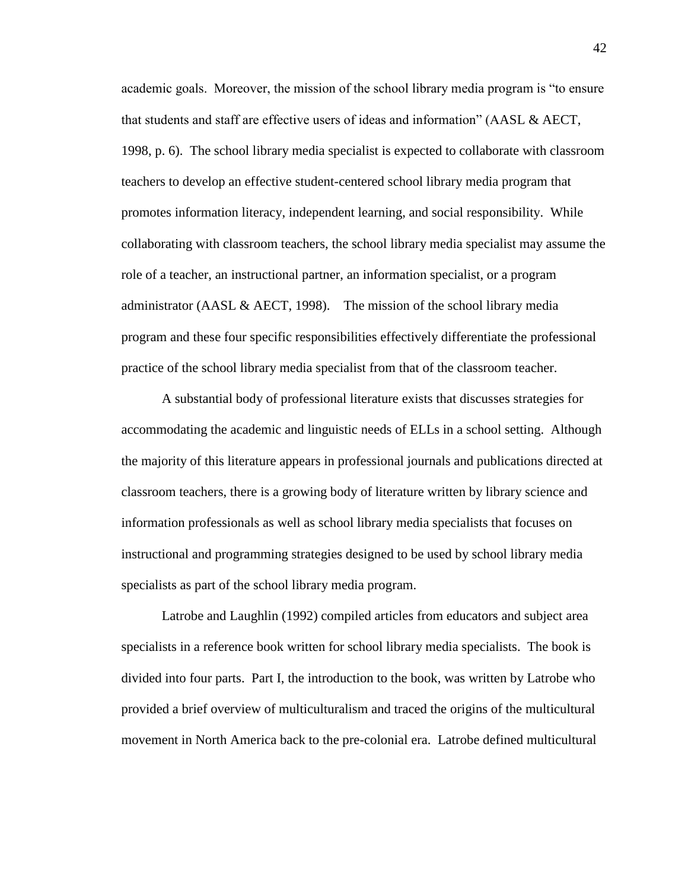academic goals. Moreover, the mission of the school library media program is "to ensure that students and staff are effective users of ideas and information" (AASL & AECT, 1998, p. 6). The school library media specialist is expected to collaborate with classroom teachers to develop an effective student-centered school library media program that promotes information literacy, independent learning, and social responsibility. While collaborating with classroom teachers, the school library media specialist may assume the role of a teacher, an instructional partner, an information specialist, or a program administrator (AASL & AECT, 1998). The mission of the school library media program and these four specific responsibilities effectively differentiate the professional practice of the school library media specialist from that of the classroom teacher.

A substantial body of professional literature exists that discusses strategies for accommodating the academic and linguistic needs of ELLs in a school setting. Although the majority of this literature appears in professional journals and publications directed at classroom teachers, there is a growing body of literature written by library science and information professionals as well as school library media specialists that focuses on instructional and programming strategies designed to be used by school library media specialists as part of the school library media program.

Latrobe and Laughlin (1992) compiled articles from educators and subject area specialists in a reference book written for school library media specialists. The book is divided into four parts. Part I, the introduction to the book, was written by Latrobe who provided a brief overview of multiculturalism and traced the origins of the multicultural movement in North America back to the pre-colonial era. Latrobe defined multicultural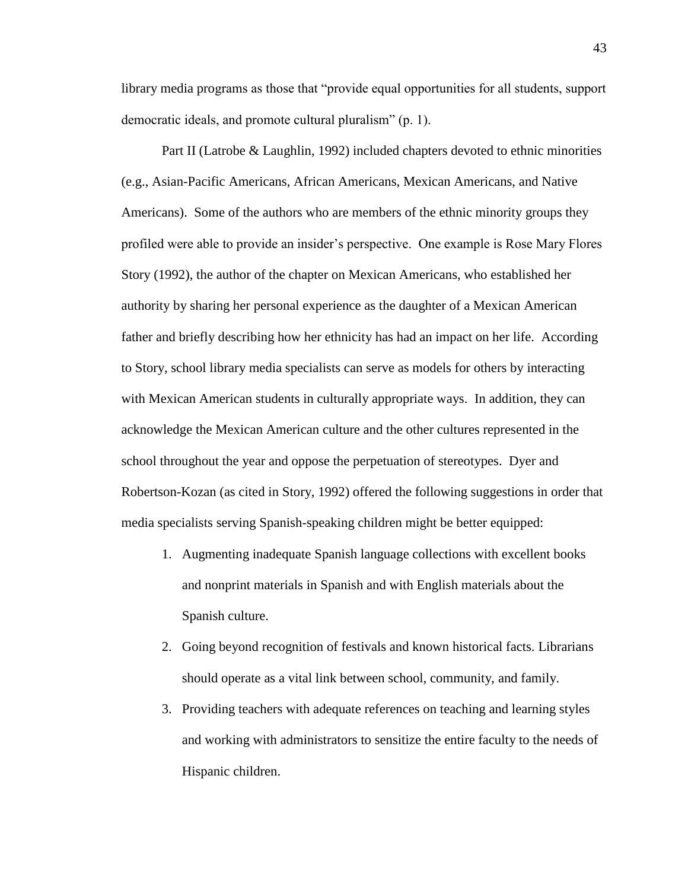library media programs as those that "provide equal opportunities for all students, support democratic ideals, and promote cultural pluralism" (p. 1).

 Part II (Latrobe & Laughlin, 1992) included chapters devoted to ethnic minorities (e.g., Asian-Pacific Americans, African Americans, Mexican Americans, and Native Americans). Some of the authors who are members of the ethnic minority groups they profiled were able to provide an insider's perspective. One example is Rose Mary Flores Story (1992), the author of the chapter on Mexican Americans, who established her authority by sharing her personal experience as the daughter of a Mexican American father and briefly describing how her ethnicity has had an impact on her life. According to Story, school library media specialists can serve as models for others by interacting with Mexican American students in culturally appropriate ways. In addition, they can acknowledge the Mexican American culture and the other cultures represented in the school throughout the year and oppose the perpetuation of stereotypes. Dyer and Robertson-Kozan (as cited in Story, 1992) offered the following suggestions in order that media specialists serving Spanish-speaking children might be better equipped:

- 1. Augmenting inadequate Spanish language collections with excellent books and nonprint materials in Spanish and with English materials about the Spanish culture.
- 2. Going beyond recognition of festivals and known historical facts. Librarians should operate as a vital link between school, community, and family.
- 3. Providing teachers with adequate references on teaching and learning styles and working with administrators to sensitize the entire faculty to the needs of Hispanic children.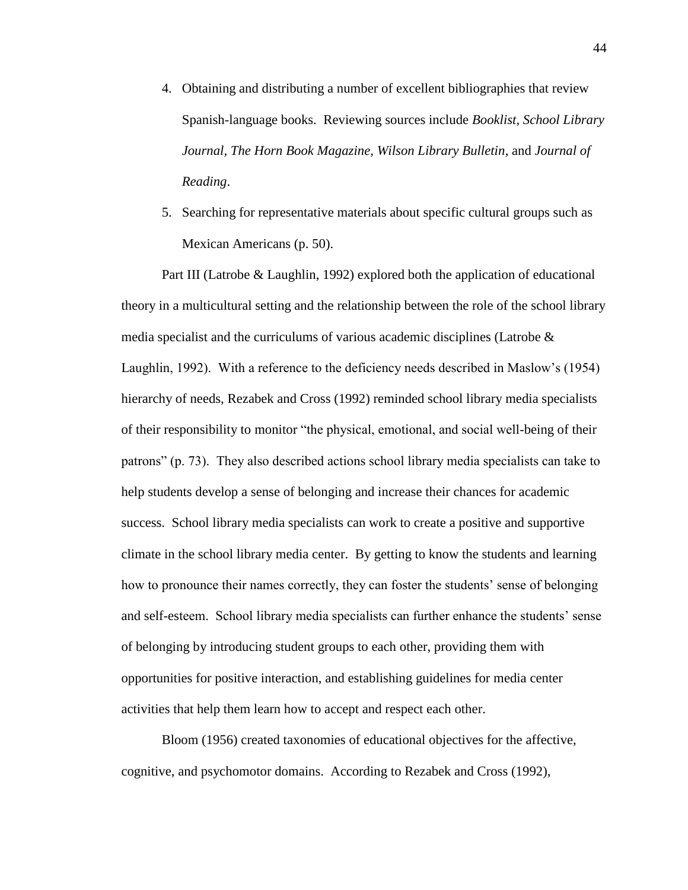- 4. Obtaining and distributing a number of excellent bibliographies that review Spanish-language books. Reviewing sources include *Booklist, School Library Journal, The Horn Book Magazine, Wilson Library Bulletin*, and *Journal of Reading*.
- 5. Searching for representative materials about specific cultural groups such as Mexican Americans (p. 50).

Part III (Latrobe & Laughlin, 1992) explored both the application of educational theory in a multicultural setting and the relationship between the role of the school library media specialist and the curriculums of various academic disciplines (Latrobe & Laughlin, 1992). With a reference to the deficiency needs described in Maslow's (1954) hierarchy of needs, Rezabek and Cross (1992) reminded school library media specialists of their responsibility to monitor "the physical, emotional, and social well-being of their patrons" (p. 73). They also described actions school library media specialists can take to help students develop a sense of belonging and increase their chances for academic success. School library media specialists can work to create a positive and supportive climate in the school library media center. By getting to know the students and learning how to pronounce their names correctly, they can foster the students' sense of belonging and self-esteem. School library media specialists can further enhance the students' sense of belonging by introducing student groups to each other, providing them with opportunities for positive interaction, and establishing guidelines for media center activities that help them learn how to accept and respect each other.

Bloom (1956) created taxonomies of educational objectives for the affective, cognitive, and psychomotor domains. According to Rezabek and Cross (1992),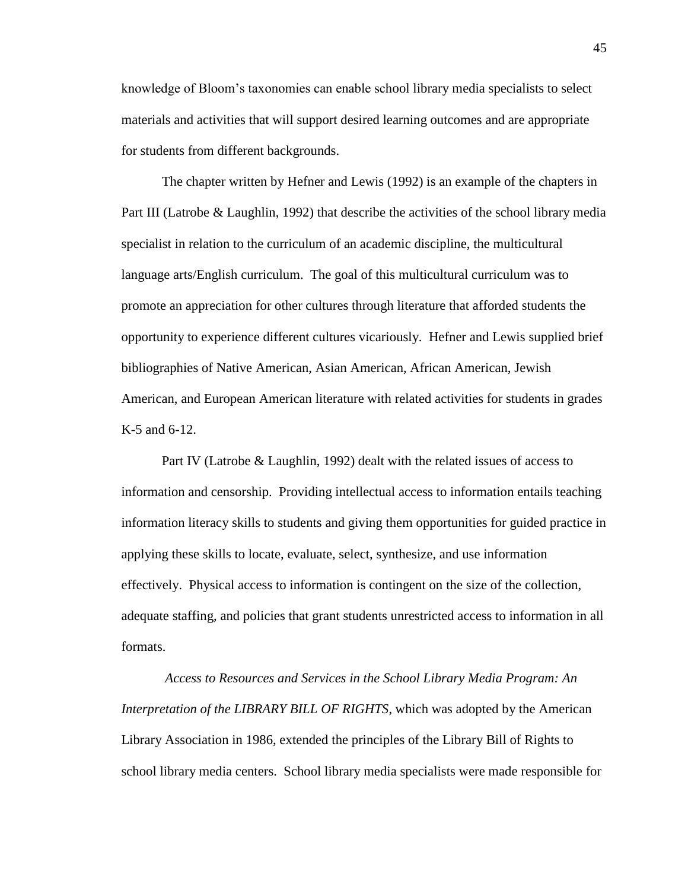knowledge of Bloom's taxonomies can enable school library media specialists to select materials and activities that will support desired learning outcomes and are appropriate for students from different backgrounds.

The chapter written by Hefner and Lewis (1992) is an example of the chapters in Part III (Latrobe & Laughlin, 1992) that describe the activities of the school library media specialist in relation to the curriculum of an academic discipline, the multicultural language arts/English curriculum. The goal of this multicultural curriculum was to promote an appreciation for other cultures through literature that afforded students the opportunity to experience different cultures vicariously. Hefner and Lewis supplied brief bibliographies of Native American, Asian American, African American, Jewish American, and European American literature with related activities for students in grades K-5 and 6-12.

Part IV (Latrobe & Laughlin, 1992) dealt with the related issues of access to information and censorship. Providing intellectual access to information entails teaching information literacy skills to students and giving them opportunities for guided practice in applying these skills to locate, evaluate, select, synthesize, and use information effectively. Physical access to information is contingent on the size of the collection, adequate staffing, and policies that grant students unrestricted access to information in all formats.

*Access to Resources and Services in the School Library Media Program: An Interpretation of the LIBRARY BILL OF RIGHTS*, which was adopted by the American Library Association in 1986, extended the principles of the Library Bill of Rights to school library media centers. School library media specialists were made responsible for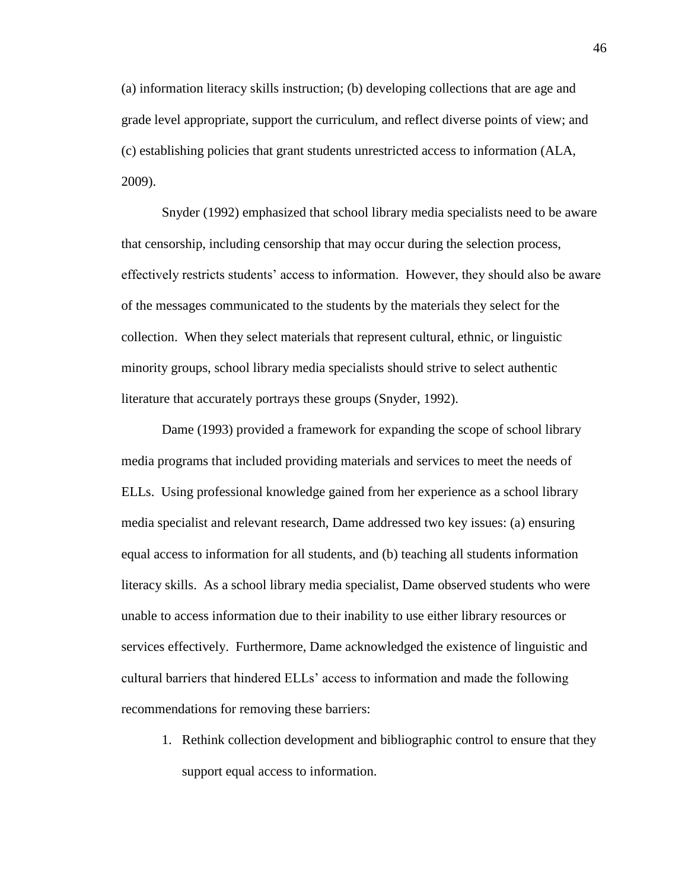(a) information literacy skills instruction; (b) developing collections that are age and grade level appropriate, support the curriculum, and reflect diverse points of view; and (c) establishing policies that grant students unrestricted access to information (ALA, 2009).

Snyder (1992) emphasized that school library media specialists need to be aware that censorship, including censorship that may occur during the selection process, effectively restricts students' access to information. However, they should also be aware of the messages communicated to the students by the materials they select for the collection. When they select materials that represent cultural, ethnic, or linguistic minority groups, school library media specialists should strive to select authentic literature that accurately portrays these groups (Snyder, 1992).

Dame (1993) provided a framework for expanding the scope of school library media programs that included providing materials and services to meet the needs of ELLs. Using professional knowledge gained from her experience as a school library media specialist and relevant research, Dame addressed two key issues: (a) ensuring equal access to information for all students, and (b) teaching all students information literacy skills. As a school library media specialist, Dame observed students who were unable to access information due to their inability to use either library resources or services effectively. Furthermore, Dame acknowledged the existence of linguistic and cultural barriers that hindered ELLs' access to information and made the following recommendations for removing these barriers:

1. Rethink collection development and bibliographic control to ensure that they support equal access to information.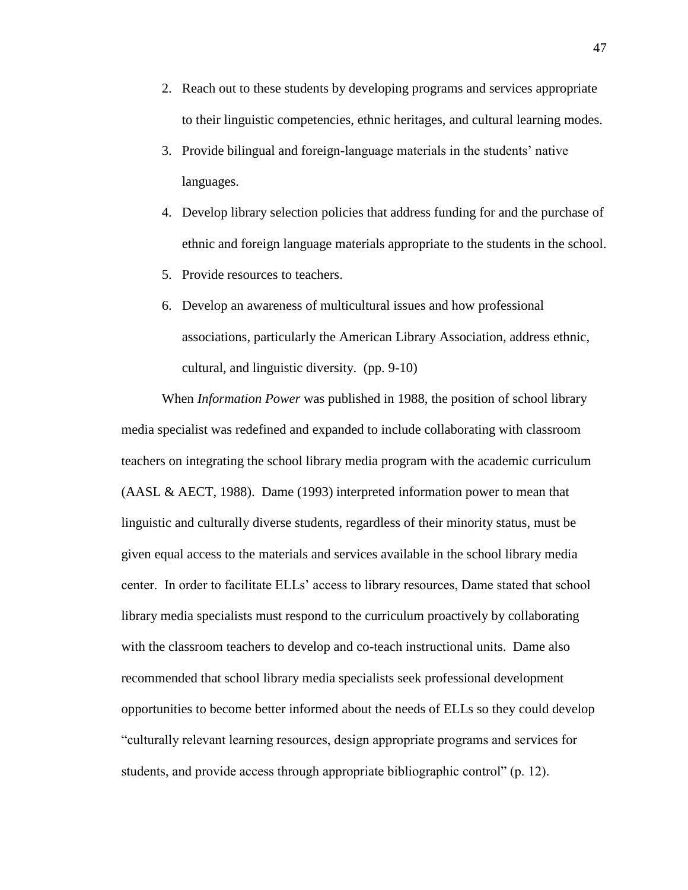- 2. Reach out to these students by developing programs and services appropriate to their linguistic competencies, ethnic heritages, and cultural learning modes.
- 3. Provide bilingual and foreign-language materials in the students' native languages.
- 4. Develop library selection policies that address funding for and the purchase of ethnic and foreign language materials appropriate to the students in the school.
- 5. Provide resources to teachers.
- 6. Develop an awareness of multicultural issues and how professional associations, particularly the American Library Association, address ethnic, cultural, and linguistic diversity. (pp. 9-10)

When *Information Power* was published in 1988, the position of school library media specialist was redefined and expanded to include collaborating with classroom teachers on integrating the school library media program with the academic curriculum (AASL & AECT, 1988). Dame (1993) interpreted information power to mean that linguistic and culturally diverse students, regardless of their minority status, must be given equal access to the materials and services available in the school library media center. In order to facilitate ELLs' access to library resources, Dame stated that school library media specialists must respond to the curriculum proactively by collaborating with the classroom teachers to develop and co-teach instructional units. Dame also recommended that school library media specialists seek professional development opportunities to become better informed about the needs of ELLs so they could develop "culturally relevant learning resources, design appropriate programs and services for students, and provide access through appropriate bibliographic control" (p. 12).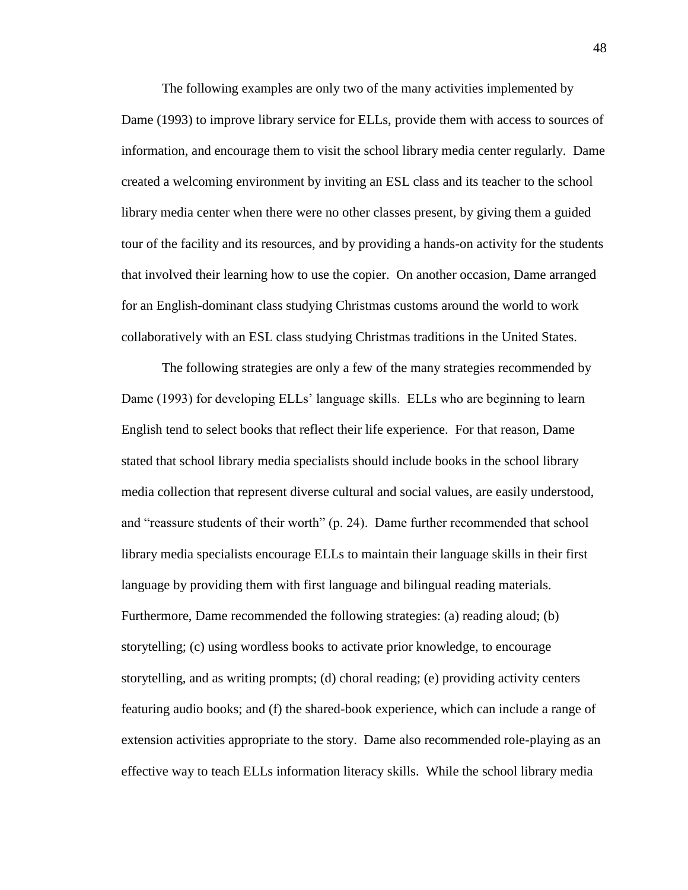The following examples are only two of the many activities implemented by Dame (1993) to improve library service for ELLs, provide them with access to sources of information, and encourage them to visit the school library media center regularly. Dame created a welcoming environment by inviting an ESL class and its teacher to the school library media center when there were no other classes present, by giving them a guided tour of the facility and its resources, and by providing a hands-on activity for the students that involved their learning how to use the copier. On another occasion, Dame arranged for an English-dominant class studying Christmas customs around the world to work collaboratively with an ESL class studying Christmas traditions in the United States.

The following strategies are only a few of the many strategies recommended by Dame (1993) for developing ELLs' language skills. ELLs who are beginning to learn English tend to select books that reflect their life experience. For that reason, Dame stated that school library media specialists should include books in the school library media collection that represent diverse cultural and social values, are easily understood, and "reassure students of their worth" (p. 24). Dame further recommended that school library media specialists encourage ELLs to maintain their language skills in their first language by providing them with first language and bilingual reading materials. Furthermore, Dame recommended the following strategies: (a) reading aloud; (b) storytelling; (c) using wordless books to activate prior knowledge, to encourage storytelling, and as writing prompts; (d) choral reading; (e) providing activity centers featuring audio books; and (f) the shared-book experience, which can include a range of extension activities appropriate to the story. Dame also recommended role-playing as an effective way to teach ELLs information literacy skills. While the school library media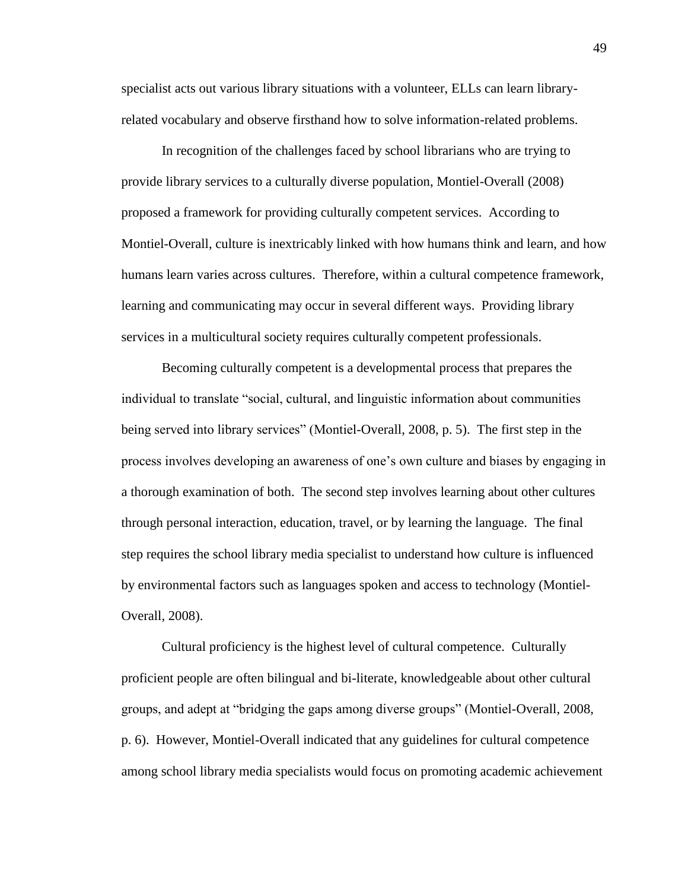specialist acts out various library situations with a volunteer, ELLs can learn libraryrelated vocabulary and observe firsthand how to solve information-related problems.

In recognition of the challenges faced by school librarians who are trying to provide library services to a culturally diverse population, Montiel-Overall (2008) proposed a framework for providing culturally competent services. According to Montiel-Overall, culture is inextricably linked with how humans think and learn, and how humans learn varies across cultures. Therefore, within a cultural competence framework, learning and communicating may occur in several different ways. Providing library services in a multicultural society requires culturally competent professionals.

Becoming culturally competent is a developmental process that prepares the individual to translate "social, cultural, and linguistic information about communities being served into library services" (Montiel-Overall, 2008, p. 5). The first step in the process involves developing an awareness of one's own culture and biases by engaging in a thorough examination of both. The second step involves learning about other cultures through personal interaction, education, travel, or by learning the language. The final step requires the school library media specialist to understand how culture is influenced by environmental factors such as languages spoken and access to technology (Montiel-Overall, 2008).

Cultural proficiency is the highest level of cultural competence. Culturally proficient people are often bilingual and bi-literate, knowledgeable about other cultural groups, and adept at "bridging the gaps among diverse groups" (Montiel-Overall, 2008, p. 6). However, Montiel-Overall indicated that any guidelines for cultural competence among school library media specialists would focus on promoting academic achievement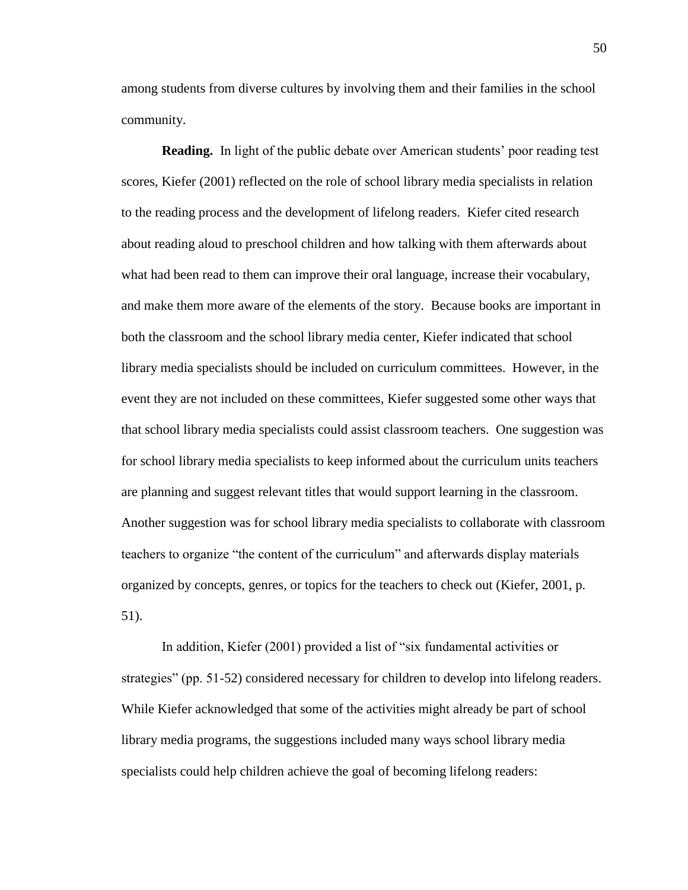among students from diverse cultures by involving them and their families in the school community.

**Reading.** In light of the public debate over American students' poor reading test scores, Kiefer (2001) reflected on the role of school library media specialists in relation to the reading process and the development of lifelong readers. Kiefer cited research about reading aloud to preschool children and how talking with them afterwards about what had been read to them can improve their oral language, increase their vocabulary, and make them more aware of the elements of the story. Because books are important in both the classroom and the school library media center, Kiefer indicated that school library media specialists should be included on curriculum committees. However, in the event they are not included on these committees, Kiefer suggested some other ways that that school library media specialists could assist classroom teachers. One suggestion was for school library media specialists to keep informed about the curriculum units teachers are planning and suggest relevant titles that would support learning in the classroom. Another suggestion was for school library media specialists to collaborate with classroom teachers to organize "the content of the curriculum" and afterwards display materials organized by concepts, genres, or topics for the teachers to check out (Kiefer, 2001, p. 51).

In addition, Kiefer (2001) provided a list of "six fundamental activities or strategies" (pp. 51-52) considered necessary for children to develop into lifelong readers. While Kiefer acknowledged that some of the activities might already be part of school library media programs, the suggestions included many ways school library media specialists could help children achieve the goal of becoming lifelong readers: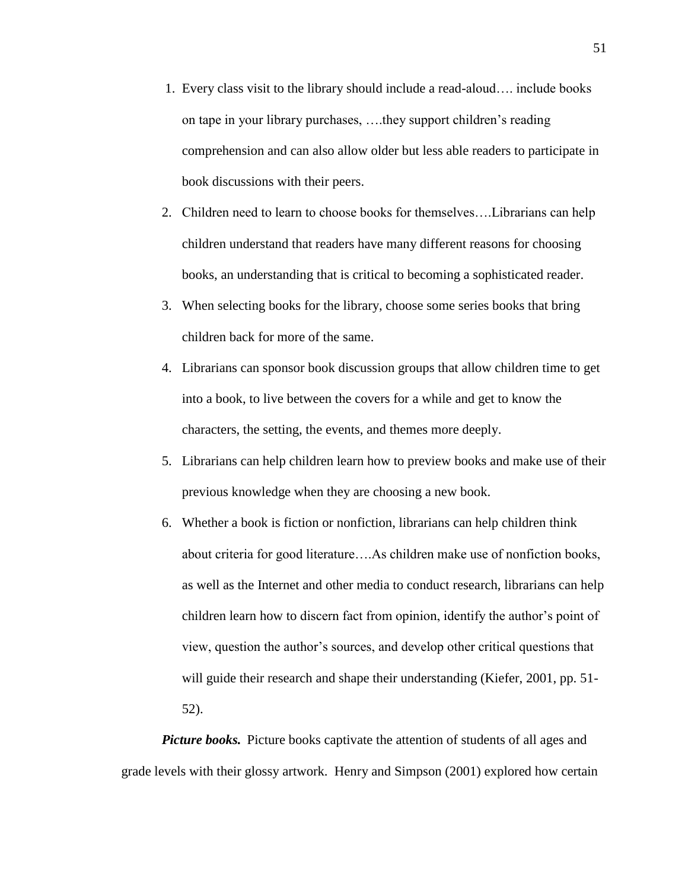- 1. Every class visit to the library should include a read-aloud…. include books on tape in your library purchases, ….they support children's reading comprehension and can also allow older but less able readers to participate in book discussions with their peers.
- 2. Children need to learn to choose books for themselves….Librarians can help children understand that readers have many different reasons for choosing books, an understanding that is critical to becoming a sophisticated reader.
- 3. When selecting books for the library, choose some series books that bring children back for more of the same.
- 4. Librarians can sponsor book discussion groups that allow children time to get into a book, to live between the covers for a while and get to know the characters, the setting, the events, and themes more deeply.
- 5. Librarians can help children learn how to preview books and make use of their previous knowledge when they are choosing a new book.
- 6. Whether a book is fiction or nonfiction, librarians can help children think about criteria for good literature….As children make use of nonfiction books, as well as the Internet and other media to conduct research, librarians can help children learn how to discern fact from opinion, identify the author's point of view, question the author's sources, and develop other critical questions that will guide their research and shape their understanding (Kiefer, 2001, pp. 51-52).

*Picture books.* Picture books captivate the attention of students of all ages and grade levels with their glossy artwork. Henry and Simpson (2001) explored how certain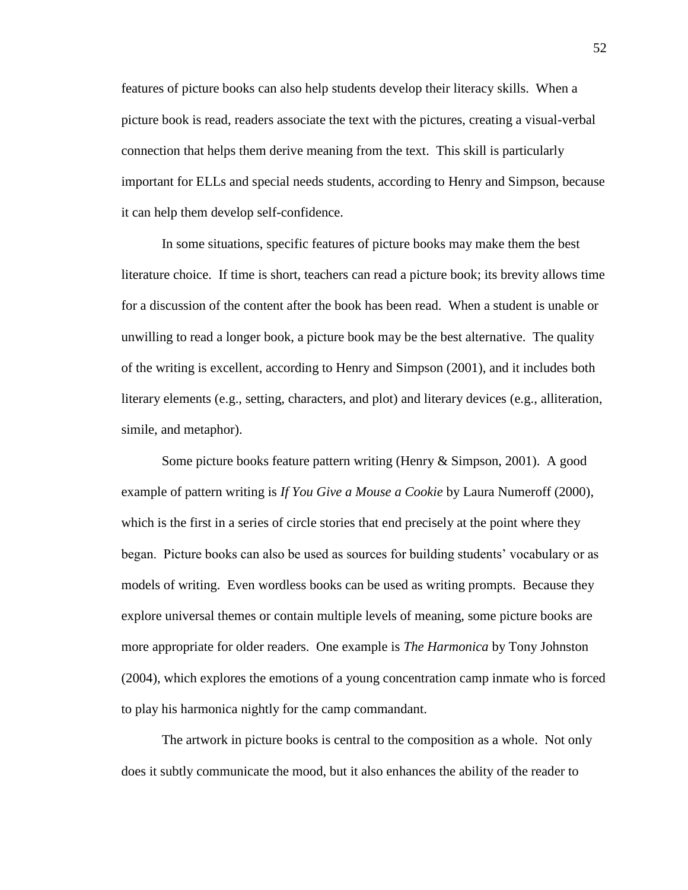features of picture books can also help students develop their literacy skills. When a picture book is read, readers associate the text with the pictures, creating a visual-verbal connection that helps them derive meaning from the text. This skill is particularly important for ELLs and special needs students, according to Henry and Simpson, because it can help them develop self-confidence.

In some situations, specific features of picture books may make them the best literature choice. If time is short, teachers can read a picture book; its brevity allows time for a discussion of the content after the book has been read. When a student is unable or unwilling to read a longer book, a picture book may be the best alternative. The quality of the writing is excellent, according to Henry and Simpson (2001), and it includes both literary elements (e.g., setting, characters, and plot) and literary devices (e.g., alliteration, simile, and metaphor).

Some picture books feature pattern writing (Henry & Simpson, 2001). A good example of pattern writing is *If You Give a Mouse a Cookie* by Laura Numeroff (2000), which is the first in a series of circle stories that end precisely at the point where they began. Picture books can also be used as sources for building students' vocabulary or as models of writing. Even wordless books can be used as writing prompts. Because they explore universal themes or contain multiple levels of meaning, some picture books are more appropriate for older readers. One example is *The Harmonica* by Tony Johnston (2004), which explores the emotions of a young concentration camp inmate who is forced to play his harmonica nightly for the camp commandant.

The artwork in picture books is central to the composition as a whole. Not only does it subtly communicate the mood, but it also enhances the ability of the reader to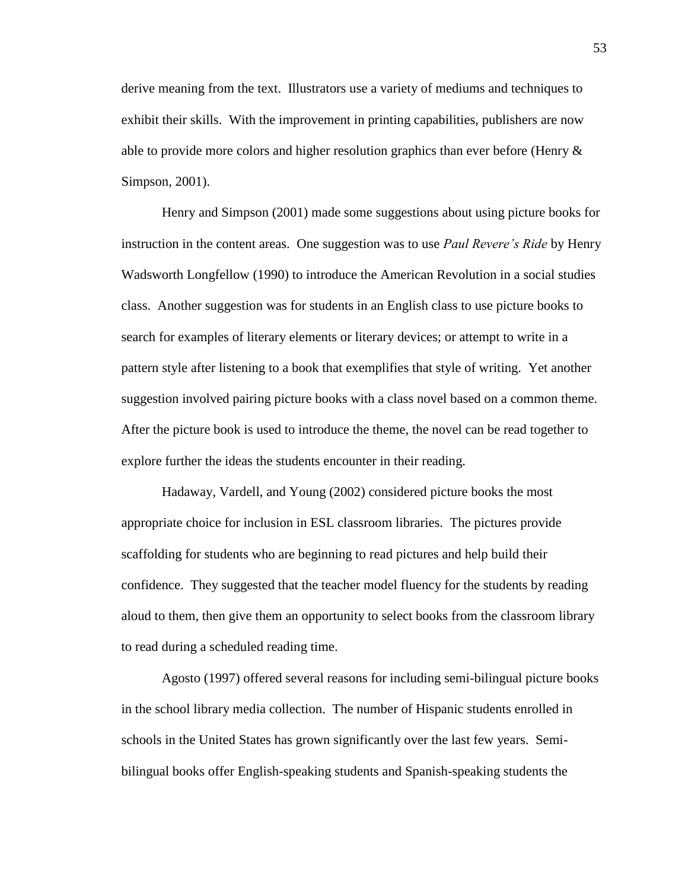derive meaning from the text. Illustrators use a variety of mediums and techniques to exhibit their skills. With the improvement in printing capabilities, publishers are now able to provide more colors and higher resolution graphics than ever before (Henry  $\&$ Simpson, 2001).

Henry and Simpson (2001) made some suggestions about using picture books for instruction in the content areas. One suggestion was to use *Paul Revere's Ride* by Henry Wadsworth Longfellow (1990) to introduce the American Revolution in a social studies class. Another suggestion was for students in an English class to use picture books to search for examples of literary elements or literary devices; or attempt to write in a pattern style after listening to a book that exemplifies that style of writing. Yet another suggestion involved pairing picture books with a class novel based on a common theme. After the picture book is used to introduce the theme, the novel can be read together to explore further the ideas the students encounter in their reading.

Hadaway, Vardell, and Young (2002) considered picture books the most appropriate choice for inclusion in ESL classroom libraries. The pictures provide scaffolding for students who are beginning to read pictures and help build their confidence. They suggested that the teacher model fluency for the students by reading aloud to them, then give them an opportunity to select books from the classroom library to read during a scheduled reading time.

Agosto (1997) offered several reasons for including semi-bilingual picture books in the school library media collection. The number of Hispanic students enrolled in schools in the United States has grown significantly over the last few years. Semibilingual books offer English-speaking students and Spanish-speaking students the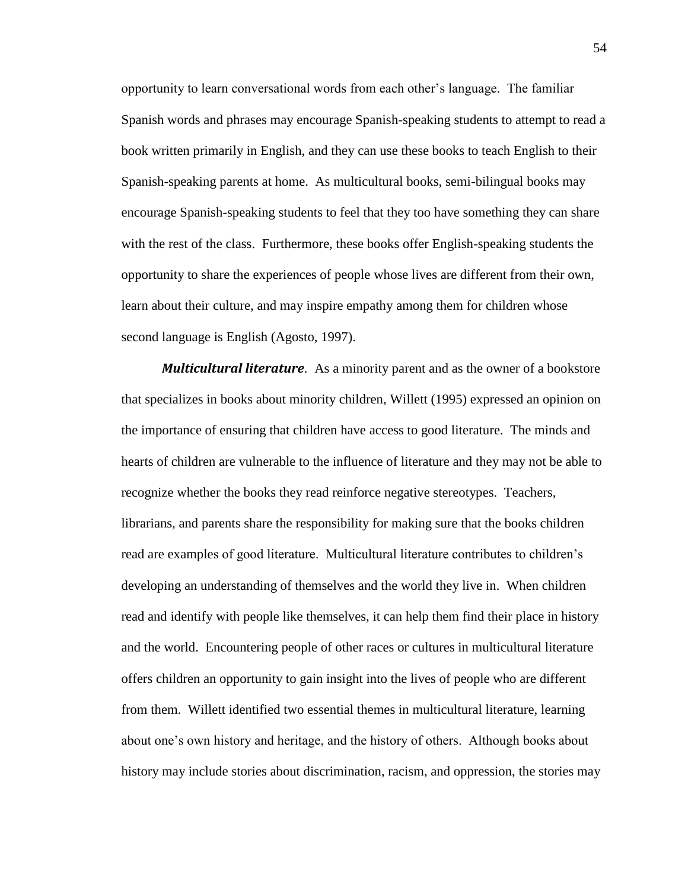opportunity to learn conversational words from each other's language. The familiar Spanish words and phrases may encourage Spanish-speaking students to attempt to read a book written primarily in English, and they can use these books to teach English to their Spanish-speaking parents at home. As multicultural books, semi-bilingual books may encourage Spanish-speaking students to feel that they too have something they can share with the rest of the class. Furthermore, these books offer English-speaking students the opportunity to share the experiences of people whose lives are different from their own, learn about their culture, and may inspire empathy among them for children whose second language is English (Agosto, 1997).

*Multicultural literature.* As a minority parent and as the owner of a bookstore that specializes in books about minority children, Willett (1995) expressed an opinion on the importance of ensuring that children have access to good literature. The minds and hearts of children are vulnerable to the influence of literature and they may not be able to recognize whether the books they read reinforce negative stereotypes. Teachers, librarians, and parents share the responsibility for making sure that the books children read are examples of good literature. Multicultural literature contributes to children's developing an understanding of themselves and the world they live in. When children read and identify with people like themselves, it can help them find their place in history and the world. Encountering people of other races or cultures in multicultural literature offers children an opportunity to gain insight into the lives of people who are different from them. Willett identified two essential themes in multicultural literature, learning about one's own history and heritage, and the history of others. Although books about history may include stories about discrimination, racism, and oppression, the stories may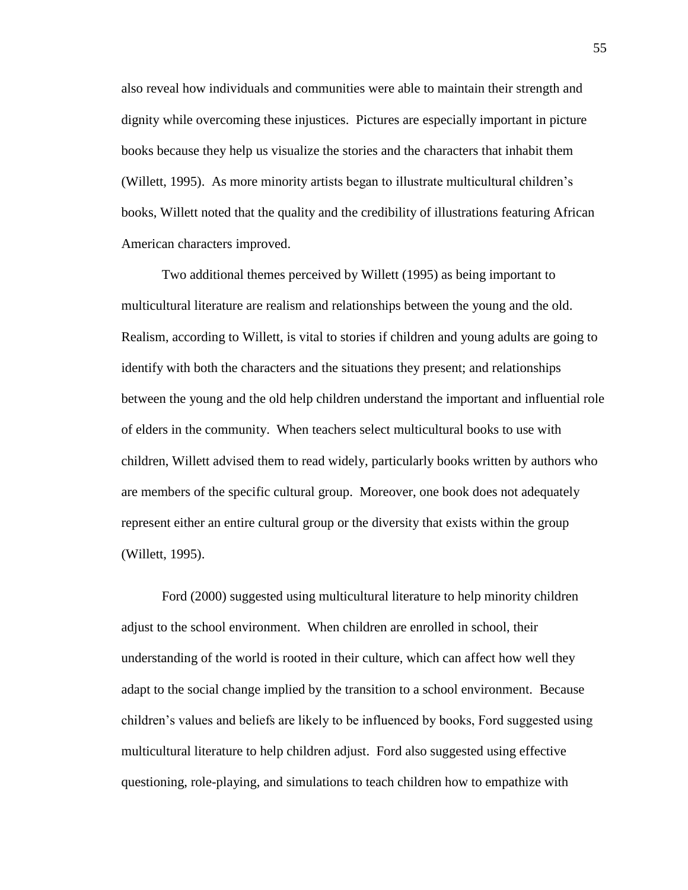also reveal how individuals and communities were able to maintain their strength and dignity while overcoming these injustices. Pictures are especially important in picture books because they help us visualize the stories and the characters that inhabit them (Willett, 1995). As more minority artists began to illustrate multicultural children's books, Willett noted that the quality and the credibility of illustrations featuring African American characters improved.

Two additional themes perceived by Willett (1995) as being important to multicultural literature are realism and relationships between the young and the old. Realism, according to Willett, is vital to stories if children and young adults are going to identify with both the characters and the situations they present; and relationships between the young and the old help children understand the important and influential role of elders in the community. When teachers select multicultural books to use with children, Willett advised them to read widely, particularly books written by authors who are members of the specific cultural group. Moreover, one book does not adequately represent either an entire cultural group or the diversity that exists within the group (Willett, 1995).

Ford (2000) suggested using multicultural literature to help minority children adjust to the school environment. When children are enrolled in school, their understanding of the world is rooted in their culture, which can affect how well they adapt to the social change implied by the transition to a school environment. Because children's values and beliefs are likely to be influenced by books, Ford suggested using multicultural literature to help children adjust. Ford also suggested using effective questioning, role-playing, and simulations to teach children how to empathize with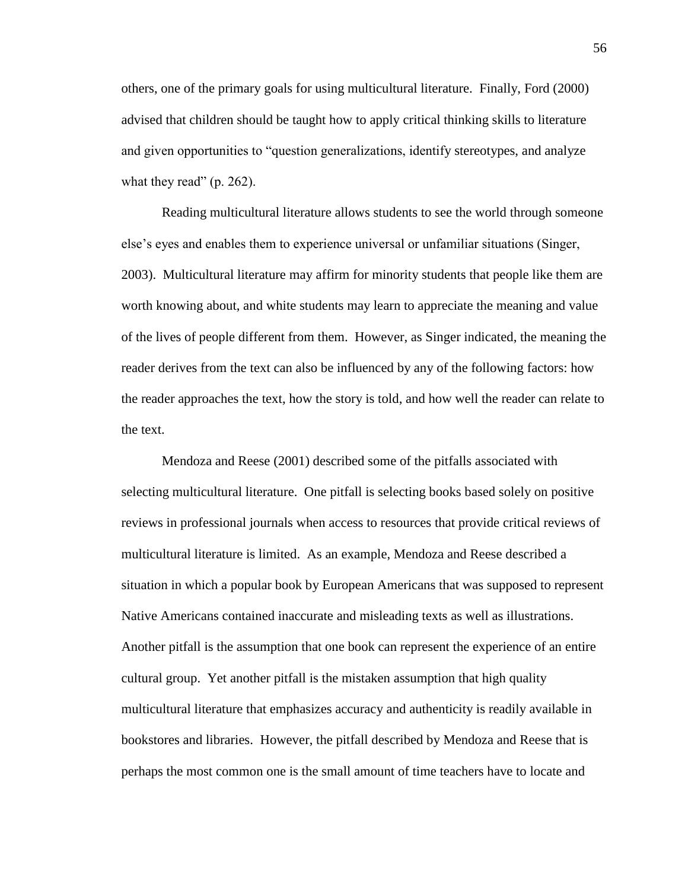others, one of the primary goals for using multicultural literature. Finally, Ford (2000) advised that children should be taught how to apply critical thinking skills to literature and given opportunities to "question generalizations, identify stereotypes, and analyze what they read"  $(p. 262)$ .

Reading multicultural literature allows students to see the world through someone else's eyes and enables them to experience universal or unfamiliar situations (Singer, 2003). Multicultural literature may affirm for minority students that people like them are worth knowing about, and white students may learn to appreciate the meaning and value of the lives of people different from them. However, as Singer indicated, the meaning the reader derives from the text can also be influenced by any of the following factors: how the reader approaches the text, how the story is told, and how well the reader can relate to the text.

Mendoza and Reese (2001) described some of the pitfalls associated with selecting multicultural literature. One pitfall is selecting books based solely on positive reviews in professional journals when access to resources that provide critical reviews of multicultural literature is limited. As an example, Mendoza and Reese described a situation in which a popular book by European Americans that was supposed to represent Native Americans contained inaccurate and misleading texts as well as illustrations. Another pitfall is the assumption that one book can represent the experience of an entire cultural group. Yet another pitfall is the mistaken assumption that high quality multicultural literature that emphasizes accuracy and authenticity is readily available in bookstores and libraries. However, the pitfall described by Mendoza and Reese that is perhaps the most common one is the small amount of time teachers have to locate and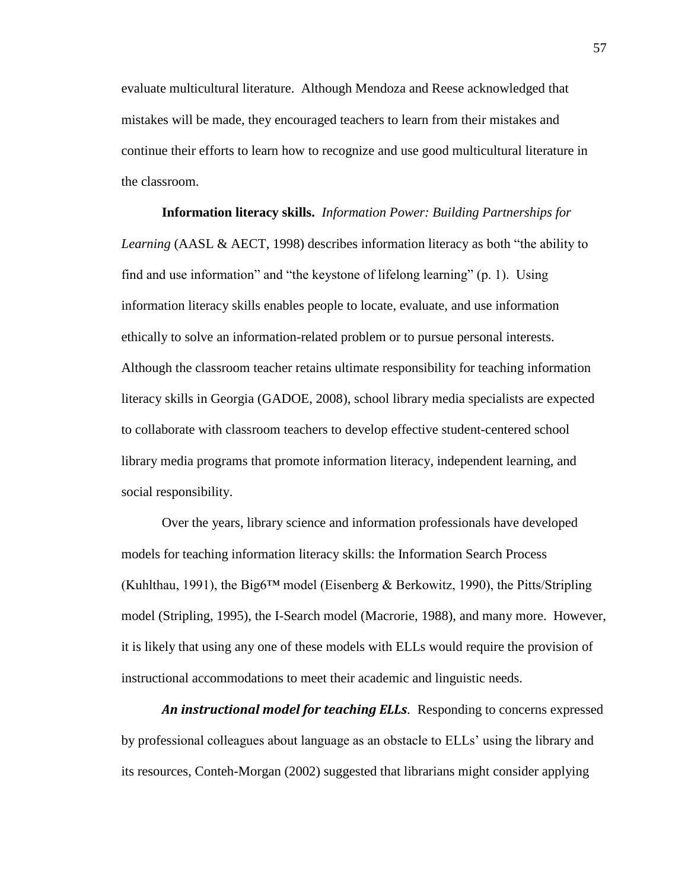evaluate multicultural literature. Although Mendoza and Reese acknowledged that mistakes will be made, they encouraged teachers to learn from their mistakes and continue their efforts to learn how to recognize and use good multicultural literature in the classroom.

**Information literacy skills.** *Information Power: Building Partnerships for Learning* (AASL & AECT, 1998) describes information literacy as both "the ability to find and use information" and "the keystone of lifelong learning" (p. 1). Using information literacy skills enables people to locate, evaluate, and use information ethically to solve an information-related problem or to pursue personal interests. Although the classroom teacher retains ultimate responsibility for teaching information literacy skills in Georgia (GADOE, 2008), school library media specialists are expected to collaborate with classroom teachers to develop effective student-centered school library media programs that promote information literacy, independent learning, and social responsibility.

Over the years, library science and information professionals have developed models for teaching information literacy skills: the Information Search Process (Kuhlthau, 1991), the Big6<sup>TM</sup> model (Eisenberg & Berkowitz, 1990), the Pitts/Stripling model (Stripling, 1995), the I-Search model (Macrorie, 1988), and many more. However, it is likely that using any one of these models with ELLs would require the provision of instructional accommodations to meet their academic and linguistic needs.

*An instructional model for teaching ELLs.* Responding to concerns expressed by professional colleagues about language as an obstacle to ELLs' using the library and its resources, Conteh-Morgan (2002) suggested that librarians might consider applying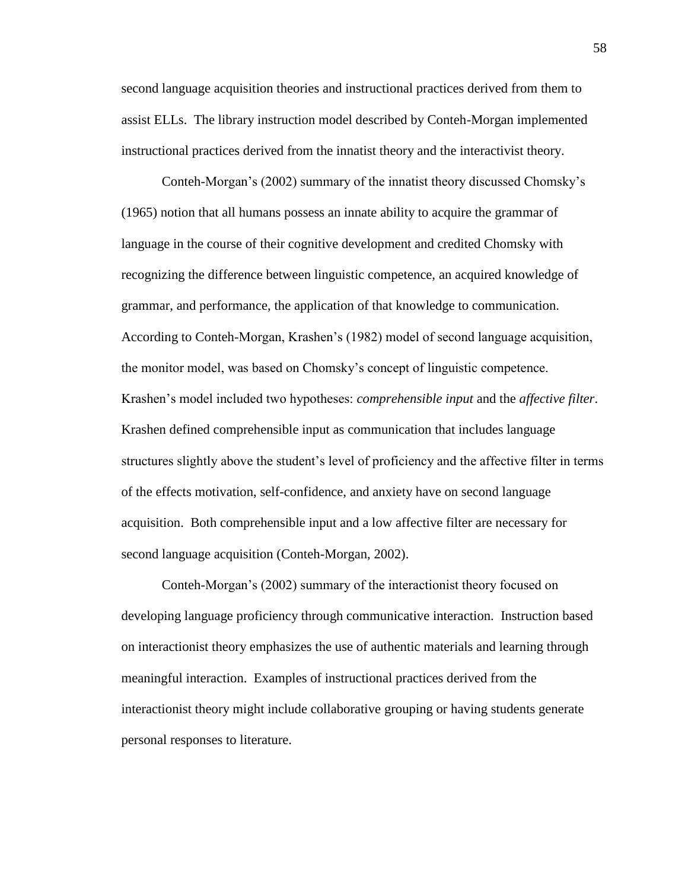second language acquisition theories and instructional practices derived from them to assist ELLs. The library instruction model described by Conteh-Morgan implemented instructional practices derived from the innatist theory and the interactivist theory.

Conteh-Morgan's (2002) summary of the innatist theory discussed Chomsky's (1965) notion that all humans possess an innate ability to acquire the grammar of language in the course of their cognitive development and credited Chomsky with recognizing the difference between linguistic competence, an acquired knowledge of grammar, and performance, the application of that knowledge to communication. According to Conteh-Morgan, Krashen's (1982) model of second language acquisition, the monitor model, was based on Chomsky's concept of linguistic competence. Krashen's model included two hypotheses: *comprehensible input* and the *affective filter*. Krashen defined comprehensible input as communication that includes language structures slightly above the student's level of proficiency and the affective filter in terms of the effects motivation, self-confidence, and anxiety have on second language acquisition. Both comprehensible input and a low affective filter are necessary for second language acquisition (Conteh-Morgan, 2002).

Conteh-Morgan's (2002) summary of the interactionist theory focused on developing language proficiency through communicative interaction. Instruction based on interactionist theory emphasizes the use of authentic materials and learning through meaningful interaction. Examples of instructional practices derived from the interactionist theory might include collaborative grouping or having students generate personal responses to literature.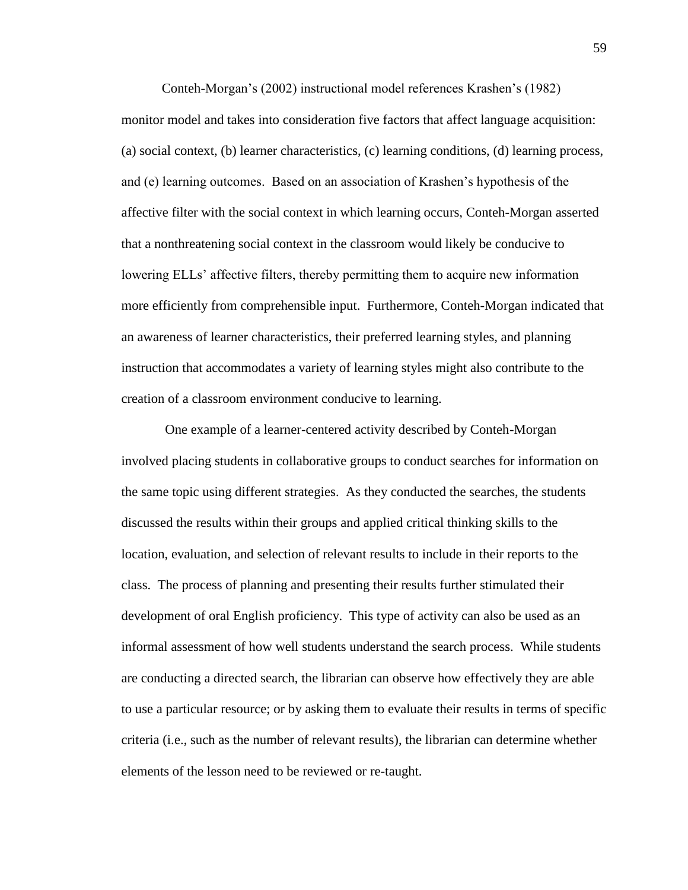Conteh-Morgan's (2002) instructional model references Krashen's (1982) monitor model and takes into consideration five factors that affect language acquisition: (a) social context, (b) learner characteristics, (c) learning conditions, (d) learning process, and (e) learning outcomes. Based on an association of Krashen's hypothesis of the affective filter with the social context in which learning occurs, Conteh-Morgan asserted that a nonthreatening social context in the classroom would likely be conducive to lowering ELLs' affective filters, thereby permitting them to acquire new information more efficiently from comprehensible input. Furthermore, Conteh-Morgan indicated that an awareness of learner characteristics, their preferred learning styles, and planning instruction that accommodates a variety of learning styles might also contribute to the creation of a classroom environment conducive to learning.

One example of a learner-centered activity described by Conteh-Morgan involved placing students in collaborative groups to conduct searches for information on the same topic using different strategies. As they conducted the searches, the students discussed the results within their groups and applied critical thinking skills to the location, evaluation, and selection of relevant results to include in their reports to the class. The process of planning and presenting their results further stimulated their development of oral English proficiency. This type of activity can also be used as an informal assessment of how well students understand the search process. While students are conducting a directed search, the librarian can observe how effectively they are able to use a particular resource; or by asking them to evaluate their results in terms of specific criteria (i.e., such as the number of relevant results), the librarian can determine whether elements of the lesson need to be reviewed or re-taught.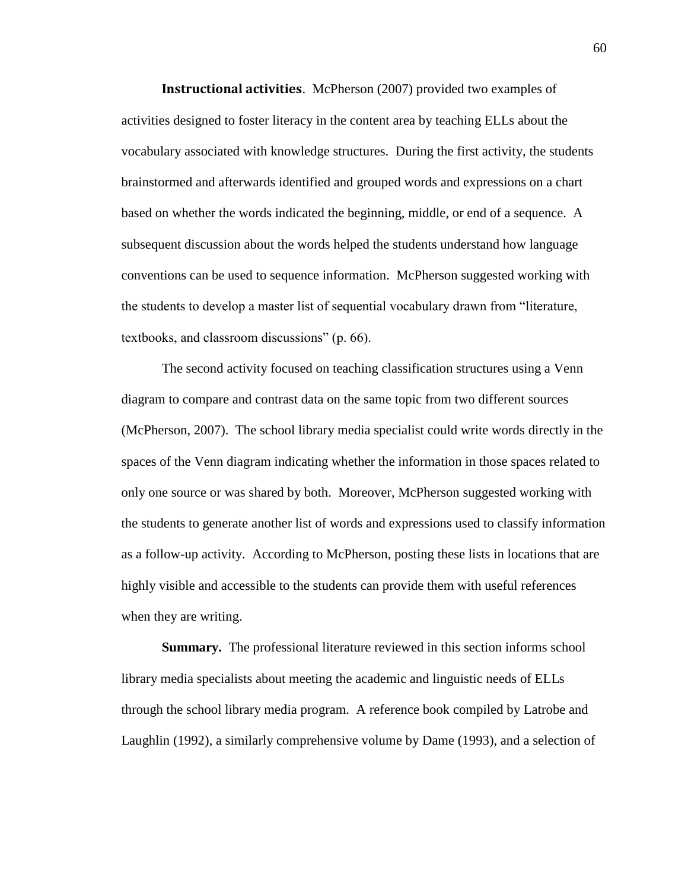**Instructional activities**. McPherson (2007) provided two examples of activities designed to foster literacy in the content area by teaching ELLs about the vocabulary associated with knowledge structures. During the first activity, the students brainstormed and afterwards identified and grouped words and expressions on a chart based on whether the words indicated the beginning, middle, or end of a sequence. A subsequent discussion about the words helped the students understand how language conventions can be used to sequence information. McPherson suggested working with the students to develop a master list of sequential vocabulary drawn from "literature, textbooks, and classroom discussions" (p. 66).

The second activity focused on teaching classification structures using a Venn diagram to compare and contrast data on the same topic from two different sources (McPherson, 2007). The school library media specialist could write words directly in the spaces of the Venn diagram indicating whether the information in those spaces related to only one source or was shared by both. Moreover, McPherson suggested working with the students to generate another list of words and expressions used to classify information as a follow-up activity. According to McPherson, posting these lists in locations that are highly visible and accessible to the students can provide them with useful references when they are writing.

**Summary.** The professional literature reviewed in this section informs school library media specialists about meeting the academic and linguistic needs of ELLs through the school library media program. A reference book compiled by Latrobe and Laughlin (1992), a similarly comprehensive volume by Dame (1993), and a selection of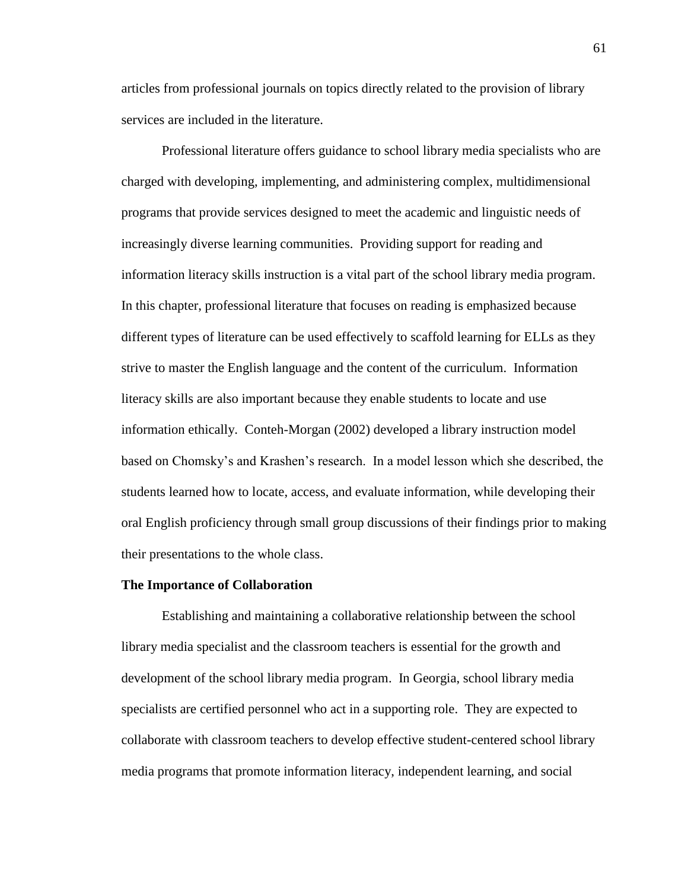articles from professional journals on topics directly related to the provision of library services are included in the literature.

Professional literature offers guidance to school library media specialists who are charged with developing, implementing, and administering complex, multidimensional programs that provide services designed to meet the academic and linguistic needs of increasingly diverse learning communities. Providing support for reading and information literacy skills instruction is a vital part of the school library media program. In this chapter, professional literature that focuses on reading is emphasized because different types of literature can be used effectively to scaffold learning for ELLs as they strive to master the English language and the content of the curriculum. Information literacy skills are also important because they enable students to locate and use information ethically. Conteh-Morgan (2002) developed a library instruction model based on Chomsky's and Krashen's research. In a model lesson which she described, the students learned how to locate, access, and evaluate information, while developing their oral English proficiency through small group discussions of their findings prior to making their presentations to the whole class.

#### **The Importance of Collaboration**

Establishing and maintaining a collaborative relationship between the school library media specialist and the classroom teachers is essential for the growth and development of the school library media program. In Georgia, school library media specialists are certified personnel who act in a supporting role. They are expected to collaborate with classroom teachers to develop effective student-centered school library media programs that promote information literacy, independent learning, and social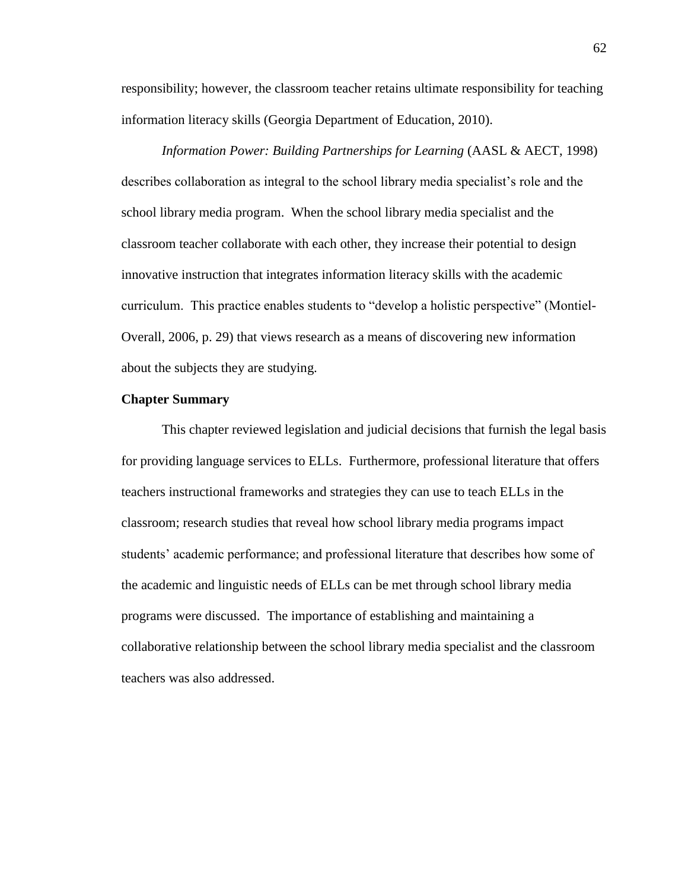responsibility; however, the classroom teacher retains ultimate responsibility for teaching information literacy skills (Georgia Department of Education, 2010).

*Information Power: Building Partnerships for Learning* (AASL & AECT, 1998) describes collaboration as integral to the school library media specialist's role and the school library media program. When the school library media specialist and the classroom teacher collaborate with each other, they increase their potential to design innovative instruction that integrates information literacy skills with the academic curriculum. This practice enables students to "develop a holistic perspective" (Montiel-Overall, 2006, p. 29) that views research as a means of discovering new information about the subjects they are studying.

#### **Chapter Summary**

This chapter reviewed legislation and judicial decisions that furnish the legal basis for providing language services to ELLs. Furthermore, professional literature that offers teachers instructional frameworks and strategies they can use to teach ELLs in the classroom; research studies that reveal how school library media programs impact students' academic performance; and professional literature that describes how some of the academic and linguistic needs of ELLs can be met through school library media programs were discussed. The importance of establishing and maintaining a collaborative relationship between the school library media specialist and the classroom teachers was also addressed.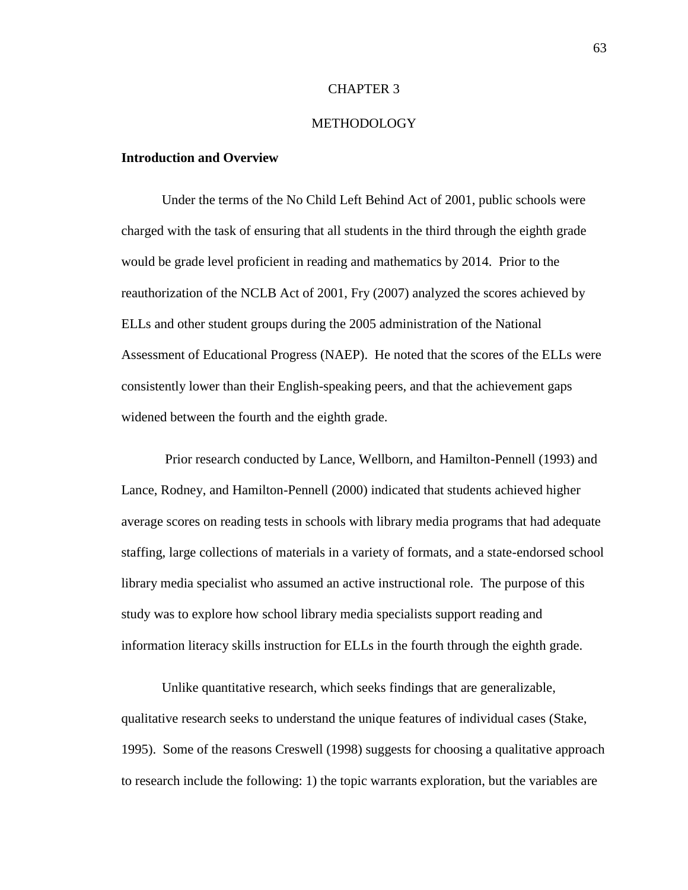#### CHAPTER 3

## **METHODOLOGY**

#### **Introduction and Overview**

Under the terms of the No Child Left Behind Act of 2001, public schools were charged with the task of ensuring that all students in the third through the eighth grade would be grade level proficient in reading and mathematics by 2014. Prior to the reauthorization of the NCLB Act of 2001, Fry (2007) analyzed the scores achieved by ELLs and other student groups during the 2005 administration of the National Assessment of Educational Progress (NAEP). He noted that the scores of the ELLs were consistently lower than their English-speaking peers, and that the achievement gaps widened between the fourth and the eighth grade.

Prior research conducted by Lance, Wellborn, and Hamilton-Pennell (1993) and Lance, Rodney, and Hamilton-Pennell (2000) indicated that students achieved higher average scores on reading tests in schools with library media programs that had adequate staffing, large collections of materials in a variety of formats, and a state-endorsed school library media specialist who assumed an active instructional role. The purpose of this study was to explore how school library media specialists support reading and information literacy skills instruction for ELLs in the fourth through the eighth grade.

Unlike quantitative research, which seeks findings that are generalizable, qualitative research seeks to understand the unique features of individual cases (Stake, 1995). Some of the reasons Creswell (1998) suggests for choosing a qualitative approach to research include the following: 1) the topic warrants exploration, but the variables are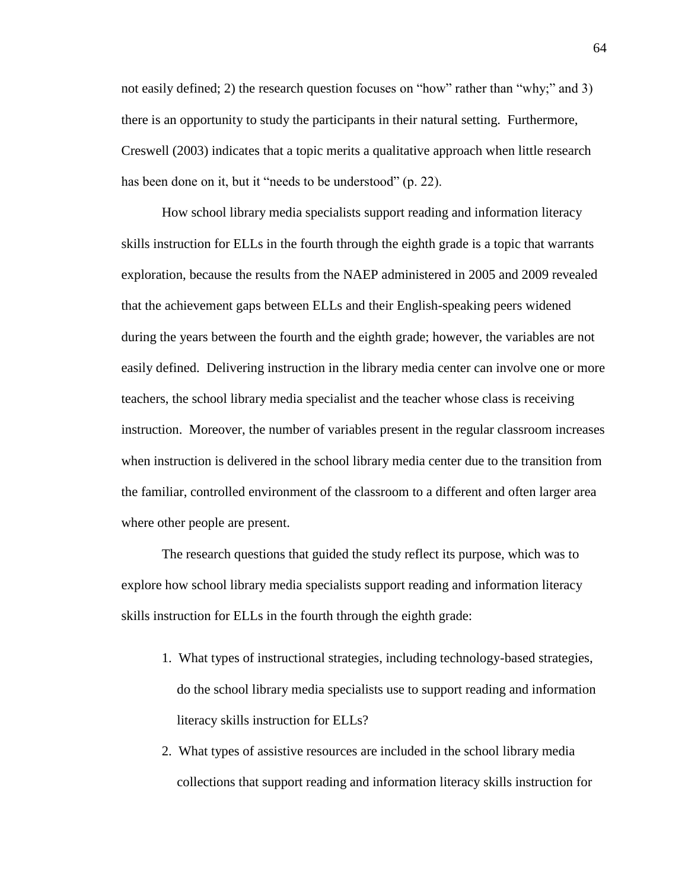not easily defined; 2) the research question focuses on "how" rather than "why;" and 3) there is an opportunity to study the participants in their natural setting. Furthermore, Creswell (2003) indicates that a topic merits a qualitative approach when little research has been done on it, but it "needs to be understood" (p. 22).

How school library media specialists support reading and information literacy skills instruction for ELLs in the fourth through the eighth grade is a topic that warrants exploration, because the results from the NAEP administered in 2005 and 2009 revealed that the achievement gaps between ELLs and their English-speaking peers widened during the years between the fourth and the eighth grade; however, the variables are not easily defined. Delivering instruction in the library media center can involve one or more teachers, the school library media specialist and the teacher whose class is receiving instruction. Moreover, the number of variables present in the regular classroom increases when instruction is delivered in the school library media center due to the transition from the familiar, controlled environment of the classroom to a different and often larger area where other people are present.

The research questions that guided the study reflect its purpose, which was to explore how school library media specialists support reading and information literacy skills instruction for ELLs in the fourth through the eighth grade:

- 1. What types of instructional strategies, including technology-based strategies, do the school library media specialists use to support reading and information literacy skills instruction for ELLs?
- 2. What types of assistive resources are included in the school library media collections that support reading and information literacy skills instruction for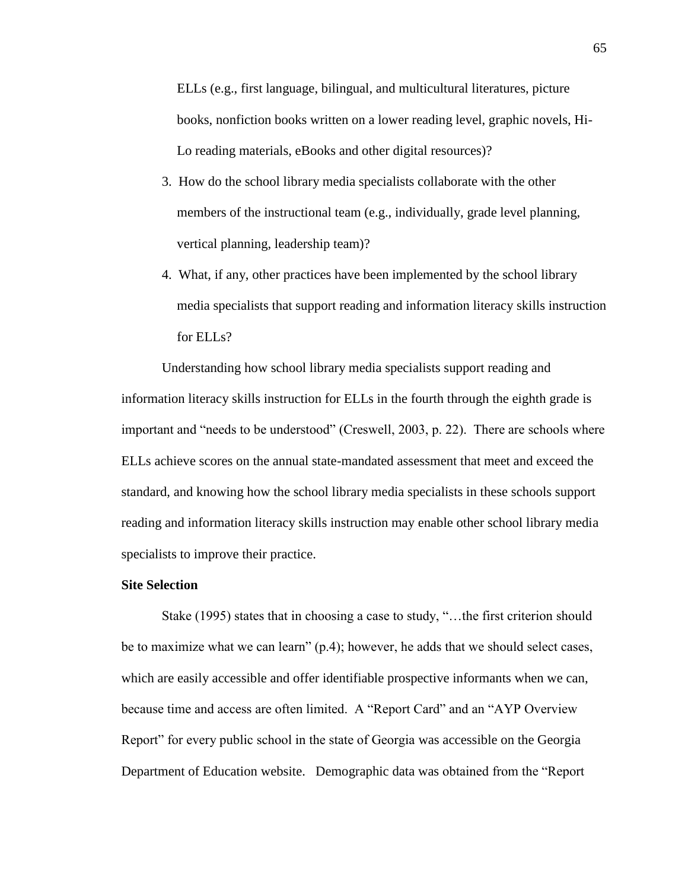ELLs (e.g., first language, bilingual, and multicultural literatures, picture books, nonfiction books written on a lower reading level, graphic novels, Hi-Lo reading materials, eBooks and other digital resources)?

- 3. How do the school library media specialists collaborate with the other members of the instructional team (e.g., individually, grade level planning, vertical planning, leadership team)?
- 4. What, if any, other practices have been implemented by the school library media specialists that support reading and information literacy skills instruction for ELLs?

Understanding how school library media specialists support reading and information literacy skills instruction for ELLs in the fourth through the eighth grade is important and "needs to be understood" (Creswell, 2003, p. 22). There are schools where ELLs achieve scores on the annual state-mandated assessment that meet and exceed the standard, and knowing how the school library media specialists in these schools support reading and information literacy skills instruction may enable other school library media specialists to improve their practice.

## **Site Selection**

Stake (1995) states that in choosing a case to study, "…the first criterion should be to maximize what we can learn" (p.4); however, he adds that we should select cases, which are easily accessible and offer identifiable prospective informants when we can, because time and access are often limited. A "Report Card" and an "AYP Overview Report" for every public school in the state of Georgia was accessible on the Georgia Department of Education website. Demographic data was obtained from the "Report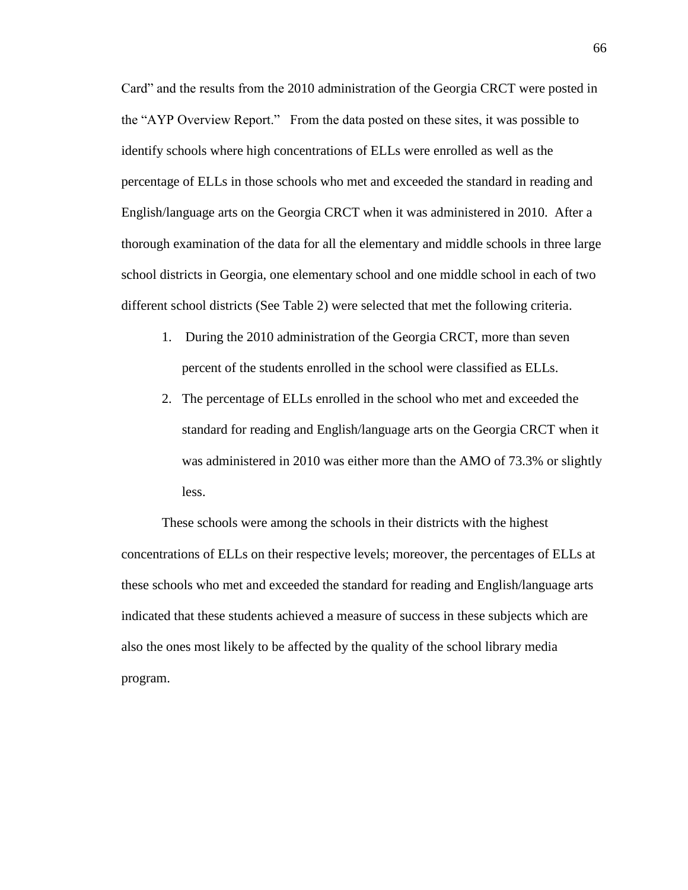Card" and the results from the 2010 administration of the Georgia CRCT were posted in the "AYP Overview Report." From the data posted on these sites, it was possible to identify schools where high concentrations of ELLs were enrolled as well as the percentage of ELLs in those schools who met and exceeded the standard in reading and English/language arts on the Georgia CRCT when it was administered in 2010. After a thorough examination of the data for all the elementary and middle schools in three large school districts in Georgia, one elementary school and one middle school in each of two different school districts (See Table 2) were selected that met the following criteria.

- 1. During the 2010 administration of the Georgia CRCT, more than seven percent of the students enrolled in the school were classified as ELLs.
- 2. The percentage of ELLs enrolled in the school who met and exceeded the standard for reading and English/language arts on the Georgia CRCT when it was administered in 2010 was either more than the AMO of 73.3% or slightly less.

These schools were among the schools in their districts with the highest concentrations of ELLs on their respective levels; moreover, the percentages of ELLs at these schools who met and exceeded the standard for reading and English/language arts indicated that these students achieved a measure of success in these subjects which are also the ones most likely to be affected by the quality of the school library media program.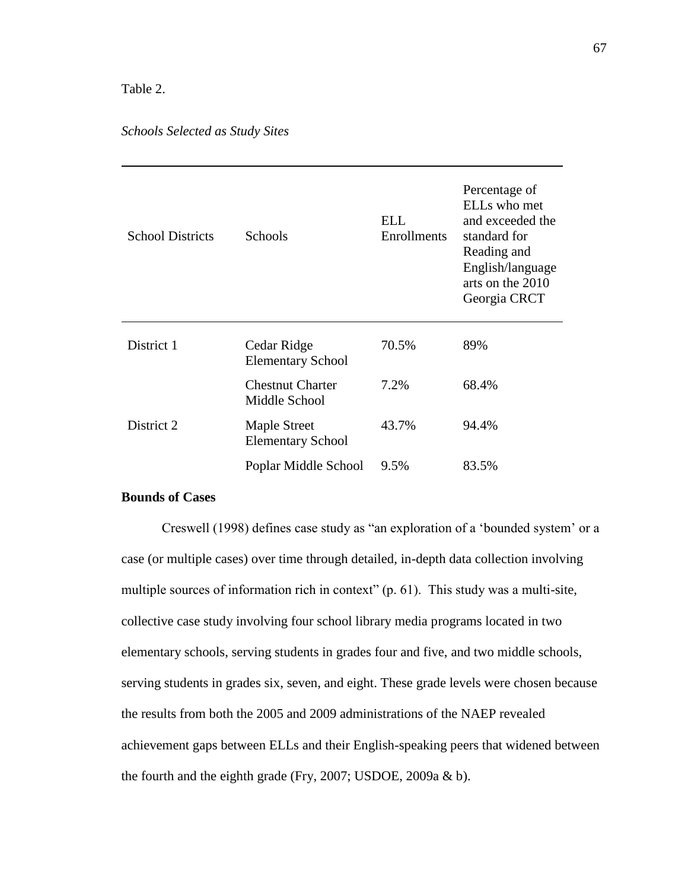## Table 2.

## *Schools Selected as Study Sites*

| <b>School Districts</b> | <b>Schools</b>                           | ELL<br>Enrollments | Percentage of<br>ELLs who met<br>and exceeded the<br>standard for<br>Reading and<br>English/language<br>arts on the 2010<br>Georgia CRCT |
|-------------------------|------------------------------------------|--------------------|------------------------------------------------------------------------------------------------------------------------------------------|
| District 1              | Cedar Ridge<br><b>Elementary School</b>  | 70.5%              | 89%                                                                                                                                      |
|                         | <b>Chestnut Charter</b><br>Middle School | 7.2%               | 68.4%                                                                                                                                    |
| District 2              | Maple Street<br><b>Elementary School</b> | 43.7%              | 94.4%                                                                                                                                    |
|                         | Poplar Middle School                     | 9.5%               | 83.5%                                                                                                                                    |

## **Bounds of Cases**

Creswell (1998) defines case study as "an exploration of a 'bounded system' or a case (or multiple cases) over time through detailed, in-depth data collection involving multiple sources of information rich in context" (p. 61). This study was a multi-site, collective case study involving four school library media programs located in two elementary schools, serving students in grades four and five, and two middle schools, serving students in grades six, seven, and eight. These grade levels were chosen because the results from both the 2005 and 2009 administrations of the NAEP revealed achievement gaps between ELLs and their English-speaking peers that widened between the fourth and the eighth grade (Fry, 2007; USDOE, 2009a & b).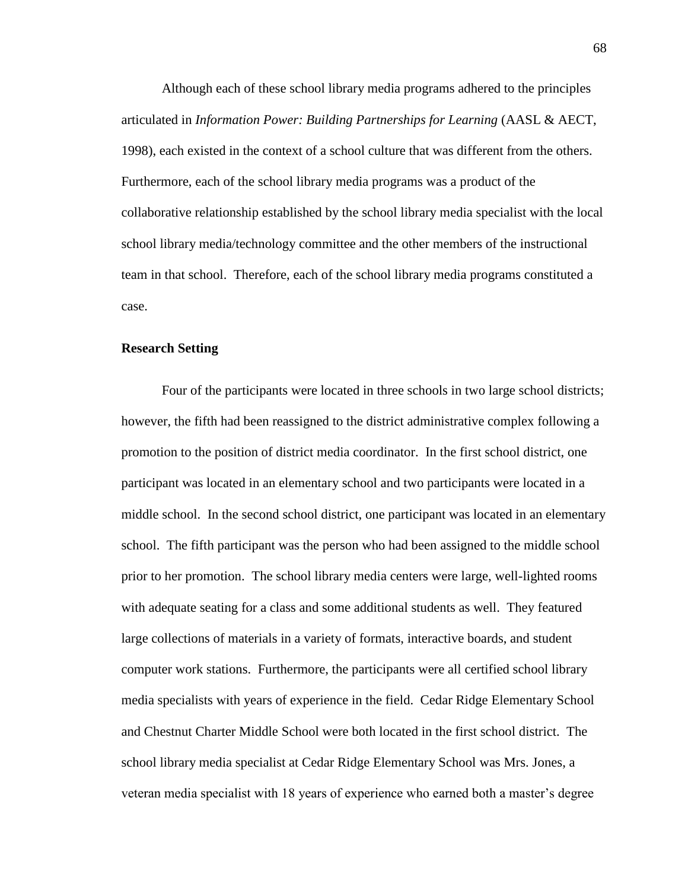Although each of these school library media programs adhered to the principles articulated in *Information Power: Building Partnerships for Learning* (AASL & AECT, 1998), each existed in the context of a school culture that was different from the others. Furthermore, each of the school library media programs was a product of the collaborative relationship established by the school library media specialist with the local school library media/technology committee and the other members of the instructional team in that school. Therefore, each of the school library media programs constituted a case.

## **Research Setting**

Four of the participants were located in three schools in two large school districts; however, the fifth had been reassigned to the district administrative complex following a promotion to the position of district media coordinator. In the first school district, one participant was located in an elementary school and two participants were located in a middle school. In the second school district, one participant was located in an elementary school. The fifth participant was the person who had been assigned to the middle school prior to her promotion. The school library media centers were large, well-lighted rooms with adequate seating for a class and some additional students as well. They featured large collections of materials in a variety of formats, interactive boards, and student computer work stations. Furthermore, the participants were all certified school library media specialists with years of experience in the field. Cedar Ridge Elementary School and Chestnut Charter Middle School were both located in the first school district. The school library media specialist at Cedar Ridge Elementary School was Mrs. Jones, a veteran media specialist with 18 years of experience who earned both a master's degree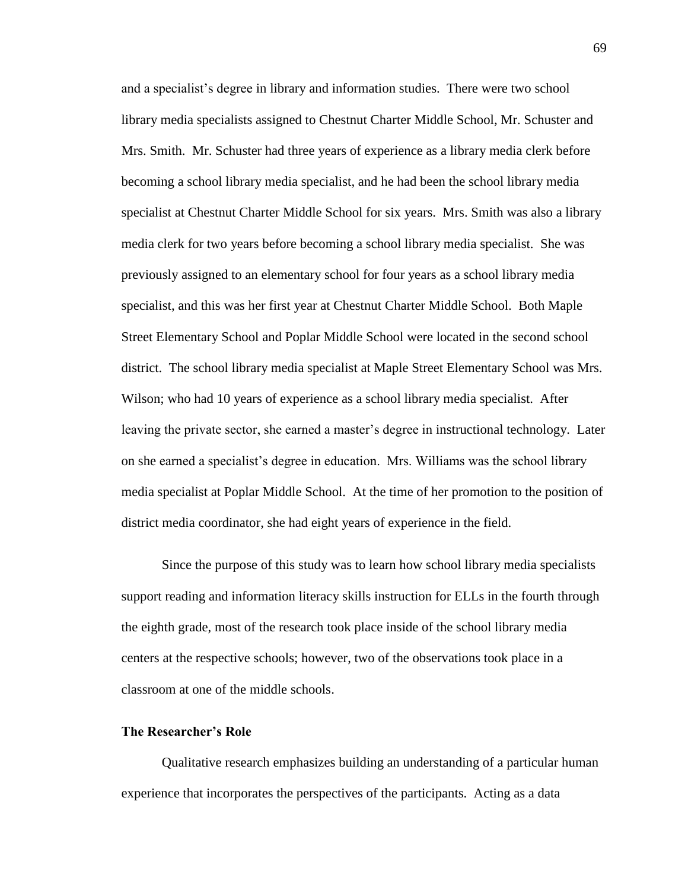and a specialist's degree in library and information studies. There were two school library media specialists assigned to Chestnut Charter Middle School, Mr. Schuster and Mrs. Smith. Mr. Schuster had three years of experience as a library media clerk before becoming a school library media specialist, and he had been the school library media specialist at Chestnut Charter Middle School for six years. Mrs. Smith was also a library media clerk for two years before becoming a school library media specialist. She was previously assigned to an elementary school for four years as a school library media specialist, and this was her first year at Chestnut Charter Middle School. Both Maple Street Elementary School and Poplar Middle School were located in the second school district. The school library media specialist at Maple Street Elementary School was Mrs. Wilson; who had 10 years of experience as a school library media specialist. After leaving the private sector, she earned a master's degree in instructional technology. Later on she earned a specialist's degree in education. Mrs. Williams was the school library media specialist at Poplar Middle School. At the time of her promotion to the position of district media coordinator, she had eight years of experience in the field.

Since the purpose of this study was to learn how school library media specialists support reading and information literacy skills instruction for ELLs in the fourth through the eighth grade, most of the research took place inside of the school library media centers at the respective schools; however, two of the observations took place in a classroom at one of the middle schools.

#### **The Researcher's Role**

Qualitative research emphasizes building an understanding of a particular human experience that incorporates the perspectives of the participants. Acting as a data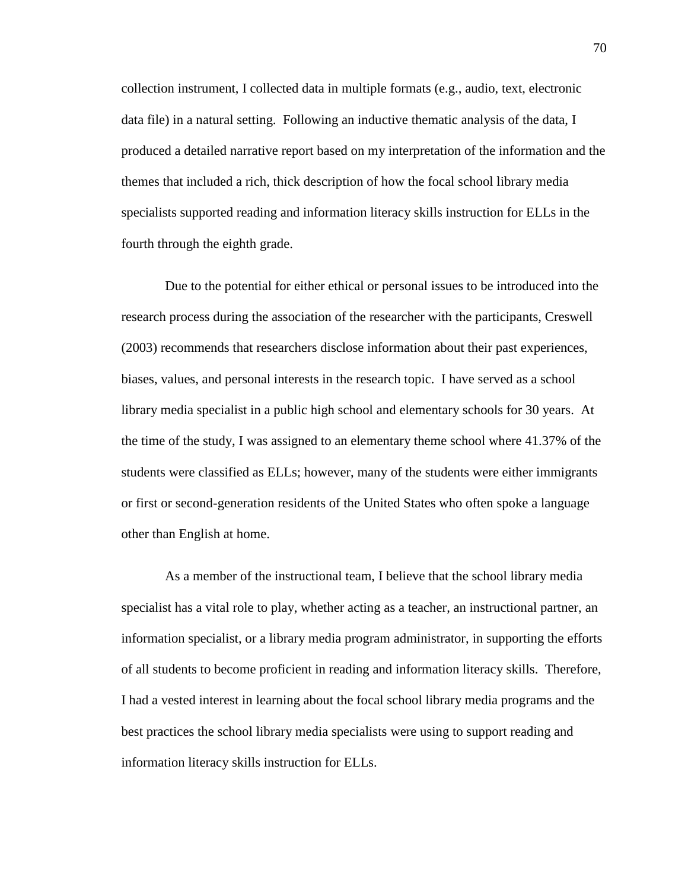collection instrument, I collected data in multiple formats (e.g., audio, text, electronic data file) in a natural setting. Following an inductive thematic analysis of the data, I produced a detailed narrative report based on my interpretation of the information and the themes that included a rich, thick description of how the focal school library media specialists supported reading and information literacy skills instruction for ELLs in the fourth through the eighth grade.

Due to the potential for either ethical or personal issues to be introduced into the research process during the association of the researcher with the participants, Creswell (2003) recommends that researchers disclose information about their past experiences, biases, values, and personal interests in the research topic. I have served as a school library media specialist in a public high school and elementary schools for 30 years. At the time of the study, I was assigned to an elementary theme school where 41.37% of the students were classified as ELLs; however, many of the students were either immigrants or first or second-generation residents of the United States who often spoke a language other than English at home.

As a member of the instructional team, I believe that the school library media specialist has a vital role to play, whether acting as a teacher, an instructional partner, an information specialist, or a library media program administrator, in supporting the efforts of all students to become proficient in reading and information literacy skills. Therefore, I had a vested interest in learning about the focal school library media programs and the best practices the school library media specialists were using to support reading and information literacy skills instruction for ELLs.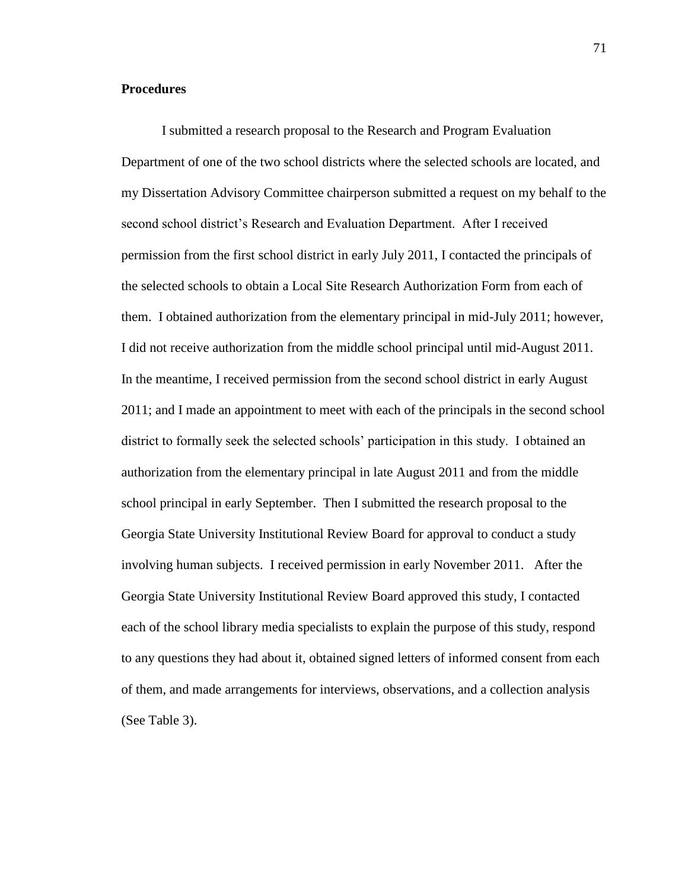## **Procedures**

I submitted a research proposal to the Research and Program Evaluation Department of one of the two school districts where the selected schools are located, and my Dissertation Advisory Committee chairperson submitted a request on my behalf to the second school district's Research and Evaluation Department. After I received permission from the first school district in early July 2011, I contacted the principals of the selected schools to obtain a Local Site Research Authorization Form from each of them. I obtained authorization from the elementary principal in mid-July 2011; however, I did not receive authorization from the middle school principal until mid-August 2011. In the meantime, I received permission from the second school district in early August 2011; and I made an appointment to meet with each of the principals in the second school district to formally seek the selected schools' participation in this study. I obtained an authorization from the elementary principal in late August 2011 and from the middle school principal in early September. Then I submitted the research proposal to the Georgia State University Institutional Review Board for approval to conduct a study involving human subjects. I received permission in early November 2011. After the Georgia State University Institutional Review Board approved this study, I contacted each of the school library media specialists to explain the purpose of this study, respond to any questions they had about it, obtained signed letters of informed consent from each of them, and made arrangements for interviews, observations, and a collection analysis (See Table 3).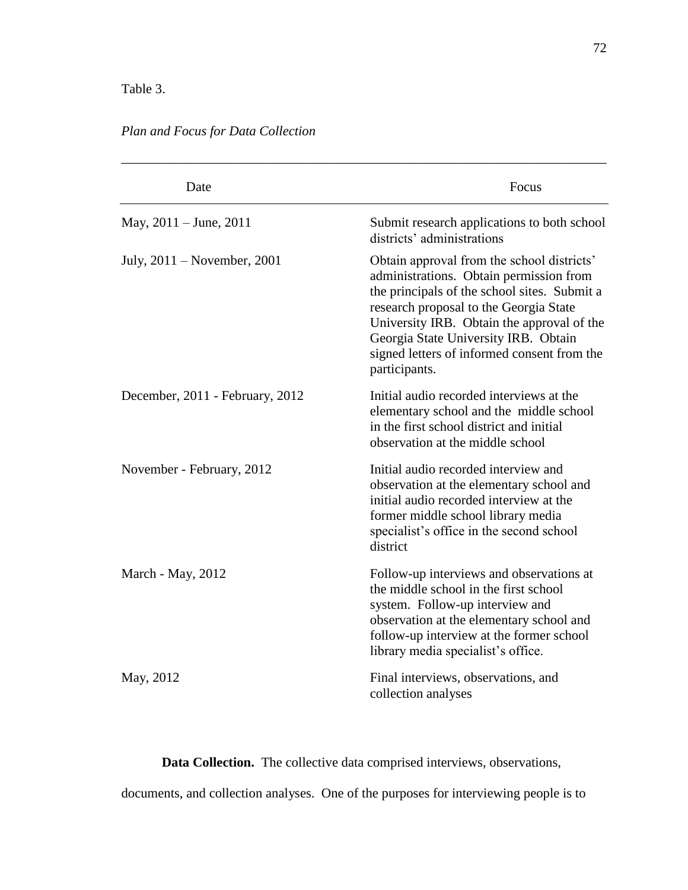# Table 3.

*Plan and Focus for Data Collection* 

| Date                            | Focus                                                                                                                                                                                                                                                                                                                                 |
|---------------------------------|---------------------------------------------------------------------------------------------------------------------------------------------------------------------------------------------------------------------------------------------------------------------------------------------------------------------------------------|
| May, $2011 -$ June, $2011$      | Submit research applications to both school<br>districts' administrations                                                                                                                                                                                                                                                             |
| July, 2011 – November, 2001     | Obtain approval from the school districts'<br>administrations. Obtain permission from<br>the principals of the school sites. Submit a<br>research proposal to the Georgia State<br>University IRB. Obtain the approval of the<br>Georgia State University IRB. Obtain<br>signed letters of informed consent from the<br>participants. |
| December, 2011 - February, 2012 | Initial audio recorded interviews at the<br>elementary school and the middle school<br>in the first school district and initial<br>observation at the middle school                                                                                                                                                                   |
| November - February, 2012       | Initial audio recorded interview and<br>observation at the elementary school and<br>initial audio recorded interview at the<br>former middle school library media<br>specialist's office in the second school<br>district                                                                                                             |
| March - May, 2012               | Follow-up interviews and observations at<br>the middle school in the first school<br>system. Follow-up interview and<br>observation at the elementary school and<br>follow-up interview at the former school<br>library media specialist's office.                                                                                    |
| May, 2012                       | Final interviews, observations, and<br>collection analyses                                                                                                                                                                                                                                                                            |

**Data Collection.** The collective data comprised interviews, observations, documents, and collection analyses. One of the purposes for interviewing people is to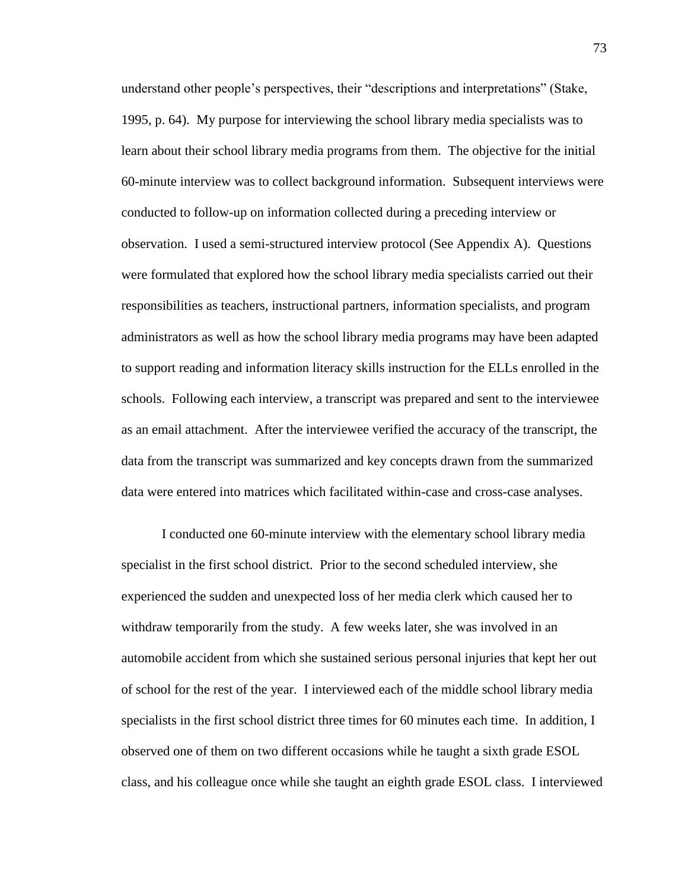understand other people's perspectives, their "descriptions and interpretations" (Stake, 1995, p. 64). My purpose for interviewing the school library media specialists was to learn about their school library media programs from them. The objective for the initial 60-minute interview was to collect background information. Subsequent interviews were conducted to follow-up on information collected during a preceding interview or observation. I used a semi-structured interview protocol (See Appendix A). Questions were formulated that explored how the school library media specialists carried out their responsibilities as teachers, instructional partners, information specialists, and program administrators as well as how the school library media programs may have been adapted to support reading and information literacy skills instruction for the ELLs enrolled in the schools. Following each interview, a transcript was prepared and sent to the interviewee as an email attachment. After the interviewee verified the accuracy of the transcript, the data from the transcript was summarized and key concepts drawn from the summarized data were entered into matrices which facilitated within-case and cross-case analyses.

I conducted one 60-minute interview with the elementary school library media specialist in the first school district. Prior to the second scheduled interview, she experienced the sudden and unexpected loss of her media clerk which caused her to withdraw temporarily from the study. A few weeks later, she was involved in an automobile accident from which she sustained serious personal injuries that kept her out of school for the rest of the year. I interviewed each of the middle school library media specialists in the first school district three times for 60 minutes each time. In addition, I observed one of them on two different occasions while he taught a sixth grade ESOL class, and his colleague once while she taught an eighth grade ESOL class. I interviewed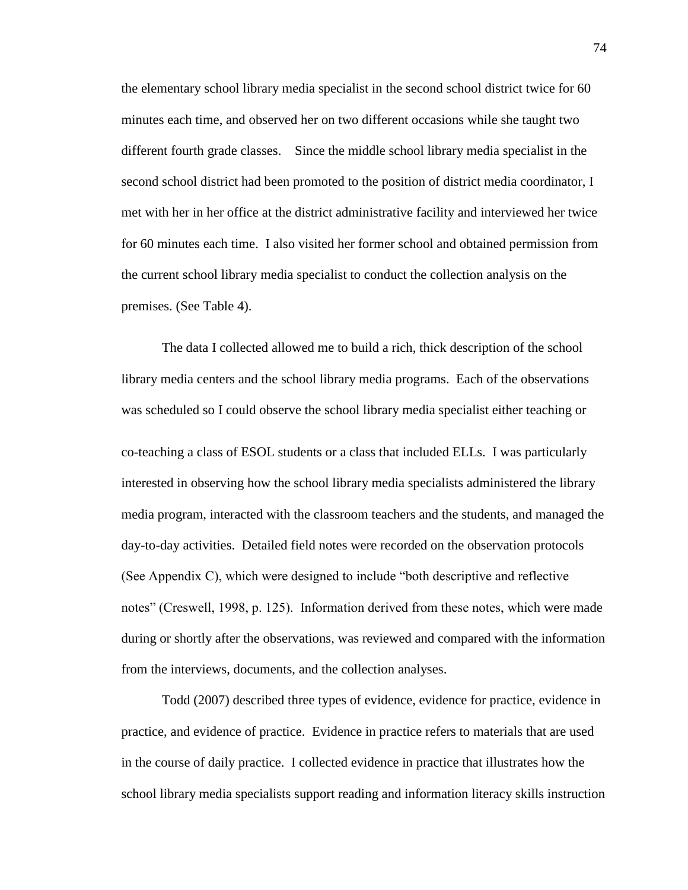the elementary school library media specialist in the second school district twice for 60 minutes each time, and observed her on two different occasions while she taught two different fourth grade classes. Since the middle school library media specialist in the second school district had been promoted to the position of district media coordinator, I met with her in her office at the district administrative facility and interviewed her twice for 60 minutes each time. I also visited her former school and obtained permission from the current school library media specialist to conduct the collection analysis on the premises. (See Table 4).

The data I collected allowed me to build a rich, thick description of the school library media centers and the school library media programs. Each of the observations was scheduled so I could observe the school library media specialist either teaching or co-teaching a class of ESOL students or a class that included ELLs. I was particularly interested in observing how the school library media specialists administered the library media program, interacted with the classroom teachers and the students, and managed the day-to-day activities. Detailed field notes were recorded on the observation protocols (See Appendix C), which were designed to include "both descriptive and reflective notes" (Creswell, 1998, p. 125). Information derived from these notes, which were made during or shortly after the observations, was reviewed and compared with the information from the interviews, documents, and the collection analyses.

Todd (2007) described three types of evidence, evidence for practice, evidence in practice, and evidence of practice. Evidence in practice refers to materials that are used in the course of daily practice. I collected evidence in practice that illustrates how the school library media specialists support reading and information literacy skills instruction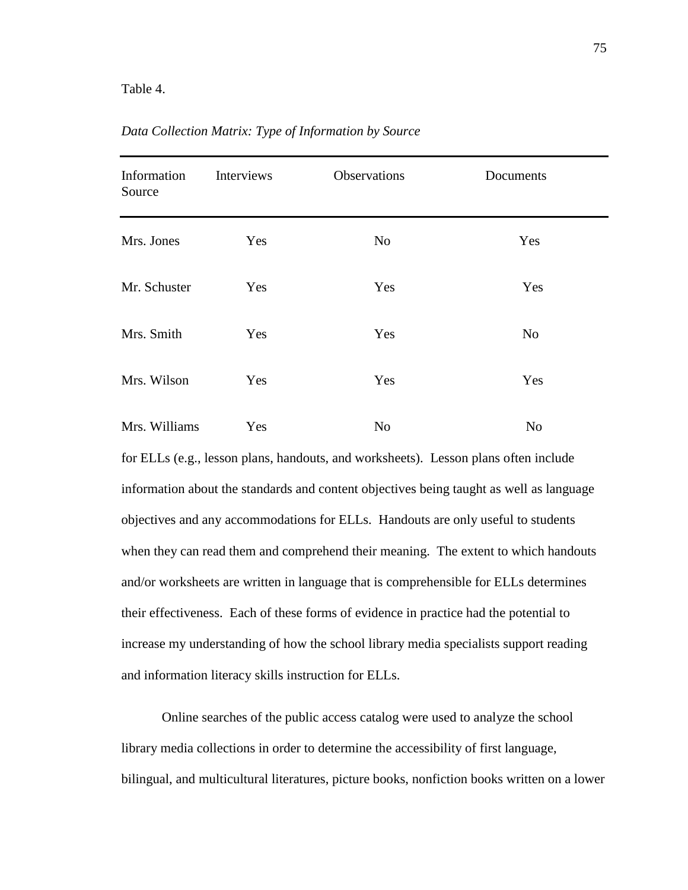#### Table 4.

| Information<br>Source | Interviews | Observations   | Documents      |  |
|-----------------------|------------|----------------|----------------|--|
| Mrs. Jones            | Yes        | N <sub>o</sub> | Yes            |  |
| Mr. Schuster          | Yes        | Yes            | Yes            |  |
| Mrs. Smith            | Yes        | Yes            | N <sub>o</sub> |  |
| Mrs. Wilson           | Yes        | Yes            | Yes            |  |
| Mrs. Williams         | Yes        | No             | No             |  |

*Data Collection Matrix: Type of Information by Source*

for ELLs (e.g., lesson plans, handouts, and worksheets). Lesson plans often include information about the standards and content objectives being taught as well as language objectives and any accommodations for ELLs. Handouts are only useful to students when they can read them and comprehend their meaning. The extent to which handouts and/or worksheets are written in language that is comprehensible for ELLs determines their effectiveness. Each of these forms of evidence in practice had the potential to increase my understanding of how the school library media specialists support reading and information literacy skills instruction for ELLs.

Online searches of the public access catalog were used to analyze the school library media collections in order to determine the accessibility of first language, bilingual, and multicultural literatures, picture books, nonfiction books written on a lower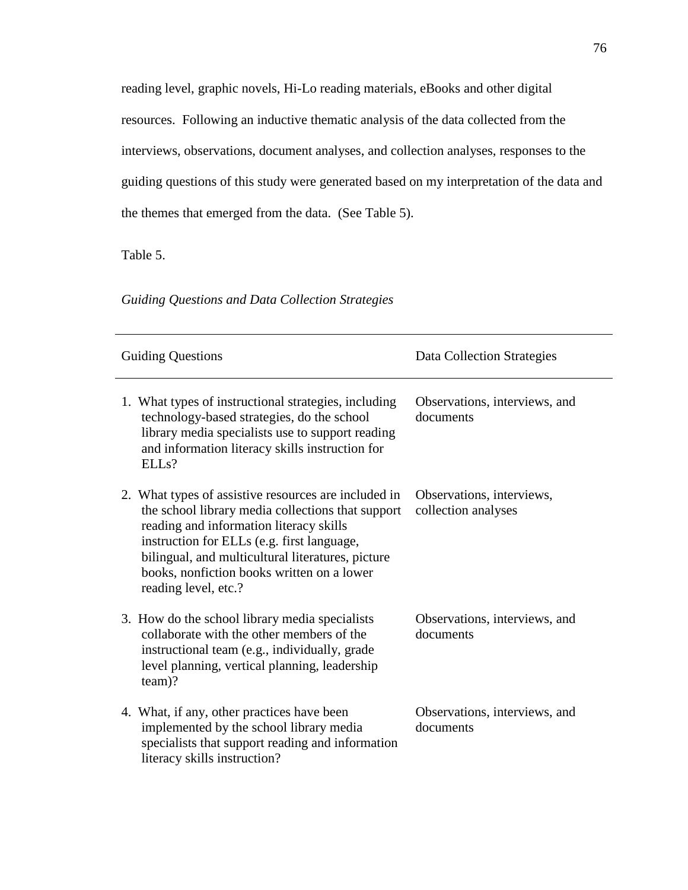reading level, graphic novels, Hi-Lo reading materials, eBooks and other digital resources. Following an inductive thematic analysis of the data collected from the interviews, observations, document analyses, and collection analyses, responses to the guiding questions of this study were generated based on my interpretation of the data and the themes that emerged from the data. (See Table 5).

Table 5.

*Guiding Questions and Data Collection Strategies*

| <b>Guiding Questions</b>                                                                                                                                                                                                                                                                                                      | Data Collection Strategies                       |
|-------------------------------------------------------------------------------------------------------------------------------------------------------------------------------------------------------------------------------------------------------------------------------------------------------------------------------|--------------------------------------------------|
| 1. What types of instructional strategies, including<br>technology-based strategies, do the school<br>library media specialists use to support reading<br>and information literacy skills instruction for<br>ELL <sub>s</sub> ?                                                                                               | Observations, interviews, and<br>documents       |
| 2. What types of assistive resources are included in<br>the school library media collections that support<br>reading and information literacy skills<br>instruction for ELLs (e.g. first language,<br>bilingual, and multicultural literatures, picture<br>books, nonfiction books written on a lower<br>reading level, etc.? | Observations, interviews,<br>collection analyses |
| 3. How do the school library media specialists<br>collaborate with the other members of the<br>instructional team (e.g., individually, grade<br>level planning, vertical planning, leadership<br>$team$ ?                                                                                                                     | Observations, interviews, and<br>documents       |
| 4. What, if any, other practices have been<br>implemented by the school library media<br>specialists that support reading and information<br>literacy skills instruction?                                                                                                                                                     | Observations, interviews, and<br>documents       |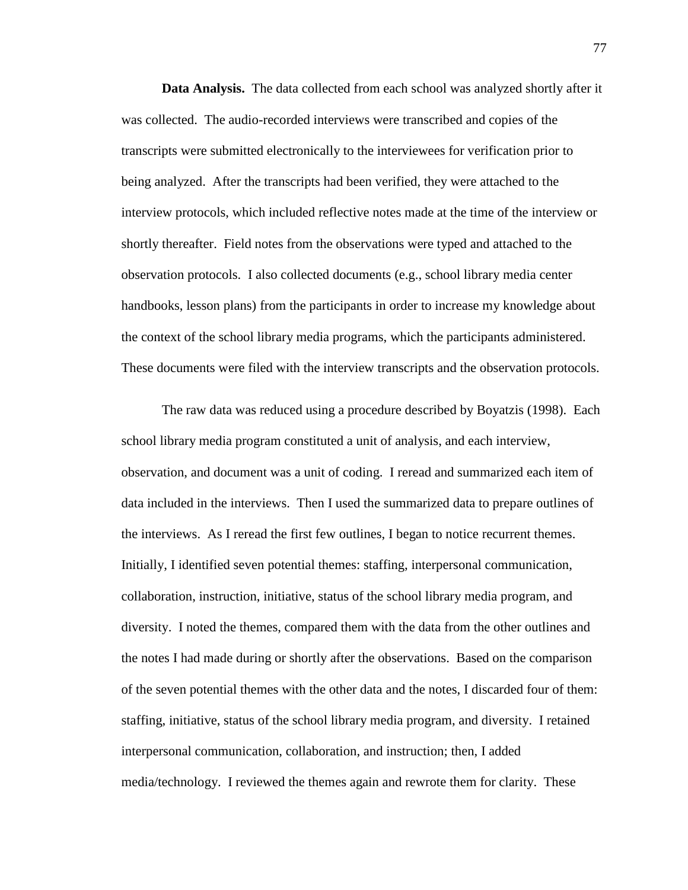**Data Analysis.** The data collected from each school was analyzed shortly after it was collected. The audio-recorded interviews were transcribed and copies of the transcripts were submitted electronically to the interviewees for verification prior to being analyzed. After the transcripts had been verified, they were attached to the interview protocols, which included reflective notes made at the time of the interview or shortly thereafter. Field notes from the observations were typed and attached to the observation protocols. I also collected documents (e.g., school library media center handbooks, lesson plans) from the participants in order to increase my knowledge about the context of the school library media programs, which the participants administered. These documents were filed with the interview transcripts and the observation protocols.

The raw data was reduced using a procedure described by Boyatzis (1998). Each school library media program constituted a unit of analysis, and each interview, observation, and document was a unit of coding. I reread and summarized each item of data included in the interviews. Then I used the summarized data to prepare outlines of the interviews. As I reread the first few outlines, I began to notice recurrent themes. Initially, I identified seven potential themes: staffing, interpersonal communication, collaboration, instruction, initiative, status of the school library media program, and diversity. I noted the themes, compared them with the data from the other outlines and the notes I had made during or shortly after the observations. Based on the comparison of the seven potential themes with the other data and the notes, I discarded four of them: staffing, initiative, status of the school library media program, and diversity. I retained interpersonal communication, collaboration, and instruction; then, I added media/technology. I reviewed the themes again and rewrote them for clarity. These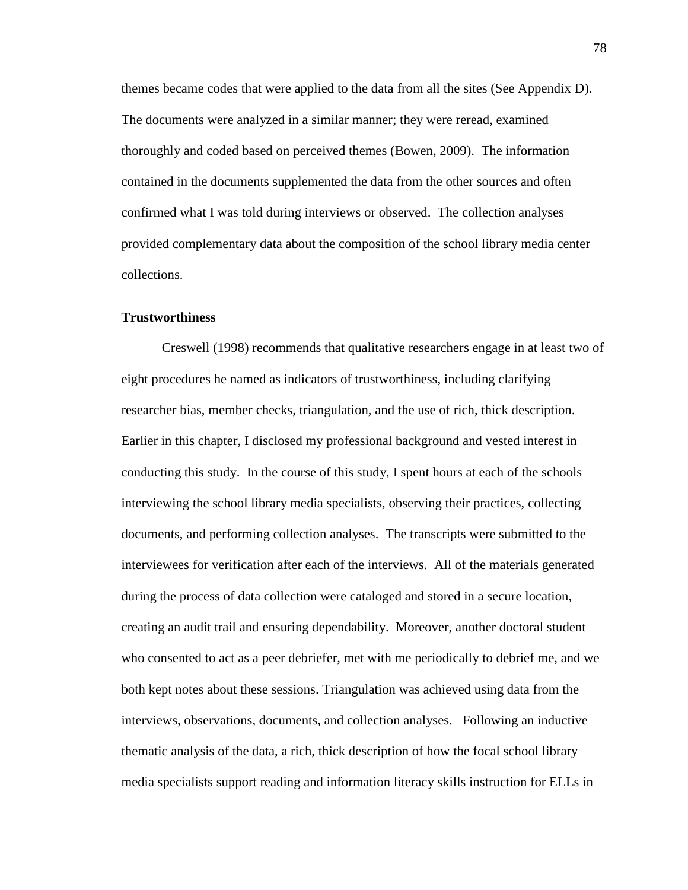themes became codes that were applied to the data from all the sites (See Appendix D). The documents were analyzed in a similar manner; they were reread, examined thoroughly and coded based on perceived themes (Bowen, 2009). The information contained in the documents supplemented the data from the other sources and often confirmed what I was told during interviews or observed. The collection analyses provided complementary data about the composition of the school library media center collections.

#### **Trustworthiness**

Creswell (1998) recommends that qualitative researchers engage in at least two of eight procedures he named as indicators of trustworthiness, including clarifying researcher bias, member checks, triangulation, and the use of rich, thick description. Earlier in this chapter, I disclosed my professional background and vested interest in conducting this study. In the course of this study, I spent hours at each of the schools interviewing the school library media specialists, observing their practices, collecting documents, and performing collection analyses. The transcripts were submitted to the interviewees for verification after each of the interviews. All of the materials generated during the process of data collection were cataloged and stored in a secure location, creating an audit trail and ensuring dependability. Moreover, another doctoral student who consented to act as a peer debriefer, met with me periodically to debrief me, and we both kept notes about these sessions. Triangulation was achieved using data from the interviews, observations, documents, and collection analyses. Following an inductive thematic analysis of the data, a rich, thick description of how the focal school library media specialists support reading and information literacy skills instruction for ELLs in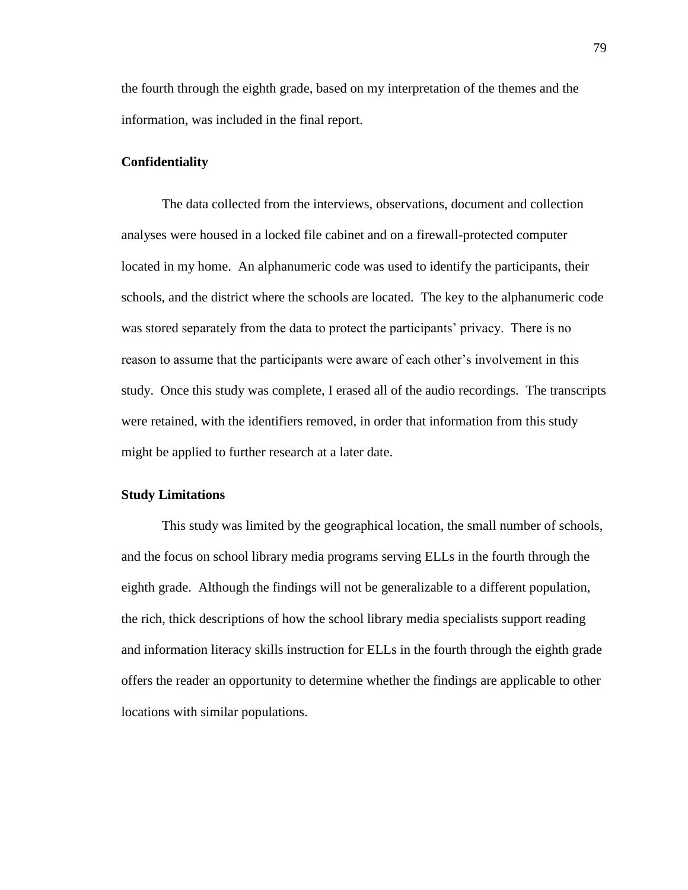the fourth through the eighth grade, based on my interpretation of the themes and the information, was included in the final report.

#### **Confidentiality**

The data collected from the interviews, observations, document and collection analyses were housed in a locked file cabinet and on a firewall-protected computer located in my home. An alphanumeric code was used to identify the participants, their schools, and the district where the schools are located. The key to the alphanumeric code was stored separately from the data to protect the participants' privacy. There is no reason to assume that the participants were aware of each other's involvement in this study. Once this study was complete, I erased all of the audio recordings. The transcripts were retained, with the identifiers removed, in order that information from this study might be applied to further research at a later date.

## **Study Limitations**

This study was limited by the geographical location, the small number of schools, and the focus on school library media programs serving ELLs in the fourth through the eighth grade. Although the findings will not be generalizable to a different population, the rich, thick descriptions of how the school library media specialists support reading and information literacy skills instruction for ELLs in the fourth through the eighth grade offers the reader an opportunity to determine whether the findings are applicable to other locations with similar populations.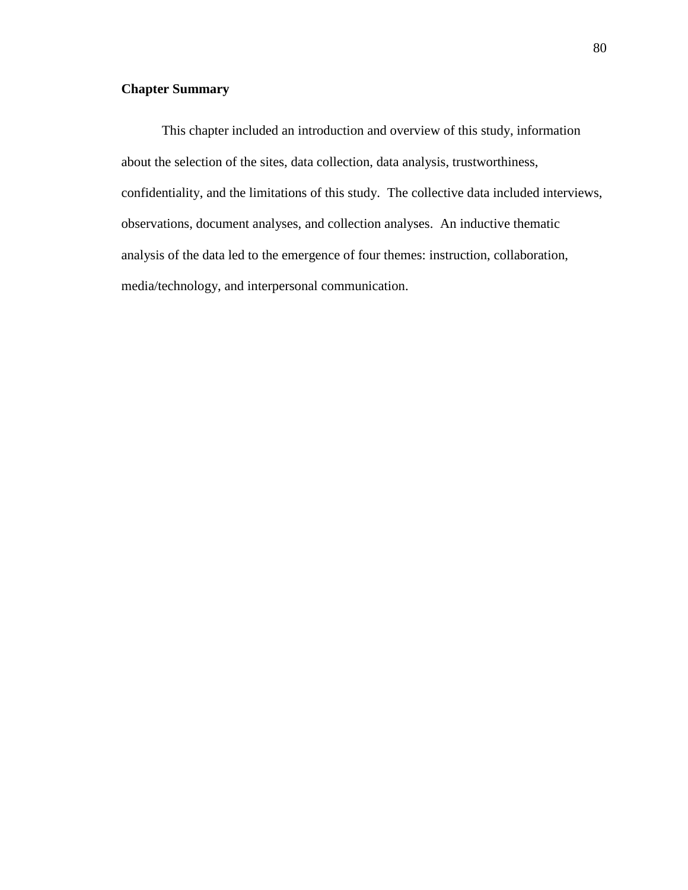# **Chapter Summary**

This chapter included an introduction and overview of this study, information about the selection of the sites, data collection, data analysis, trustworthiness, confidentiality, and the limitations of this study. The collective data included interviews, observations, document analyses, and collection analyses. An inductive thematic analysis of the data led to the emergence of four themes: instruction, collaboration, media/technology, and interpersonal communication.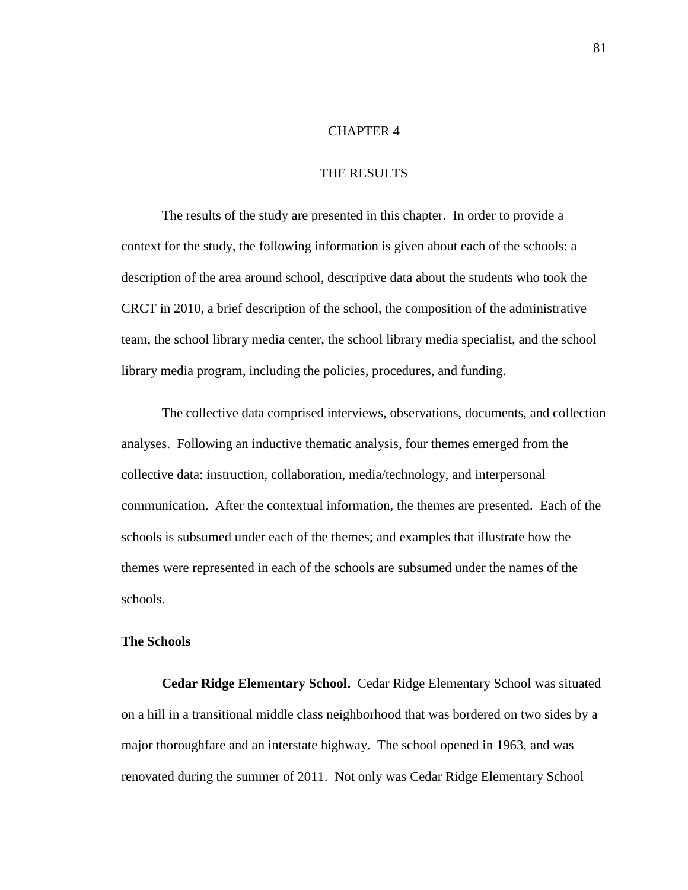#### CHAPTER 4

## THE RESULTS

The results of the study are presented in this chapter. In order to provide a context for the study, the following information is given about each of the schools: a description of the area around school, descriptive data about the students who took the CRCT in 2010, a brief description of the school, the composition of the administrative team, the school library media center, the school library media specialist, and the school library media program, including the policies, procedures, and funding.

The collective data comprised interviews, observations, documents, and collection analyses. Following an inductive thematic analysis, four themes emerged from the collective data: instruction, collaboration, media/technology, and interpersonal communication. After the contextual information, the themes are presented. Each of the schools is subsumed under each of the themes; and examples that illustrate how the themes were represented in each of the schools are subsumed under the names of the schools.

#### **The Schools**

**Cedar Ridge Elementary School.** Cedar Ridge Elementary School was situated on a hill in a transitional middle class neighborhood that was bordered on two sides by a major thoroughfare and an interstate highway. The school opened in 1963, and was renovated during the summer of 2011. Not only was Cedar Ridge Elementary School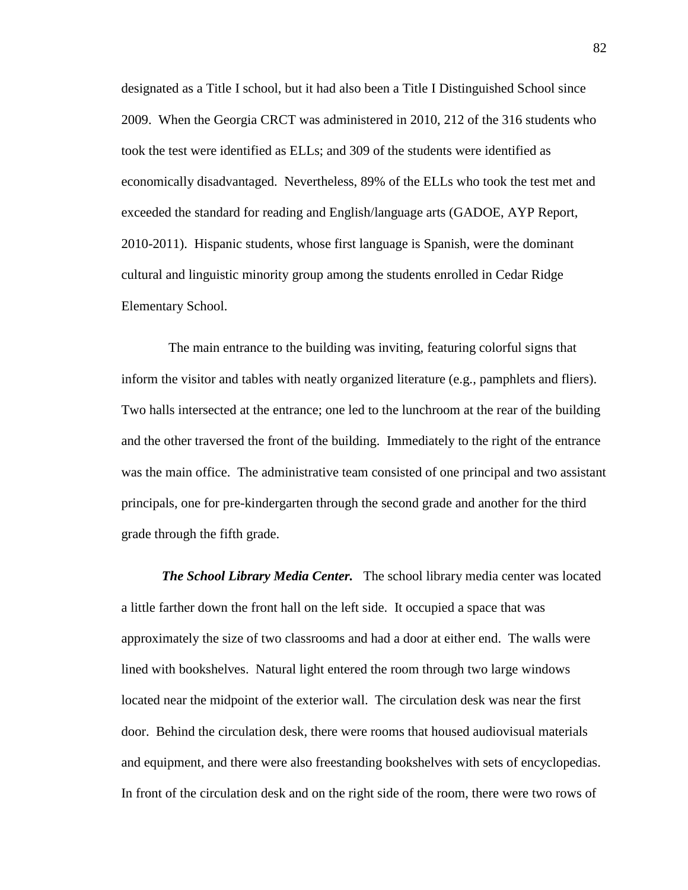designated as a Title I school, but it had also been a Title I Distinguished School since 2009. When the Georgia CRCT was administered in 2010, 212 of the 316 students who took the test were identified as ELLs; and 309 of the students were identified as economically disadvantaged. Nevertheless, 89% of the ELLs who took the test met and exceeded the standard for reading and English/language arts (GADOE, AYP Report, 2010-2011). Hispanic students, whose first language is Spanish, were the dominant cultural and linguistic minority group among the students enrolled in Cedar Ridge Elementary School.

 The main entrance to the building was inviting, featuring colorful signs that inform the visitor and tables with neatly organized literature (e.g., pamphlets and fliers). Two halls intersected at the entrance; one led to the lunchroom at the rear of the building and the other traversed the front of the building. Immediately to the right of the entrance was the main office. The administrative team consisted of one principal and two assistant principals, one for pre-kindergarten through the second grade and another for the third grade through the fifth grade.

*The School Library Media Center.* The school library media center was located a little farther down the front hall on the left side. It occupied a space that was approximately the size of two classrooms and had a door at either end. The walls were lined with bookshelves. Natural light entered the room through two large windows located near the midpoint of the exterior wall. The circulation desk was near the first door. Behind the circulation desk, there were rooms that housed audiovisual materials and equipment, and there were also freestanding bookshelves with sets of encyclopedias. In front of the circulation desk and on the right side of the room, there were two rows of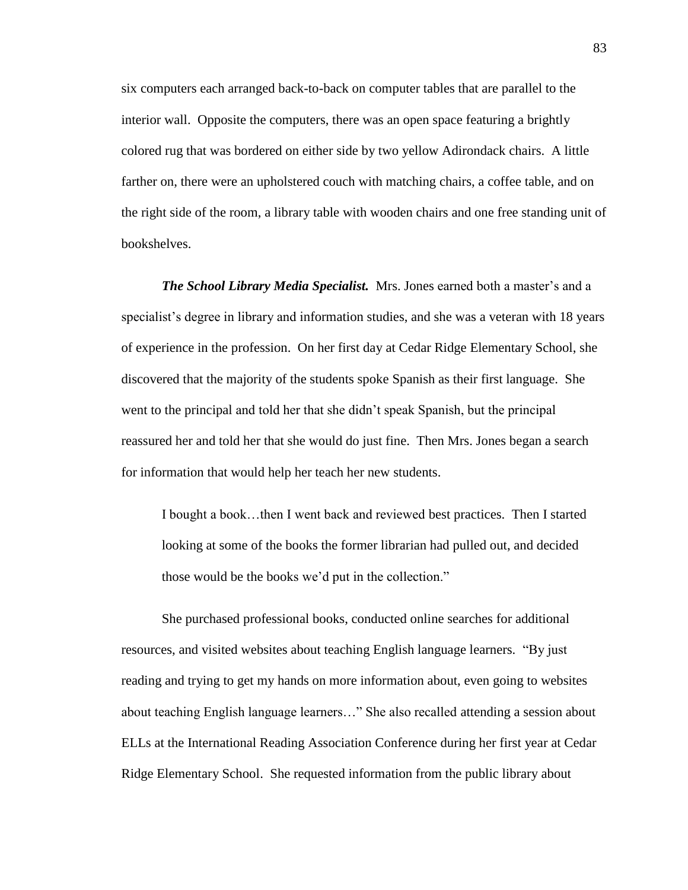six computers each arranged back-to-back on computer tables that are parallel to the interior wall. Opposite the computers, there was an open space featuring a brightly colored rug that was bordered on either side by two yellow Adirondack chairs. A little farther on, there were an upholstered couch with matching chairs, a coffee table, and on the right side of the room, a library table with wooden chairs and one free standing unit of bookshelves.

*The School Library Media Specialist.* Mrs. Jones earned both a master's and a specialist's degree in library and information studies, and she was a veteran with 18 years of experience in the profession. On her first day at Cedar Ridge Elementary School, she discovered that the majority of the students spoke Spanish as their first language. She went to the principal and told her that she didn't speak Spanish, but the principal reassured her and told her that she would do just fine. Then Mrs. Jones began a search for information that would help her teach her new students.

I bought a book…then I went back and reviewed best practices. Then I started looking at some of the books the former librarian had pulled out, and decided those would be the books we'd put in the collection."

She purchased professional books, conducted online searches for additional resources, and visited websites about teaching English language learners. "By just reading and trying to get my hands on more information about, even going to websites about teaching English language learners…" She also recalled attending a session about ELLs at the International Reading Association Conference during her first year at Cedar Ridge Elementary School. She requested information from the public library about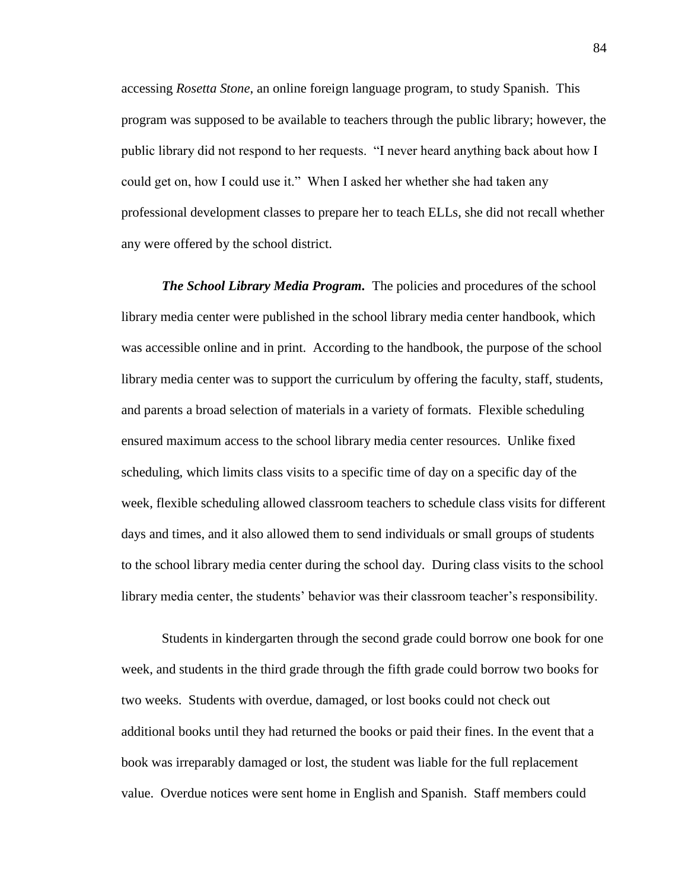accessing *Rosetta Stone*, an online foreign language program, to study Spanish. This program was supposed to be available to teachers through the public library; however, the public library did not respond to her requests. "I never heard anything back about how I could get on, how I could use it." When I asked her whether she had taken any professional development classes to prepare her to teach ELLs, she did not recall whether any were offered by the school district.

*The School Library Media Program.* The policies and procedures of the school library media center were published in the school library media center handbook, which was accessible online and in print. According to the handbook, the purpose of the school library media center was to support the curriculum by offering the faculty, staff, students, and parents a broad selection of materials in a variety of formats. Flexible scheduling ensured maximum access to the school library media center resources. Unlike fixed scheduling, which limits class visits to a specific time of day on a specific day of the week, flexible scheduling allowed classroom teachers to schedule class visits for different days and times, and it also allowed them to send individuals or small groups of students to the school library media center during the school day. During class visits to the school library media center, the students' behavior was their classroom teacher's responsibility.

Students in kindergarten through the second grade could borrow one book for one week, and students in the third grade through the fifth grade could borrow two books for two weeks. Students with overdue, damaged, or lost books could not check out additional books until they had returned the books or paid their fines. In the event that a book was irreparably damaged or lost, the student was liable for the full replacement value. Overdue notices were sent home in English and Spanish. Staff members could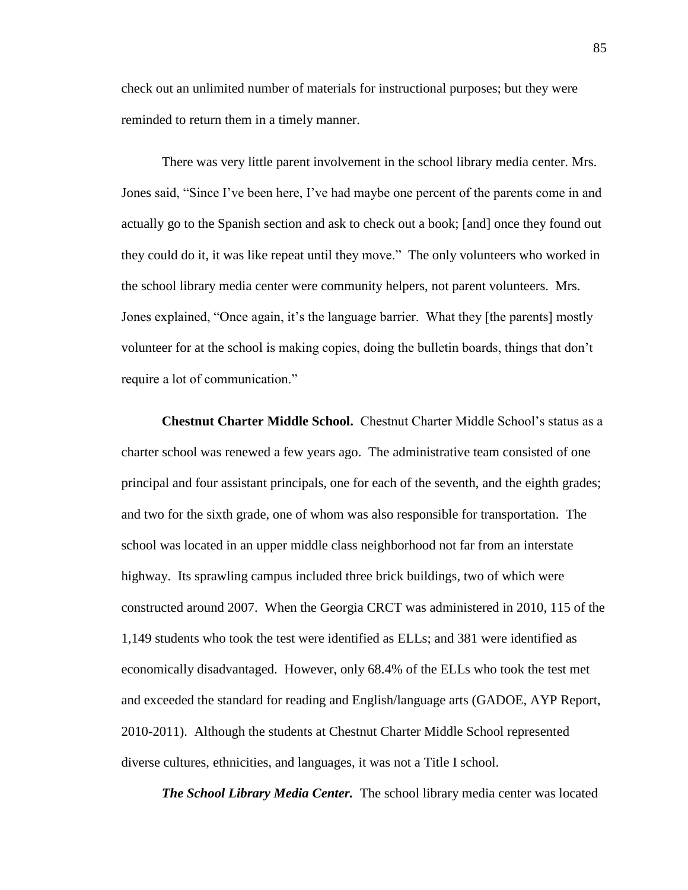check out an unlimited number of materials for instructional purposes; but they were reminded to return them in a timely manner.

There was very little parent involvement in the school library media center. Mrs. Jones said, "Since I've been here, I've had maybe one percent of the parents come in and actually go to the Spanish section and ask to check out a book; [and] once they found out they could do it, it was like repeat until they move." The only volunteers who worked in the school library media center were community helpers, not parent volunteers. Mrs. Jones explained, "Once again, it's the language barrier. What they [the parents] mostly volunteer for at the school is making copies, doing the bulletin boards, things that don't require a lot of communication."

**Chestnut Charter Middle School.** Chestnut Charter Middle School's status as a charter school was renewed a few years ago. The administrative team consisted of one principal and four assistant principals, one for each of the seventh, and the eighth grades; and two for the sixth grade, one of whom was also responsible for transportation. The school was located in an upper middle class neighborhood not far from an interstate highway. Its sprawling campus included three brick buildings, two of which were constructed around 2007. When the Georgia CRCT was administered in 2010, 115 of the 1,149 students who took the test were identified as ELLs; and 381 were identified as economically disadvantaged. However, only 68.4% of the ELLs who took the test met and exceeded the standard for reading and English/language arts (GADOE, AYP Report, 2010-2011). Although the students at Chestnut Charter Middle School represented diverse cultures, ethnicities, and languages, it was not a Title I school.

*The School Library Media Center.* The school library media center was located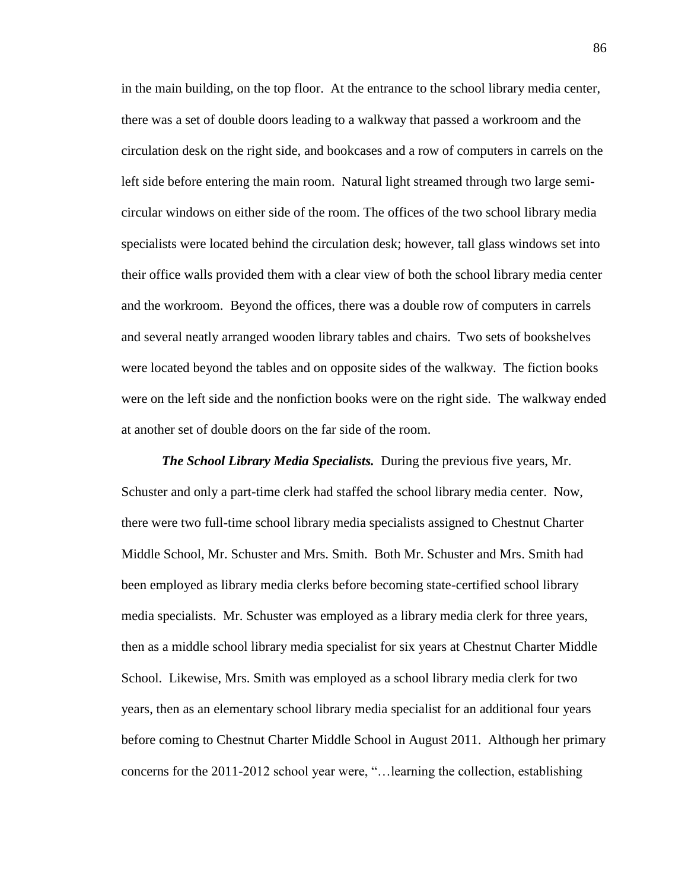in the main building, on the top floor. At the entrance to the school library media center, there was a set of double doors leading to a walkway that passed a workroom and the circulation desk on the right side, and bookcases and a row of computers in carrels on the left side before entering the main room. Natural light streamed through two large semicircular windows on either side of the room. The offices of the two school library media specialists were located behind the circulation desk; however, tall glass windows set into their office walls provided them with a clear view of both the school library media center and the workroom. Beyond the offices, there was a double row of computers in carrels and several neatly arranged wooden library tables and chairs. Two sets of bookshelves were located beyond the tables and on opposite sides of the walkway. The fiction books were on the left side and the nonfiction books were on the right side. The walkway ended at another set of double doors on the far side of the room.

*The School Library Media Specialists.* During the previous five years, Mr. Schuster and only a part-time clerk had staffed the school library media center. Now, there were two full-time school library media specialists assigned to Chestnut Charter Middle School, Mr. Schuster and Mrs. Smith. Both Mr. Schuster and Mrs. Smith had been employed as library media clerks before becoming state-certified school library media specialists. Mr. Schuster was employed as a library media clerk for three years, then as a middle school library media specialist for six years at Chestnut Charter Middle School. Likewise, Mrs. Smith was employed as a school library media clerk for two years, then as an elementary school library media specialist for an additional four years before coming to Chestnut Charter Middle School in August 2011. Although her primary concerns for the 2011-2012 school year were, "…learning the collection, establishing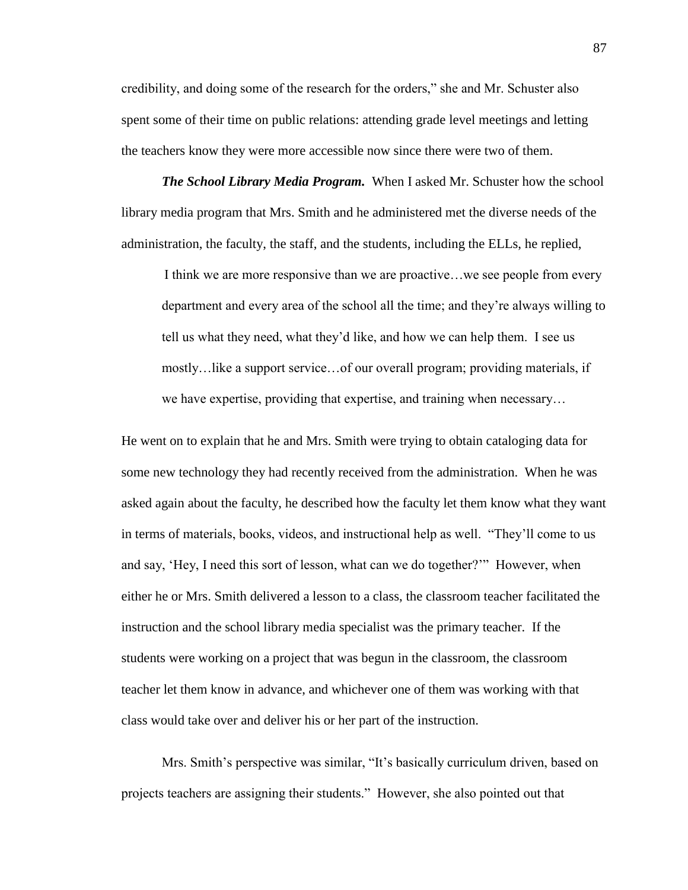credibility, and doing some of the research for the orders," she and Mr. Schuster also spent some of their time on public relations: attending grade level meetings and letting the teachers know they were more accessible now since there were two of them.

*The School Library Media Program.* When I asked Mr. Schuster how the school library media program that Mrs. Smith and he administered met the diverse needs of the administration, the faculty, the staff, and the students, including the ELLs, he replied,

I think we are more responsive than we are proactive…we see people from every department and every area of the school all the time; and they're always willing to tell us what they need, what they'd like, and how we can help them. I see us mostly…like a support service…of our overall program; providing materials, if we have expertise, providing that expertise, and training when necessary…

He went on to explain that he and Mrs. Smith were trying to obtain cataloging data for some new technology they had recently received from the administration. When he was asked again about the faculty, he described how the faculty let them know what they want in terms of materials, books, videos, and instructional help as well. "They'll come to us and say, 'Hey, I need this sort of lesson, what can we do together?'" However, when either he or Mrs. Smith delivered a lesson to a class, the classroom teacher facilitated the instruction and the school library media specialist was the primary teacher. If the students were working on a project that was begun in the classroom, the classroom teacher let them know in advance, and whichever one of them was working with that class would take over and deliver his or her part of the instruction.

Mrs. Smith's perspective was similar, "It's basically curriculum driven, based on projects teachers are assigning their students." However, she also pointed out that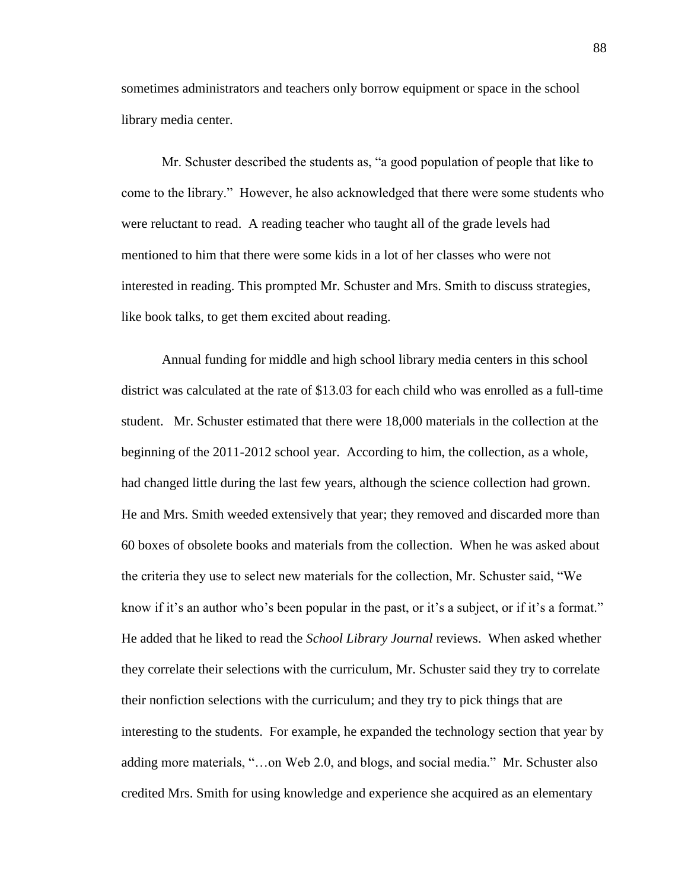sometimes administrators and teachers only borrow equipment or space in the school library media center.

Mr. Schuster described the students as, "a good population of people that like to come to the library." However, he also acknowledged that there were some students who were reluctant to read. A reading teacher who taught all of the grade levels had mentioned to him that there were some kids in a lot of her classes who were not interested in reading. This prompted Mr. Schuster and Mrs. Smith to discuss strategies, like book talks, to get them excited about reading.

Annual funding for middle and high school library media centers in this school district was calculated at the rate of \$13.03 for each child who was enrolled as a full-time student. Mr. Schuster estimated that there were 18,000 materials in the collection at the beginning of the 2011-2012 school year. According to him, the collection, as a whole, had changed little during the last few years, although the science collection had grown. He and Mrs. Smith weeded extensively that year; they removed and discarded more than 60 boxes of obsolete books and materials from the collection. When he was asked about the criteria they use to select new materials for the collection, Mr. Schuster said, "We know if it's an author who's been popular in the past, or it's a subject, or if it's a format." He added that he liked to read the *School Library Journal* reviews. When asked whether they correlate their selections with the curriculum, Mr. Schuster said they try to correlate their nonfiction selections with the curriculum; and they try to pick things that are interesting to the students. For example, he expanded the technology section that year by adding more materials, "…on Web 2.0, and blogs, and social media." Mr. Schuster also credited Mrs. Smith for using knowledge and experience she acquired as an elementary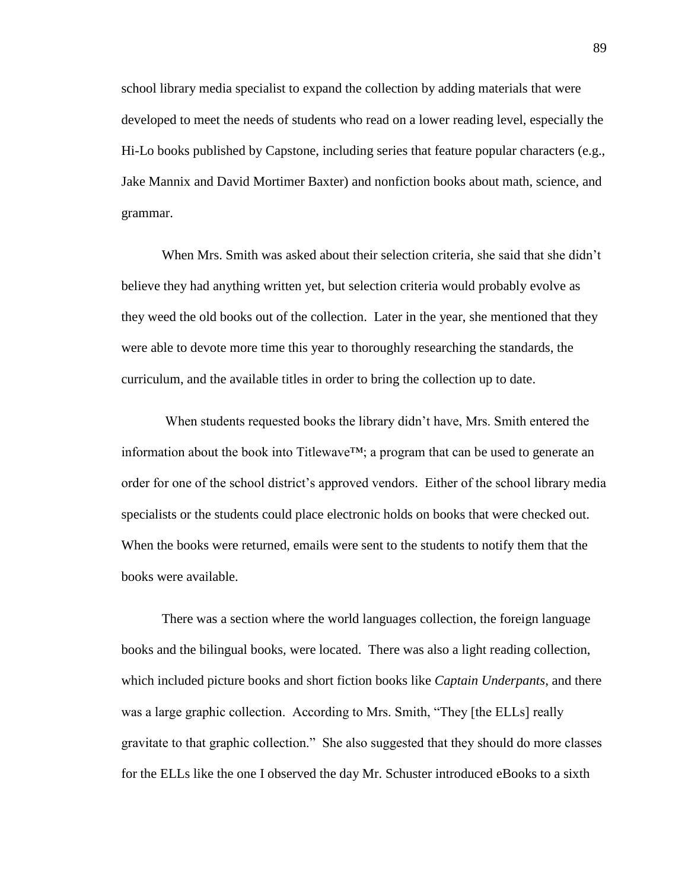school library media specialist to expand the collection by adding materials that were developed to meet the needs of students who read on a lower reading level, especially the Hi-Lo books published by Capstone, including series that feature popular characters (e.g., Jake Mannix and David Mortimer Baxter) and nonfiction books about math, science, and grammar.

When Mrs. Smith was asked about their selection criteria, she said that she didn't believe they had anything written yet, but selection criteria would probably evolve as they weed the old books out of the collection. Later in the year, she mentioned that they were able to devote more time this year to thoroughly researching the standards, the curriculum, and the available titles in order to bring the collection up to date.

When students requested books the library didn't have, Mrs. Smith entered the information about the book into Titlewave<sup>TM</sup>; a program that can be used to generate an order for one of the school district's approved vendors. Either of the school library media specialists or the students could place electronic holds on books that were checked out. When the books were returned, emails were sent to the students to notify them that the books were available.

 There was a section where the world languages collection, the foreign language books and the bilingual books, were located. There was also a light reading collection, which included picture books and short fiction books like *Captain Underpants*, and there was a large graphic collection. According to Mrs. Smith, "They [the ELLs] really gravitate to that graphic collection." She also suggested that they should do more classes for the ELLs like the one I observed the day Mr. Schuster introduced eBooks to a sixth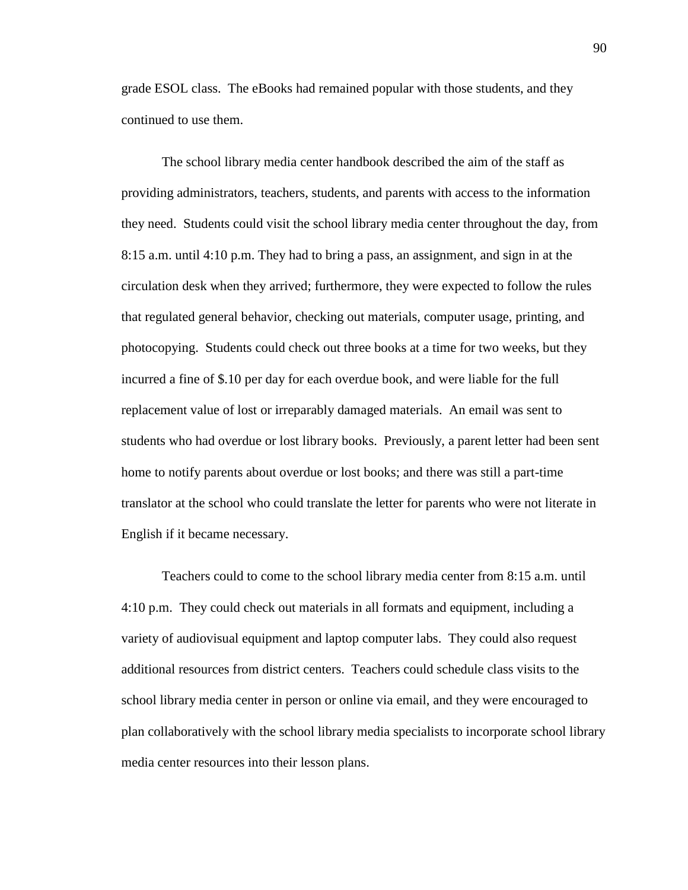grade ESOL class. The eBooks had remained popular with those students, and they continued to use them.

The school library media center handbook described the aim of the staff as providing administrators, teachers, students, and parents with access to the information they need. Students could visit the school library media center throughout the day, from 8:15 a.m. until 4:10 p.m. They had to bring a pass, an assignment, and sign in at the circulation desk when they arrived; furthermore, they were expected to follow the rules that regulated general behavior, checking out materials, computer usage, printing, and photocopying. Students could check out three books at a time for two weeks, but they incurred a fine of \$.10 per day for each overdue book, and were liable for the full replacement value of lost or irreparably damaged materials. An email was sent to students who had overdue or lost library books. Previously, a parent letter had been sent home to notify parents about overdue or lost books; and there was still a part-time translator at the school who could translate the letter for parents who were not literate in English if it became necessary.

Teachers could to come to the school library media center from 8:15 a.m. until 4:10 p.m. They could check out materials in all formats and equipment, including a variety of audiovisual equipment and laptop computer labs. They could also request additional resources from district centers. Teachers could schedule class visits to the school library media center in person or online via email, and they were encouraged to plan collaboratively with the school library media specialists to incorporate school library media center resources into their lesson plans.

90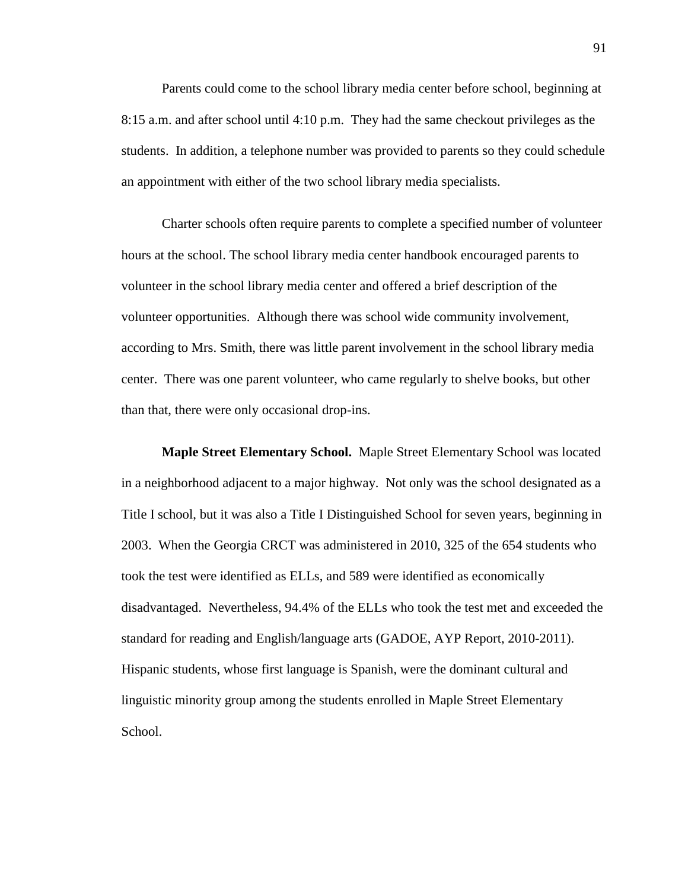Parents could come to the school library media center before school, beginning at 8:15 a.m. and after school until 4:10 p.m. They had the same checkout privileges as the students. In addition, a telephone number was provided to parents so they could schedule an appointment with either of the two school library media specialists.

Charter schools often require parents to complete a specified number of volunteer hours at the school. The school library media center handbook encouraged parents to volunteer in the school library media center and offered a brief description of the volunteer opportunities. Although there was school wide community involvement, according to Mrs. Smith, there was little parent involvement in the school library media center. There was one parent volunteer, who came regularly to shelve books, but other than that, there were only occasional drop-ins.

**Maple Street Elementary School.** Maple Street Elementary School was located in a neighborhood adjacent to a major highway. Not only was the school designated as a Title I school, but it was also a Title I Distinguished School for seven years, beginning in 2003. When the Georgia CRCT was administered in 2010, 325 of the 654 students who took the test were identified as ELLs, and 589 were identified as economically disadvantaged. Nevertheless, 94.4% of the ELLs who took the test met and exceeded the standard for reading and English/language arts (GADOE, AYP Report, 2010-2011). Hispanic students, whose first language is Spanish, were the dominant cultural and linguistic minority group among the students enrolled in Maple Street Elementary School.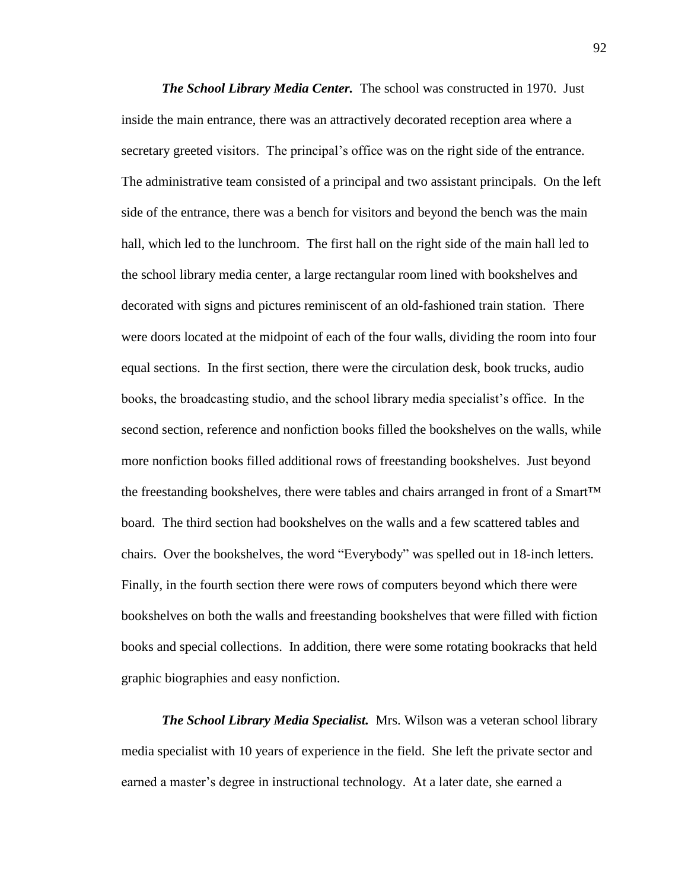*The School Library Media Center.* The school was constructed in 1970. Just inside the main entrance, there was an attractively decorated reception area where a secretary greeted visitors. The principal's office was on the right side of the entrance. The administrative team consisted of a principal and two assistant principals. On the left side of the entrance, there was a bench for visitors and beyond the bench was the main hall, which led to the lunchroom. The first hall on the right side of the main hall led to the school library media center, a large rectangular room lined with bookshelves and decorated with signs and pictures reminiscent of an old-fashioned train station. There were doors located at the midpoint of each of the four walls, dividing the room into four equal sections. In the first section, there were the circulation desk, book trucks, audio books, the broadcasting studio, and the school library media specialist's office. In the second section, reference and nonfiction books filled the bookshelves on the walls, while more nonfiction books filled additional rows of freestanding bookshelves. Just beyond the freestanding bookshelves, there were tables and chairs arranged in front of a Smart<sup>™</sup> board. The third section had bookshelves on the walls and a few scattered tables and chairs. Over the bookshelves, the word "Everybody" was spelled out in 18-inch letters. Finally, in the fourth section there were rows of computers beyond which there were bookshelves on both the walls and freestanding bookshelves that were filled with fiction books and special collections. In addition, there were some rotating bookracks that held graphic biographies and easy nonfiction.

*The School Library Media Specialist.* Mrs. Wilson was a veteran school library media specialist with 10 years of experience in the field. She left the private sector and earned a master's degree in instructional technology. At a later date, she earned a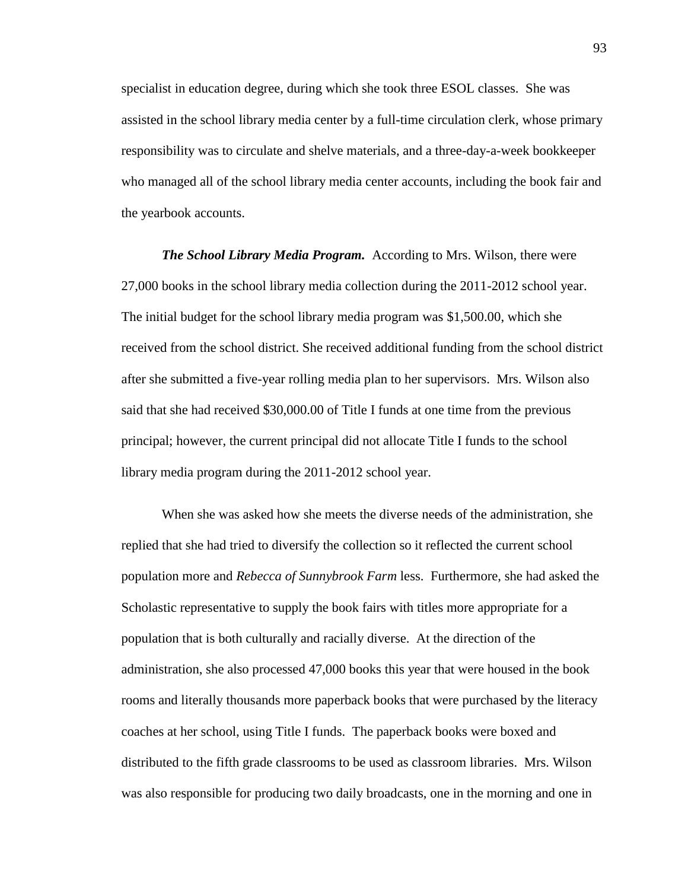specialist in education degree, during which she took three ESOL classes. She was assisted in the school library media center by a full-time circulation clerk, whose primary responsibility was to circulate and shelve materials, and a three-day-a-week bookkeeper who managed all of the school library media center accounts, including the book fair and the yearbook accounts.

*The School Library Media Program.* According to Mrs. Wilson, there were 27,000 books in the school library media collection during the 2011-2012 school year. The initial budget for the school library media program was \$1,500.00, which she received from the school district. She received additional funding from the school district after she submitted a five-year rolling media plan to her supervisors. Mrs. Wilson also said that she had received \$30,000.00 of Title I funds at one time from the previous principal; however, the current principal did not allocate Title I funds to the school library media program during the 2011-2012 school year.

When she was asked how she meets the diverse needs of the administration, she replied that she had tried to diversify the collection so it reflected the current school population more and *Rebecca of Sunnybrook Farm* less. Furthermore, she had asked the Scholastic representative to supply the book fairs with titles more appropriate for a population that is both culturally and racially diverse. At the direction of the administration, she also processed 47,000 books this year that were housed in the book rooms and literally thousands more paperback books that were purchased by the literacy coaches at her school, using Title I funds. The paperback books were boxed and distributed to the fifth grade classrooms to be used as classroom libraries. Mrs. Wilson was also responsible for producing two daily broadcasts, one in the morning and one in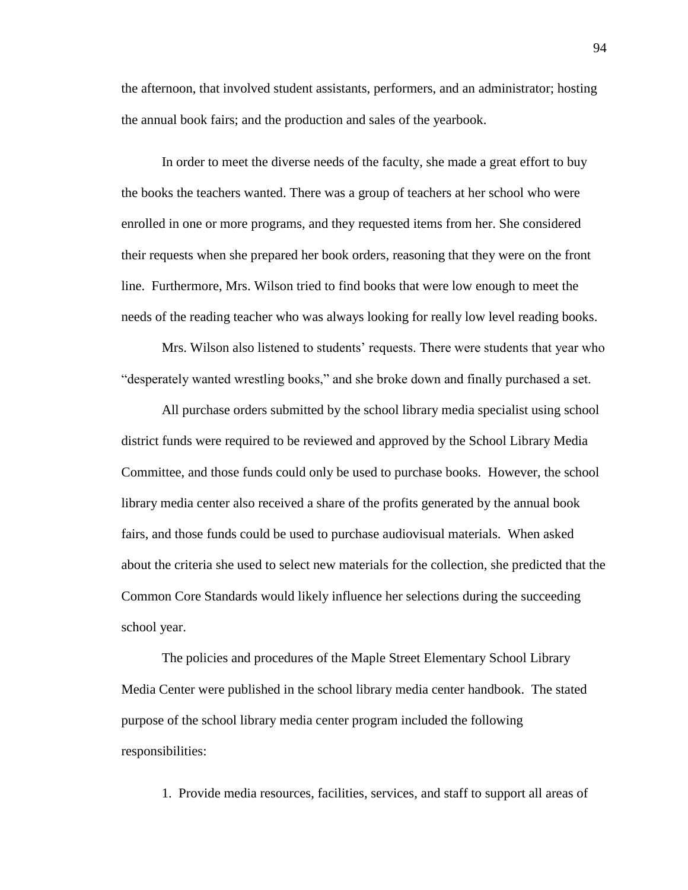the afternoon, that involved student assistants, performers, and an administrator; hosting the annual book fairs; and the production and sales of the yearbook.

In order to meet the diverse needs of the faculty, she made a great effort to buy the books the teachers wanted. There was a group of teachers at her school who were enrolled in one or more programs, and they requested items from her. She considered their requests when she prepared her book orders, reasoning that they were on the front line. Furthermore, Mrs. Wilson tried to find books that were low enough to meet the needs of the reading teacher who was always looking for really low level reading books.

Mrs. Wilson also listened to students' requests. There were students that year who "desperately wanted wrestling books," and she broke down and finally purchased a set.

All purchase orders submitted by the school library media specialist using school district funds were required to be reviewed and approved by the School Library Media Committee, and those funds could only be used to purchase books. However, the school library media center also received a share of the profits generated by the annual book fairs, and those funds could be used to purchase audiovisual materials. When asked about the criteria she used to select new materials for the collection, she predicted that the Common Core Standards would likely influence her selections during the succeeding school year.

The policies and procedures of the Maple Street Elementary School Library Media Center were published in the school library media center handbook. The stated purpose of the school library media center program included the following responsibilities:

1. Provide media resources, facilities, services, and staff to support all areas of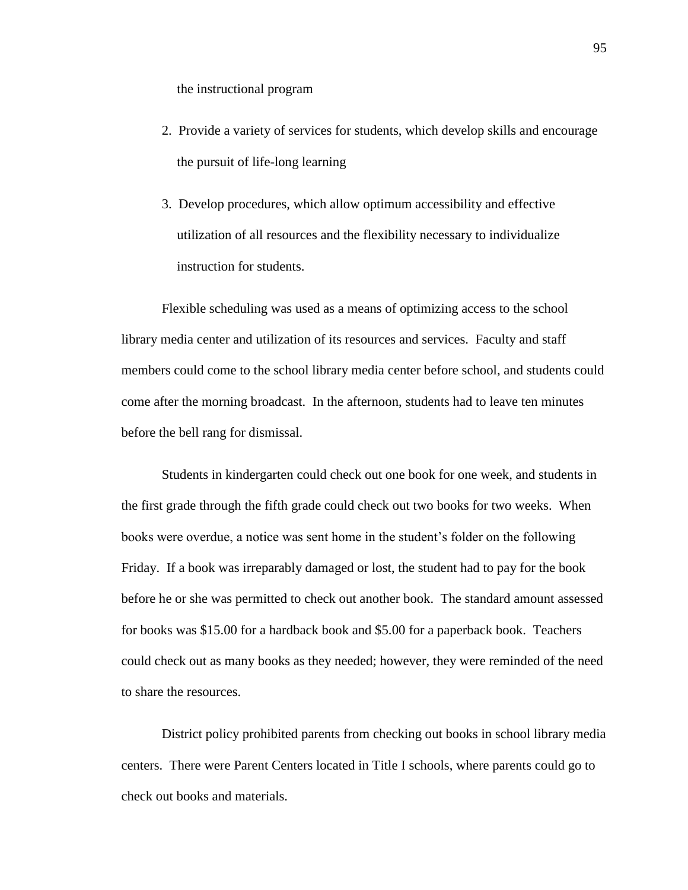the instructional program

- 2. Provide a variety of services for students, which develop skills and encourage the pursuit of life-long learning
- 3. Develop procedures, which allow optimum accessibility and effective utilization of all resources and the flexibility necessary to individualize instruction for students.

Flexible scheduling was used as a means of optimizing access to the school library media center and utilization of its resources and services. Faculty and staff members could come to the school library media center before school, and students could come after the morning broadcast. In the afternoon, students had to leave ten minutes before the bell rang for dismissal.

Students in kindergarten could check out one book for one week, and students in the first grade through the fifth grade could check out two books for two weeks. When books were overdue, a notice was sent home in the student's folder on the following Friday. If a book was irreparably damaged or lost, the student had to pay for the book before he or she was permitted to check out another book. The standard amount assessed for books was \$15.00 for a hardback book and \$5.00 for a paperback book. Teachers could check out as many books as they needed; however, they were reminded of the need to share the resources.

District policy prohibited parents from checking out books in school library media centers. There were Parent Centers located in Title I schools, where parents could go to check out books and materials.

95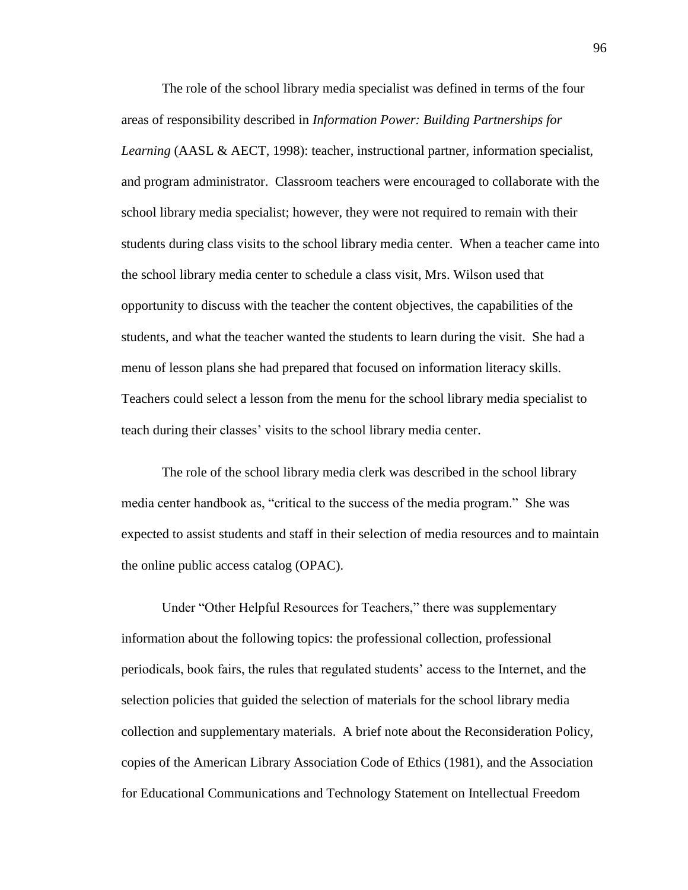The role of the school library media specialist was defined in terms of the four areas of responsibility described in *Information Power: Building Partnerships for Learning* (AASL & AECT, 1998): teacher, instructional partner, information specialist, and program administrator. Classroom teachers were encouraged to collaborate with the school library media specialist; however, they were not required to remain with their students during class visits to the school library media center. When a teacher came into the school library media center to schedule a class visit, Mrs. Wilson used that opportunity to discuss with the teacher the content objectives, the capabilities of the students, and what the teacher wanted the students to learn during the visit. She had a menu of lesson plans she had prepared that focused on information literacy skills. Teachers could select a lesson from the menu for the school library media specialist to teach during their classes' visits to the school library media center.

The role of the school library media clerk was described in the school library media center handbook as, "critical to the success of the media program." She was expected to assist students and staff in their selection of media resources and to maintain the online public access catalog (OPAC).

Under "Other Helpful Resources for Teachers," there was supplementary information about the following topics: the professional collection, professional periodicals, book fairs, the rules that regulated students' access to the Internet, and the selection policies that guided the selection of materials for the school library media collection and supplementary materials. A brief note about the Reconsideration Policy, copies of the American Library Association Code of Ethics (1981), and the Association for Educational Communications and Technology Statement on Intellectual Freedom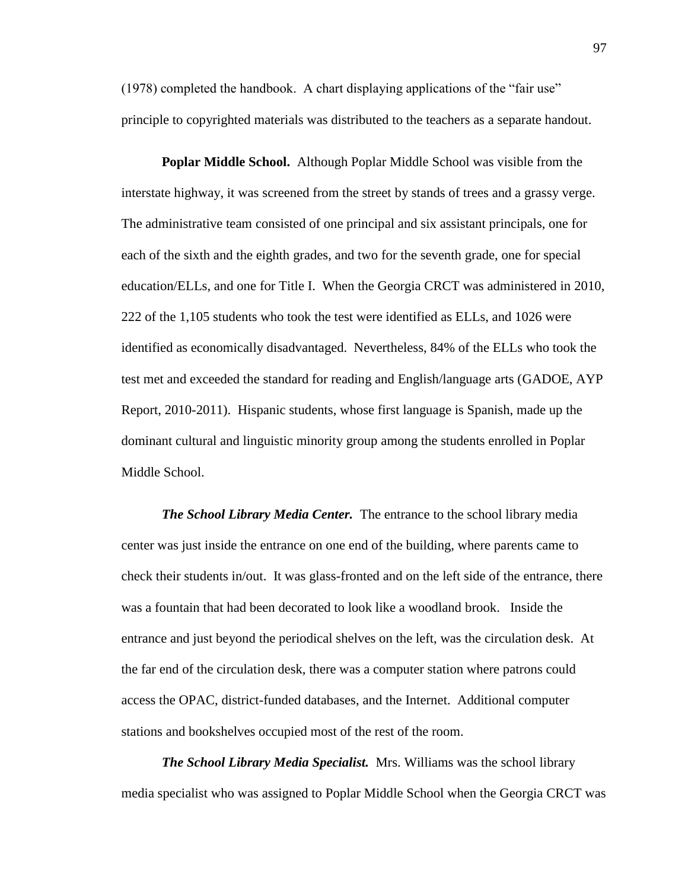(1978) completed the handbook. A chart displaying applications of the "fair use" principle to copyrighted materials was distributed to the teachers as a separate handout.

**Poplar Middle School.** Although Poplar Middle School was visible from the interstate highway, it was screened from the street by stands of trees and a grassy verge. The administrative team consisted of one principal and six assistant principals, one for each of the sixth and the eighth grades, and two for the seventh grade, one for special education/ELLs, and one for Title I. When the Georgia CRCT was administered in 2010, 222 of the 1,105 students who took the test were identified as ELLs, and 1026 were identified as economically disadvantaged. Nevertheless, 84% of the ELLs who took the test met and exceeded the standard for reading and English/language arts (GADOE, AYP Report, 2010-2011). Hispanic students, whose first language is Spanish, made up the dominant cultural and linguistic minority group among the students enrolled in Poplar Middle School.

*The School Library Media Center.* The entrance to the school library media center was just inside the entrance on one end of the building, where parents came to check their students in/out. It was glass-fronted and on the left side of the entrance, there was a fountain that had been decorated to look like a woodland brook. Inside the entrance and just beyond the periodical shelves on the left, was the circulation desk. At the far end of the circulation desk, there was a computer station where patrons could access the OPAC, district-funded databases, and the Internet. Additional computer stations and bookshelves occupied most of the rest of the room.

*The School Library Media Specialist.* Mrs. Williams was the school library media specialist who was assigned to Poplar Middle School when the Georgia CRCT was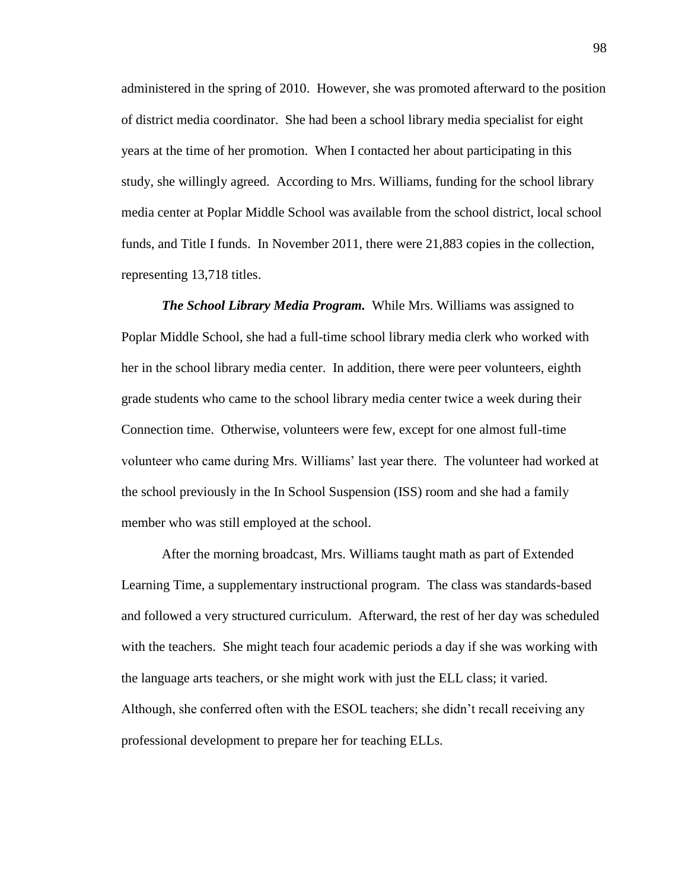administered in the spring of 2010. However, she was promoted afterward to the position of district media coordinator. She had been a school library media specialist for eight years at the time of her promotion. When I contacted her about participating in this study, she willingly agreed. According to Mrs. Williams, funding for the school library media center at Poplar Middle School was available from the school district, local school funds, and Title I funds. In November 2011, there were 21,883 copies in the collection, representing 13,718 titles.

*The School Library Media Program.* While Mrs. Williams was assigned to Poplar Middle School, she had a full-time school library media clerk who worked with her in the school library media center. In addition, there were peer volunteers, eighth grade students who came to the school library media center twice a week during their Connection time. Otherwise, volunteers were few, except for one almost full-time volunteer who came during Mrs. Williams' last year there. The volunteer had worked at the school previously in the In School Suspension (ISS) room and she had a family member who was still employed at the school.

After the morning broadcast, Mrs. Williams taught math as part of Extended Learning Time, a supplementary instructional program. The class was standards-based and followed a very structured curriculum. Afterward, the rest of her day was scheduled with the teachers. She might teach four academic periods a day if she was working with the language arts teachers, or she might work with just the ELL class; it varied. Although, she conferred often with the ESOL teachers; she didn't recall receiving any professional development to prepare her for teaching ELLs.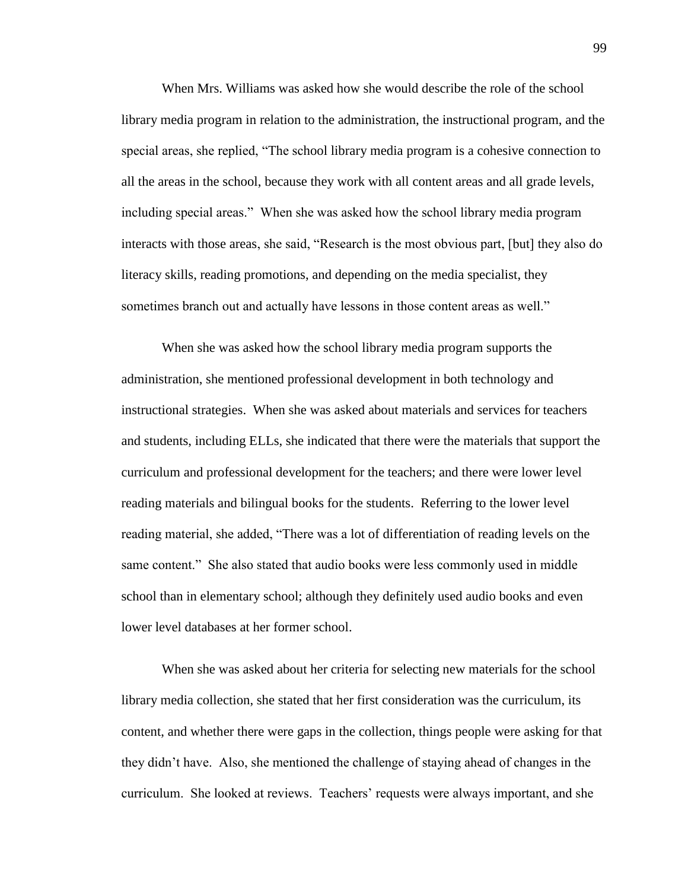When Mrs. Williams was asked how she would describe the role of the school library media program in relation to the administration, the instructional program, and the special areas, she replied, "The school library media program is a cohesive connection to all the areas in the school, because they work with all content areas and all grade levels, including special areas." When she was asked how the school library media program interacts with those areas, she said, "Research is the most obvious part, [but] they also do literacy skills, reading promotions, and depending on the media specialist, they sometimes branch out and actually have lessons in those content areas as well."

When she was asked how the school library media program supports the administration, she mentioned professional development in both technology and instructional strategies. When she was asked about materials and services for teachers and students, including ELLs, she indicated that there were the materials that support the curriculum and professional development for the teachers; and there were lower level reading materials and bilingual books for the students. Referring to the lower level reading material, she added, "There was a lot of differentiation of reading levels on the same content." She also stated that audio books were less commonly used in middle school than in elementary school; although they definitely used audio books and even lower level databases at her former school.

When she was asked about her criteria for selecting new materials for the school library media collection, she stated that her first consideration was the curriculum, its content, and whether there were gaps in the collection, things people were asking for that they didn't have. Also, she mentioned the challenge of staying ahead of changes in the curriculum. She looked at reviews. Teachers' requests were always important, and she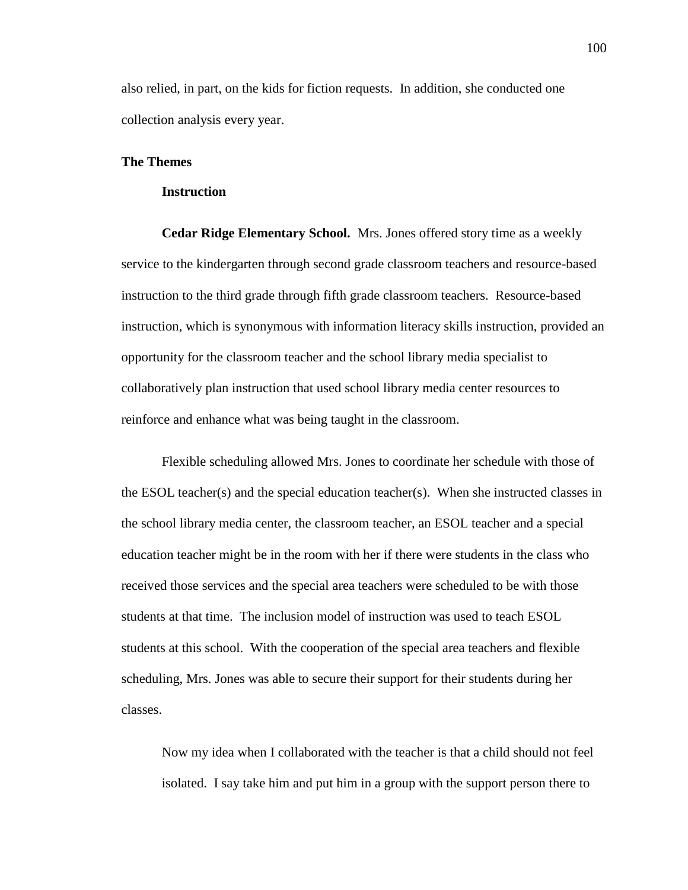also relied, in part, on the kids for fiction requests. In addition, she conducted one collection analysis every year.

# **The Themes**

## **Instruction**

**Cedar Ridge Elementary School.**Mrs. Jones offered story time as a weekly service to the kindergarten through second grade classroom teachers and resource-based instruction to the third grade through fifth grade classroom teachers. Resource-based instruction, which is synonymous with information literacy skills instruction, provided an opportunity for the classroom teacher and the school library media specialist to collaboratively plan instruction that used school library media center resources to reinforce and enhance what was being taught in the classroom.

Flexible scheduling allowed Mrs. Jones to coordinate her schedule with those of the ESOL teacher(s) and the special education teacher(s). When she instructed classes in the school library media center, the classroom teacher, an ESOL teacher and a special education teacher might be in the room with her if there were students in the class who received those services and the special area teachers were scheduled to be with those students at that time. The inclusion model of instruction was used to teach ESOL students at this school. With the cooperation of the special area teachers and flexible scheduling, Mrs. Jones was able to secure their support for their students during her classes.

Now my idea when I collaborated with the teacher is that a child should not feel isolated. I say take him and put him in a group with the support person there to

100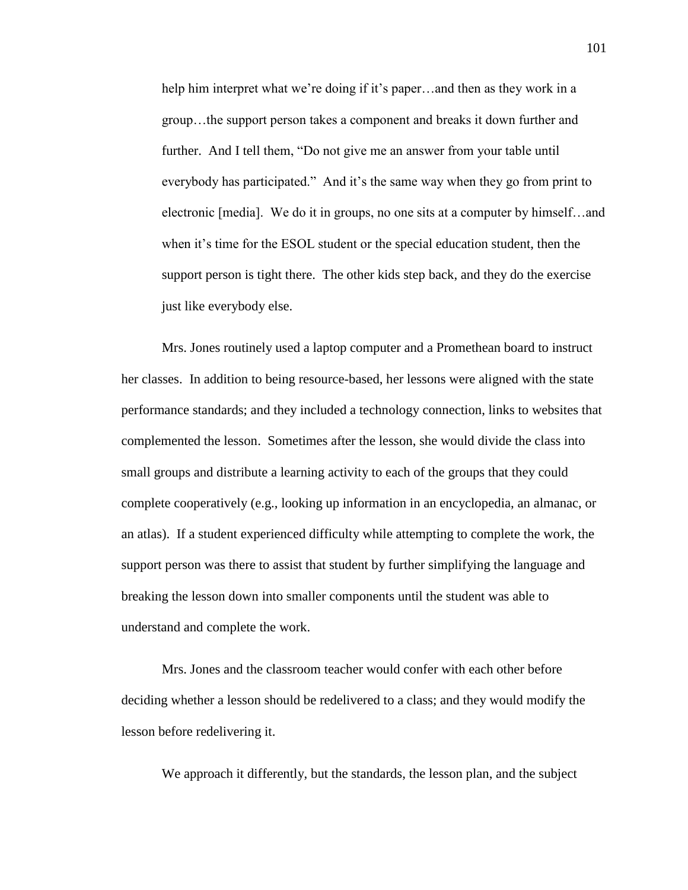help him interpret what we're doing if it's paper…and then as they work in a group…the support person takes a component and breaks it down further and further. And I tell them, "Do not give me an answer from your table until everybody has participated." And it's the same way when they go from print to electronic [media]. We do it in groups, no one sits at a computer by himself…and when it's time for the ESOL student or the special education student, then the support person is tight there. The other kids step back, and they do the exercise just like everybody else.

Mrs. Jones routinely used a laptop computer and a Promethean board to instruct her classes. In addition to being resource-based, her lessons were aligned with the state performance standards; and they included a technology connection, links to websites that complemented the lesson. Sometimes after the lesson, she would divide the class into small groups and distribute a learning activity to each of the groups that they could complete cooperatively (e.g., looking up information in an encyclopedia, an almanac, or an atlas). If a student experienced difficulty while attempting to complete the work, the support person was there to assist that student by further simplifying the language and breaking the lesson down into smaller components until the student was able to understand and complete the work.

Mrs. Jones and the classroom teacher would confer with each other before deciding whether a lesson should be redelivered to a class; and they would modify the lesson before redelivering it.

We approach it differently, but the standards, the lesson plan, and the subject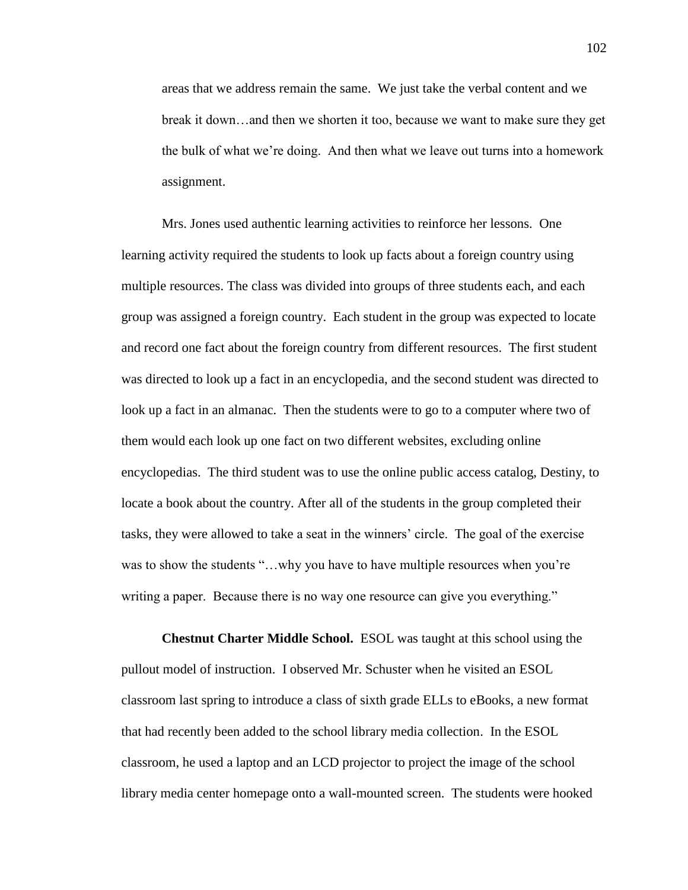areas that we address remain the same. We just take the verbal content and we break it down…and then we shorten it too, because we want to make sure they get the bulk of what we're doing. And then what we leave out turns into a homework assignment.

Mrs. Jones used authentic learning activities to reinforce her lessons. One learning activity required the students to look up facts about a foreign country using multiple resources. The class was divided into groups of three students each, and each group was assigned a foreign country. Each student in the group was expected to locate and record one fact about the foreign country from different resources. The first student was directed to look up a fact in an encyclopedia, and the second student was directed to look up a fact in an almanac. Then the students were to go to a computer where two of them would each look up one fact on two different websites, excluding online encyclopedias. The third student was to use the online public access catalog, Destiny, to locate a book about the country. After all of the students in the group completed their tasks, they were allowed to take a seat in the winners' circle. The goal of the exercise was to show the students "...why you have to have multiple resources when you're writing a paper. Because there is no way one resource can give you everything."

**Chestnut Charter Middle School.** ESOL was taught at this school using the pullout model of instruction. I observed Mr. Schuster when he visited an ESOL classroom last spring to introduce a class of sixth grade ELLs to eBooks, a new format that had recently been added to the school library media collection. In the ESOL classroom, he used a laptop and an LCD projector to project the image of the school library media center homepage onto a wall-mounted screen. The students were hooked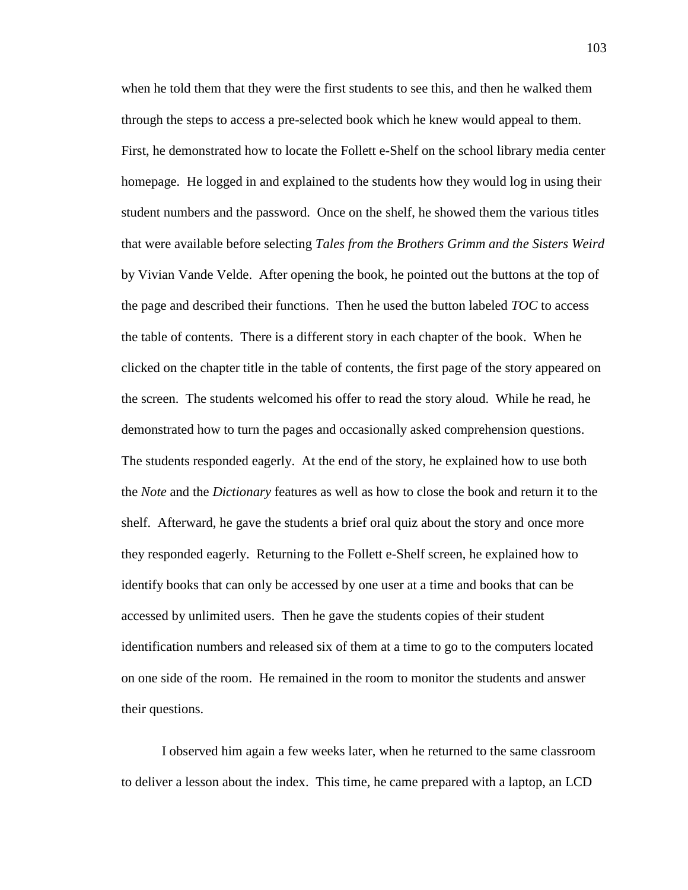when he told them that they were the first students to see this, and then he walked them through the steps to access a pre-selected book which he knew would appeal to them. First, he demonstrated how to locate the Follett e-Shelf on the school library media center homepage. He logged in and explained to the students how they would log in using their student numbers and the password. Once on the shelf, he showed them the various titles that were available before selecting *Tales from the Brothers Grimm and the Sisters Weird* by Vivian Vande Velde. After opening the book, he pointed out the buttons at the top of the page and described their functions. Then he used the button labeled *TOC* to access the table of contents. There is a different story in each chapter of the book. When he clicked on the chapter title in the table of contents, the first page of the story appeared on the screen. The students welcomed his offer to read the story aloud. While he read, he demonstrated how to turn the pages and occasionally asked comprehension questions. The students responded eagerly. At the end of the story, he explained how to use both the *Note* and the *Dictionary* features as well as how to close the book and return it to the shelf. Afterward, he gave the students a brief oral quiz about the story and once more they responded eagerly. Returning to the Follett e-Shelf screen, he explained how to identify books that can only be accessed by one user at a time and books that can be accessed by unlimited users. Then he gave the students copies of their student identification numbers and released six of them at a time to go to the computers located on one side of the room. He remained in the room to monitor the students and answer their questions.

I observed him again a few weeks later, when he returned to the same classroom to deliver a lesson about the index. This time, he came prepared with a laptop, an LCD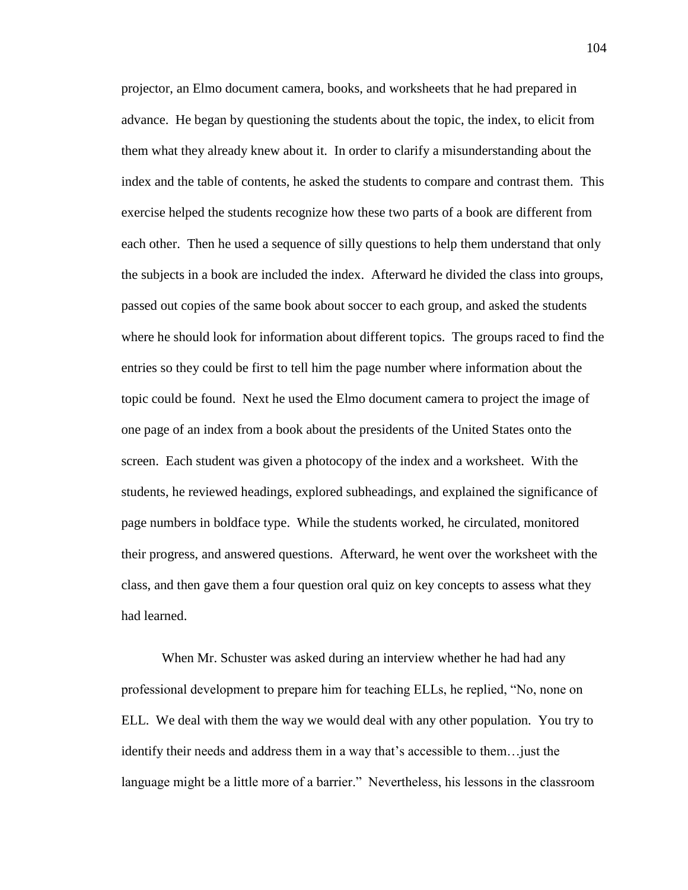projector, an Elmo document camera, books, and worksheets that he had prepared in advance. He began by questioning the students about the topic, the index, to elicit from them what they already knew about it. In order to clarify a misunderstanding about the index and the table of contents, he asked the students to compare and contrast them. This exercise helped the students recognize how these two parts of a book are different from each other. Then he used a sequence of silly questions to help them understand that only the subjects in a book are included the index. Afterward he divided the class into groups, passed out copies of the same book about soccer to each group, and asked the students where he should look for information about different topics. The groups raced to find the entries so they could be first to tell him the page number where information about the topic could be found. Next he used the Elmo document camera to project the image of one page of an index from a book about the presidents of the United States onto the screen. Each student was given a photocopy of the index and a worksheet. With the students, he reviewed headings, explored subheadings, and explained the significance of page numbers in boldface type. While the students worked, he circulated, monitored their progress, and answered questions. Afterward, he went over the worksheet with the class, and then gave them a four question oral quiz on key concepts to assess what they had learned.

When Mr. Schuster was asked during an interview whether he had had any professional development to prepare him for teaching ELLs, he replied, "No, none on ELL. We deal with them the way we would deal with any other population. You try to identify their needs and address them in a way that's accessible to them…just the language might be a little more of a barrier." Nevertheless, his lessons in the classroom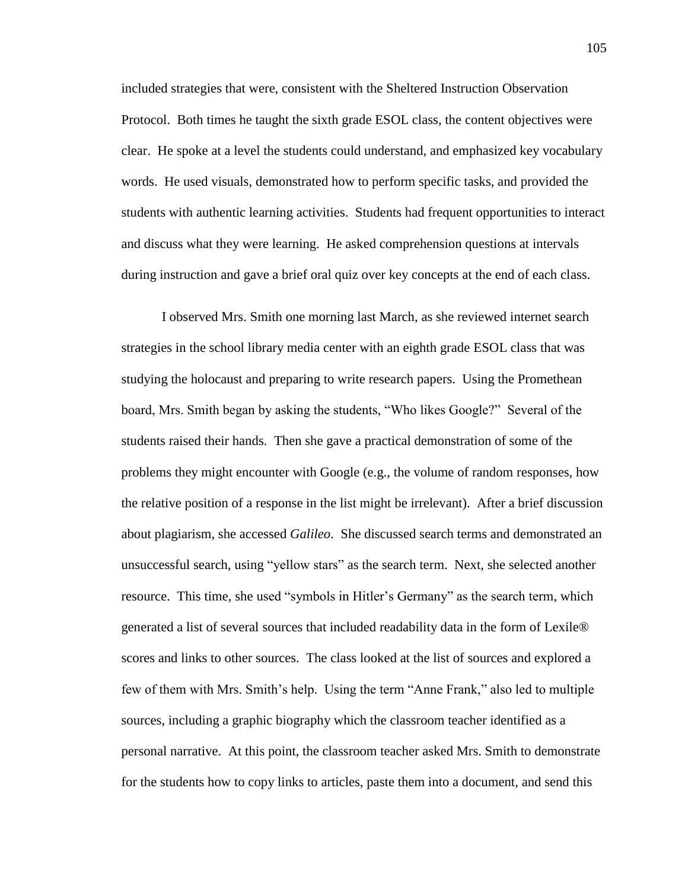included strategies that were, consistent with the Sheltered Instruction Observation Protocol. Both times he taught the sixth grade ESOL class, the content objectives were clear. He spoke at a level the students could understand, and emphasized key vocabulary words. He used visuals, demonstrated how to perform specific tasks, and provided the students with authentic learning activities. Students had frequent opportunities to interact and discuss what they were learning. He asked comprehension questions at intervals during instruction and gave a brief oral quiz over key concepts at the end of each class.

I observed Mrs. Smith one morning last March, as she reviewed internet search strategies in the school library media center with an eighth grade ESOL class that was studying the holocaust and preparing to write research papers. Using the Promethean board, Mrs. Smith began by asking the students, "Who likes Google?" Several of the students raised their hands. Then she gave a practical demonstration of some of the problems they might encounter with Google (e.g., the volume of random responses, how the relative position of a response in the list might be irrelevant). After a brief discussion about plagiarism, she accessed *Galileo*. She discussed search terms and demonstrated an unsuccessful search, using "yellow stars" as the search term. Next, she selected another resource. This time, she used "symbols in Hitler's Germany" as the search term, which generated a list of several sources that included readability data in the form of Lexile® scores and links to other sources. The class looked at the list of sources and explored a few of them with Mrs. Smith's help. Using the term "Anne Frank," also led to multiple sources, including a graphic biography which the classroom teacher identified as a personal narrative. At this point, the classroom teacher asked Mrs. Smith to demonstrate for the students how to copy links to articles, paste them into a document, and send this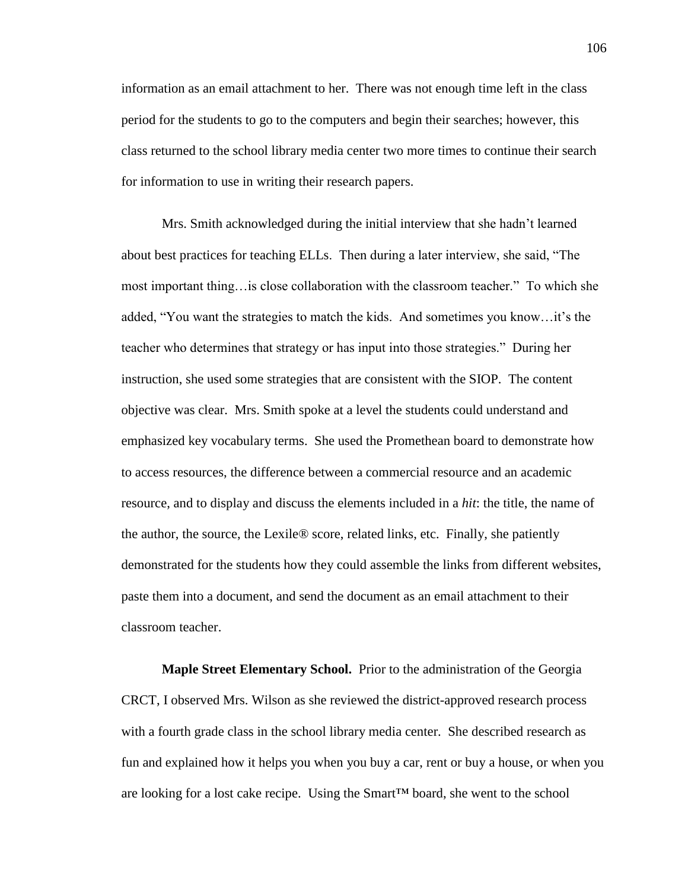information as an email attachment to her. There was not enough time left in the class period for the students to go to the computers and begin their searches; however, this class returned to the school library media center two more times to continue their search for information to use in writing their research papers.

Mrs. Smith acknowledged during the initial interview that she hadn't learned about best practices for teaching ELLs. Then during a later interview, she said, "The most important thing…is close collaboration with the classroom teacher." To which she added, "You want the strategies to match the kids. And sometimes you know…it's the teacher who determines that strategy or has input into those strategies." During her instruction, she used some strategies that are consistent with the SIOP. The content objective was clear. Mrs. Smith spoke at a level the students could understand and emphasized key vocabulary terms. She used the Promethean board to demonstrate how to access resources, the difference between a commercial resource and an academic resource, and to display and discuss the elements included in a *hit*: the title, the name of the author, the source, the Lexile® score, related links, etc. Finally, she patiently demonstrated for the students how they could assemble the links from different websites, paste them into a document, and send the document as an email attachment to their classroom teacher.

**Maple Street Elementary School.** Prior to the administration of the Georgia CRCT, I observed Mrs. Wilson as she reviewed the district-approved research process with a fourth grade class in the school library media center. She described research as fun and explained how it helps you when you buy a car, rent or buy a house, or when you are looking for a lost cake recipe. Using the Smart™ board, she went to the school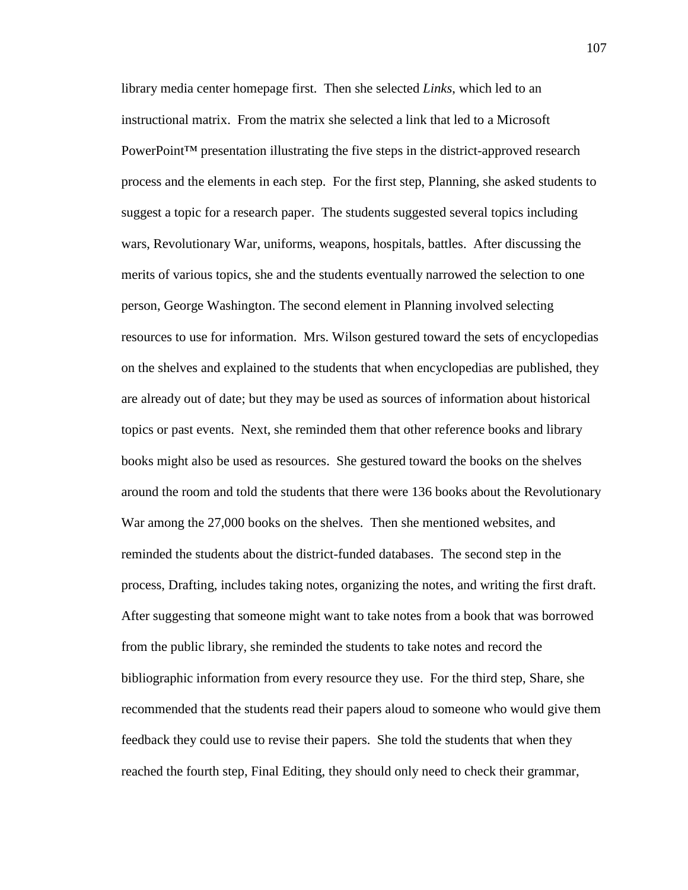library media center homepage first. Then she selected *Links*, which led to an instructional matrix. From the matrix she selected a link that led to a Microsoft PowerPoint<sup>™</sup> presentation illustrating the five steps in the district-approved research process and the elements in each step. For the first step, Planning, she asked students to suggest a topic for a research paper. The students suggested several topics including wars, Revolutionary War, uniforms, weapons, hospitals, battles. After discussing the merits of various topics, she and the students eventually narrowed the selection to one person, George Washington. The second element in Planning involved selecting resources to use for information. Mrs. Wilson gestured toward the sets of encyclopedias on the shelves and explained to the students that when encyclopedias are published, they are already out of date; but they may be used as sources of information about historical topics or past events. Next, she reminded them that other reference books and library books might also be used as resources. She gestured toward the books on the shelves around the room and told the students that there were 136 books about the Revolutionary War among the 27,000 books on the shelves. Then she mentioned websites, and reminded the students about the district-funded databases. The second step in the process, Drafting, includes taking notes, organizing the notes, and writing the first draft. After suggesting that someone might want to take notes from a book that was borrowed from the public library, she reminded the students to take notes and record the bibliographic information from every resource they use. For the third step, Share, she recommended that the students read their papers aloud to someone who would give them feedback they could use to revise their papers. She told the students that when they reached the fourth step, Final Editing, they should only need to check their grammar,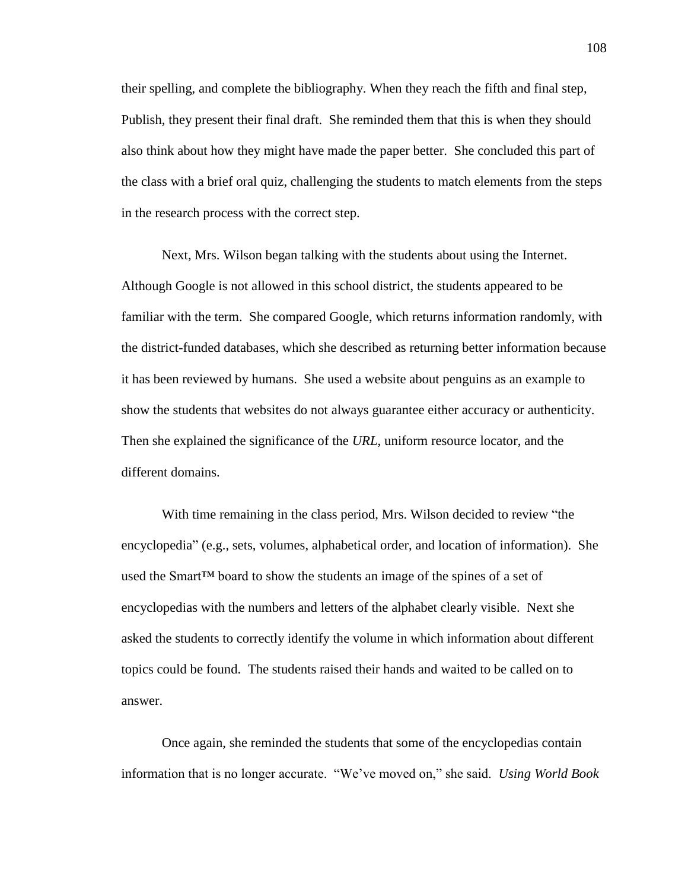their spelling, and complete the bibliography. When they reach the fifth and final step, Publish, they present their final draft. She reminded them that this is when they should also think about how they might have made the paper better. She concluded this part of the class with a brief oral quiz, challenging the students to match elements from the steps in the research process with the correct step.

Next, Mrs. Wilson began talking with the students about using the Internet. Although Google is not allowed in this school district, the students appeared to be familiar with the term. She compared Google, which returns information randomly, with the district-funded databases, which she described as returning better information because it has been reviewed by humans. She used a website about penguins as an example to show the students that websites do not always guarantee either accuracy or authenticity. Then she explained the significance of the *URL*, uniform resource locator, and the different domains.

With time remaining in the class period, Mrs. Wilson decided to review "the encyclopedia" (e.g., sets, volumes, alphabetical order, and location of information). She used the Smart™ board to show the students an image of the spines of a set of encyclopedias with the numbers and letters of the alphabet clearly visible. Next she asked the students to correctly identify the volume in which information about different topics could be found. The students raised their hands and waited to be called on to answer.

Once again, she reminded the students that some of the encyclopedias contain information that is no longer accurate. "We've moved on," she said. *Using World Book*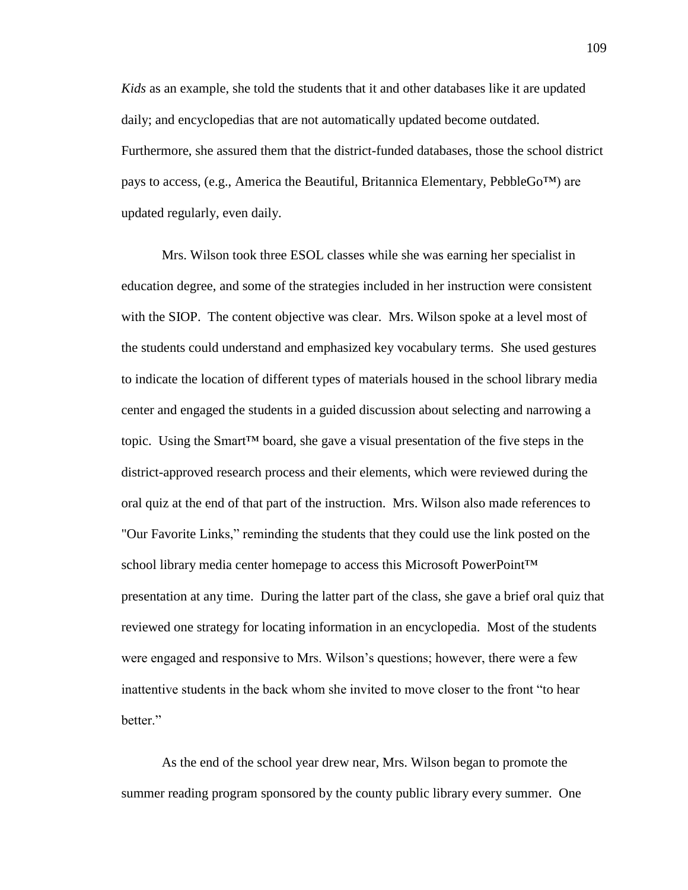*Kids* as an example, she told the students that it and other databases like it are updated daily; and encyclopedias that are not automatically updated become outdated. Furthermore, she assured them that the district-funded databases, those the school district pays to access, (e.g., America the Beautiful, Britannica Elementary, PebbleGo<sup>TM</sup>) are updated regularly, even daily.

Mrs. Wilson took three ESOL classes while she was earning her specialist in education degree, and some of the strategies included in her instruction were consistent with the SIOP. The content objective was clear. Mrs. Wilson spoke at a level most of the students could understand and emphasized key vocabulary terms. She used gestures to indicate the location of different types of materials housed in the school library media center and engaged the students in a guided discussion about selecting and narrowing a topic. Using the Smart<sup>TM</sup> board, she gave a visual presentation of the five steps in the district-approved research process and their elements, which were reviewed during the oral quiz at the end of that part of the instruction. Mrs. Wilson also made references to "Our Favorite Links," reminding the students that they could use the link posted on the school library media center homepage to access this Microsoft PowerPoint™ presentation at any time. During the latter part of the class, she gave a brief oral quiz that reviewed one strategy for locating information in an encyclopedia. Most of the students were engaged and responsive to Mrs. Wilson's questions; however, there were a few inattentive students in the back whom she invited to move closer to the front "to hear hetter"

As the end of the school year drew near, Mrs. Wilson began to promote the summer reading program sponsored by the county public library every summer. One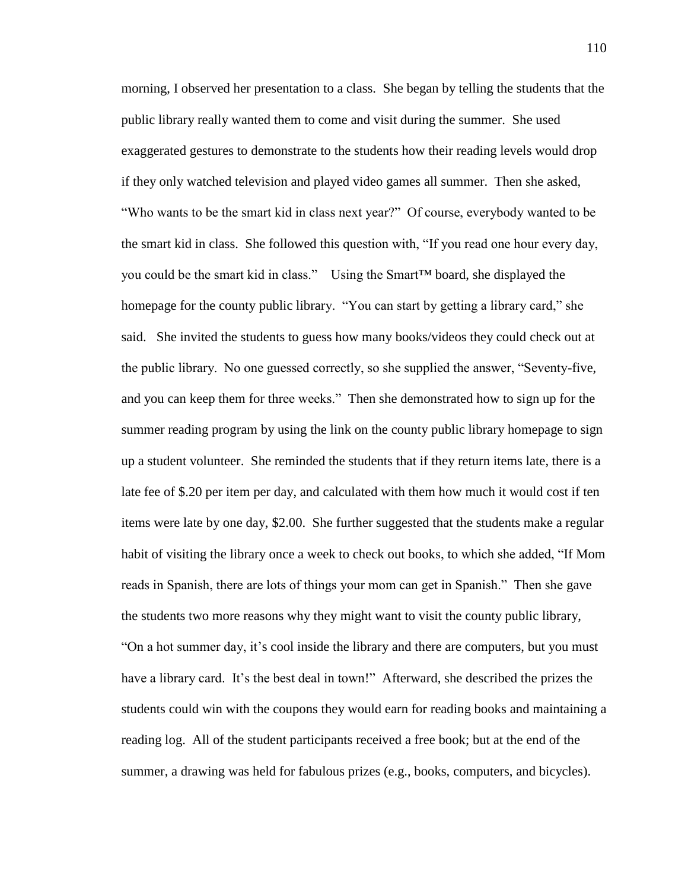morning, I observed her presentation to a class. She began by telling the students that the public library really wanted them to come and visit during the summer. She used exaggerated gestures to demonstrate to the students how their reading levels would drop if they only watched television and played video games all summer. Then she asked, "Who wants to be the smart kid in class next year?" Of course, everybody wanted to be the smart kid in class. She followed this question with, "If you read one hour every day, you could be the smart kid in class." Using the Smart™ board, she displayed the homepage for the county public library. "You can start by getting a library card," she said. She invited the students to guess how many books/videos they could check out at the public library. No one guessed correctly, so she supplied the answer, "Seventy-five, and you can keep them for three weeks." Then she demonstrated how to sign up for the summer reading program by using the link on the county public library homepage to sign up a student volunteer. She reminded the students that if they return items late, there is a late fee of \$.20 per item per day, and calculated with them how much it would cost if ten items were late by one day, \$2.00. She further suggested that the students make a regular habit of visiting the library once a week to check out books, to which she added, "If Mom reads in Spanish, there are lots of things your mom can get in Spanish." Then she gave the students two more reasons why they might want to visit the county public library, "On a hot summer day, it's cool inside the library and there are computers, but you must have a library card. It's the best deal in town!" Afterward, she described the prizes the students could win with the coupons they would earn for reading books and maintaining a reading log. All of the student participants received a free book; but at the end of the summer, a drawing was held for fabulous prizes (e.g., books, computers, and bicycles).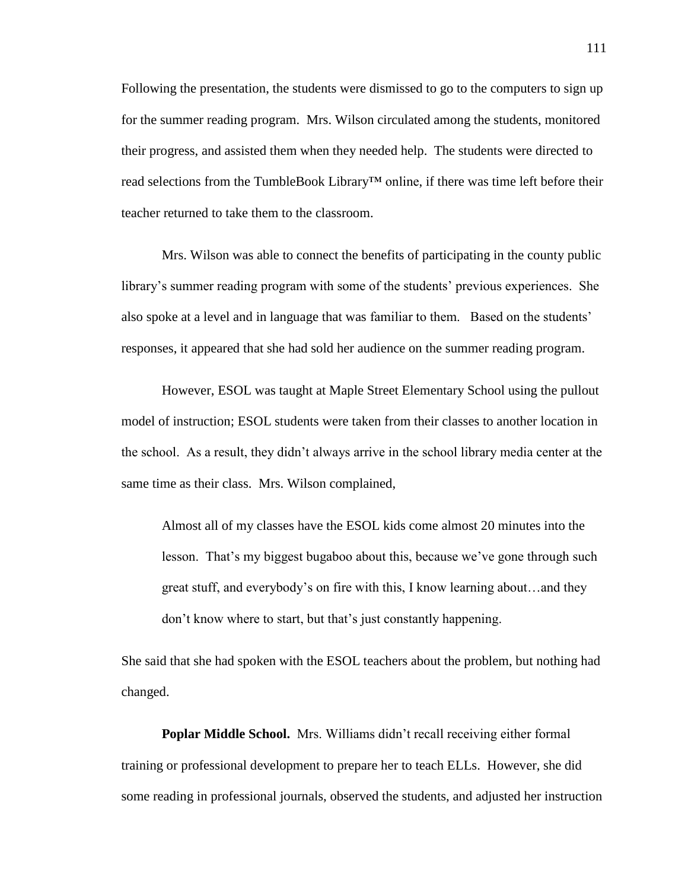Following the presentation, the students were dismissed to go to the computers to sign up for the summer reading program. Mrs. Wilson circulated among the students, monitored their progress, and assisted them when they needed help. The students were directed to read selections from the TumbleBook Library™ online, if there was time left before their teacher returned to take them to the classroom.

Mrs. Wilson was able to connect the benefits of participating in the county public library's summer reading program with some of the students' previous experiences. She also spoke at a level and in language that was familiar to them. Based on the students' responses, it appeared that she had sold her audience on the summer reading program.

However, ESOL was taught at Maple Street Elementary School using the pullout model of instruction; ESOL students were taken from their classes to another location in the school. As a result, they didn't always arrive in the school library media center at the same time as their class. Mrs. Wilson complained,

Almost all of my classes have the ESOL kids come almost 20 minutes into the lesson. That's my biggest bugaboo about this, because we've gone through such great stuff, and everybody's on fire with this, I know learning about…and they don't know where to start, but that's just constantly happening.

She said that she had spoken with the ESOL teachers about the problem, but nothing had changed.

**Poplar Middle School.** Mrs. Williams didn't recall receiving either formal training or professional development to prepare her to teach ELLs. However, she did some reading in professional journals, observed the students, and adjusted her instruction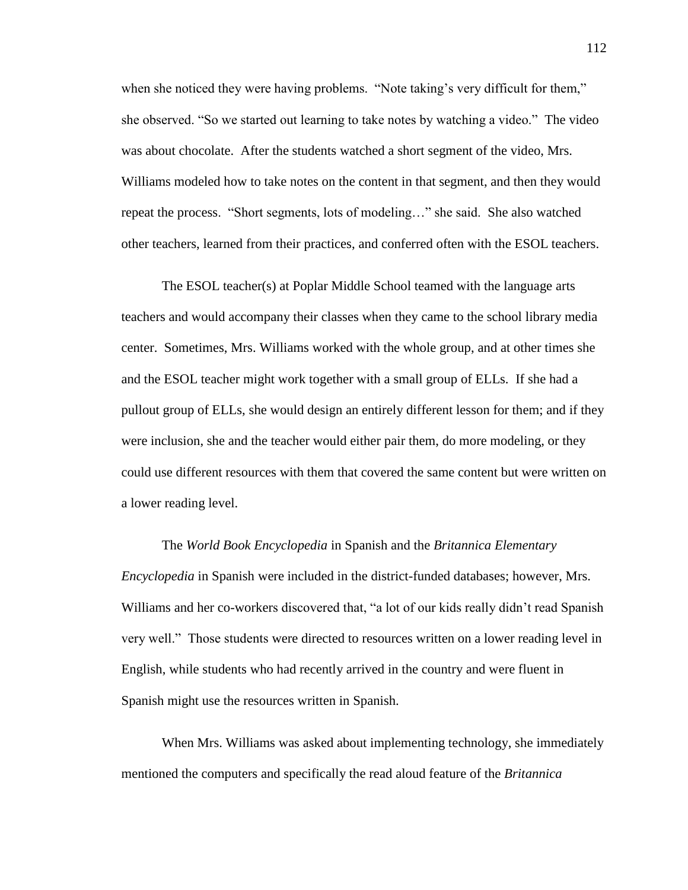when she noticed they were having problems. "Note taking's very difficult for them," she observed. "So we started out learning to take notes by watching a video." The video was about chocolate. After the students watched a short segment of the video, Mrs. Williams modeled how to take notes on the content in that segment, and then they would repeat the process. "Short segments, lots of modeling…" she said. She also watched other teachers, learned from their practices, and conferred often with the ESOL teachers.

The ESOL teacher(s) at Poplar Middle School teamed with the language arts teachers and would accompany their classes when they came to the school library media center. Sometimes, Mrs. Williams worked with the whole group, and at other times she and the ESOL teacher might work together with a small group of ELLs. If she had a pullout group of ELLs, she would design an entirely different lesson for them; and if they were inclusion, she and the teacher would either pair them, do more modeling, or they could use different resources with them that covered the same content but were written on a lower reading level.

The *World Book Encyclopedia* in Spanish and the *Britannica Elementary Encyclopedia* in Spanish were included in the district-funded databases; however, Mrs. Williams and her co-workers discovered that, "a lot of our kids really didn't read Spanish very well." Those students were directed to resources written on a lower reading level in English, while students who had recently arrived in the country and were fluent in Spanish might use the resources written in Spanish.

When Mrs. Williams was asked about implementing technology, she immediately mentioned the computers and specifically the read aloud feature of the *Britannica*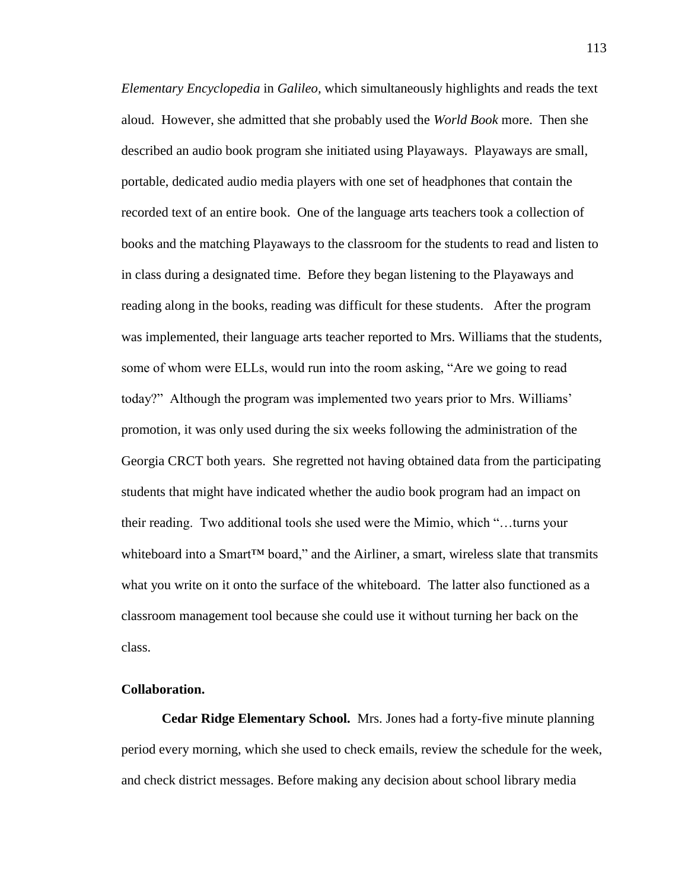*Elementary Encyclopedia* in *Galileo,* which simultaneously highlights and reads the text aloud. However, she admitted that she probably used the *World Book* more. Then she described an audio book program she initiated using Playaways. Playaways are small, portable, dedicated audio media players with one set of headphones that contain the recorded text of an entire book. One of the language arts teachers took a collection of books and the matching Playaways to the classroom for the students to read and listen to in class during a designated time. Before they began listening to the Playaways and reading along in the books, reading was difficult for these students. After the program was implemented, their language arts teacher reported to Mrs. Williams that the students, some of whom were ELLs, would run into the room asking, "Are we going to read today?" Although the program was implemented two years prior to Mrs. Williams' promotion, it was only used during the six weeks following the administration of the Georgia CRCT both years. She regretted not having obtained data from the participating students that might have indicated whether the audio book program had an impact on their reading. Two additional tools she used were the Mimio, which "…turns your whiteboard into a Smart<sup>™</sup> board," and the Airliner, a smart, wireless slate that transmits what you write on it onto the surface of the whiteboard. The latter also functioned as a classroom management tool because she could use it without turning her back on the class.

# **Collaboration.**

**Cedar Ridge Elementary School.**Mrs. Jones had a forty-five minute planning period every morning, which she used to check emails, review the schedule for the week, and check district messages. Before making any decision about school library media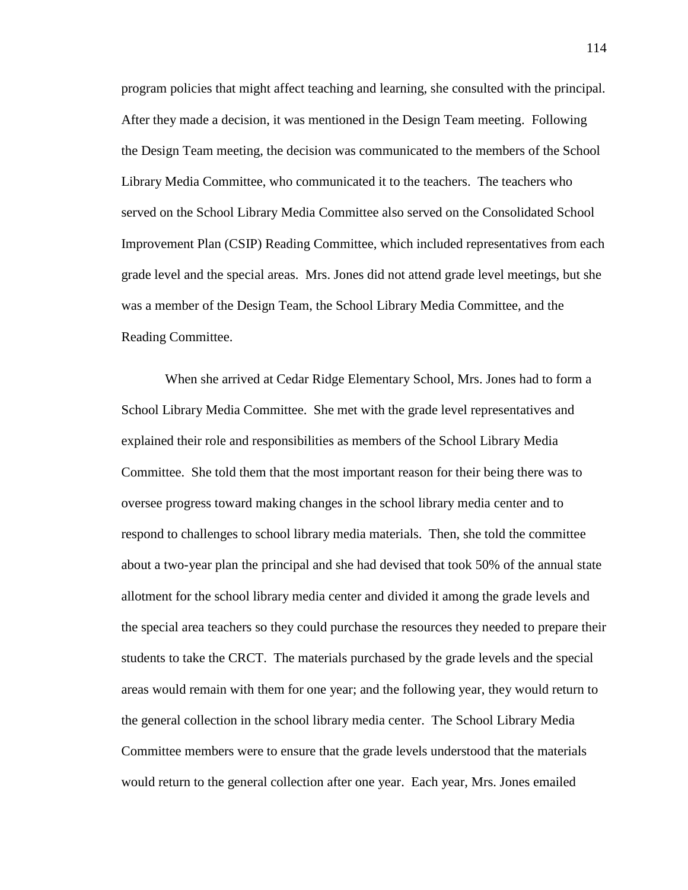program policies that might affect teaching and learning, she consulted with the principal. After they made a decision, it was mentioned in the Design Team meeting. Following the Design Team meeting, the decision was communicated to the members of the School Library Media Committee, who communicated it to the teachers. The teachers who served on the School Library Media Committee also served on the Consolidated School Improvement Plan (CSIP) Reading Committee, which included representatives from each grade level and the special areas. Mrs. Jones did not attend grade level meetings, but she was a member of the Design Team, the School Library Media Committee, and the Reading Committee.

When she arrived at Cedar Ridge Elementary School, Mrs. Jones had to form a School Library Media Committee. She met with the grade level representatives and explained their role and responsibilities as members of the School Library Media Committee. She told them that the most important reason for their being there was to oversee progress toward making changes in the school library media center and to respond to challenges to school library media materials. Then, she told the committee about a two-year plan the principal and she had devised that took 50% of the annual state allotment for the school library media center and divided it among the grade levels and the special area teachers so they could purchase the resources they needed to prepare their students to take the CRCT. The materials purchased by the grade levels and the special areas would remain with them for one year; and the following year, they would return to the general collection in the school library media center. The School Library Media Committee members were to ensure that the grade levels understood that the materials would return to the general collection after one year. Each year, Mrs. Jones emailed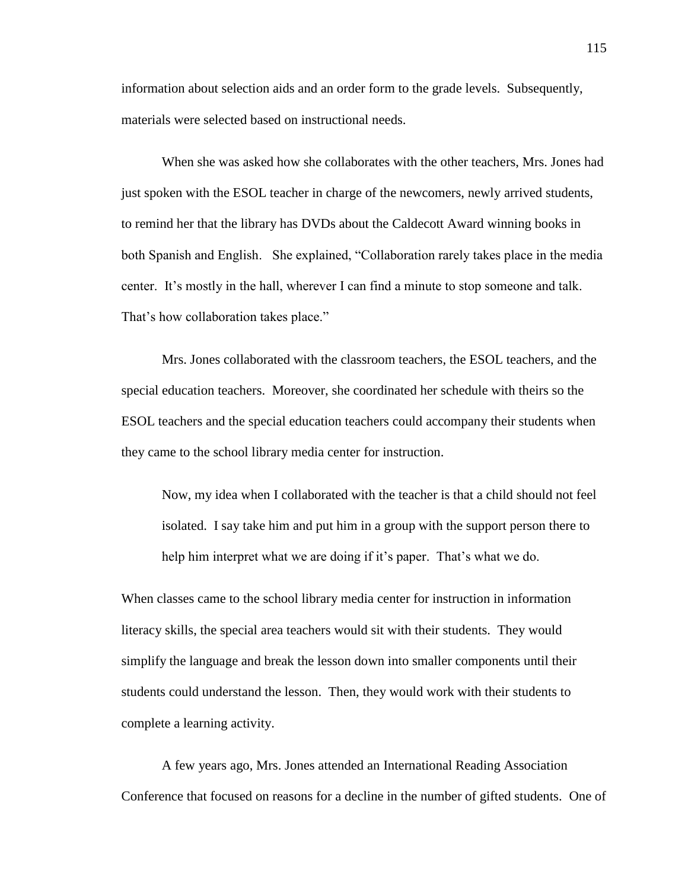information about selection aids and an order form to the grade levels. Subsequently, materials were selected based on instructional needs.

When she was asked how she collaborates with the other teachers, Mrs. Jones had just spoken with the ESOL teacher in charge of the newcomers, newly arrived students, to remind her that the library has DVDs about the Caldecott Award winning books in both Spanish and English. She explained, "Collaboration rarely takes place in the media center. It's mostly in the hall, wherever I can find a minute to stop someone and talk. That's how collaboration takes place."

Mrs. Jones collaborated with the classroom teachers, the ESOL teachers, and the special education teachers. Moreover, she coordinated her schedule with theirs so the ESOL teachers and the special education teachers could accompany their students when they came to the school library media center for instruction.

Now, my idea when I collaborated with the teacher is that a child should not feel isolated. I say take him and put him in a group with the support person there to help him interpret what we are doing if it's paper. That's what we do.

When classes came to the school library media center for instruction in information literacy skills, the special area teachers would sit with their students. They would simplify the language and break the lesson down into smaller components until their students could understand the lesson. Then, they would work with their students to complete a learning activity.

A few years ago, Mrs. Jones attended an International Reading Association Conference that focused on reasons for a decline in the number of gifted students. One of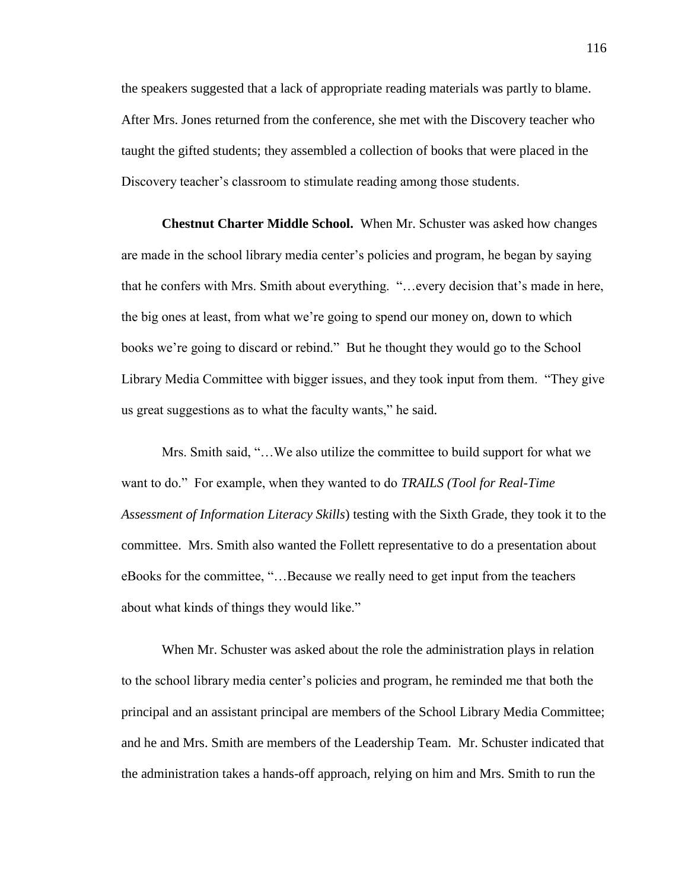the speakers suggested that a lack of appropriate reading materials was partly to blame. After Mrs. Jones returned from the conference, she met with the Discovery teacher who taught the gifted students; they assembled a collection of books that were placed in the Discovery teacher's classroom to stimulate reading among those students.

**Chestnut Charter Middle School.**When Mr. Schuster was asked how changes are made in the school library media center's policies and program, he began by saying that he confers with Mrs. Smith about everything. "…every decision that's made in here, the big ones at least, from what we're going to spend our money on, down to which books we're going to discard or rebind." But he thought they would go to the School Library Media Committee with bigger issues, and they took input from them. "They give us great suggestions as to what the faculty wants," he said.

Mrs. Smith said, "…We also utilize the committee to build support for what we want to do." For example, when they wanted to do *TRAILS (Tool for Real-Time Assessment of Information Literacy Skills*) testing with the Sixth Grade, they took it to the committee. Mrs. Smith also wanted the Follett representative to do a presentation about eBooks for the committee, "…Because we really need to get input from the teachers about what kinds of things they would like."

When Mr. Schuster was asked about the role the administration plays in relation to the school library media center's policies and program, he reminded me that both the principal and an assistant principal are members of the School Library Media Committee; and he and Mrs. Smith are members of the Leadership Team. Mr. Schuster indicated that the administration takes a hands-off approach, relying on him and Mrs. Smith to run the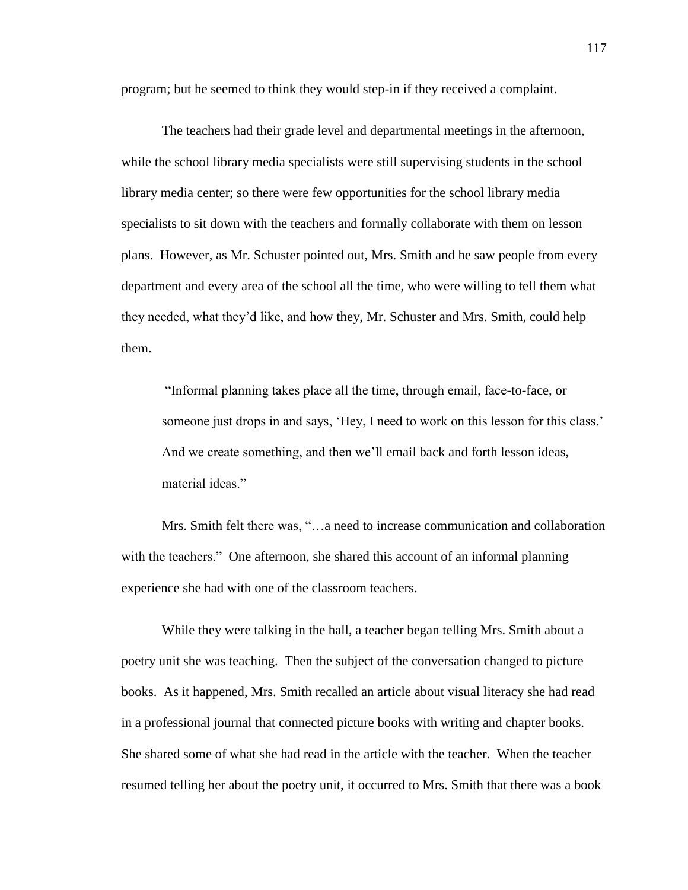program; but he seemed to think they would step-in if they received a complaint.

The teachers had their grade level and departmental meetings in the afternoon, while the school library media specialists were still supervising students in the school library media center; so there were few opportunities for the school library media specialists to sit down with the teachers and formally collaborate with them on lesson plans. However, as Mr. Schuster pointed out, Mrs. Smith and he saw people from every department and every area of the school all the time, who were willing to tell them what they needed, what they'd like, and how they, Mr. Schuster and Mrs. Smith, could help them.

"Informal planning takes place all the time, through email, face-to-face, or someone just drops in and says, 'Hey, I need to work on this lesson for this class.' And we create something, and then we'll email back and forth lesson ideas, material ideas."

Mrs. Smith felt there was, "…a need to increase communication and collaboration with the teachers." One afternoon, she shared this account of an informal planning experience she had with one of the classroom teachers.

While they were talking in the hall, a teacher began telling Mrs. Smith about a poetry unit she was teaching. Then the subject of the conversation changed to picture books. As it happened, Mrs. Smith recalled an article about visual literacy she had read in a professional journal that connected picture books with writing and chapter books. She shared some of what she had read in the article with the teacher. When the teacher resumed telling her about the poetry unit, it occurred to Mrs. Smith that there was a book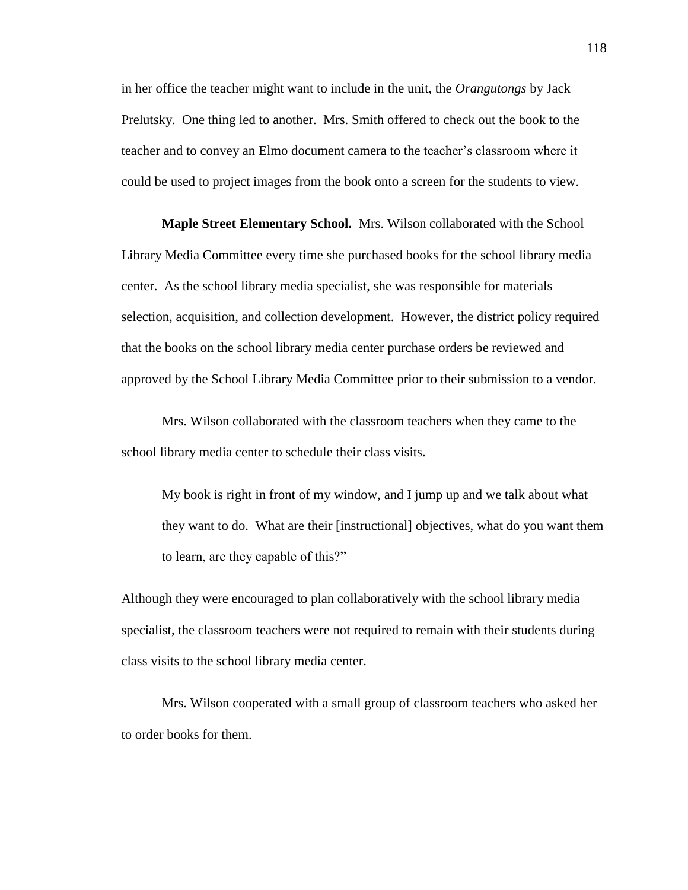in her office the teacher might want to include in the unit, the *Orangutongs* by Jack Prelutsky. One thing led to another. Mrs. Smith offered to check out the book to the teacher and to convey an Elmo document camera to the teacher's classroom where it could be used to project images from the book onto a screen for the students to view.

**Maple Street Elementary School.** Mrs. Wilson collaborated with the School Library Media Committee every time she purchased books for the school library media center. As the school library media specialist, she was responsible for materials selection, acquisition, and collection development. However, the district policy required that the books on the school library media center purchase orders be reviewed and approved by the School Library Media Committee prior to their submission to a vendor.

Mrs. Wilson collaborated with the classroom teachers when they came to the school library media center to schedule their class visits.

My book is right in front of my window, and I jump up and we talk about what they want to do. What are their [instructional] objectives, what do you want them to learn, are they capable of this?"

Although they were encouraged to plan collaboratively with the school library media specialist, the classroom teachers were not required to remain with their students during class visits to the school library media center.

Mrs. Wilson cooperated with a small group of classroom teachers who asked her to order books for them.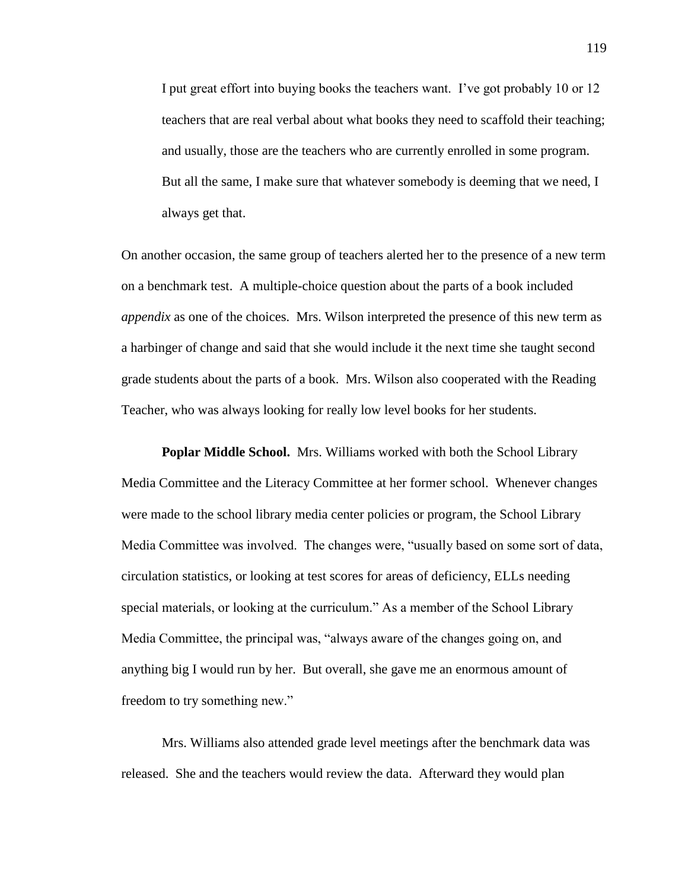I put great effort into buying books the teachers want. I've got probably 10 or 12 teachers that are real verbal about what books they need to scaffold their teaching; and usually, those are the teachers who are currently enrolled in some program. But all the same, I make sure that whatever somebody is deeming that we need, I always get that.

On another occasion, the same group of teachers alerted her to the presence of a new term on a benchmark test. A multiple-choice question about the parts of a book included *appendix* as one of the choices. Mrs. Wilson interpreted the presence of this new term as a harbinger of change and said that she would include it the next time she taught second grade students about the parts of a book. Mrs. Wilson also cooperated with the Reading Teacher, who was always looking for really low level books for her students.

**Poplar Middle School.**Mrs. Williams worked with both the School Library Media Committee and the Literacy Committee at her former school. Whenever changes were made to the school library media center policies or program, the School Library Media Committee was involved. The changes were, "usually based on some sort of data, circulation statistics, or looking at test scores for areas of deficiency, ELLs needing special materials, or looking at the curriculum." As a member of the School Library Media Committee, the principal was, "always aware of the changes going on, and anything big I would run by her. But overall, she gave me an enormous amount of freedom to try something new."

Mrs. Williams also attended grade level meetings after the benchmark data was released. She and the teachers would review the data. Afterward they would plan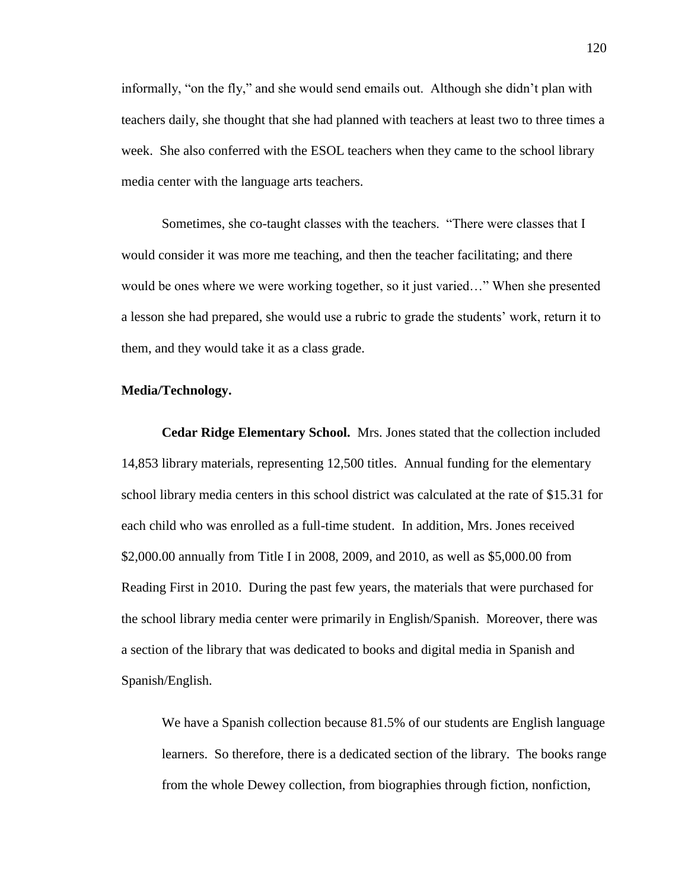informally, "on the fly," and she would send emails out. Although she didn't plan with teachers daily, she thought that she had planned with teachers at least two to three times a week. She also conferred with the ESOL teachers when they came to the school library media center with the language arts teachers.

Sometimes, she co-taught classes with the teachers. "There were classes that I would consider it was more me teaching, and then the teacher facilitating; and there would be ones where we were working together, so it just varied…" When she presented a lesson she had prepared, she would use a rubric to grade the students' work, return it to them, and they would take it as a class grade.

### **Media/Technology.**

**Cedar Ridge Elementary School.** Mrs. Jones stated that the collection included 14,853 library materials, representing 12,500 titles. Annual funding for the elementary school library media centers in this school district was calculated at the rate of \$15.31 for each child who was enrolled as a full-time student. In addition, Mrs. Jones received \$2,000.00 annually from Title I in 2008, 2009, and 2010, as well as \$5,000.00 from Reading First in 2010. During the past few years, the materials that were purchased for the school library media center were primarily in English/Spanish. Moreover, there was a section of the library that was dedicated to books and digital media in Spanish and Spanish/English.

We have a Spanish collection because 81.5% of our students are English language learners. So therefore, there is a dedicated section of the library. The books range from the whole Dewey collection, from biographies through fiction, nonfiction,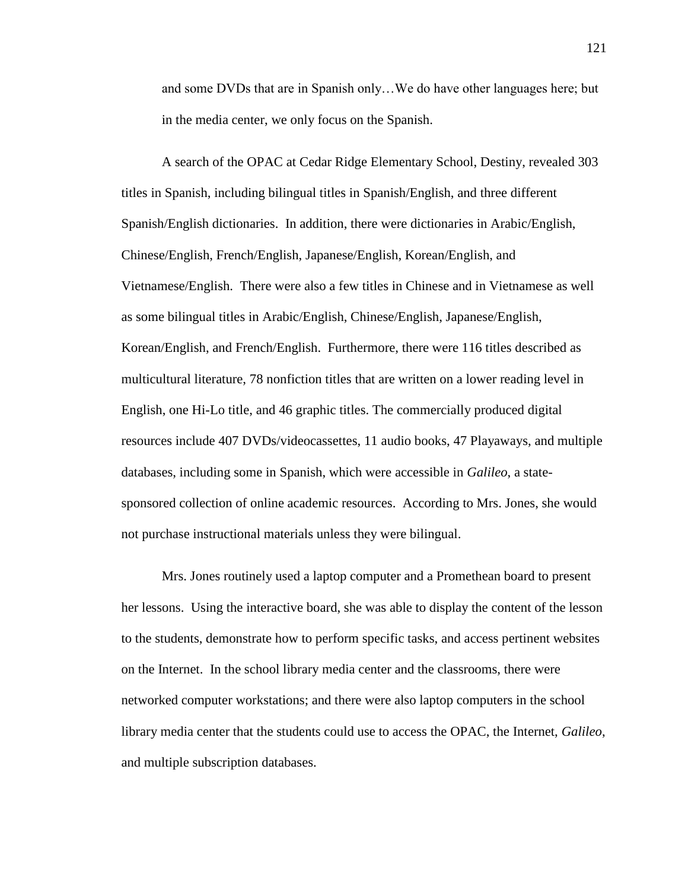and some DVDs that are in Spanish only…We do have other languages here; but in the media center, we only focus on the Spanish.

A search of the OPAC at Cedar Ridge Elementary School, Destiny, revealed 303 titles in Spanish, including bilingual titles in Spanish/English, and three different Spanish/English dictionaries. In addition, there were dictionaries in Arabic/English, Chinese/English, French/English, Japanese/English, Korean/English, and Vietnamese/English. There were also a few titles in Chinese and in Vietnamese as well as some bilingual titles in Arabic/English, Chinese/English, Japanese/English, Korean/English, and French/English. Furthermore, there were 116 titles described as multicultural literature, 78 nonfiction titles that are written on a lower reading level in English, one Hi-Lo title, and 46 graphic titles. The commercially produced digital resources include 407 DVDs/videocassettes, 11 audio books, 47 Playaways, and multiple databases, including some in Spanish, which were accessible in *Galileo*, a statesponsored collection of online academic resources. According to Mrs. Jones, she would not purchase instructional materials unless they were bilingual.

Mrs. Jones routinely used a laptop computer and a Promethean board to present her lessons. Using the interactive board, she was able to display the content of the lesson to the students, demonstrate how to perform specific tasks, and access pertinent websites on the Internet. In the school library media center and the classrooms, there were networked computer workstations; and there were also laptop computers in the school library media center that the students could use to access the OPAC, the Internet, *Galileo*, and multiple subscription databases.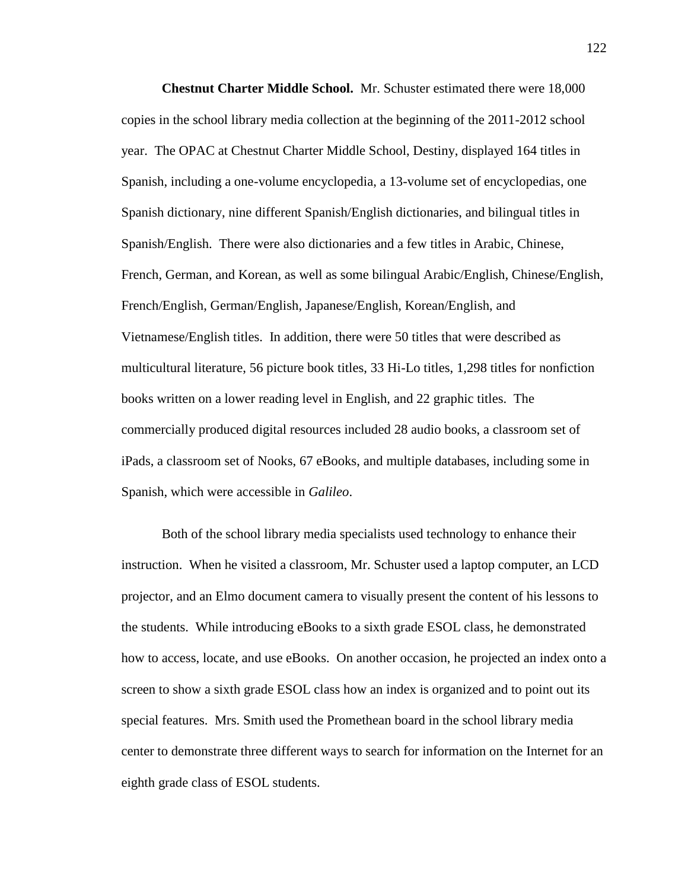**Chestnut Charter Middle School.** Mr. Schuster estimated there were 18,000 copies in the school library media collection at the beginning of the 2011-2012 school year. The OPAC at Chestnut Charter Middle School, Destiny, displayed 164 titles in Spanish, including a one-volume encyclopedia, a 13-volume set of encyclopedias, one Spanish dictionary, nine different Spanish/English dictionaries, and bilingual titles in Spanish/English. There were also dictionaries and a few titles in Arabic, Chinese, French, German, and Korean, as well as some bilingual Arabic/English, Chinese/English, French/English, German/English, Japanese/English, Korean/English, and Vietnamese/English titles. In addition, there were 50 titles that were described as multicultural literature, 56 picture book titles, 33 Hi-Lo titles, 1,298 titles for nonfiction books written on a lower reading level in English, and 22 graphic titles. The commercially produced digital resources included 28 audio books, a classroom set of iPads, a classroom set of Nooks, 67 eBooks, and multiple databases, including some in Spanish, which were accessible in *Galileo*.

Both of the school library media specialists used technology to enhance their instruction. When he visited a classroom, Mr. Schuster used a laptop computer, an LCD projector, and an Elmo document camera to visually present the content of his lessons to the students. While introducing eBooks to a sixth grade ESOL class, he demonstrated how to access, locate, and use eBooks. On another occasion, he projected an index onto a screen to show a sixth grade ESOL class how an index is organized and to point out its special features. Mrs. Smith used the Promethean board in the school library media center to demonstrate three different ways to search for information on the Internet for an eighth grade class of ESOL students.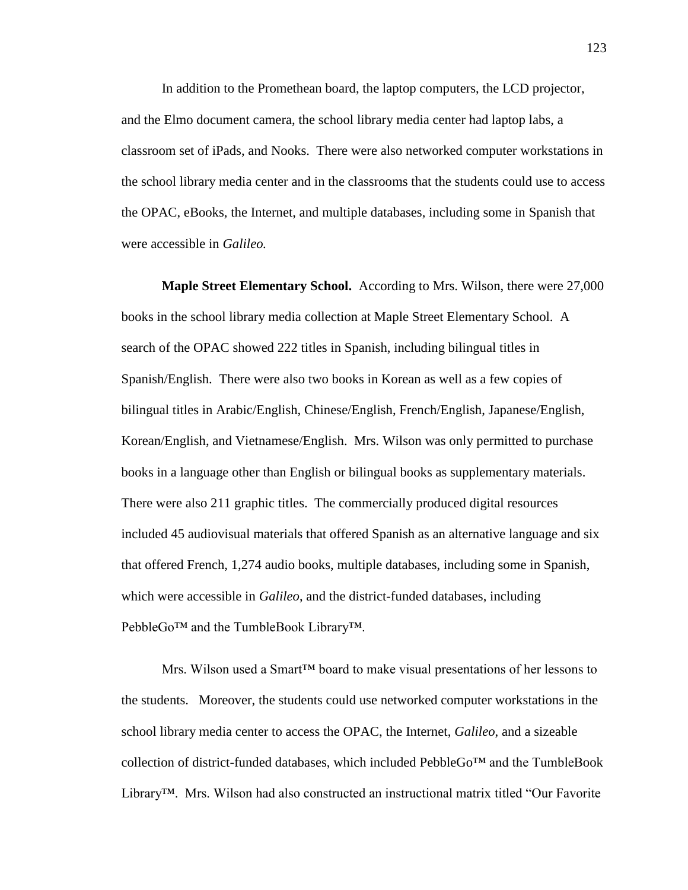In addition to the Promethean board, the laptop computers, the LCD projector, and the Elmo document camera, the school library media center had laptop labs, a classroom set of iPads, and Nooks. There were also networked computer workstations in the school library media center and in the classrooms that the students could use to access the OPAC, eBooks, the Internet, and multiple databases, including some in Spanish that were accessible in *Galileo.*

**Maple Street Elementary School.**According to Mrs. Wilson, there were 27,000 books in the school library media collection at Maple Street Elementary School. A search of the OPAC showed 222 titles in Spanish, including bilingual titles in Spanish/English. There were also two books in Korean as well as a few copies of bilingual titles in Arabic/English, Chinese/English, French/English, Japanese/English, Korean/English, and Vietnamese/English. Mrs. Wilson was only permitted to purchase books in a language other than English or bilingual books as supplementary materials. There were also 211 graphic titles. The commercially produced digital resources included 45 audiovisual materials that offered Spanish as an alternative language and six that offered French, 1,274 audio books, multiple databases, including some in Spanish, which were accessible in *Galileo*, and the district-funded databases, including PebbleGo™ and the TumbleBook Library™.

Mrs. Wilson used a Smart™ board to make visual presentations of her lessons to the students. Moreover, the students could use networked computer workstations in the school library media center to access the OPAC, the Internet, *Galileo*, and a sizeable collection of district-funded databases, which included PebbleGo™ and the TumbleBook Library™. Mrs. Wilson had also constructed an instructional matrix titled "Our Favorite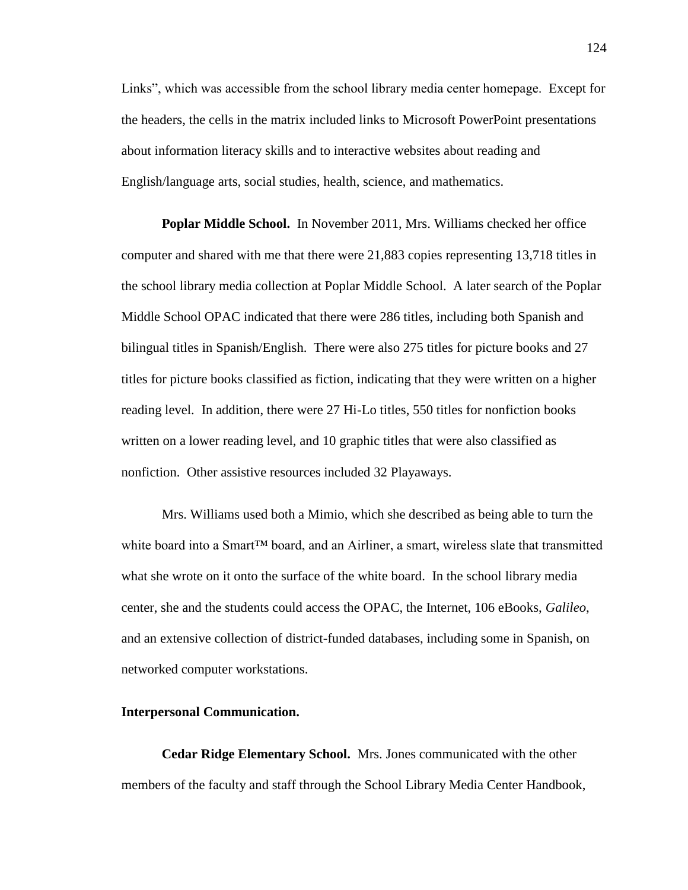Links", which was accessible from the school library media center homepage. Except for the headers, the cells in the matrix included links to Microsoft PowerPoint presentations about information literacy skills and to interactive websites about reading and English/language arts, social studies, health, science, and mathematics.

**Poplar Middle School.** In November 2011, Mrs. Williams checked her office computer and shared with me that there were 21,883 copies representing 13,718 titles in the school library media collection at Poplar Middle School. A later search of the Poplar Middle School OPAC indicated that there were 286 titles, including both Spanish and bilingual titles in Spanish/English. There were also 275 titles for picture books and 27 titles for picture books classified as fiction, indicating that they were written on a higher reading level. In addition, there were 27 Hi-Lo titles, 550 titles for nonfiction books written on a lower reading level, and 10 graphic titles that were also classified as nonfiction. Other assistive resources included 32 Playaways.

Mrs. Williams used both a Mimio, which she described as being able to turn the white board into a Smart™ board, and an Airliner, a smart, wireless slate that transmitted what she wrote on it onto the surface of the white board. In the school library media center, she and the students could access the OPAC, the Internet, 106 eBooks, *Galileo*, and an extensive collection of district-funded databases, including some in Spanish, on networked computer workstations.

#### **Interpersonal Communication.**

**Cedar Ridge Elementary School.** Mrs. Jones communicated with the other members of the faculty and staff through the School Library Media Center Handbook,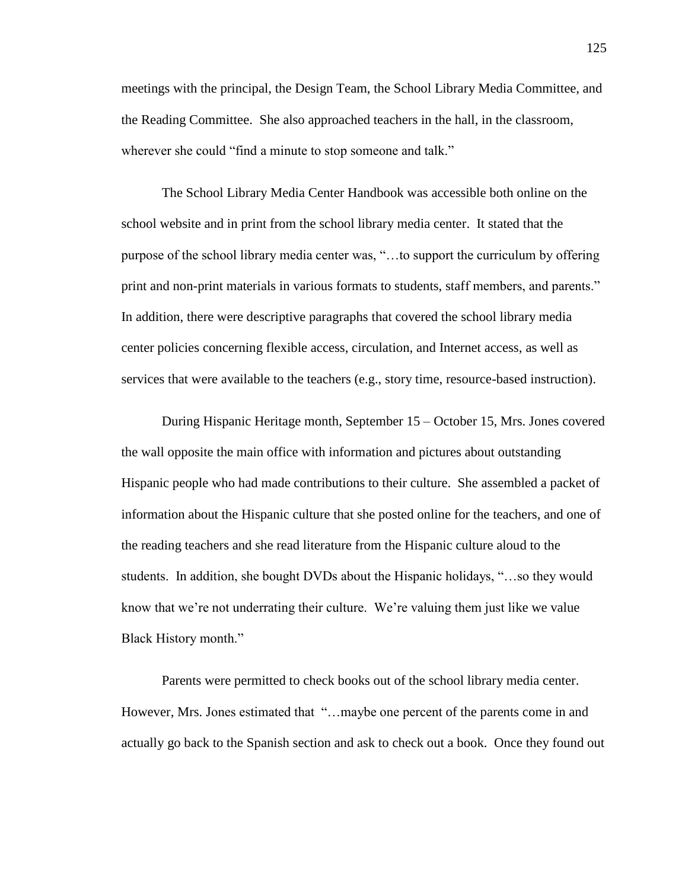meetings with the principal, the Design Team, the School Library Media Committee, and the Reading Committee. She also approached teachers in the hall, in the classroom, wherever she could "find a minute to stop someone and talk."

The School Library Media Center Handbook was accessible both online on the school website and in print from the school library media center. It stated that the purpose of the school library media center was, "…to support the curriculum by offering print and non-print materials in various formats to students, staff members, and parents." In addition, there were descriptive paragraphs that covered the school library media center policies concerning flexible access, circulation, and Internet access, as well as services that were available to the teachers (e.g., story time, resource-based instruction).

During Hispanic Heritage month, September 15 – October 15, Mrs. Jones covered the wall opposite the main office with information and pictures about outstanding Hispanic people who had made contributions to their culture. She assembled a packet of information about the Hispanic culture that she posted online for the teachers, and one of the reading teachers and she read literature from the Hispanic culture aloud to the students. In addition, she bought DVDs about the Hispanic holidays, "…so they would know that we're not underrating their culture. We're valuing them just like we value Black History month."

Parents were permitted to check books out of the school library media center. However, Mrs. Jones estimated that "...maybe one percent of the parents come in and actually go back to the Spanish section and ask to check out a book. Once they found out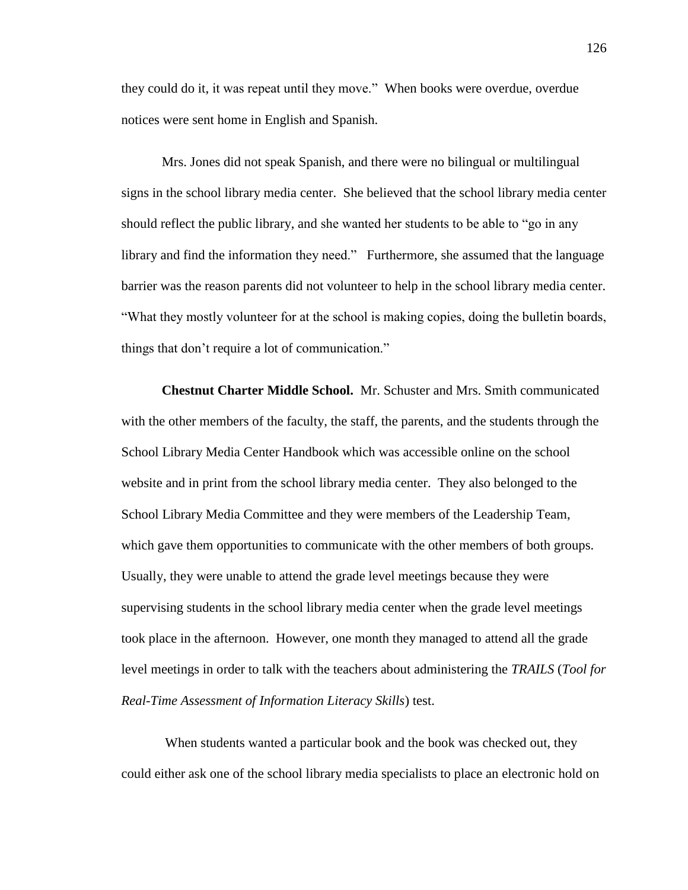they could do it, it was repeat until they move." When books were overdue, overdue notices were sent home in English and Spanish.

Mrs. Jones did not speak Spanish, and there were no bilingual or multilingual signs in the school library media center. She believed that the school library media center should reflect the public library, and she wanted her students to be able to "go in any library and find the information they need." Furthermore, she assumed that the language barrier was the reason parents did not volunteer to help in the school library media center. "What they mostly volunteer for at the school is making copies, doing the bulletin boards, things that don't require a lot of communication."

**Chestnut Charter Middle School.**Mr. Schuster and Mrs. Smith communicated with the other members of the faculty, the staff, the parents, and the students through the School Library Media Center Handbook which was accessible online on the school website and in print from the school library media center. They also belonged to the School Library Media Committee and they were members of the Leadership Team, which gave them opportunities to communicate with the other members of both groups. Usually, they were unable to attend the grade level meetings because they were supervising students in the school library media center when the grade level meetings took place in the afternoon. However, one month they managed to attend all the grade level meetings in order to talk with the teachers about administering the *TRAILS* (*Tool for Real-Time Assessment of Information Literacy Skills*) test.

When students wanted a particular book and the book was checked out, they could either ask one of the school library media specialists to place an electronic hold on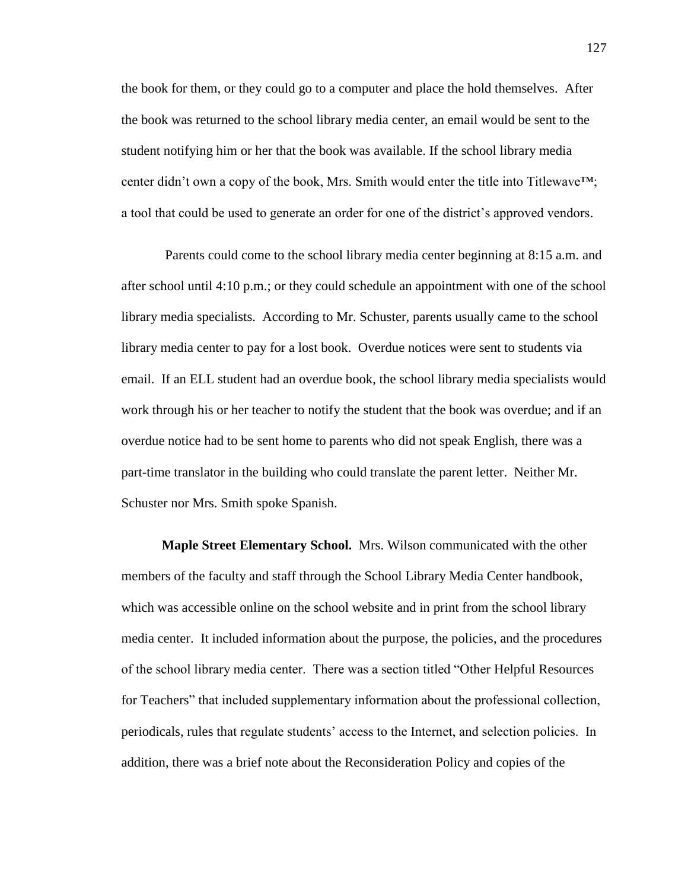the book for them, or they could go to a computer and place the hold themselves. After the book was returned to the school library media center, an email would be sent to the student notifying him or her that the book was available. If the school library media center didn't own a copy of the book, Mrs. Smith would enter the title into Titlewave™; a tool that could be used to generate an order for one of the district's approved vendors.

Parents could come to the school library media center beginning at 8:15 a.m. and after school until 4:10 p.m.; or they could schedule an appointment with one of the school library media specialists. According to Mr. Schuster, parents usually came to the school library media center to pay for a lost book. Overdue notices were sent to students via email. If an ELL student had an overdue book, the school library media specialists would work through his or her teacher to notify the student that the book was overdue; and if an overdue notice had to be sent home to parents who did not speak English, there was a part-time translator in the building who could translate the parent letter. Neither Mr. Schuster nor Mrs. Smith spoke Spanish.

**Maple Street Elementary School.** Mrs. Wilson communicated with the other members of the faculty and staff through the School Library Media Center handbook, which was accessible online on the school website and in print from the school library media center. It included information about the purpose, the policies, and the procedures of the school library media center. There was a section titled "Other Helpful Resources for Teachers" that included supplementary information about the professional collection, periodicals, rules that regulate students' access to the Internet, and selection policies. In addition, there was a brief note about the Reconsideration Policy and copies of the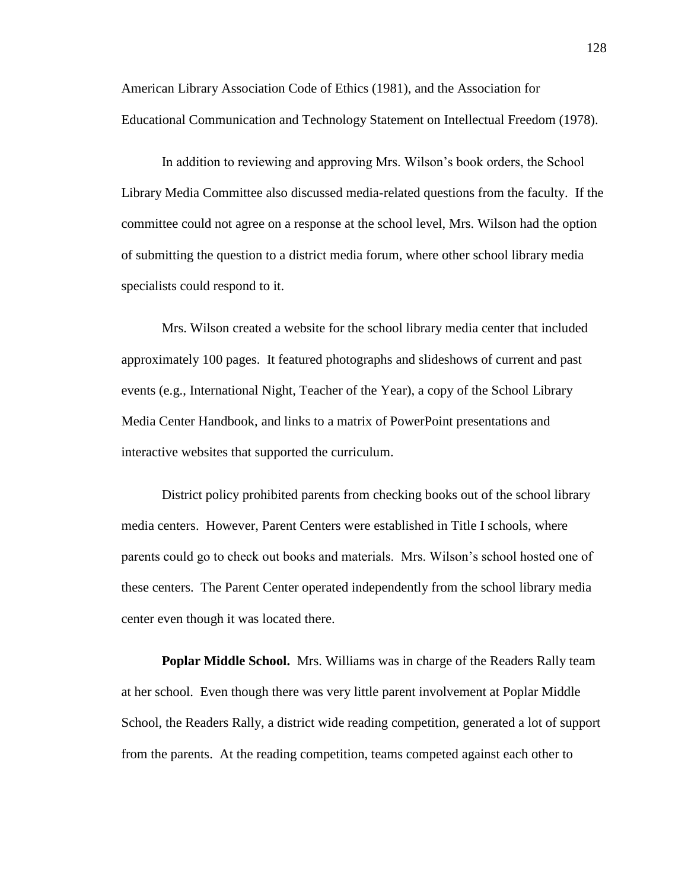American Library Association Code of Ethics (1981), and the Association for Educational Communication and Technology Statement on Intellectual Freedom (1978).

In addition to reviewing and approving Mrs. Wilson's book orders, the School Library Media Committee also discussed media-related questions from the faculty. If the committee could not agree on a response at the school level, Mrs. Wilson had the option of submitting the question to a district media forum, where other school library media specialists could respond to it.

Mrs. Wilson created a website for the school library media center that included approximately 100 pages. It featured photographs and slideshows of current and past events (e.g., International Night, Teacher of the Year), a copy of the School Library Media Center Handbook, and links to a matrix of PowerPoint presentations and interactive websites that supported the curriculum.

District policy prohibited parents from checking books out of the school library media centers. However, Parent Centers were established in Title I schools, where parents could go to check out books and materials. Mrs. Wilson's school hosted one of these centers. The Parent Center operated independently from the school library media center even though it was located there.

**Poplar Middle School.**Mrs. Williams was in charge of the Readers Rally team at her school. Even though there was very little parent involvement at Poplar Middle School, the Readers Rally, a district wide reading competition, generated a lot of support from the parents. At the reading competition, teams competed against each other to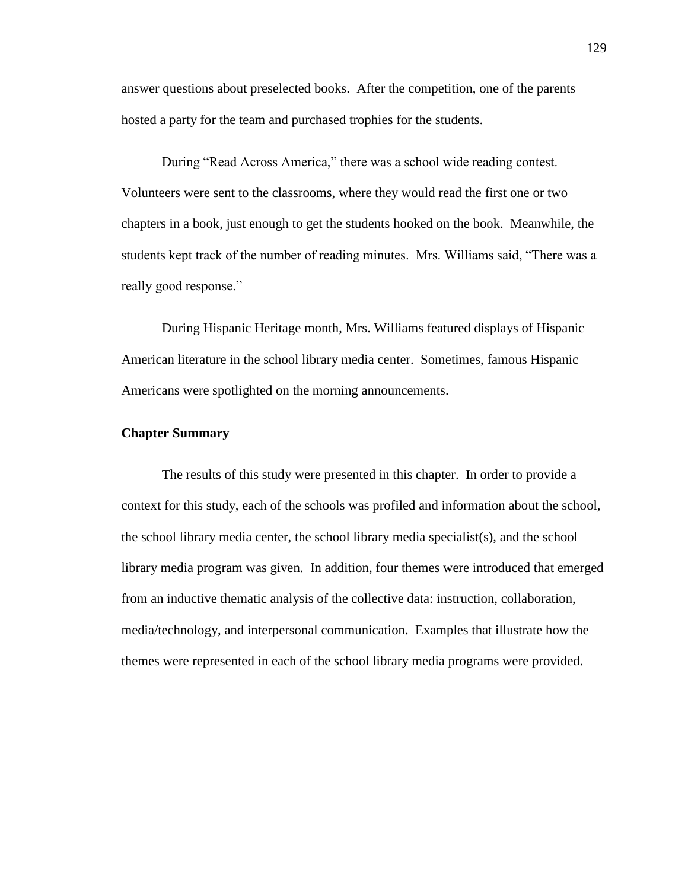answer questions about preselected books. After the competition, one of the parents hosted a party for the team and purchased trophies for the students.

During "Read Across America," there was a school wide reading contest. Volunteers were sent to the classrooms, where they would read the first one or two chapters in a book, just enough to get the students hooked on the book. Meanwhile, the students kept track of the number of reading minutes. Mrs. Williams said, "There was a really good response."

During Hispanic Heritage month, Mrs. Williams featured displays of Hispanic American literature in the school library media center. Sometimes, famous Hispanic Americans were spotlighted on the morning announcements.

# **Chapter Summary**

The results of this study were presented in this chapter. In order to provide a context for this study, each of the schools was profiled and information about the school, the school library media center, the school library media specialist(s), and the school library media program was given. In addition, four themes were introduced that emerged from an inductive thematic analysis of the collective data: instruction, collaboration, media/technology, and interpersonal communication. Examples that illustrate how the themes were represented in each of the school library media programs were provided.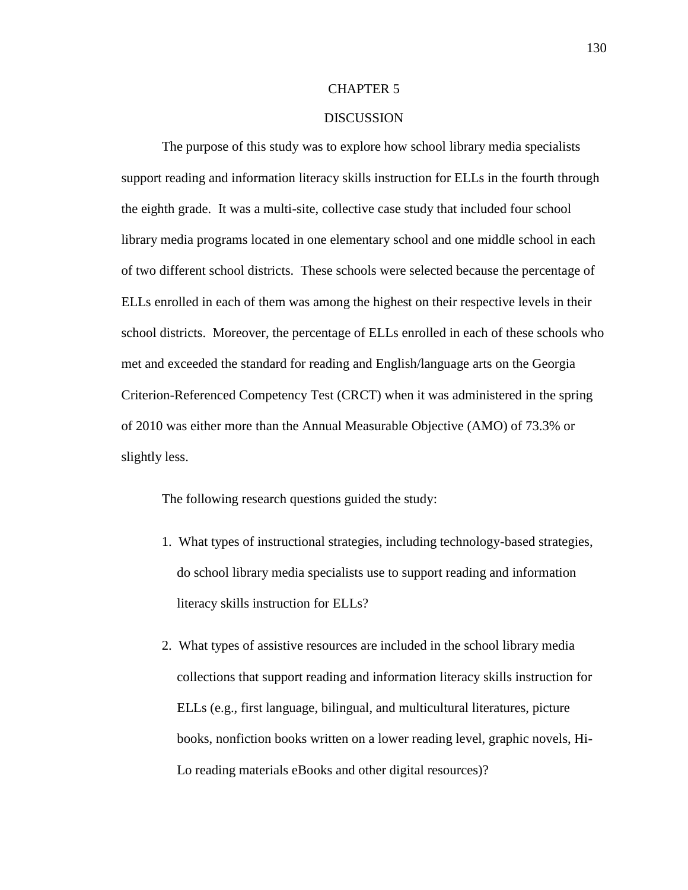### CHAPTER 5

### DISCUSSION

The purpose of this study was to explore how school library media specialists support reading and information literacy skills instruction for ELLs in the fourth through the eighth grade. It was a multi-site, collective case study that included four school library media programs located in one elementary school and one middle school in each of two different school districts. These schools were selected because the percentage of ELLs enrolled in each of them was among the highest on their respective levels in their school districts. Moreover, the percentage of ELLs enrolled in each of these schools who met and exceeded the standard for reading and English/language arts on the Georgia Criterion-Referenced Competency Test (CRCT) when it was administered in the spring of 2010 was either more than the Annual Measurable Objective (AMO) of 73.3% or slightly less.

The following research questions guided the study:

- 1. What types of instructional strategies, including technology-based strategies, do school library media specialists use to support reading and information literacy skills instruction for ELLs?
- 2. What types of assistive resources are included in the school library media collections that support reading and information literacy skills instruction for ELLs (e.g., first language, bilingual, and multicultural literatures, picture books, nonfiction books written on a lower reading level, graphic novels, Hi-Lo reading materials eBooks and other digital resources)?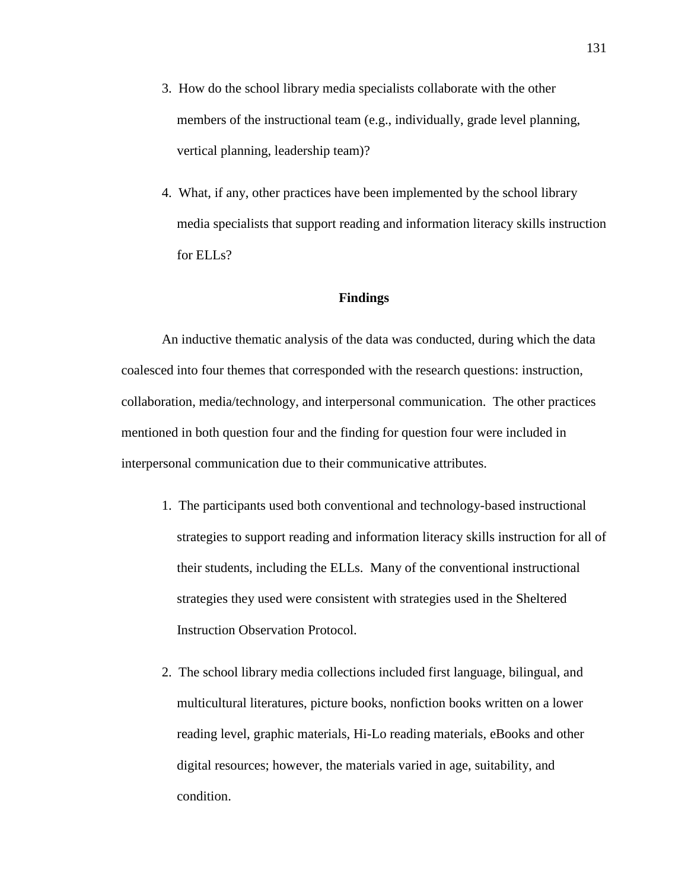- 3. How do the school library media specialists collaborate with the other members of the instructional team (e.g., individually, grade level planning, vertical planning, leadership team)?
- 4. What, if any, other practices have been implemented by the school library media specialists that support reading and information literacy skills instruction for ELL<sub>s</sub>?

# **Findings**

An inductive thematic analysis of the data was conducted, during which the data coalesced into four themes that corresponded with the research questions: instruction, collaboration, media/technology, and interpersonal communication. The other practices mentioned in both question four and the finding for question four were included in interpersonal communication due to their communicative attributes.

- 1. The participants used both conventional and technology-based instructional strategies to support reading and information literacy skills instruction for all of their students, including the ELLs. Many of the conventional instructional strategies they used were consistent with strategies used in the Sheltered Instruction Observation Protocol.
- 2. The school library media collections included first language, bilingual, and multicultural literatures, picture books, nonfiction books written on a lower reading level, graphic materials, Hi-Lo reading materials, eBooks and other digital resources; however, the materials varied in age, suitability, and condition.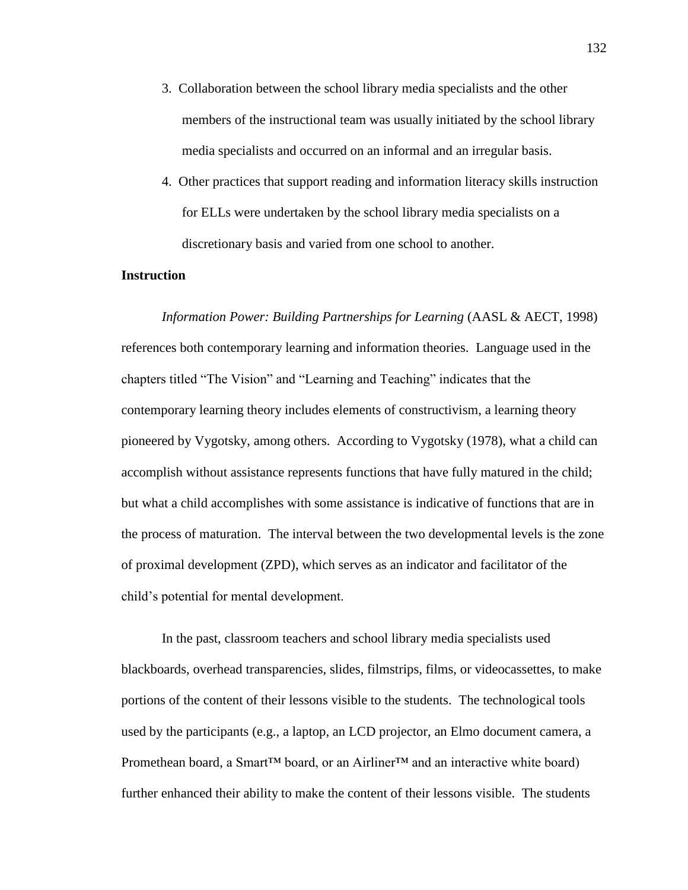- 3. Collaboration between the school library media specialists and the other members of the instructional team was usually initiated by the school library media specialists and occurred on an informal and an irregular basis.
- 4. Other practices that support reading and information literacy skills instruction for ELLs were undertaken by the school library media specialists on a discretionary basis and varied from one school to another.

### **Instruction**

*Information Power: Building Partnerships for Learning* (AASL & AECT, 1998) references both contemporary learning and information theories. Language used in the chapters titled "The Vision" and "Learning and Teaching" indicates that the contemporary learning theory includes elements of constructivism, a learning theory pioneered by Vygotsky, among others. According to Vygotsky (1978), what a child can accomplish without assistance represents functions that have fully matured in the child; but what a child accomplishes with some assistance is indicative of functions that are in the process of maturation. The interval between the two developmental levels is the zone of proximal development (ZPD), which serves as an indicator and facilitator of the child's potential for mental development.

In the past, classroom teachers and school library media specialists used blackboards, overhead transparencies, slides, filmstrips, films, or videocassettes, to make portions of the content of their lessons visible to the students. The technological tools used by the participants (e.g., a laptop, an LCD projector, an Elmo document camera, a Promethean board, a Smart<sup>™</sup> board, or an Airliner™ and an interactive white board) further enhanced their ability to make the content of their lessons visible. The students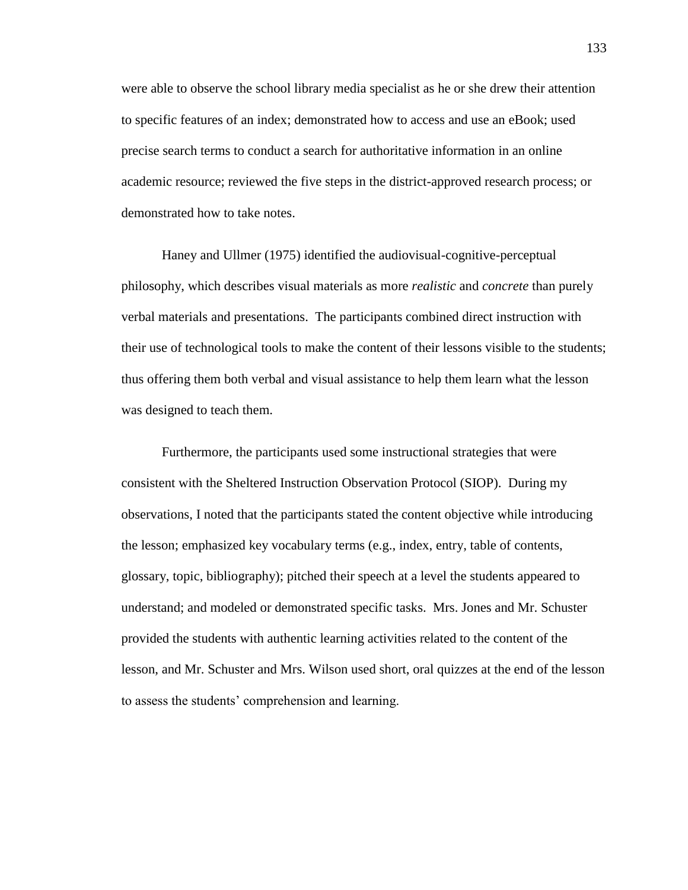were able to observe the school library media specialist as he or she drew their attention to specific features of an index; demonstrated how to access and use an eBook; used precise search terms to conduct a search for authoritative information in an online academic resource; reviewed the five steps in the district-approved research process; or demonstrated how to take notes.

Haney and Ullmer (1975) identified the audiovisual-cognitive-perceptual philosophy, which describes visual materials as more *realistic* and *concrete* than purely verbal materials and presentations. The participants combined direct instruction with their use of technological tools to make the content of their lessons visible to the students; thus offering them both verbal and visual assistance to help them learn what the lesson was designed to teach them.

Furthermore, the participants used some instructional strategies that were consistent with the Sheltered Instruction Observation Protocol (SIOP). During my observations, I noted that the participants stated the content objective while introducing the lesson; emphasized key vocabulary terms (e.g., index, entry, table of contents, glossary, topic, bibliography); pitched their speech at a level the students appeared to understand; and modeled or demonstrated specific tasks. Mrs. Jones and Mr. Schuster provided the students with authentic learning activities related to the content of the lesson, and Mr. Schuster and Mrs. Wilson used short, oral quizzes at the end of the lesson to assess the students' comprehension and learning.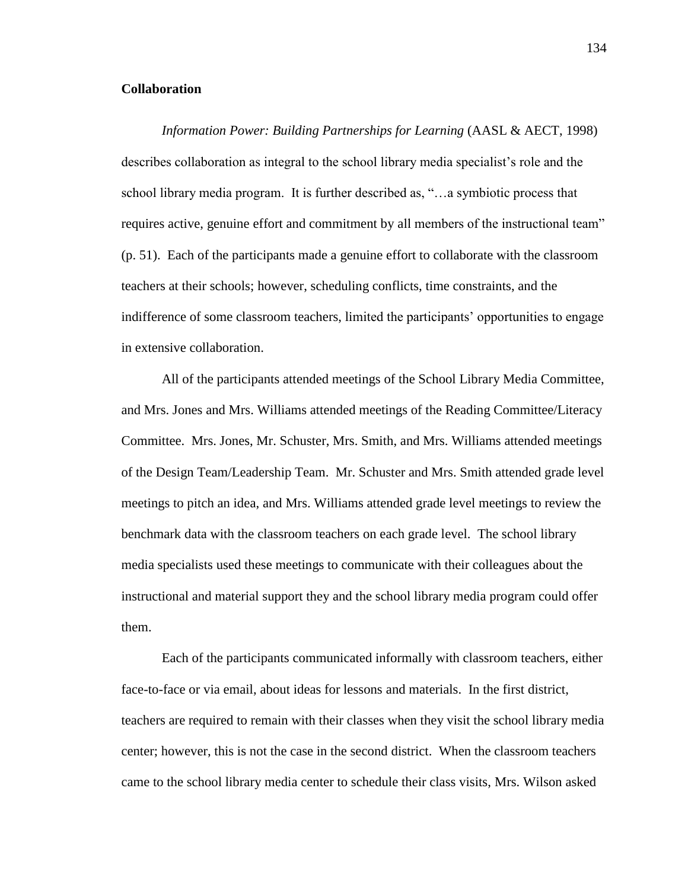### **Collaboration**

*Information Power: Building Partnerships for Learning* (AASL & AECT, 1998) describes collaboration as integral to the school library media specialist's role and the school library media program. It is further described as, "…a symbiotic process that requires active, genuine effort and commitment by all members of the instructional team" (p. 51). Each of the participants made a genuine effort to collaborate with the classroom teachers at their schools; however, scheduling conflicts, time constraints, and the indifference of some classroom teachers, limited the participants' opportunities to engage in extensive collaboration.

All of the participants attended meetings of the School Library Media Committee, and Mrs. Jones and Mrs. Williams attended meetings of the Reading Committee/Literacy Committee. Mrs. Jones, Mr. Schuster, Mrs. Smith, and Mrs. Williams attended meetings of the Design Team/Leadership Team. Mr. Schuster and Mrs. Smith attended grade level meetings to pitch an idea, and Mrs. Williams attended grade level meetings to review the benchmark data with the classroom teachers on each grade level. The school library media specialists used these meetings to communicate with their colleagues about the instructional and material support they and the school library media program could offer them.

Each of the participants communicated informally with classroom teachers, either face-to-face or via email, about ideas for lessons and materials. In the first district, teachers are required to remain with their classes when they visit the school library media center; however, this is not the case in the second district. When the classroom teachers came to the school library media center to schedule their class visits, Mrs. Wilson asked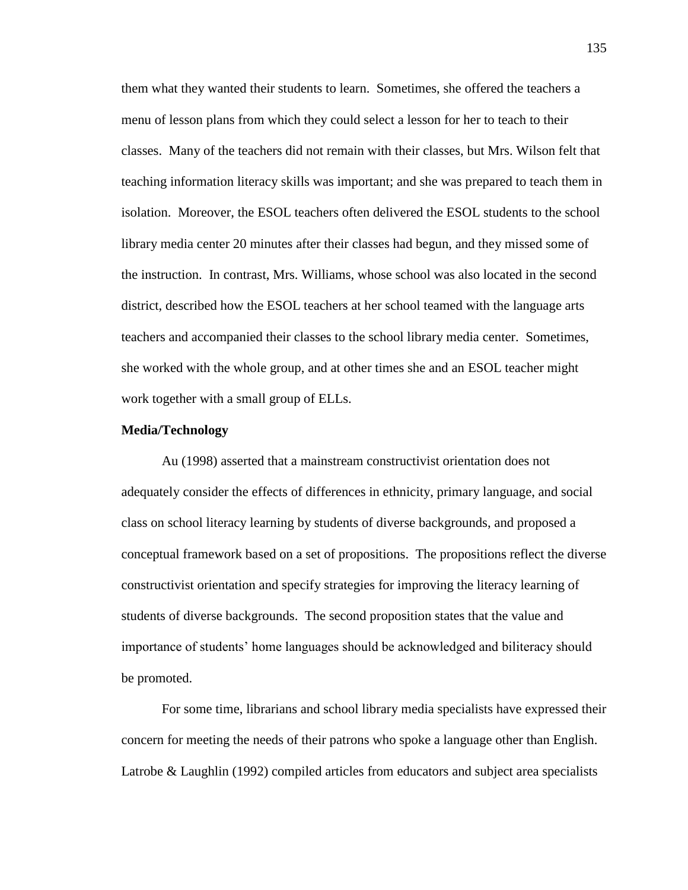them what they wanted their students to learn. Sometimes, she offered the teachers a menu of lesson plans from which they could select a lesson for her to teach to their classes. Many of the teachers did not remain with their classes, but Mrs. Wilson felt that teaching information literacy skills was important; and she was prepared to teach them in isolation. Moreover, the ESOL teachers often delivered the ESOL students to the school library media center 20 minutes after their classes had begun, and they missed some of the instruction. In contrast, Mrs. Williams, whose school was also located in the second district, described how the ESOL teachers at her school teamed with the language arts teachers and accompanied their classes to the school library media center. Sometimes, she worked with the whole group, and at other times she and an ESOL teacher might work together with a small group of ELLs.

#### **Media/Technology**

Au (1998) asserted that a mainstream constructivist orientation does not adequately consider the effects of differences in ethnicity, primary language, and social class on school literacy learning by students of diverse backgrounds, and proposed a conceptual framework based on a set of propositions. The propositions reflect the diverse constructivist orientation and specify strategies for improving the literacy learning of students of diverse backgrounds. The second proposition states that the value and importance of students' home languages should be acknowledged and biliteracy should be promoted.

For some time, librarians and school library media specialists have expressed their concern for meeting the needs of their patrons who spoke a language other than English. Latrobe & Laughlin (1992) compiled articles from educators and subject area specialists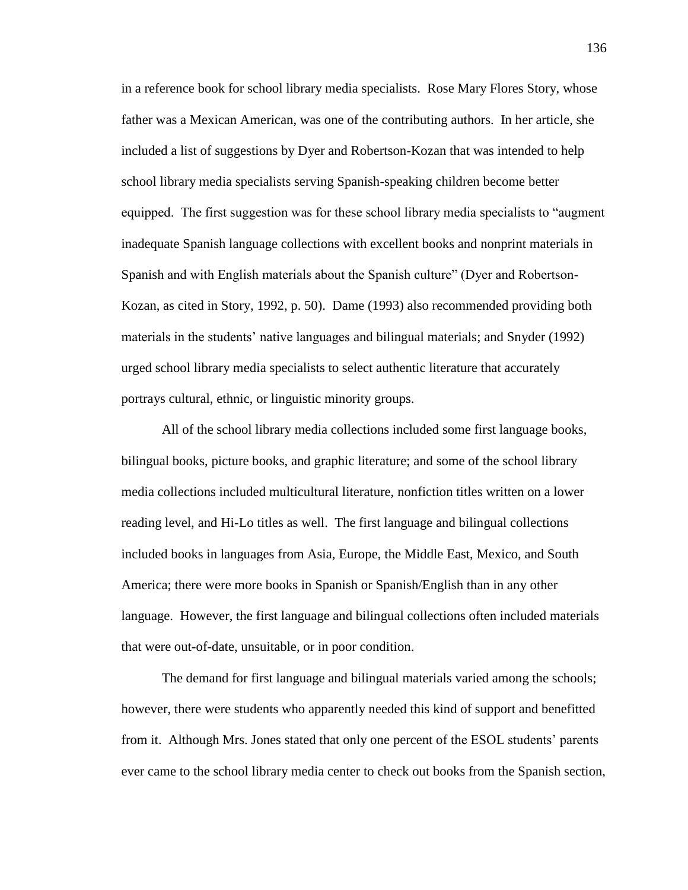in a reference book for school library media specialists. Rose Mary Flores Story, whose father was a Mexican American, was one of the contributing authors. In her article, she included a list of suggestions by Dyer and Robertson-Kozan that was intended to help school library media specialists serving Spanish-speaking children become better equipped. The first suggestion was for these school library media specialists to "augment inadequate Spanish language collections with excellent books and nonprint materials in Spanish and with English materials about the Spanish culture" (Dyer and Robertson-Kozan, as cited in Story, 1992, p. 50). Dame (1993) also recommended providing both materials in the students' native languages and bilingual materials; and Snyder (1992) urged school library media specialists to select authentic literature that accurately portrays cultural, ethnic, or linguistic minority groups.

All of the school library media collections included some first language books, bilingual books, picture books, and graphic literature; and some of the school library media collections included multicultural literature, nonfiction titles written on a lower reading level, and Hi-Lo titles as well. The first language and bilingual collections included books in languages from Asia, Europe, the Middle East, Mexico, and South America; there were more books in Spanish or Spanish/English than in any other language. However, the first language and bilingual collections often included materials that were out-of-date, unsuitable, or in poor condition.

The demand for first language and bilingual materials varied among the schools; however, there were students who apparently needed this kind of support and benefitted from it. Although Mrs. Jones stated that only one percent of the ESOL students' parents ever came to the school library media center to check out books from the Spanish section,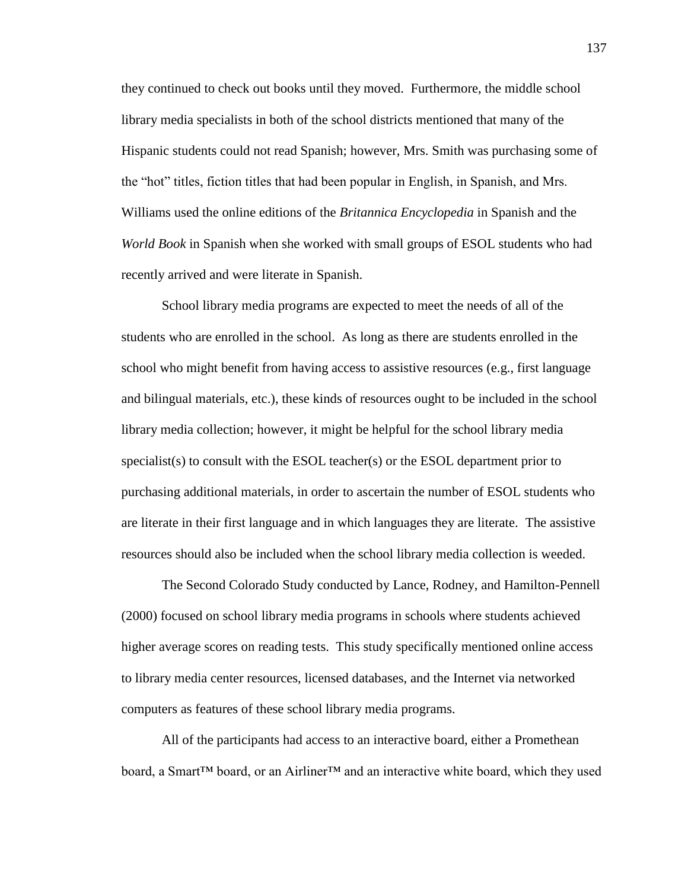they continued to check out books until they moved. Furthermore, the middle school library media specialists in both of the school districts mentioned that many of the Hispanic students could not read Spanish; however, Mrs. Smith was purchasing some of the "hot" titles, fiction titles that had been popular in English, in Spanish, and Mrs. Williams used the online editions of the *Britannica Encyclopedia* in Spanish and the *World Book* in Spanish when she worked with small groups of ESOL students who had recently arrived and were literate in Spanish.

School library media programs are expected to meet the needs of all of the students who are enrolled in the school. As long as there are students enrolled in the school who might benefit from having access to assistive resources (e.g., first language and bilingual materials, etc.), these kinds of resources ought to be included in the school library media collection; however, it might be helpful for the school library media specialist(s) to consult with the ESOL teacher(s) or the ESOL department prior to purchasing additional materials, in order to ascertain the number of ESOL students who are literate in their first language and in which languages they are literate. The assistive resources should also be included when the school library media collection is weeded.

The Second Colorado Study conducted by Lance, Rodney, and Hamilton-Pennell (2000) focused on school library media programs in schools where students achieved higher average scores on reading tests. This study specifically mentioned online access to library media center resources, licensed databases, and the Internet via networked computers as features of these school library media programs.

All of the participants had access to an interactive board, either a Promethean board, a Smart™ board, or an Airliner™ and an interactive white board, which they used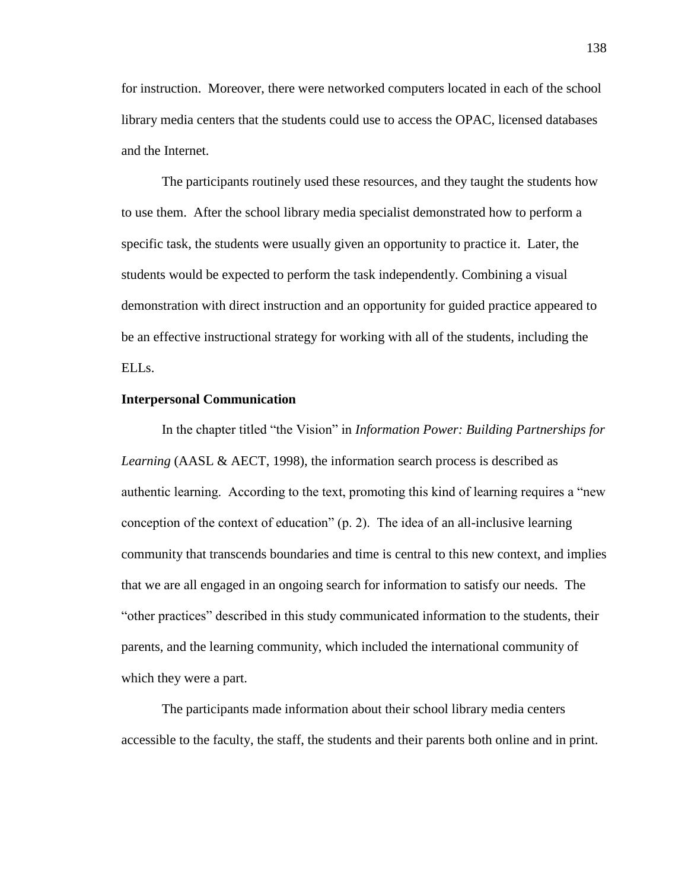for instruction. Moreover, there were networked computers located in each of the school library media centers that the students could use to access the OPAC, licensed databases and the Internet.

The participants routinely used these resources, and they taught the students how to use them. After the school library media specialist demonstrated how to perform a specific task, the students were usually given an opportunity to practice it. Later, the students would be expected to perform the task independently. Combining a visual demonstration with direct instruction and an opportunity for guided practice appeared to be an effective instructional strategy for working with all of the students, including the ELLs.

#### **Interpersonal Communication**

In the chapter titled "the Vision" in *Information Power: Building Partnerships for Learning* (AASL & AECT, 1998), the information search process is described as authentic learning. According to the text, promoting this kind of learning requires a "new conception of the context of education" (p. 2). The idea of an all-inclusive learning community that transcends boundaries and time is central to this new context, and implies that we are all engaged in an ongoing search for information to satisfy our needs. The "other practices" described in this study communicated information to the students, their parents, and the learning community, which included the international community of which they were a part.

The participants made information about their school library media centers accessible to the faculty, the staff, the students and their parents both online and in print.

138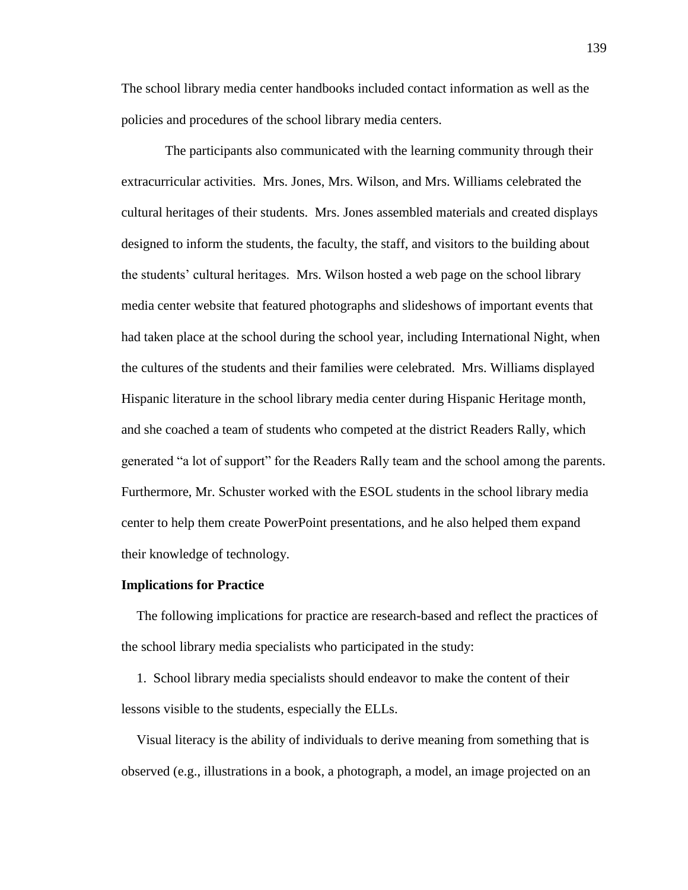The school library media center handbooks included contact information as well as the policies and procedures of the school library media centers.

The participants also communicated with the learning community through their extracurricular activities. Mrs. Jones, Mrs. Wilson, and Mrs. Williams celebrated the cultural heritages of their students. Mrs. Jones assembled materials and created displays designed to inform the students, the faculty, the staff, and visitors to the building about the students' cultural heritages. Mrs. Wilson hosted a web page on the school library media center website that featured photographs and slideshows of important events that had taken place at the school during the school year, including International Night, when the cultures of the students and their families were celebrated. Mrs. Williams displayed Hispanic literature in the school library media center during Hispanic Heritage month, and she coached a team of students who competed at the district Readers Rally, which generated "a lot of support" for the Readers Rally team and the school among the parents. Furthermore, Mr. Schuster worked with the ESOL students in the school library media center to help them create PowerPoint presentations, and he also helped them expand their knowledge of technology.

#### **Implications for Practice**

The following implications for practice are research-based and reflect the practices of the school library media specialists who participated in the study:

1. School library media specialists should endeavor to make the content of their lessons visible to the students, especially the ELLs.

Visual literacy is the ability of individuals to derive meaning from something that is observed (e.g., illustrations in a book, a photograph, a model, an image projected on an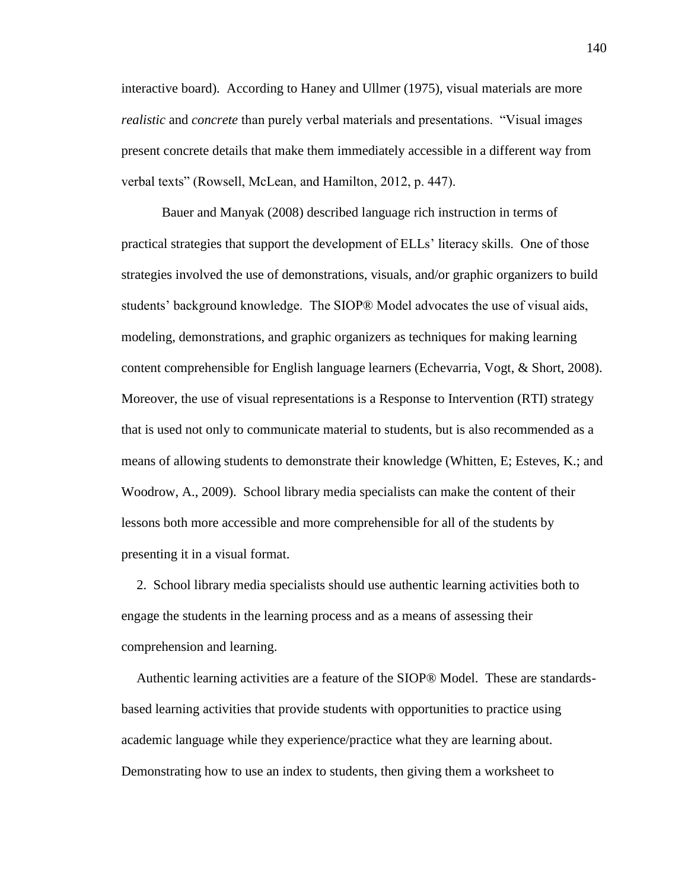interactive board). According to Haney and Ullmer (1975), visual materials are more *realistic* and *concrete* than purely verbal materials and presentations. "Visual images present concrete details that make them immediately accessible in a different way from verbal texts" (Rowsell, McLean, and Hamilton, 2012, p. 447).

Bauer and Manyak (2008) described language rich instruction in terms of practical strategies that support the development of ELLs' literacy skills. One of those strategies involved the use of demonstrations, visuals, and/or graphic organizers to build students' background knowledge. The SIOP® Model advocates the use of visual aids, modeling, demonstrations, and graphic organizers as techniques for making learning content comprehensible for English language learners (Echevarria, Vogt, & Short, 2008). Moreover, the use of visual representations is a Response to Intervention (RTI) strategy that is used not only to communicate material to students, but is also recommended as a means of allowing students to demonstrate their knowledge (Whitten, E; Esteves, K.; and Woodrow, A., 2009). School library media specialists can make the content of their lessons both more accessible and more comprehensible for all of the students by presenting it in a visual format.

2. School library media specialists should use authentic learning activities both to engage the students in the learning process and as a means of assessing their comprehension and learning.

Authentic learning activities are a feature of the SIOP® Model. These are standardsbased learning activities that provide students with opportunities to practice using academic language while they experience/practice what they are learning about. Demonstrating how to use an index to students, then giving them a worksheet to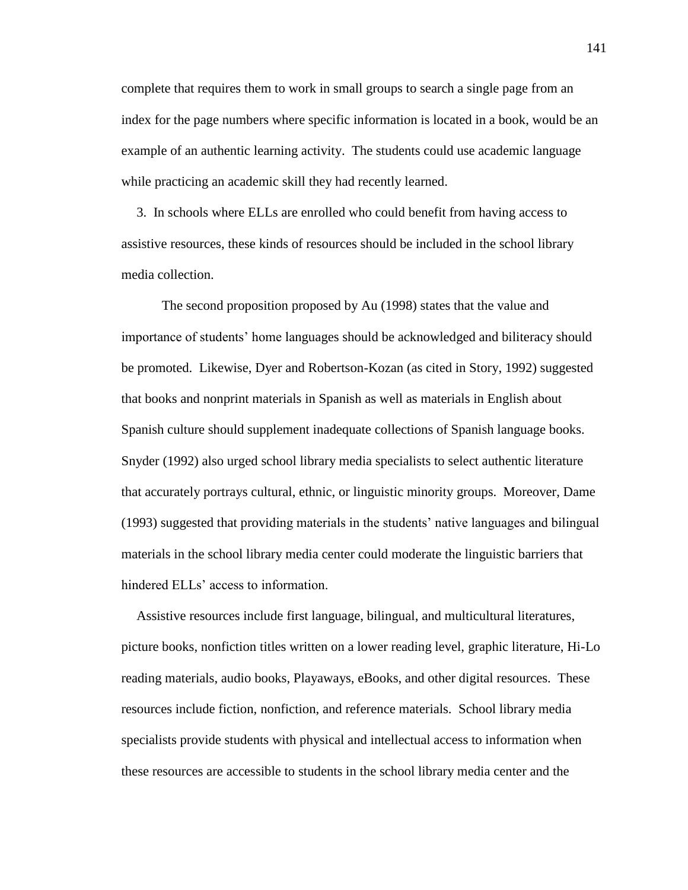complete that requires them to work in small groups to search a single page from an index for the page numbers where specific information is located in a book, would be an example of an authentic learning activity. The students could use academic language while practicing an academic skill they had recently learned.

3. In schools where ELLs are enrolled who could benefit from having access to assistive resources, these kinds of resources should be included in the school library media collection.

The second proposition proposed by Au (1998) states that the value and importance of students' home languages should be acknowledged and biliteracy should be promoted. Likewise, Dyer and Robertson-Kozan (as cited in Story, 1992) suggested that books and nonprint materials in Spanish as well as materials in English about Spanish culture should supplement inadequate collections of Spanish language books. Snyder (1992) also urged school library media specialists to select authentic literature that accurately portrays cultural, ethnic, or linguistic minority groups. Moreover, Dame (1993) suggested that providing materials in the students' native languages and bilingual materials in the school library media center could moderate the linguistic barriers that hindered ELLs' access to information.

Assistive resources include first language, bilingual, and multicultural literatures, picture books, nonfiction titles written on a lower reading level, graphic literature, Hi-Lo reading materials, audio books, Playaways, eBooks, and other digital resources. These resources include fiction, nonfiction, and reference materials. School library media specialists provide students with physical and intellectual access to information when these resources are accessible to students in the school library media center and the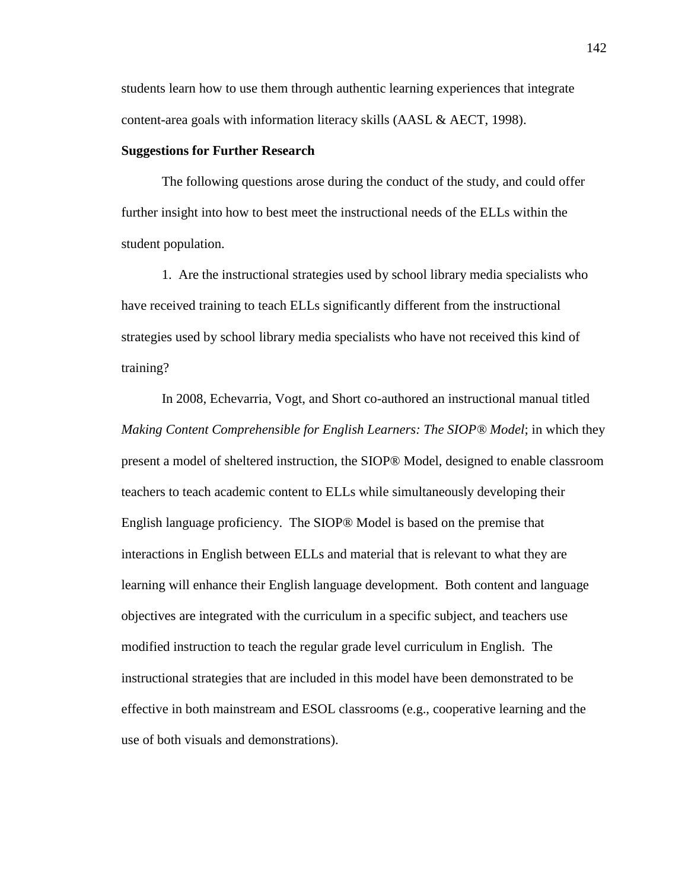students learn how to use them through authentic learning experiences that integrate content-area goals with information literacy skills (AASL & AECT, 1998).

### **Suggestions for Further Research**

The following questions arose during the conduct of the study, and could offer further insight into how to best meet the instructional needs of the ELLs within the student population.

1. Are the instructional strategies used by school library media specialists who have received training to teach ELLs significantly different from the instructional strategies used by school library media specialists who have not received this kind of training?

In 2008, Echevarria, Vogt, and Short co-authored an instructional manual titled *Making Content Comprehensible for English Learners: The SIOP® Model*; in which they present a model of sheltered instruction, the SIOP® Model, designed to enable classroom teachers to teach academic content to ELLs while simultaneously developing their English language proficiency. The SIOP® Model is based on the premise that interactions in English between ELLs and material that is relevant to what they are learning will enhance their English language development. Both content and language objectives are integrated with the curriculum in a specific subject, and teachers use modified instruction to teach the regular grade level curriculum in English. The instructional strategies that are included in this model have been demonstrated to be effective in both mainstream and ESOL classrooms (e.g., cooperative learning and the use of both visuals and demonstrations).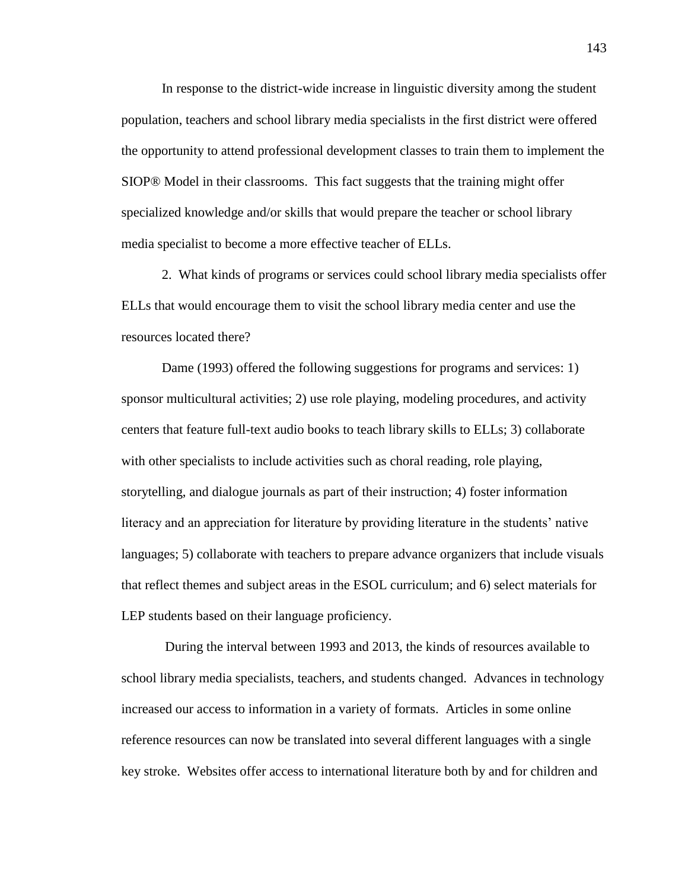In response to the district-wide increase in linguistic diversity among the student population, teachers and school library media specialists in the first district were offered the opportunity to attend professional development classes to train them to implement the SIOP® Model in their classrooms. This fact suggests that the training might offer specialized knowledge and/or skills that would prepare the teacher or school library media specialist to become a more effective teacher of ELLs.

2. What kinds of programs or services could school library media specialists offer ELLs that would encourage them to visit the school library media center and use the resources located there?

Dame (1993) offered the following suggestions for programs and services: 1) sponsor multicultural activities; 2) use role playing, modeling procedures, and activity centers that feature full-text audio books to teach library skills to ELLs; 3) collaborate with other specialists to include activities such as choral reading, role playing, storytelling, and dialogue journals as part of their instruction; 4) foster information literacy and an appreciation for literature by providing literature in the students' native languages; 5) collaborate with teachers to prepare advance organizers that include visuals that reflect themes and subject areas in the ESOL curriculum; and 6) select materials for LEP students based on their language proficiency.

During the interval between 1993 and 2013, the kinds of resources available to school library media specialists, teachers, and students changed. Advances in technology increased our access to information in a variety of formats. Articles in some online reference resources can now be translated into several different languages with a single key stroke. Websites offer access to international literature both by and for children and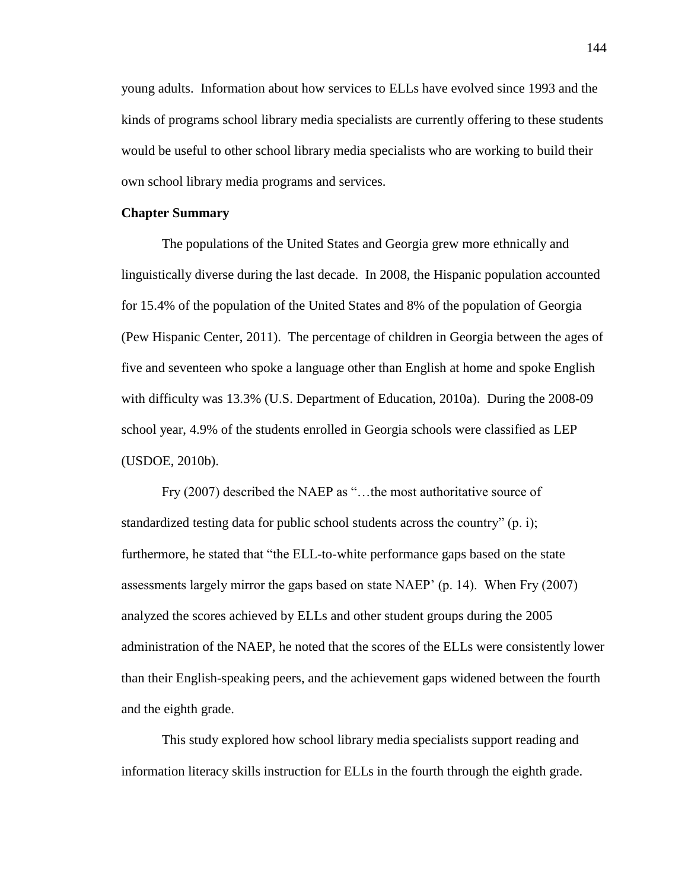young adults. Information about how services to ELLs have evolved since 1993 and the kinds of programs school library media specialists are currently offering to these students would be useful to other school library media specialists who are working to build their own school library media programs and services.

#### **Chapter Summary**

The populations of the United States and Georgia grew more ethnically and linguistically diverse during the last decade. In 2008, the Hispanic population accounted for 15.4% of the population of the United States and 8% of the population of Georgia (Pew Hispanic Center, 2011). The percentage of children in Georgia between the ages of five and seventeen who spoke a language other than English at home and spoke English with difficulty was 13.3% (U.S. Department of Education, 2010a). During the 2008-09 school year, 4.9% of the students enrolled in Georgia schools were classified as LEP (USDOE, 2010b).

Fry (2007) described the NAEP as "…the most authoritative source of standardized testing data for public school students across the country" (p. i); furthermore, he stated that "the ELL-to-white performance gaps based on the state assessments largely mirror the gaps based on state NAEP' (p. 14). When Fry (2007) analyzed the scores achieved by ELLs and other student groups during the 2005 administration of the NAEP, he noted that the scores of the ELLs were consistently lower than their English-speaking peers, and the achievement gaps widened between the fourth and the eighth grade.

This study explored how school library media specialists support reading and information literacy skills instruction for ELLs in the fourth through the eighth grade.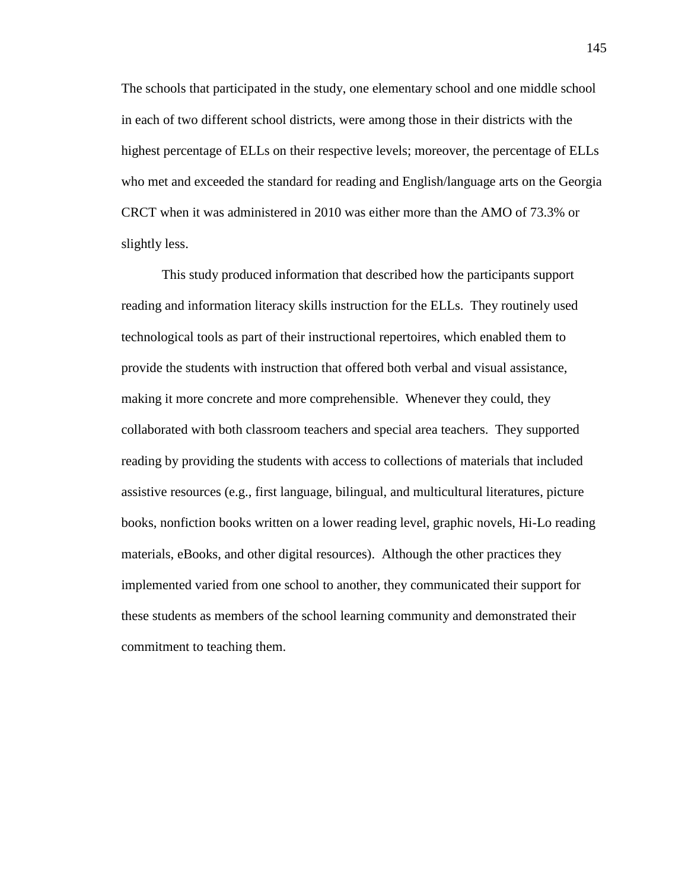The schools that participated in the study, one elementary school and one middle school in each of two different school districts, were among those in their districts with the highest percentage of ELLs on their respective levels; moreover, the percentage of ELLs who met and exceeded the standard for reading and English/language arts on the Georgia CRCT when it was administered in 2010 was either more than the AMO of 73.3% or slightly less.

This study produced information that described how the participants support reading and information literacy skills instruction for the ELLs. They routinely used technological tools as part of their instructional repertoires, which enabled them to provide the students with instruction that offered both verbal and visual assistance, making it more concrete and more comprehensible. Whenever they could, they collaborated with both classroom teachers and special area teachers. They supported reading by providing the students with access to collections of materials that included assistive resources (e.g., first language, bilingual, and multicultural literatures, picture books, nonfiction books written on a lower reading level, graphic novels, Hi-Lo reading materials, eBooks, and other digital resources). Although the other practices they implemented varied from one school to another, they communicated their support for these students as members of the school learning community and demonstrated their commitment to teaching them.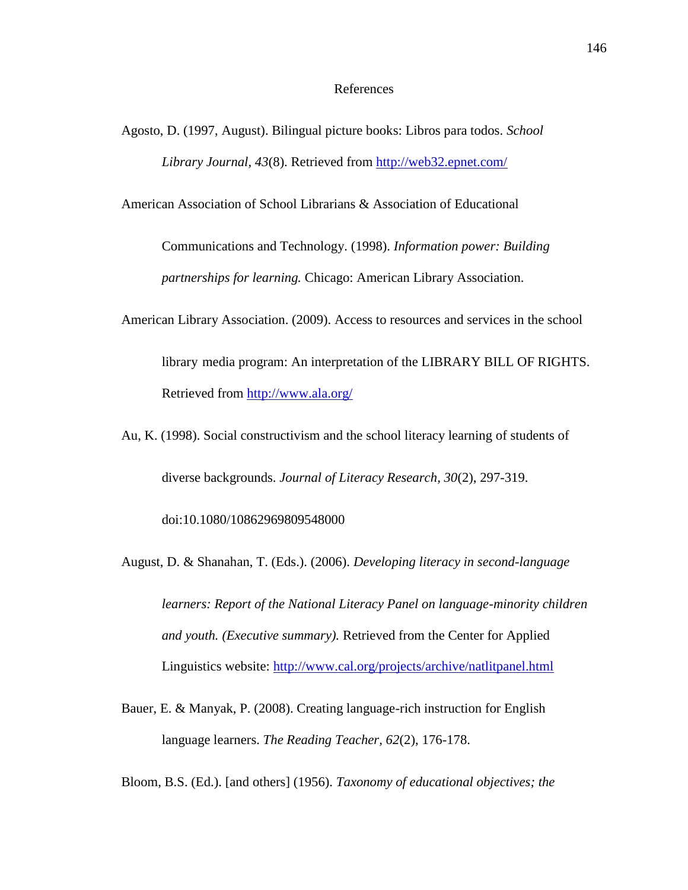### References

Agosto, D. (1997, August). Bilingual picture books: Libros para todos. *School Library Journal, 43*(8). Retrieved from<http://web32.epnet.com/>

American Association of School Librarians & Association of Educational

Communications and Technology. (1998). *Information power: Building partnerships for learning.* Chicago: American Library Association.

- American Library Association. (2009). Access to resources and services in the school library media program: An interpretation of the LIBRARY BILL OF RIGHTS. Retrieved from<http://www.ala.org/>
- Au, K. (1998). Social constructivism and the school literacy learning of students of diverse backgrounds. *Journal of Literacy Research, 30*(2), 297-319.

doi:10.1080/10862969809548000

- August, D. & Shanahan, T. (Eds.). (2006). *Developing literacy in second-language learners: Report of the National Literacy Panel on language-minority children and youth. (Executive summary).* Retrieved from the Center for Applied Linguistics website:<http://www.cal.org/projects/archive/natlitpanel.html>
- Bauer, E. & Manyak, P. (2008). Creating language-rich instruction for English language learners. *The Reading Teacher, 62*(2), 176-178.

Bloom, B.S. (Ed.). [and others] (1956). *Taxonomy of educational objectives; the*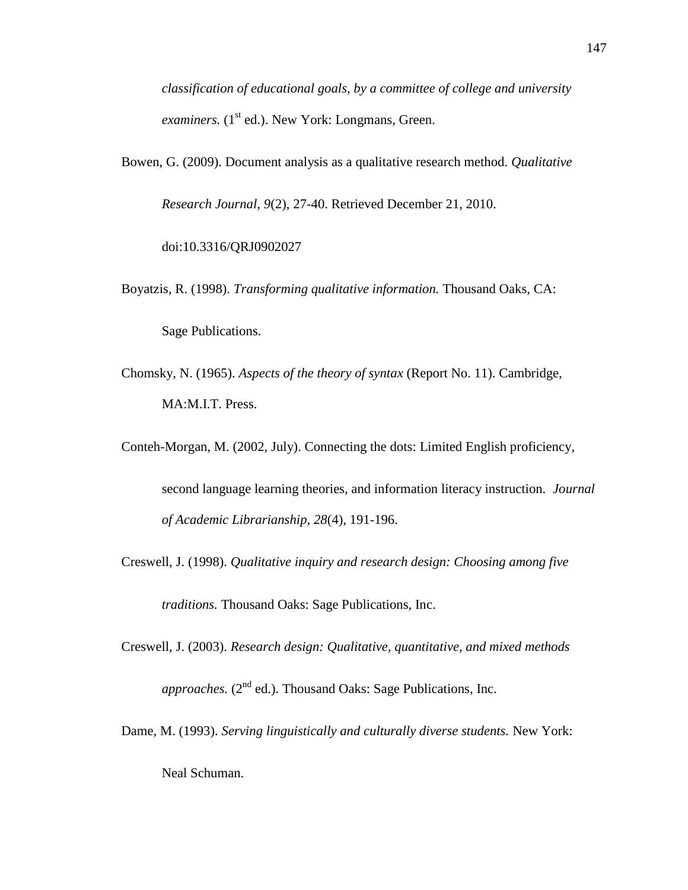*classification of educational goals, by a committee of college and university examiners.* (1<sup>st</sup> ed.). New York: Longmans, Green.

Bowen, G. (2009). Document analysis as a qualitative research method. *Qualitative*

*Research Journal, 9*(2), 27-40. Retrieved December 21, 2010.

doi:10.3316/QRJ0902027

Boyatzis, R. (1998). *Transforming qualitative information.* Thousand Oaks, CA: Sage Publications.

- Chomsky, N. (1965). *Aspects of the theory of syntax* (Report No. 11). Cambridge, MA:M.I.T. Press.
- Conteh-Morgan, M. (2002, July). Connecting the dots: Limited English proficiency, second language learning theories, and information literacy instruction*. Journal of Academic Librarianship, 28*(4), 191-196.
- Creswell, J. (1998). *Qualitative inquiry and research design: Choosing among five traditions.* Thousand Oaks: Sage Publications, Inc.

Creswell, J. (2003). *Research design: Qualitative, quantitative, and mixed methods approaches.* (2<sup>nd</sup> ed.). Thousand Oaks: Sage Publications, Inc.

Dame, M. (1993). *Serving linguistically and culturally diverse students.* New York:

Neal Schuman.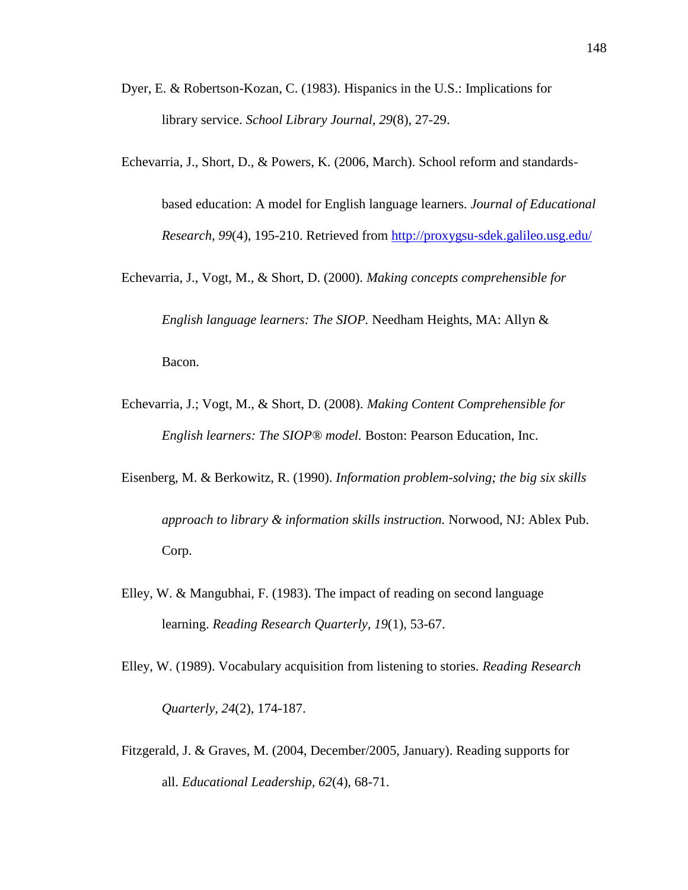- Dyer, E. & Robertson-Kozan, C. (1983). Hispanics in the U.S.: Implications for library service. *School Library Journal, 29*(8), 27-29.
- Echevarria, J., Short, D., & Powers, K. (2006, March). School reform and standards-

based education: A model for English language learners. *Journal of Educational Research, 99*(4), 195-210. Retrieved from<http://proxygsu-sdek.galileo.usg.edu/>

Echevarria, J., Vogt, M., & Short, D. (2000). *Making concepts comprehensible for English language learners: The SIOP.* Needham Heights, MA: Allyn & Bacon.

- Echevarria, J.; Vogt, M., & Short, D. (2008). *Making Content Comprehensible for English learners: The SIOP® model.* Boston: Pearson Education, Inc.
- Eisenberg, M. & Berkowitz, R. (1990). *Information problem-solving; the big six skills approach to library & information skills instruction.* Norwood, NJ: Ablex Pub. Corp.
- Elley, W. & Mangubhai, F. (1983). The impact of reading on second language learning. *Reading Research Quarterly, 19*(1), 53-67.
- Elley, W. (1989). Vocabulary acquisition from listening to stories. *Reading Research Quarterly, 24*(2), 174-187.
- Fitzgerald, J. & Graves, M. (2004, December/2005, January). Reading supports for all. *Educational Leadership, 62*(4), 68-71.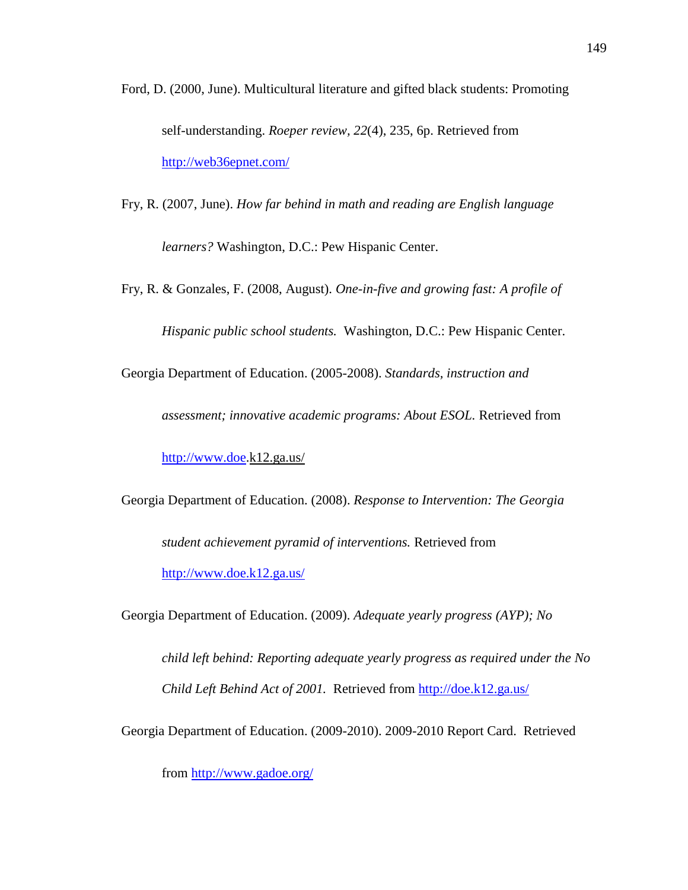- Ford, D. (2000, June). Multicultural literature and gifted black students: Promoting self-understanding. *Roeper review, 22*(4), 235, 6p. Retrieved from <http://web36epnet.com/>
- Fry, R. (2007, June). *How far behind in math and reading are English language*

*learners?* Washington, D.C.: Pew Hispanic Center.

Fry, R. & Gonzales, F. (2008, August). *One-in-five and growing fast: A profile of Hispanic public school students.* Washington, D.C.: Pew Hispanic Center.

Georgia Department of Education. (2005-2008). *Standards, instruction and* 

*assessment; innovative academic programs: About ESOL.* Retrieved from

[http://www.doe.](http://www.doe/)k12.ga.us/

Georgia Department of Education. (2008). *Response to Intervention: The Georgia* 

*student achievement pyramid of interventions.* Retrieved from <http://www.doe.k12.ga.us/>

Georgia Department of Education. (2009). *Adequate yearly progress (AYP); No* 

*child left behind: Reporting adequate yearly progress as required under the No Child Left Behind Act of 2001.* Retrieved from<http://doe.k12.ga.us/>

Georgia Department of Education. (2009-2010). 2009-2010 Report Card. Retrieved

from<http://www.gadoe.org/>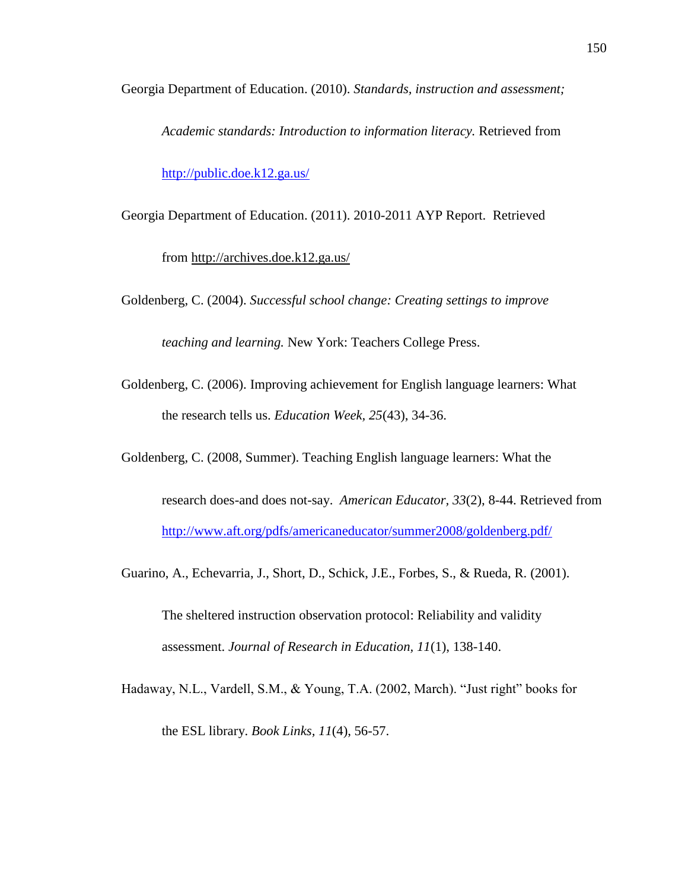Georgia Department of Education. (2010). *Standards, instruction and assessment;*

*Academic standards: Introduction to information literacy.* Retrieved from <http://public.doe.k12.ga.us/>

- Georgia Department of Education. (2011). 2010-2011 AYP Report. Retrieved from http://archives.doe.k12.ga.us/
- Goldenberg, C. (2004). *Successful school change: Creating settings to improve teaching and learning.* New York: Teachers College Press.
- Goldenberg, C. (2006). Improving achievement for English language learners: What the research tells us. *Education Week, 25*(43), 34-36.
- Goldenberg, C. (2008, Summer). Teaching English language learners: What the
	- research does-and does not-say. *American Educator, 33*(2), 8-44. Retrieved from <http://www.aft.org/pdfs/americaneducator/summer2008/goldenberg.pdf/>
- Guarino, A., Echevarria, J., Short, D., Schick, J.E., Forbes, S., & Rueda, R. (2001).

The sheltered instruction observation protocol: Reliability and validity assessment. *Journal of Research in Education, 11*(1), 138-140.

Hadaway, N.L., Vardell, S.M., & Young, T.A. (2002, March). "Just right" books for the ESL library. *Book Links, 11*(4), 56-57.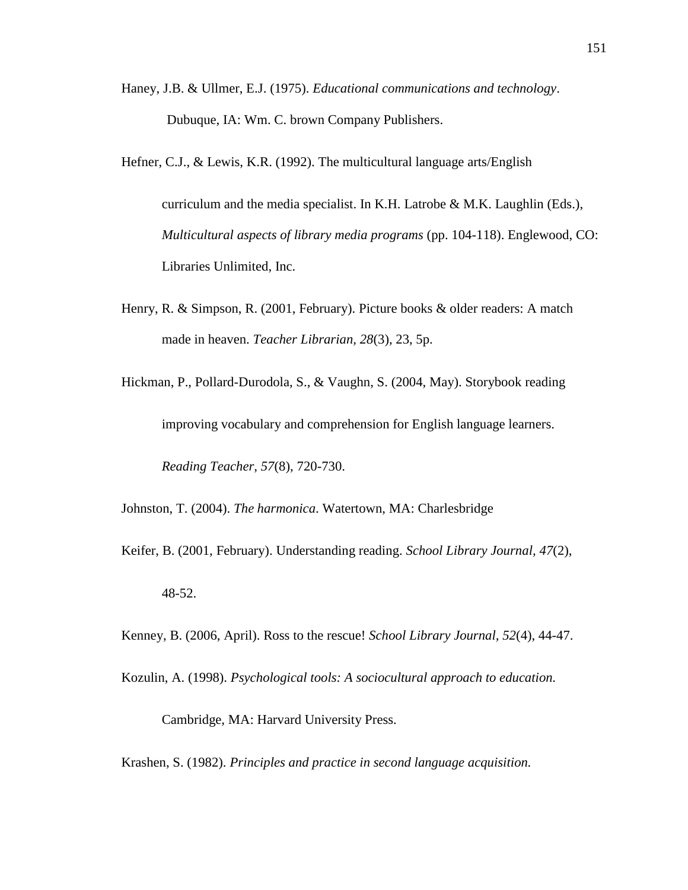Haney, J.B. & Ullmer, E.J. (1975). *Educational communications and technology*. Dubuque, IA: Wm. C. brown Company Publishers.

Hefner, C.J., & Lewis, K.R. (1992). The multicultural language arts/English

curriculum and the media specialist. In K.H. Latrobe & M.K. Laughlin (Eds.), *Multicultural aspects of library media programs* (pp. 104-118). Englewood, CO: Libraries Unlimited, Inc.

Henry, R. & Simpson, R. (2001, February). Picture books & older readers: A match made in heaven. *Teacher Librarian, 28*(3), 23, 5p.

Hickman, P., Pollard-Durodola, S., & Vaughn, S. (2004, May). Storybook reading improving vocabulary and comprehension for English language learners. *Reading Teacher, 57*(8), 720-730.

Johnston, T. (2004). *The harmonica*. Watertown, MA: Charlesbridge

Keifer, B. (2001, February). Understanding reading. *School Library Journal, 47*(2), 48-52.

Kenney, B. (2006, April). Ross to the rescue! *School Library Journal, 52*(4), 44-47.

Kozulin, A. (1998). *Psychological tools: A sociocultural approach to education.* 

Cambridge, MA: Harvard University Press.

Krashen, S. (1982). *Principles and practice in second language acquisition.*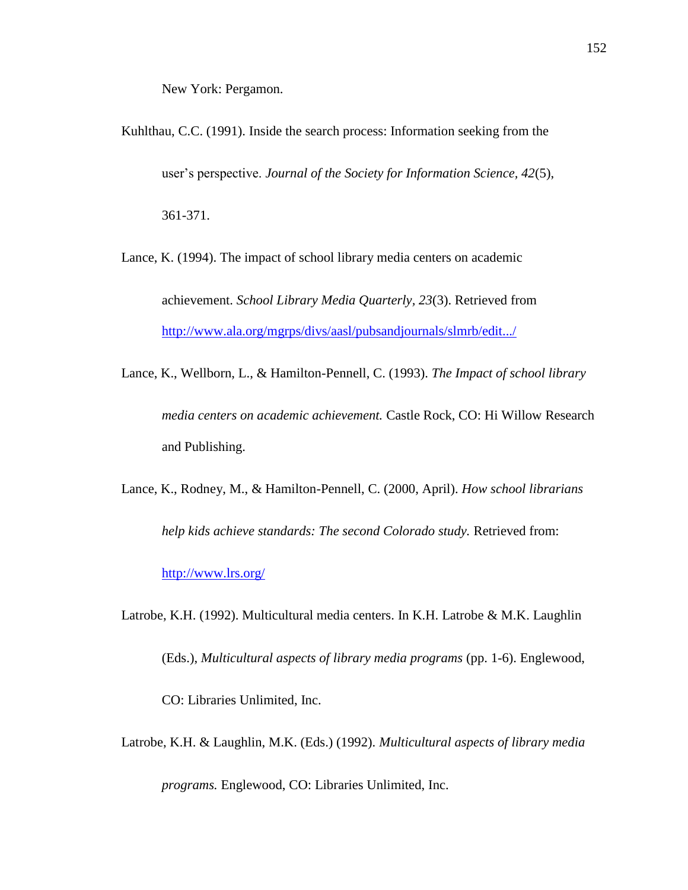New York: Pergamon.

Kuhlthau, C.C. (1991). Inside the search process: Information seeking from the user's perspective. *Journal of the Society for Information Science, 42*(5), 361-371.

Lance, K. (1994). The impact of school library media centers on academic achievement. *School Library Media Quarterly, 23*(3). Retrieved from <http://www.ala.org/mgrps/divs/aasl/pubsandjournals/slmrb/edit.../>

Lance, K., Wellborn, L., & Hamilton-Pennell, C. (1993). *The Impact of school library media centers on academic achievement.* Castle Rock, CO: Hi Willow Research and Publishing.

Lance, K., Rodney, M., & Hamilton-Pennell, C. (2000, April). *How school librarians* help kids achieve standards: The second Colorado study. Retrieved from:

<http://www.lrs.org/>

Latrobe, K.H. (1992). Multicultural media centers. In K.H. Latrobe & M.K. Laughlin

(Eds.), *Multicultural aspects of library media programs* (pp. 1-6). Englewood,

CO: Libraries Unlimited, Inc.

Latrobe, K.H. & Laughlin, M.K. (Eds.) (1992). *Multicultural aspects of library media*

*programs.* Englewood, CO: Libraries Unlimited, Inc.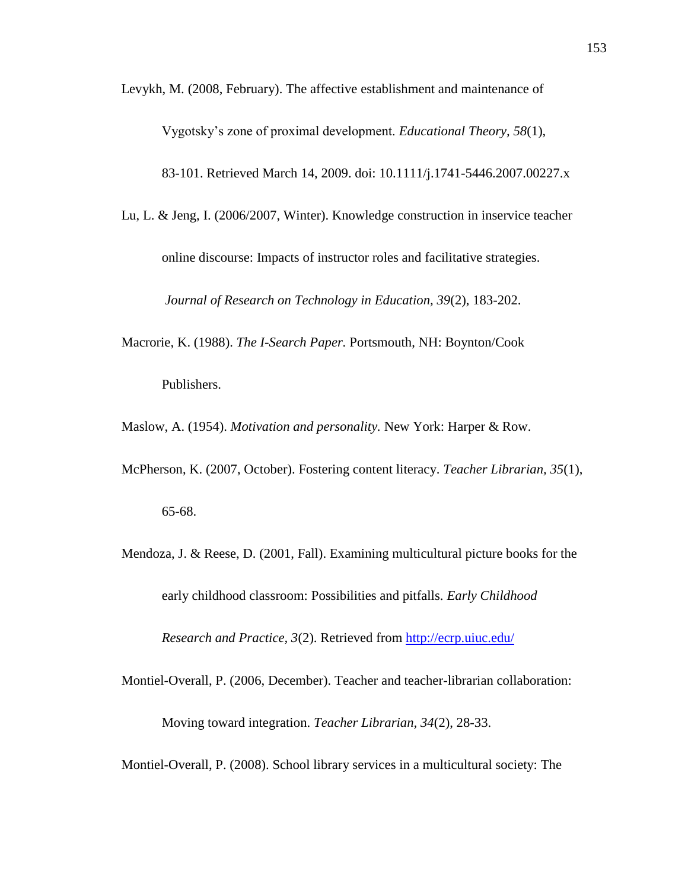Levykh, M. (2008, February). The affective establishment and maintenance of

Vygotsky's zone of proximal development. *Educational Theory, 58*(1),

83-101. Retrieved March 14, 2009. doi: 10.1111/j.1741-5446.2007.00227.x

- Lu, L. & Jeng, I. (2006/2007, Winter). Knowledge construction in inservice teacher online discourse: Impacts of instructor roles and facilitative strategies. *Journal of Research on Technology in Education, 39*(2), 183-202.
- Macrorie, K. (1988). *The I-Search Paper.* Portsmouth, NH: Boynton/Cook Publishers.

Maslow, A. (1954). *Motivation and personality.* New York: Harper & Row.

- McPherson, K. (2007, October). Fostering content literacy. *Teacher Librarian, 35*(1), 65-68.
- Mendoza, J. & Reese, D. (2001, Fall). Examining multicultural picture books for the early childhood classroom: Possibilities and pitfalls. *Early Childhood Research and Practice, 3*(2). Retrieved from<http://ecrp.uiuc.edu/>
- Montiel-Overall, P. (2006, December). Teacher and teacher-librarian collaboration: Moving toward integration. *Teacher Librarian, 34*(2), 28-33.

Montiel-Overall, P. (2008). School library services in a multicultural society: The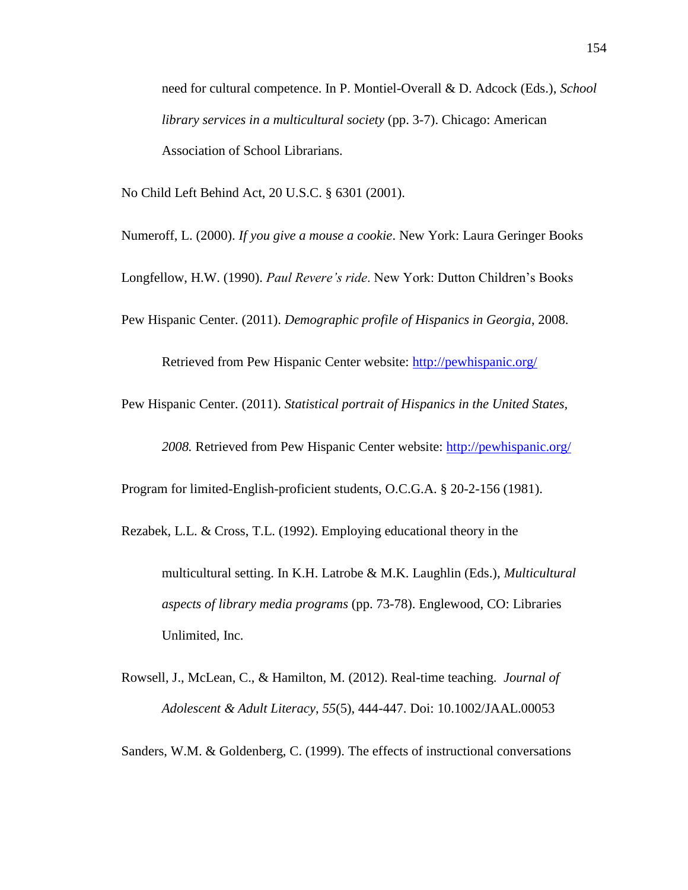need for cultural competence. In P. Montiel-Overall & D. Adcock (Eds.), *School library services in a multicultural society* (pp. 3-7). Chicago: American Association of School Librarians.

No Child Left Behind Act, 20 U.S.C. § 6301 (2001).

Numeroff, L. (2000). *If you give a mouse a cookie*. New York: Laura Geringer Books

Longfellow, H.W. (1990). *Paul Revere's ride*. New York: Dutton Children's Books

Pew Hispanic Center. (2011). *Demographic profile of Hispanics in Georgia*, 2008.

Retrieved from Pew Hispanic Center website:<http://pewhispanic.org/>

Pew Hispanic Center. (2011). *Statistical portrait of Hispanics in the United States,*

*2008.* Retrieved from Pew Hispanic Center website:<http://pewhispanic.org/>

Program for limited-English-proficient students, O.C.G.A. § 20-2-156 (1981).

Rezabek, L.L. & Cross, T.L. (1992). Employing educational theory in the

multicultural setting. In K.H. Latrobe & M.K. Laughlin (Eds.), *Multicultural aspects of library media programs* (pp. 73-78). Englewood, CO: Libraries Unlimited, Inc.

Rowsell, J., McLean, C., & Hamilton, M. (2012). Real-time teaching. *Journal of Adolescent & Adult Literacy*, *55*(5), 444-447. Doi: 10.1002/JAAL.00053

Sanders, W.M. & Goldenberg, C. (1999). The effects of instructional conversations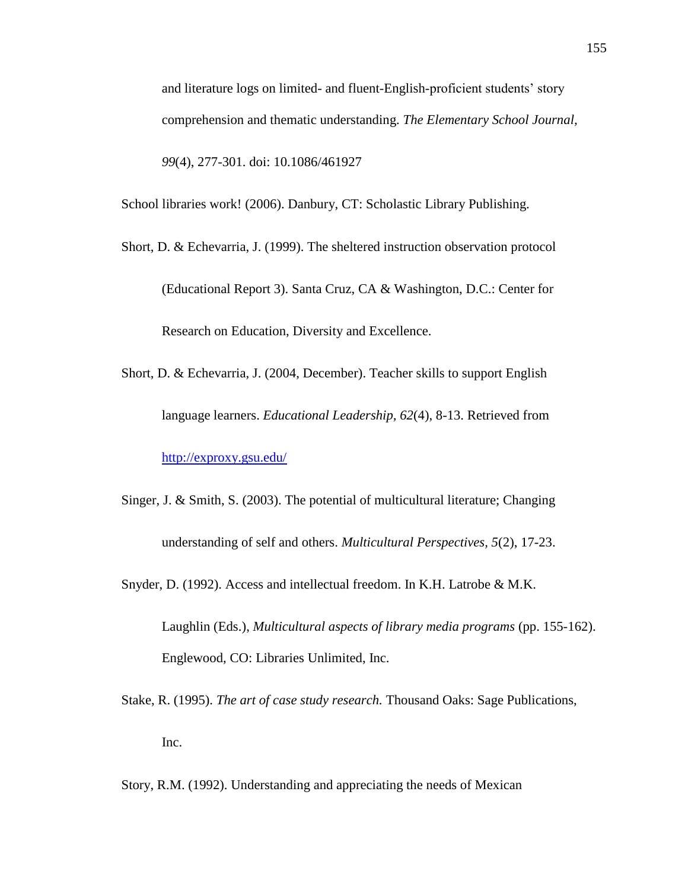and literature logs on limited- and fluent-English-proficient students' story comprehension and thematic understanding. *The Elementary School Journal, 99*(4), 277-301. doi: 10.1086/461927

School libraries work! (2006). Danbury, CT: Scholastic Library Publishing.

Short, D. & Echevarria, J. (1999). The sheltered instruction observation protocol (Educational Report 3). Santa Cruz, CA & Washington, D.C.: Center for Research on Education, Diversity and Excellence.

- Short, D. & Echevarria, J. (2004, December). Teacher skills to support English language learners. *Educational Leadership, 62*(4), 8-13. Retrieved from <http://exproxy.gsu.edu/>
- Singer, J. & Smith, S. (2003). The potential of multicultural literature; Changing understanding of self and others. *Multicultural Perspectives, 5*(2), 17-23.
- Snyder, D. (1992). Access and intellectual freedom. In K.H. Latrobe & M.K.

Laughlin (Eds.), *Multicultural aspects of library media programs* (pp. 155-162). Englewood, CO: Libraries Unlimited, Inc.

Stake, R. (1995). *The art of case study research.* Thousand Oaks: Sage Publications, Inc.

Story, R.M. (1992). Understanding and appreciating the needs of Mexican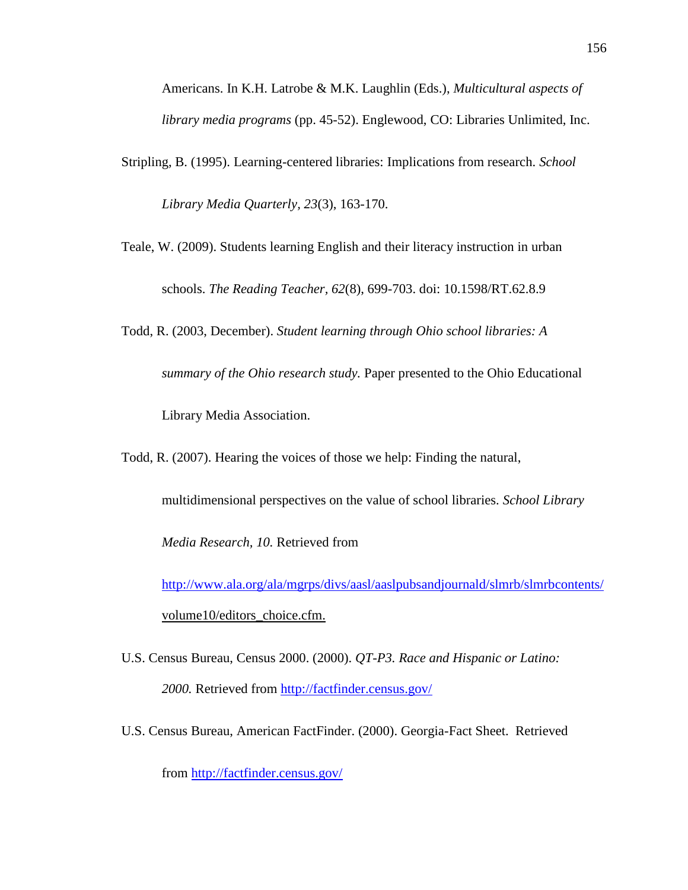Americans. In K.H. Latrobe & M.K. Laughlin (Eds.), *Multicultural aspects of library media programs* (pp. 45-52). Englewood, CO: Libraries Unlimited, Inc.

- Stripling, B. (1995). Learning-centered libraries: Implications from research. *School Library Media Quarterly, 23*(3), 163-170.
- Teale, W. (2009). Students learning English and their literacy instruction in urban schools. *The Reading Teacher, 62*(8), 699-703. doi: 10.1598/RT.62.8.9
- Todd, R. (2003, December). *Student learning through Ohio school libraries: A summary of the Ohio research study.* Paper presented to the Ohio Educational Library Media Association.
- Todd, R. (2007). Hearing the voices of those we help: Finding the natural,
	- multidimensional perspectives on the value of school libraries. *School Library*

*Media Research, 10.* Retrieved from

<http://www.ala.org/ala/mgrps/divs/aasl/aaslpubsandjournald/slmrb/slmrbcontents/> volume10/editors\_choice.cfm.

- U.S. Census Bureau, Census 2000. (2000). *QT-P3. Race and Hispanic or Latino: 2000.* Retrieved from<http://factfinder.census.gov/>
- U.S. Census Bureau, American FactFinder. (2000). Georgia-Fact Sheet. Retrieved

from<http://factfinder.census.gov/>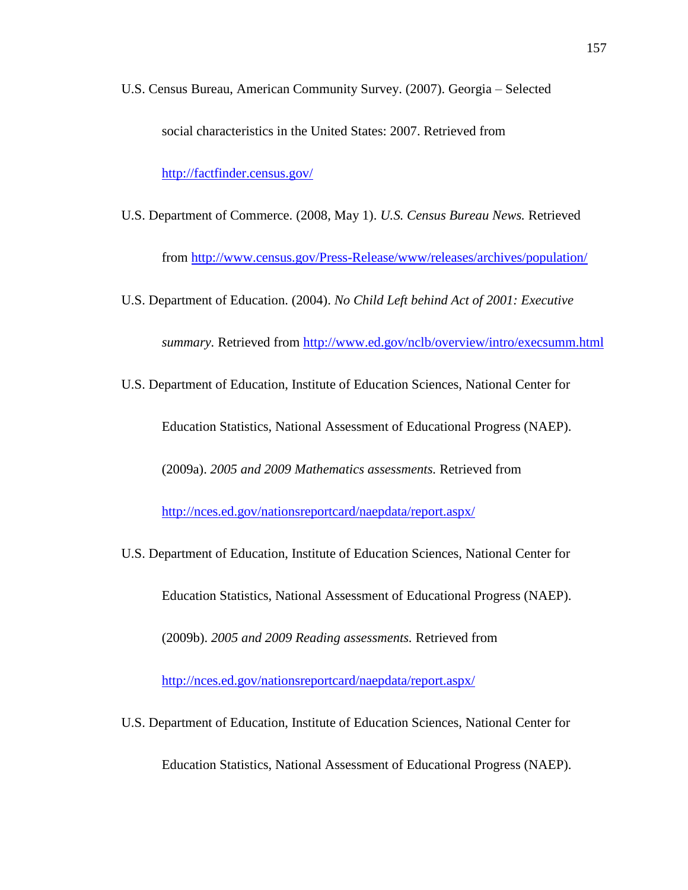- U.S. Census Bureau, American Community Survey. (2007). Georgia Selected social characteristics in the United States: 2007. Retrieved from <http://factfinder.census.gov/>
- U.S. Department of Commerce. (2008, May 1). *U.S. Census Bureau News.* Retrieved from<http://www.census.gov/Press-Release/www/releases/archives/population/>
- U.S. Department of Education. (2004). *No Child Left behind Act of 2001: Executive summary.* Retrieved from<http://www.ed.gov/nclb/overview/intro/execsumm.html>
- U.S. Department of Education, Institute of Education Sciences, National Center for

Education Statistics, National Assessment of Educational Progress (NAEP).

(2009a). *2005 and 2009 Mathematics assessments.* Retrieved from

<http://nces.ed.gov/nationsreportcard/naepdata/report.aspx/>

- U.S. Department of Education, Institute of Education Sciences, National Center for Education Statistics, National Assessment of Educational Progress (NAEP). (2009b). *2005 and 2009 Reading assessments.* Retrieved from <http://nces.ed.gov/nationsreportcard/naepdata/report.aspx/>
- U.S. Department of Education, Institute of Education Sciences, National Center for

Education Statistics, National Assessment of Educational Progress (NAEP).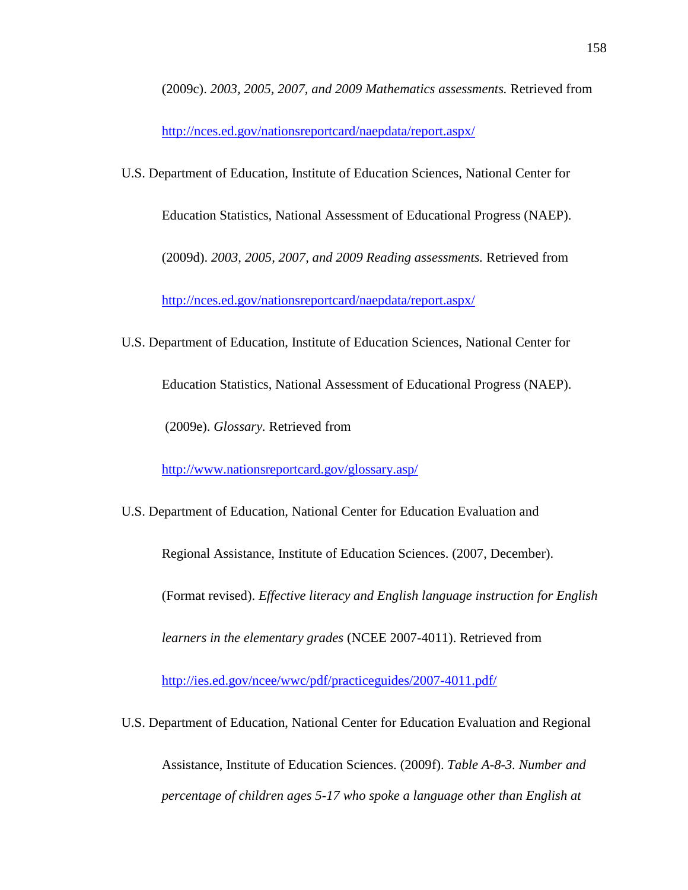(2009c). *2003, 2005, 2007, and 2009 Mathematics assessments.* Retrieved from

<http://nces.ed.gov/nationsreportcard/naepdata/report.aspx/>

U.S. Department of Education, Institute of Education Sciences, National Center for

Education Statistics, National Assessment of Educational Progress (NAEP).

(2009d). *2003, 2005, 2007, and 2009 Reading assessments.* Retrieved from

<http://nces.ed.gov/nationsreportcard/naepdata/report.aspx/>

U.S. Department of Education, Institute of Education Sciences, National Center for

Education Statistics, National Assessment of Educational Progress (NAEP).

(2009e). *Glossary.* Retrieved from

<http://www.nationsreportcard.gov/glossary.asp/>

U.S. Department of Education, National Center for Education Evaluation and

Regional Assistance, Institute of Education Sciences. (2007, December).

(Format revised). *Effective literacy and English language instruction for English*

*learners in the elementary grades* (NCEE 2007-4011). Retrieved from

<http://ies.ed.gov/ncee/wwc/pdf/practiceguides/2007-4011.pdf/>

U.S. Department of Education, National Center for Education Evaluation and Regional

Assistance, Institute of Education Sciences. (2009f). *Table A-8-3. Number and percentage of children ages 5-17 who spoke a language other than English at*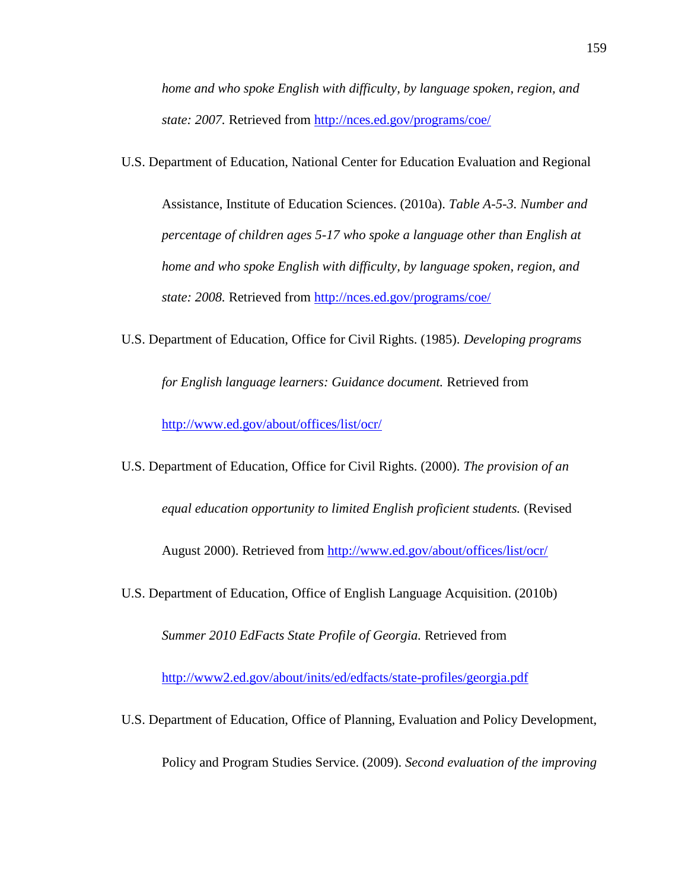*home and who spoke English with difficulty, by language spoken, region, and state: 2007.* Retrieved from<http://nces.ed.gov/programs/coe/>

U.S. Department of Education, National Center for Education Evaluation and Regional

Assistance, Institute of Education Sciences. (2010a). *Table A-5-3. Number and percentage of children ages 5-17 who spoke a language other than English at home and who spoke English with difficulty, by language spoken, region, and state: 2008.* Retrieved from<http://nces.ed.gov/programs/coe/>

U.S. Department of Education, Office for Civil Rights. (1985). *Developing programs*

*for English language learners: Guidance document.* Retrieved from

<http://www.ed.gov/about/offices/list/ocr/>

U.S. Department of Education, Office for Civil Rights. (2000). *The provision of an equal education opportunity to limited English proficient students.* (Revised August 2000). Retrieved from<http://www.ed.gov/about/offices/list/ocr/>

U.S. Department of Education, Office of English Language Acquisition. (2010b)

*Summer 2010 EdFacts State Profile of Georgia.* Retrieved from

<http://www2.ed.gov/about/inits/ed/edfacts/state-profiles/georgia.pdf>

U.S. Department of Education, Office of Planning, Evaluation and Policy Development,

Policy and Program Studies Service. (2009). *Second evaluation of the improving*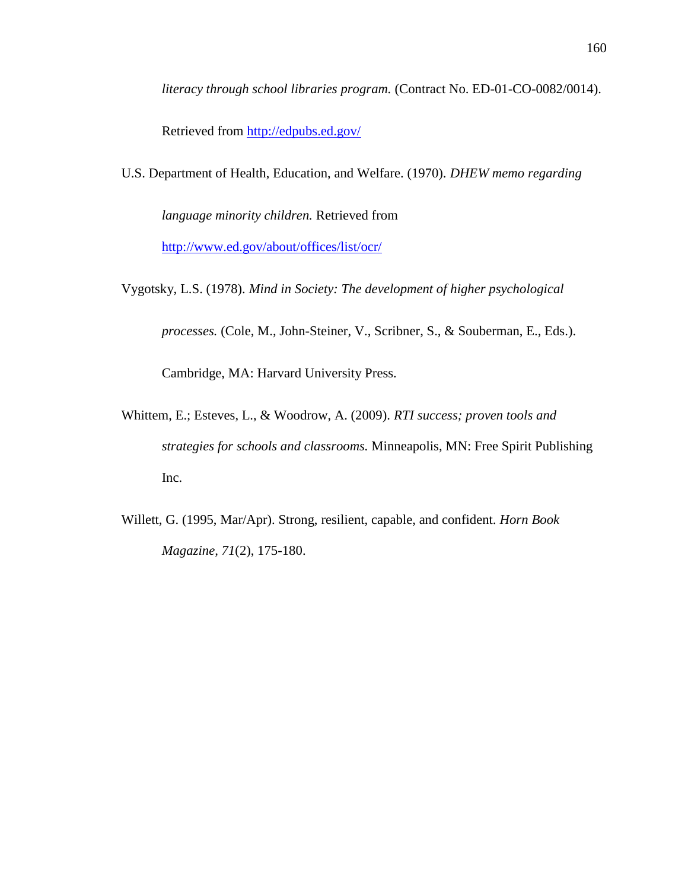*literacy through school libraries program.* (Contract No. ED-01-CO-0082/0014).

Retrieved from<http://edpubs.ed.gov/>

U.S. Department of Health, Education, and Welfare. (1970). *DHEW memo regarding*

*language minority children.* Retrieved from

<http://www.ed.gov/about/offices/list/ocr/>

Vygotsky, L.S. (1978). *Mind in Society: The development of higher psychological*

*processes.* (Cole, M., John-Steiner, V., Scribner, S., & Souberman, E., Eds.).

Cambridge, MA: Harvard University Press.

Whittem, E.; Esteves, L., & Woodrow, A. (2009). *RTI success; proven tools and strategies for schools and classrooms.* Minneapolis, MN: Free Spirit Publishing Inc.

Willett, G. (1995, Mar/Apr). Strong, resilient, capable, and confident. *Horn Book Magazine, 71*(2), 175-180.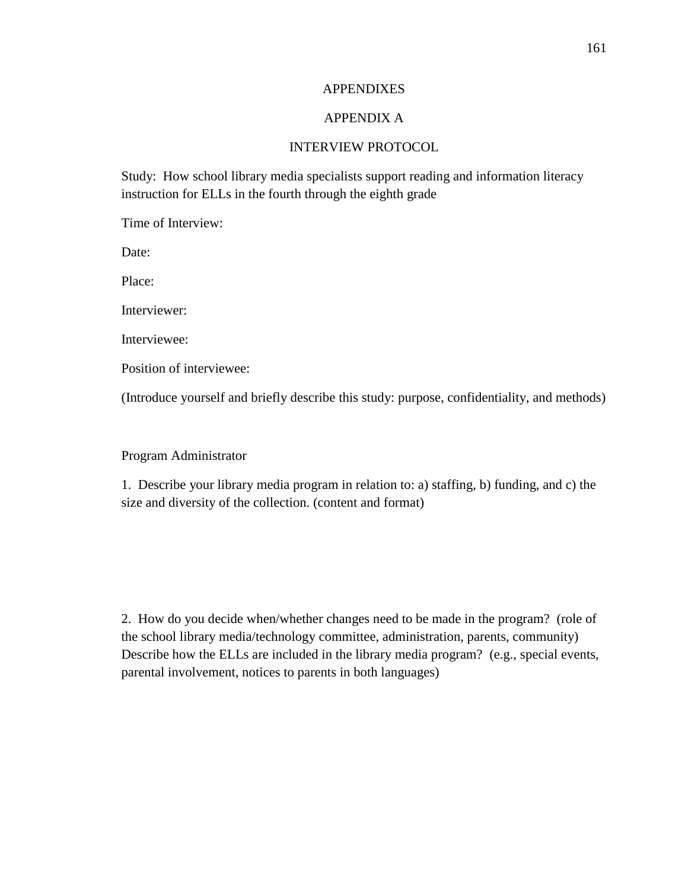### **APPENDIXES**

# APPENDIX A

### INTERVIEW PROTOCOL

Study: How school library media specialists support reading and information literacy instruction for ELLs in the fourth through the eighth grade

Time of Interview:

Date:

Place:

Interviewer:

Interviewee:

Position of interviewee:

(Introduce yourself and briefly describe this study: purpose, confidentiality, and methods)

Program Administrator

1. Describe your library media program in relation to: a) staffing, b) funding, and c) the size and diversity of the collection. (content and format)

2. How do you decide when/whether changes need to be made in the program? (role of the school library media/technology committee, administration, parents, community) Describe how the ELLs are included in the library media program? (e.g., special events, parental involvement, notices to parents in both languages)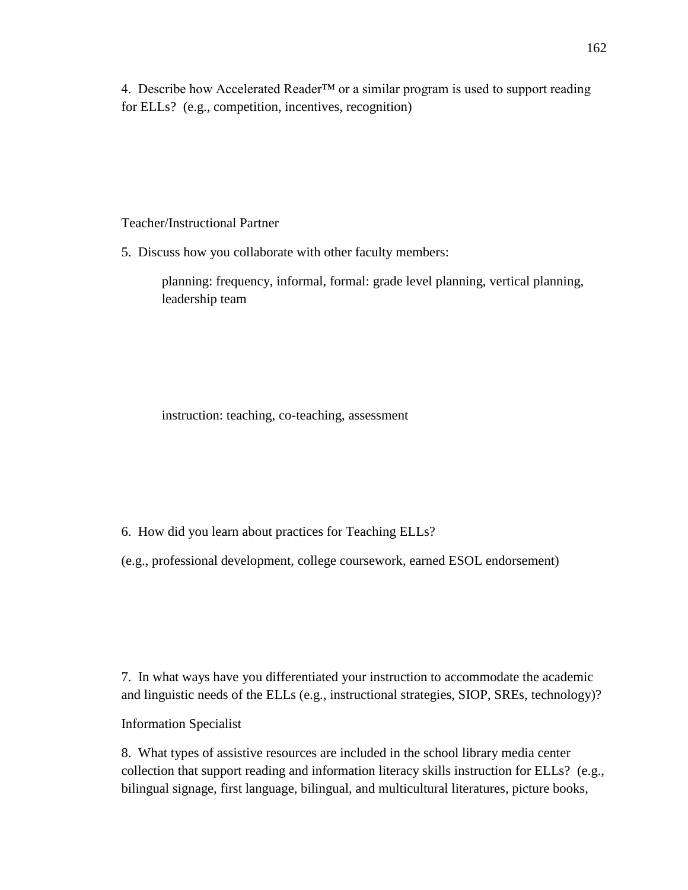4. Describe how Accelerated Reader™ or a similar program is used to support reading for ELLs? (e.g., competition, incentives, recognition)

Teacher/Instructional Partner

5. Discuss how you collaborate with other faculty members:

planning: frequency, informal, formal: grade level planning, vertical planning, leadership team

instruction: teaching, co-teaching, assessment

6. How did you learn about practices for Teaching ELLs?

(e.g., professional development, college coursework, earned ESOL endorsement)

7. In what ways have you differentiated your instruction to accommodate the academic and linguistic needs of the ELLs (e.g., instructional strategies, SIOP, SREs, technology)?

Information Specialist

8. What types of assistive resources are included in the school library media center collection that support reading and information literacy skills instruction for ELLs? (e.g., bilingual signage, first language, bilingual, and multicultural literatures, picture books,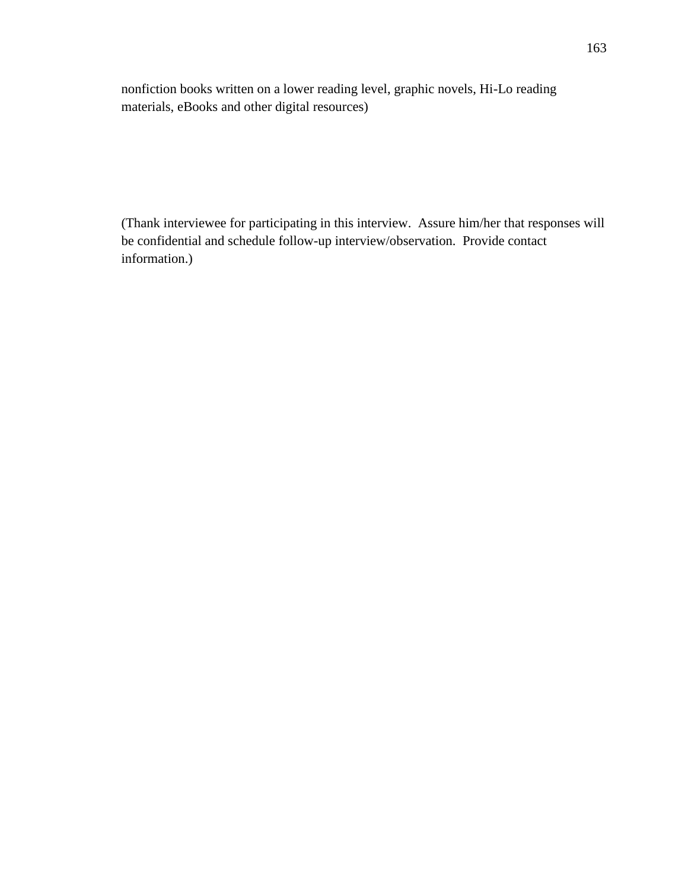nonfiction books written on a lower reading level, graphic novels, Hi-Lo reading materials, eBooks and other digital resources)

(Thank interviewee for participating in this interview. Assure him/her that responses will be confidential and schedule follow-up interview/observation. Provide contact information.)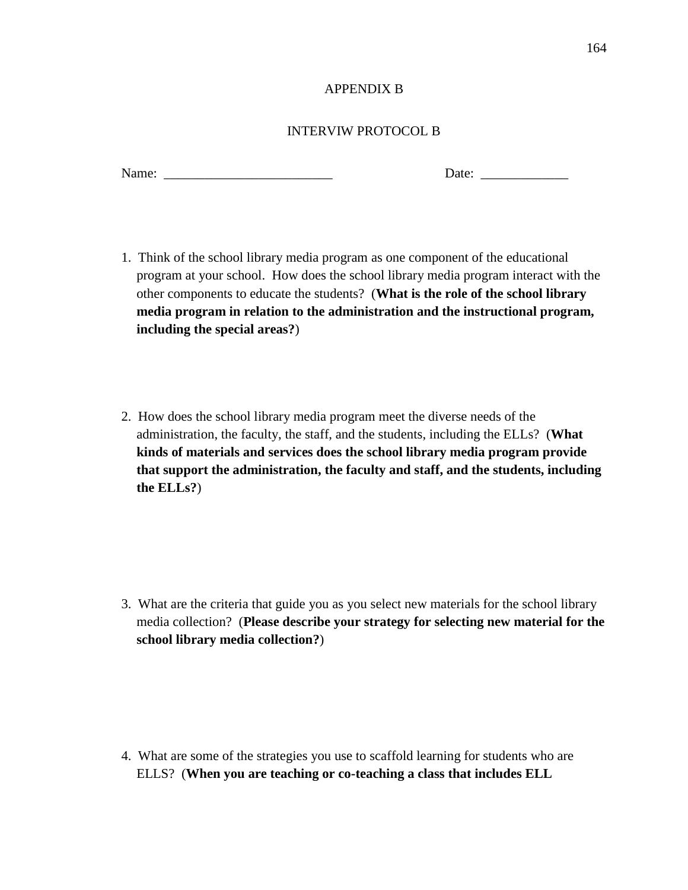## APPENDIX B

# INTERVIW PROTOCOL B

Name:  $\Box$ 

- 1. Think of the school library media program as one component of the educational program at your school. How does the school library media program interact with the other components to educate the students? (**What is the role of the school library media program in relation to the administration and the instructional program, including the special areas?**)
- 2. How does the school library media program meet the diverse needs of the administration, the faculty, the staff, and the students, including the ELLs? (**What kinds of materials and services does the school library media program provide that support the administration, the faculty and staff, and the students, including the ELLs?**)

3. What are the criteria that guide you as you select new materials for the school library media collection? (**Please describe your strategy for selecting new material for the school library media collection?**)

4. What are some of the strategies you use to scaffold learning for students who are ELLS? (**When you are teaching or co-teaching a class that includes ELL**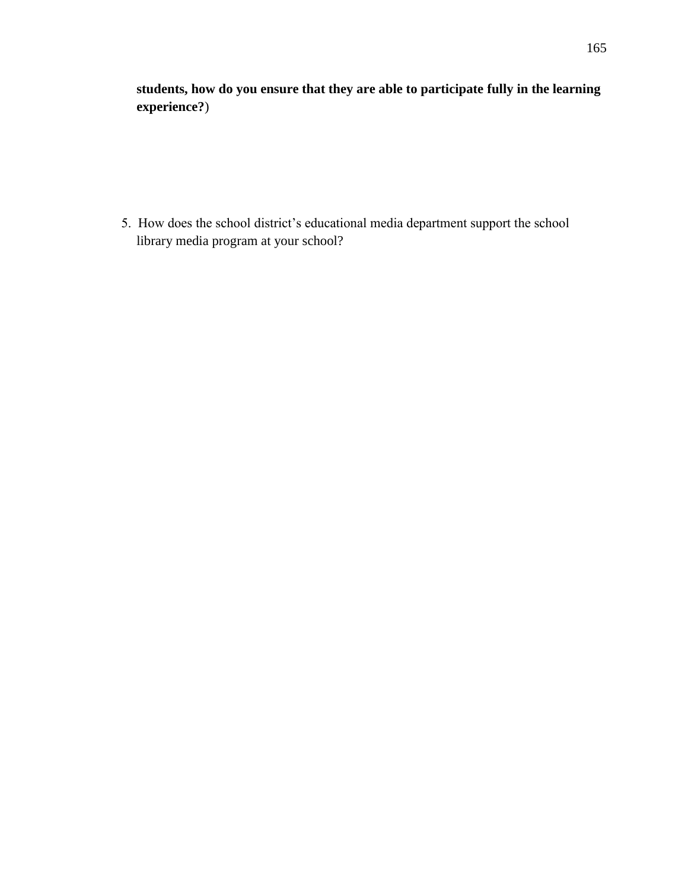**students, how do you ensure that they are able to participate fully in the learning experience?**)

5. How does the school district's educational media department support the school library media program at your school?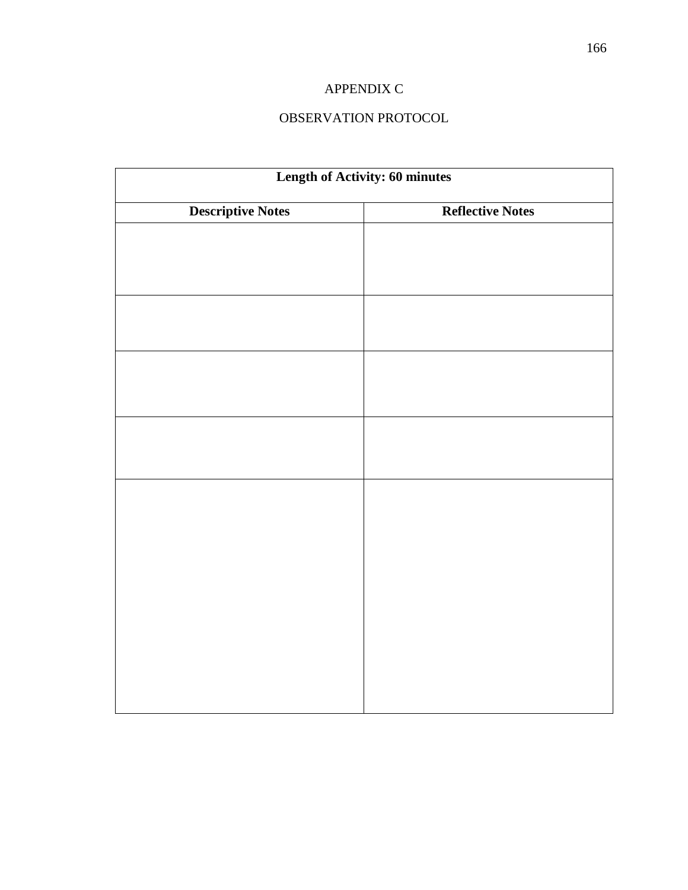# APPENDIX C

# OBSERVATION PROTOCOL

| <b>Length of Activity: 60 minutes</b> |                         |
|---------------------------------------|-------------------------|
| <b>Descriptive Notes</b>              | <b>Reflective Notes</b> |
|                                       |                         |
|                                       |                         |
|                                       |                         |
|                                       |                         |
|                                       |                         |
|                                       |                         |
|                                       |                         |
|                                       |                         |
|                                       |                         |
|                                       |                         |
|                                       |                         |
|                                       |                         |
|                                       |                         |
|                                       |                         |
|                                       |                         |
|                                       |                         |
|                                       |                         |
|                                       |                         |
|                                       |                         |
|                                       |                         |
|                                       |                         |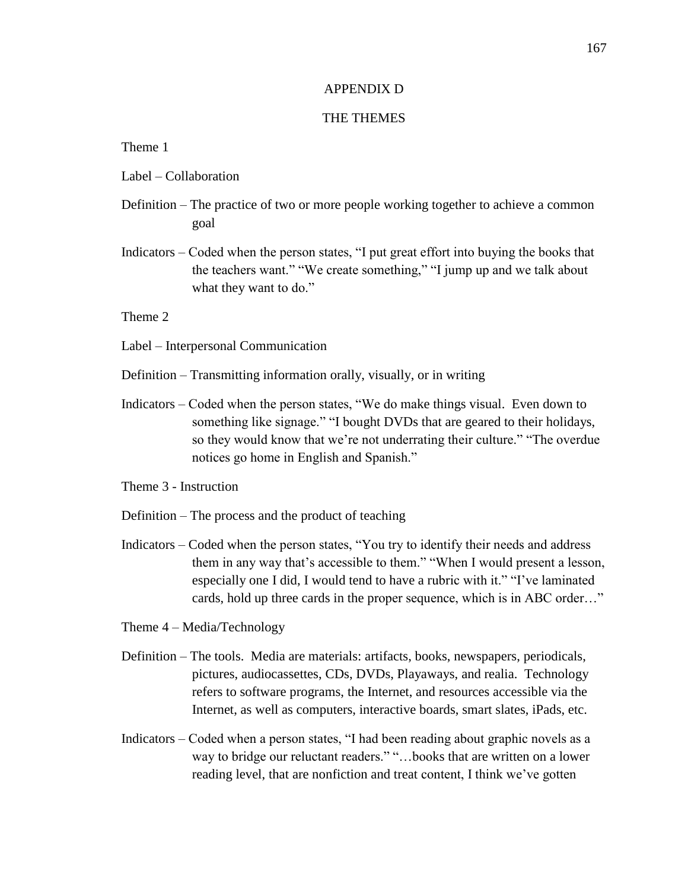### APPENDIX D

# THE THEMES

### Theme 1

- Label Collaboration
- Definition The practice of two or more people working together to achieve a common goal
- Indicators Coded when the person states, "I put great effort into buying the books that the teachers want." "We create something," "I jump up and we talk about what they want to do."

Theme 2

- Label Interpersonal Communication
- Definition Transmitting information orally, visually, or in writing
- Indicators Coded when the person states, "We do make things visual. Even down to something like signage." "I bought DVDs that are geared to their holidays, so they would know that we're not underrating their culture." "The overdue notices go home in English and Spanish."
- Theme 3 Instruction
- Definition The process and the product of teaching
- Indicators Coded when the person states, "You try to identify their needs and address them in any way that's accessible to them." "When I would present a lesson, especially one I did, I would tend to have a rubric with it." "I've laminated cards, hold up three cards in the proper sequence, which is in ABC order…"
- Theme 4 Media/Technology
- Definition The tools. Media are materials: artifacts, books, newspapers, periodicals, pictures, audiocassettes, CDs, DVDs, Playaways, and realia. Technology refers to software programs, the Internet, and resources accessible via the Internet, as well as computers, interactive boards, smart slates, iPads, etc.
- Indicators Coded when a person states, "I had been reading about graphic novels as a way to bridge our reluctant readers." "…books that are written on a lower reading level, that are nonfiction and treat content, I think we've gotten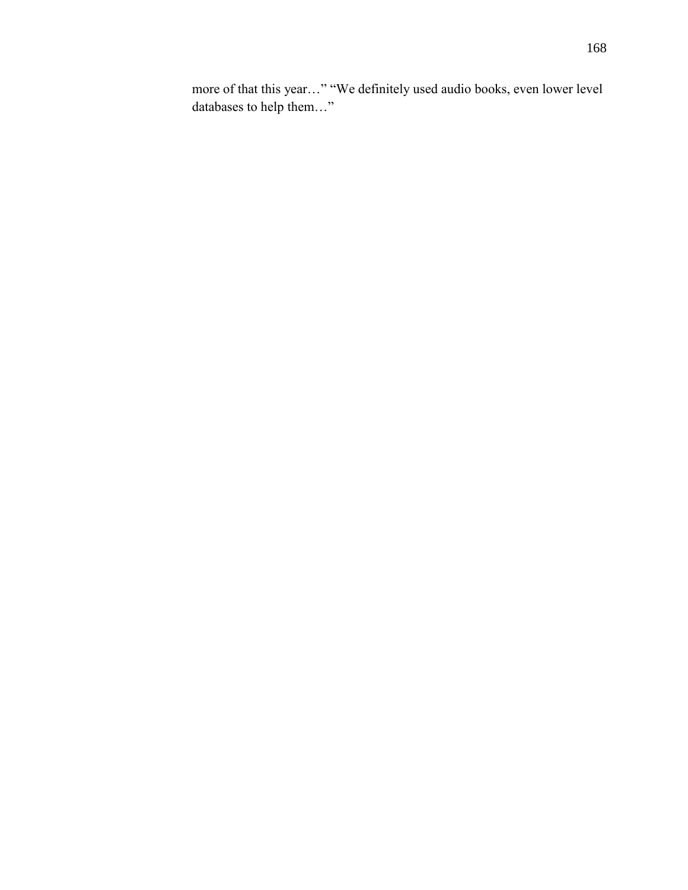more of that this year…" "We definitely used audio books, even lower level databases to help them…"